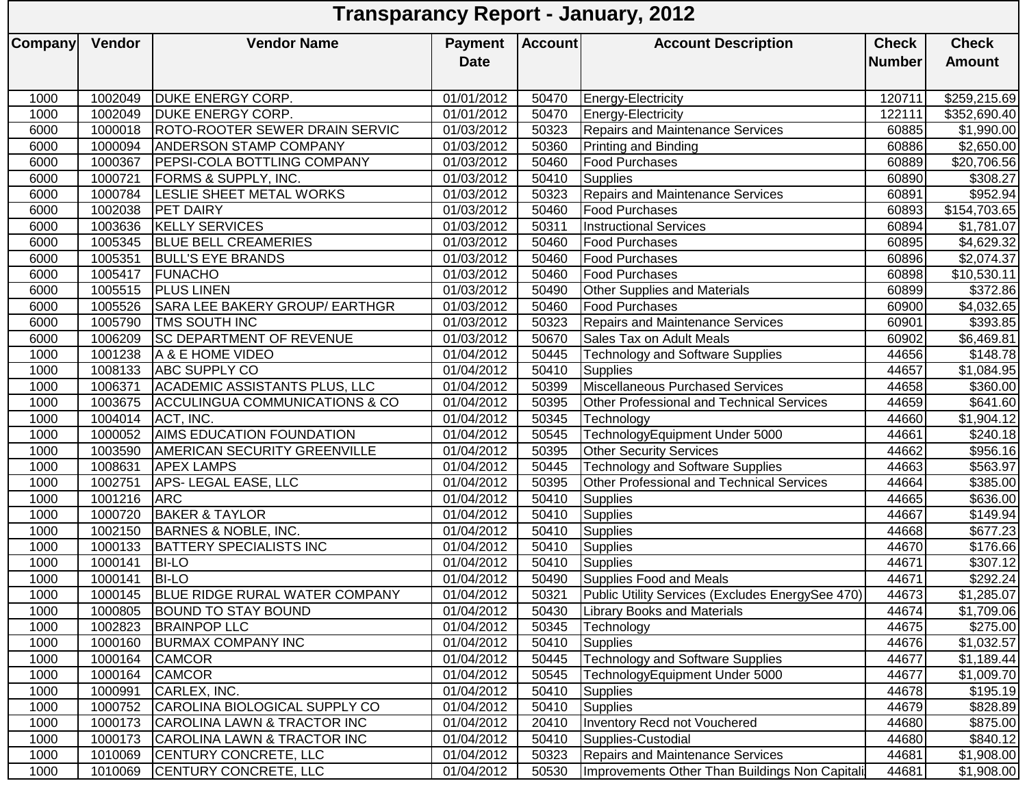| <b>Vendor Name</b><br><b>Account</b><br><b>Check</b><br><b>Vendor</b><br><b>Account Description</b><br><b>Check</b><br><b>Payment</b><br><b>Date</b><br><b>Number</b><br><b>Amount</b><br>1002049<br><b>DUKE ENERGY CORP.</b><br>01/01/2012<br>\$259,215.69<br>1000<br>50470<br>Energy-Electricity<br>120711<br>1002049<br><b>DUKE ENERGY CORP.</b><br>1000<br>01/01/2012<br>50470<br>Energy-Electricity<br>122111<br>Repairs and Maintenance Services<br>6000<br>1000018<br><b>ROTO-ROOTER SEWER DRAIN SERVIC</b><br>01/03/2012<br>50323<br>60885<br>\$1,990.00<br>1000094<br><b>ANDERSON STAMP COMPANY</b><br>01/03/2012<br>50360<br>\$2,650.00<br>6000<br>Printing and Binding<br>60886<br>1000367<br><b>PEPSI-COLA BOTTLING COMPANY</b><br>01/03/2012<br>50460<br><b>Food Purchases</b><br>60889<br>\$20,706.56<br>6000<br>1000721<br><b>FORMS &amp; SUPPLY, INC.</b><br>50410<br>6000<br>01/03/2012<br><b>Supplies</b><br>60890<br>\$308.27<br>1000784<br>LESLIE SHEET METAL WORKS<br>01/03/2012<br>50323<br>Repairs and Maintenance Services<br>\$952.94<br>6000<br>60891<br>1002038<br><b>PET DAIRY</b><br>01/03/2012<br>50460<br><b>Food Purchases</b><br>6000<br>60893<br>\$154,703.65<br><b>KELLY SERVICES</b><br>50311<br>1003636<br>01/03/2012<br><b>Instructional Services</b><br>60894<br>\$1,781.07<br>6000<br>1005345<br><b>BLUE BELL CREAMERIES</b><br>6000<br>01/03/2012<br>50460<br><b>Food Purchases</b><br>60895<br>\$4,629.32<br>1005351<br><b>BULL'S EYE BRANDS</b><br>01/03/2012<br>6000<br>50460<br>60896<br><b>Food Purchases</b><br>\$2,074.37<br>1005417<br>FUNACHO<br>01/03/2012<br>50460<br>60898<br>6000<br>\$10,530.11<br><b>Food Purchases</b><br>1005515<br><b>PLUS LINEN</b><br>01/03/2012<br>50490<br>60899<br>\$372.86<br>6000<br><b>Other Supplies and Materials</b><br>1005526<br>SARA LEE BAKERY GROUP/ EARTHGR<br>01/03/2012<br>6000<br>50460<br><b>Food Purchases</b><br>60900<br>\$4,032.65<br>1005790<br>01/03/2012<br>6000<br><b>TMS SOUTH INC</b><br>50323<br><b>Repairs and Maintenance Services</b><br>60901<br>\$393.85<br><b>SC DEPARTMENT OF REVENUE</b><br>1006209<br>01/03/2012<br>50670<br>60902<br>6000<br>Sales Tax on Adult Meals<br>\$6,469.81<br>1001238<br>A & E HOME VIDEO<br>01/04/2012<br>50445<br><b>Technology and Software Supplies</b><br>44656<br>1000<br>\$148.78<br>ABC SUPPLY CO<br>1000<br>1008133<br>01/04/2012<br>50410<br>44657<br>\$1,084.95<br><b>Supplies</b><br>Miscellaneous Purchased Services<br>ACADEMIC ASSISTANTS PLUS, LLC<br>1000<br>1006371<br>01/04/2012<br>50399<br>44658<br>\$360.00<br>$\overline{$}641.60$<br>1000<br>1003675<br><b>ACCULINGUA COMMUNICATIONS &amp; CO</b><br>01/04/2012<br>50395<br>44659<br>Other Professional and Technical Services<br>1004014<br>ACT, INC.<br>01/04/2012<br>50345<br>44660<br>\$1,904.12<br>1000<br>Technology<br><b>AIMS EDUCATION FOUNDATION</b><br>TechnologyEquipment Under 5000<br>1000<br>1000052<br>01/04/2012<br>50545<br>44661<br>\$240.18<br>50395<br>1000<br>1003590<br><b>AMERICAN SECURITY GREENVILLE</b><br>01/04/2012<br><b>Other Security Services</b><br>44662<br>\$956.16<br><b>Technology and Software Supplies</b><br>1008631<br>01/04/2012<br>50445<br>\$563.97<br>1000<br><b>APEX LAMPS</b><br>44663<br>APS-LEGAL EASE, LLC<br>Other Professional and Technical Services<br>1002751<br>01/04/2012<br>50395<br>44664<br>$\overline{$}385.00$<br>1000<br><b>ARC</b><br>50410<br>1001216<br>01/04/2012<br>44665<br>\$636.00<br>1000<br><b>Supplies</b><br><b>BAKER &amp; TAYLOR</b><br>1000720<br>01/04/2012<br>50410<br>44667<br>$\sqrt{$149.94}$<br>1000<br><b>Supplies</b><br>1002150<br><b>BARNES &amp; NOBLE, INC.</b><br>01/04/2012<br>50410<br>\$677.23<br>1000<br>44668<br><b>Supplies</b><br><b>BATTERY SPECIALISTS INC</b><br>1000133<br>01/04/2012<br>50410<br>44670<br>\$176.66<br>1000<br><b>Supplies</b><br>1000<br>1000141<br><b>BI-LO</b><br>01/04/2012<br>50410<br>\$307.12<br>Supplies<br>44671<br><b>BI-LO</b><br>\$292.24<br>1000<br>1000141<br>01/04/2012<br>50490<br>44671<br>Supplies Food and Meals<br>1000145   BLUE RIDGE RURAL WATER COMPANY<br>44673<br>\$1,285.07<br>1000<br>01/04/2012<br>50321<br>Public Utility Services (Excludes EnergySee 470)<br><b>BOUND TO STAY BOUND</b><br>1000<br>1000805<br>01/04/2012<br>50430<br><b>Library Books and Materials</b><br>44674<br>\$1,709.06<br>1000<br>1002823<br><b>BRAINPOP LLC</b><br>01/04/2012<br>50345<br>44675<br>Technology<br>\$275.00<br>1000<br>1000160<br><b>BURMAX COMPANY INC</b><br>01/04/2012<br>50410<br>44676<br>\$1,032.57<br><b>Supplies</b><br>1000<br>01/04/2012<br><b>Technology and Software Supplies</b><br>44677<br>1000164<br><b>CAMCOR</b><br>50445<br>\$1,189.44<br>1000<br><b>CAMCOR</b><br>01/04/2012<br>50545<br>44677<br>\$1,009.70<br>1000164<br>TechnologyEquipment Under 5000<br>1000991<br>CARLEX, INC.<br>01/04/2012<br>50410<br>44678<br>1000<br><b>Supplies</b><br>\$195.19<br>1000<br>1000752<br>CAROLINA BIOLOGICAL SUPPLY CO<br>01/04/2012<br><b>Supplies</b><br>44679<br>\$828.89<br>50410<br>1000<br>CAROLINA LAWN & TRACTOR INC<br>01/04/2012<br>Inventory Recd not Vouchered<br>44680<br>\$875.00<br>1000173<br>20410<br>1000<br>CAROLINA LAWN & TRACTOR INC<br>01/04/2012<br>50410<br>44680<br>\$840.12<br>1000173<br>Supplies-Custodial<br><b>CENTURY CONCRETE, LLC</b><br>01/04/2012<br>Repairs and Maintenance Services<br>44681<br>\$1,908.00<br>1000<br>1010069<br>50323<br>CENTURY CONCRETE, LLC<br>1000<br>1010069<br>01/04/2012<br>50530<br>Improvements Other Than Buildings Non Capitali<br>44681<br>\$1,908.00 |                | <b>Transparancy Report - January, 2012</b> |  |  |  |  |  |              |  |  |  |  |
|-----------------------------------------------------------------------------------------------------------------------------------------------------------------------------------------------------------------------------------------------------------------------------------------------------------------------------------------------------------------------------------------------------------------------------------------------------------------------------------------------------------------------------------------------------------------------------------------------------------------------------------------------------------------------------------------------------------------------------------------------------------------------------------------------------------------------------------------------------------------------------------------------------------------------------------------------------------------------------------------------------------------------------------------------------------------------------------------------------------------------------------------------------------------------------------------------------------------------------------------------------------------------------------------------------------------------------------------------------------------------------------------------------------------------------------------------------------------------------------------------------------------------------------------------------------------------------------------------------------------------------------------------------------------------------------------------------------------------------------------------------------------------------------------------------------------------------------------------------------------------------------------------------------------------------------------------------------------------------------------------------------------------------------------------------------------------------------------------------------------------------------------------------------------------------------------------------------------------------------------------------------------------------------------------------------------------------------------------------------------------------------------------------------------------------------------------------------------------------------------------------------------------------------------------------------------------------------------------------------------------------------------------------------------------------------------------------------------------------------------------------------------------------------------------------------------------------------------------------------------------------------------------------------------------------------------------------------------------------------------------------------------------------------------------------------------------------------------------------------------------------------------------------------------------------------------------------------------------------------------------------------------------------------------------------------------------------------------------------------------------------------------------------------------------------------------------------------------------------------------------------------------------------------------------------------------------------------------------------------------------------------------------------------------------------------------------------------------------------------------------------------------------------------------------------------------------------------------------------------------------------------------------------------------------------------------------------------------------------------------------------------------------------------------------------------------------------------------------------------------------------------------------------------------------------------------------------------------------------------------------------------------------------------------------------------------------------------------------------------------------------------------------------------------------------------------------------------------------------------------------------------------------------------------------------------------------------------------------------------------------------------------------------------------------------------------------------------------------------------------------------------------------------------------------------------------------------------------------------------------------------------------------------------------------------------------------------------------------------------------------------------------------------------------------------------------------------------------------------------------------------------------------------------------------------------------------------------------------------------------------------------------------------------------------------------------------------------------------------------------------------------------------------------------------------------------------------------------------------------------------------------------------------------------------------------------------------------------------------------|----------------|--------------------------------------------|--|--|--|--|--|--------------|--|--|--|--|
|                                                                                                                                                                                                                                                                                                                                                                                                                                                                                                                                                                                                                                                                                                                                                                                                                                                                                                                                                                                                                                                                                                                                                                                                                                                                                                                                                                                                                                                                                                                                                                                                                                                                                                                                                                                                                                                                                                                                                                                                                                                                                                                                                                                                                                                                                                                                                                                                                                                                                                                                                                                                                                                                                                                                                                                                                                                                                                                                                                                                                                                                                                                                                                                                                                                                                                                                                                                                                                                                                                                                                                                                                                                                                                                                                                                                                                                                                                                                                                                                                                                                                                                                                                                                                                                                                                                                                                                                                                                                                                                                                                                                                                                                                                                                                                                                                                                                                                                                                                                                                                                                                                                                                                                                                                                                                                                                                                                                                                                                                                                                                                                                           | <b>Company</b> |                                            |  |  |  |  |  |              |  |  |  |  |
|                                                                                                                                                                                                                                                                                                                                                                                                                                                                                                                                                                                                                                                                                                                                                                                                                                                                                                                                                                                                                                                                                                                                                                                                                                                                                                                                                                                                                                                                                                                                                                                                                                                                                                                                                                                                                                                                                                                                                                                                                                                                                                                                                                                                                                                                                                                                                                                                                                                                                                                                                                                                                                                                                                                                                                                                                                                                                                                                                                                                                                                                                                                                                                                                                                                                                                                                                                                                                                                                                                                                                                                                                                                                                                                                                                                                                                                                                                                                                                                                                                                                                                                                                                                                                                                                                                                                                                                                                                                                                                                                                                                                                                                                                                                                                                                                                                                                                                                                                                                                                                                                                                                                                                                                                                                                                                                                                                                                                                                                                                                                                                                                           |                |                                            |  |  |  |  |  |              |  |  |  |  |
|                                                                                                                                                                                                                                                                                                                                                                                                                                                                                                                                                                                                                                                                                                                                                                                                                                                                                                                                                                                                                                                                                                                                                                                                                                                                                                                                                                                                                                                                                                                                                                                                                                                                                                                                                                                                                                                                                                                                                                                                                                                                                                                                                                                                                                                                                                                                                                                                                                                                                                                                                                                                                                                                                                                                                                                                                                                                                                                                                                                                                                                                                                                                                                                                                                                                                                                                                                                                                                                                                                                                                                                                                                                                                                                                                                                                                                                                                                                                                                                                                                                                                                                                                                                                                                                                                                                                                                                                                                                                                                                                                                                                                                                                                                                                                                                                                                                                                                                                                                                                                                                                                                                                                                                                                                                                                                                                                                                                                                                                                                                                                                                                           |                |                                            |  |  |  |  |  | \$352,690.40 |  |  |  |  |
|                                                                                                                                                                                                                                                                                                                                                                                                                                                                                                                                                                                                                                                                                                                                                                                                                                                                                                                                                                                                                                                                                                                                                                                                                                                                                                                                                                                                                                                                                                                                                                                                                                                                                                                                                                                                                                                                                                                                                                                                                                                                                                                                                                                                                                                                                                                                                                                                                                                                                                                                                                                                                                                                                                                                                                                                                                                                                                                                                                                                                                                                                                                                                                                                                                                                                                                                                                                                                                                                                                                                                                                                                                                                                                                                                                                                                                                                                                                                                                                                                                                                                                                                                                                                                                                                                                                                                                                                                                                                                                                                                                                                                                                                                                                                                                                                                                                                                                                                                                                                                                                                                                                                                                                                                                                                                                                                                                                                                                                                                                                                                                                                           |                |                                            |  |  |  |  |  |              |  |  |  |  |
|                                                                                                                                                                                                                                                                                                                                                                                                                                                                                                                                                                                                                                                                                                                                                                                                                                                                                                                                                                                                                                                                                                                                                                                                                                                                                                                                                                                                                                                                                                                                                                                                                                                                                                                                                                                                                                                                                                                                                                                                                                                                                                                                                                                                                                                                                                                                                                                                                                                                                                                                                                                                                                                                                                                                                                                                                                                                                                                                                                                                                                                                                                                                                                                                                                                                                                                                                                                                                                                                                                                                                                                                                                                                                                                                                                                                                                                                                                                                                                                                                                                                                                                                                                                                                                                                                                                                                                                                                                                                                                                                                                                                                                                                                                                                                                                                                                                                                                                                                                                                                                                                                                                                                                                                                                                                                                                                                                                                                                                                                                                                                                                                           |                |                                            |  |  |  |  |  |              |  |  |  |  |
|                                                                                                                                                                                                                                                                                                                                                                                                                                                                                                                                                                                                                                                                                                                                                                                                                                                                                                                                                                                                                                                                                                                                                                                                                                                                                                                                                                                                                                                                                                                                                                                                                                                                                                                                                                                                                                                                                                                                                                                                                                                                                                                                                                                                                                                                                                                                                                                                                                                                                                                                                                                                                                                                                                                                                                                                                                                                                                                                                                                                                                                                                                                                                                                                                                                                                                                                                                                                                                                                                                                                                                                                                                                                                                                                                                                                                                                                                                                                                                                                                                                                                                                                                                                                                                                                                                                                                                                                                                                                                                                                                                                                                                                                                                                                                                                                                                                                                                                                                                                                                                                                                                                                                                                                                                                                                                                                                                                                                                                                                                                                                                                                           |                |                                            |  |  |  |  |  |              |  |  |  |  |
|                                                                                                                                                                                                                                                                                                                                                                                                                                                                                                                                                                                                                                                                                                                                                                                                                                                                                                                                                                                                                                                                                                                                                                                                                                                                                                                                                                                                                                                                                                                                                                                                                                                                                                                                                                                                                                                                                                                                                                                                                                                                                                                                                                                                                                                                                                                                                                                                                                                                                                                                                                                                                                                                                                                                                                                                                                                                                                                                                                                                                                                                                                                                                                                                                                                                                                                                                                                                                                                                                                                                                                                                                                                                                                                                                                                                                                                                                                                                                                                                                                                                                                                                                                                                                                                                                                                                                                                                                                                                                                                                                                                                                                                                                                                                                                                                                                                                                                                                                                                                                                                                                                                                                                                                                                                                                                                                                                                                                                                                                                                                                                                                           |                |                                            |  |  |  |  |  |              |  |  |  |  |
|                                                                                                                                                                                                                                                                                                                                                                                                                                                                                                                                                                                                                                                                                                                                                                                                                                                                                                                                                                                                                                                                                                                                                                                                                                                                                                                                                                                                                                                                                                                                                                                                                                                                                                                                                                                                                                                                                                                                                                                                                                                                                                                                                                                                                                                                                                                                                                                                                                                                                                                                                                                                                                                                                                                                                                                                                                                                                                                                                                                                                                                                                                                                                                                                                                                                                                                                                                                                                                                                                                                                                                                                                                                                                                                                                                                                                                                                                                                                                                                                                                                                                                                                                                                                                                                                                                                                                                                                                                                                                                                                                                                                                                                                                                                                                                                                                                                                                                                                                                                                                                                                                                                                                                                                                                                                                                                                                                                                                                                                                                                                                                                                           |                |                                            |  |  |  |  |  |              |  |  |  |  |
|                                                                                                                                                                                                                                                                                                                                                                                                                                                                                                                                                                                                                                                                                                                                                                                                                                                                                                                                                                                                                                                                                                                                                                                                                                                                                                                                                                                                                                                                                                                                                                                                                                                                                                                                                                                                                                                                                                                                                                                                                                                                                                                                                                                                                                                                                                                                                                                                                                                                                                                                                                                                                                                                                                                                                                                                                                                                                                                                                                                                                                                                                                                                                                                                                                                                                                                                                                                                                                                                                                                                                                                                                                                                                                                                                                                                                                                                                                                                                                                                                                                                                                                                                                                                                                                                                                                                                                                                                                                                                                                                                                                                                                                                                                                                                                                                                                                                                                                                                                                                                                                                                                                                                                                                                                                                                                                                                                                                                                                                                                                                                                                                           |                |                                            |  |  |  |  |  |              |  |  |  |  |
|                                                                                                                                                                                                                                                                                                                                                                                                                                                                                                                                                                                                                                                                                                                                                                                                                                                                                                                                                                                                                                                                                                                                                                                                                                                                                                                                                                                                                                                                                                                                                                                                                                                                                                                                                                                                                                                                                                                                                                                                                                                                                                                                                                                                                                                                                                                                                                                                                                                                                                                                                                                                                                                                                                                                                                                                                                                                                                                                                                                                                                                                                                                                                                                                                                                                                                                                                                                                                                                                                                                                                                                                                                                                                                                                                                                                                                                                                                                                                                                                                                                                                                                                                                                                                                                                                                                                                                                                                                                                                                                                                                                                                                                                                                                                                                                                                                                                                                                                                                                                                                                                                                                                                                                                                                                                                                                                                                                                                                                                                                                                                                                                           |                |                                            |  |  |  |  |  |              |  |  |  |  |
|                                                                                                                                                                                                                                                                                                                                                                                                                                                                                                                                                                                                                                                                                                                                                                                                                                                                                                                                                                                                                                                                                                                                                                                                                                                                                                                                                                                                                                                                                                                                                                                                                                                                                                                                                                                                                                                                                                                                                                                                                                                                                                                                                                                                                                                                                                                                                                                                                                                                                                                                                                                                                                                                                                                                                                                                                                                                                                                                                                                                                                                                                                                                                                                                                                                                                                                                                                                                                                                                                                                                                                                                                                                                                                                                                                                                                                                                                                                                                                                                                                                                                                                                                                                                                                                                                                                                                                                                                                                                                                                                                                                                                                                                                                                                                                                                                                                                                                                                                                                                                                                                                                                                                                                                                                                                                                                                                                                                                                                                                                                                                                                                           |                |                                            |  |  |  |  |  |              |  |  |  |  |
|                                                                                                                                                                                                                                                                                                                                                                                                                                                                                                                                                                                                                                                                                                                                                                                                                                                                                                                                                                                                                                                                                                                                                                                                                                                                                                                                                                                                                                                                                                                                                                                                                                                                                                                                                                                                                                                                                                                                                                                                                                                                                                                                                                                                                                                                                                                                                                                                                                                                                                                                                                                                                                                                                                                                                                                                                                                                                                                                                                                                                                                                                                                                                                                                                                                                                                                                                                                                                                                                                                                                                                                                                                                                                                                                                                                                                                                                                                                                                                                                                                                                                                                                                                                                                                                                                                                                                                                                                                                                                                                                                                                                                                                                                                                                                                                                                                                                                                                                                                                                                                                                                                                                                                                                                                                                                                                                                                                                                                                                                                                                                                                                           |                |                                            |  |  |  |  |  |              |  |  |  |  |
|                                                                                                                                                                                                                                                                                                                                                                                                                                                                                                                                                                                                                                                                                                                                                                                                                                                                                                                                                                                                                                                                                                                                                                                                                                                                                                                                                                                                                                                                                                                                                                                                                                                                                                                                                                                                                                                                                                                                                                                                                                                                                                                                                                                                                                                                                                                                                                                                                                                                                                                                                                                                                                                                                                                                                                                                                                                                                                                                                                                                                                                                                                                                                                                                                                                                                                                                                                                                                                                                                                                                                                                                                                                                                                                                                                                                                                                                                                                                                                                                                                                                                                                                                                                                                                                                                                                                                                                                                                                                                                                                                                                                                                                                                                                                                                                                                                                                                                                                                                                                                                                                                                                                                                                                                                                                                                                                                                                                                                                                                                                                                                                                           |                |                                            |  |  |  |  |  |              |  |  |  |  |
|                                                                                                                                                                                                                                                                                                                                                                                                                                                                                                                                                                                                                                                                                                                                                                                                                                                                                                                                                                                                                                                                                                                                                                                                                                                                                                                                                                                                                                                                                                                                                                                                                                                                                                                                                                                                                                                                                                                                                                                                                                                                                                                                                                                                                                                                                                                                                                                                                                                                                                                                                                                                                                                                                                                                                                                                                                                                                                                                                                                                                                                                                                                                                                                                                                                                                                                                                                                                                                                                                                                                                                                                                                                                                                                                                                                                                                                                                                                                                                                                                                                                                                                                                                                                                                                                                                                                                                                                                                                                                                                                                                                                                                                                                                                                                                                                                                                                                                                                                                                                                                                                                                                                                                                                                                                                                                                                                                                                                                                                                                                                                                                                           |                |                                            |  |  |  |  |  |              |  |  |  |  |
|                                                                                                                                                                                                                                                                                                                                                                                                                                                                                                                                                                                                                                                                                                                                                                                                                                                                                                                                                                                                                                                                                                                                                                                                                                                                                                                                                                                                                                                                                                                                                                                                                                                                                                                                                                                                                                                                                                                                                                                                                                                                                                                                                                                                                                                                                                                                                                                                                                                                                                                                                                                                                                                                                                                                                                                                                                                                                                                                                                                                                                                                                                                                                                                                                                                                                                                                                                                                                                                                                                                                                                                                                                                                                                                                                                                                                                                                                                                                                                                                                                                                                                                                                                                                                                                                                                                                                                                                                                                                                                                                                                                                                                                                                                                                                                                                                                                                                                                                                                                                                                                                                                                                                                                                                                                                                                                                                                                                                                                                                                                                                                                                           |                |                                            |  |  |  |  |  |              |  |  |  |  |
|                                                                                                                                                                                                                                                                                                                                                                                                                                                                                                                                                                                                                                                                                                                                                                                                                                                                                                                                                                                                                                                                                                                                                                                                                                                                                                                                                                                                                                                                                                                                                                                                                                                                                                                                                                                                                                                                                                                                                                                                                                                                                                                                                                                                                                                                                                                                                                                                                                                                                                                                                                                                                                                                                                                                                                                                                                                                                                                                                                                                                                                                                                                                                                                                                                                                                                                                                                                                                                                                                                                                                                                                                                                                                                                                                                                                                                                                                                                                                                                                                                                                                                                                                                                                                                                                                                                                                                                                                                                                                                                                                                                                                                                                                                                                                                                                                                                                                                                                                                                                                                                                                                                                                                                                                                                                                                                                                                                                                                                                                                                                                                                                           |                |                                            |  |  |  |  |  |              |  |  |  |  |
|                                                                                                                                                                                                                                                                                                                                                                                                                                                                                                                                                                                                                                                                                                                                                                                                                                                                                                                                                                                                                                                                                                                                                                                                                                                                                                                                                                                                                                                                                                                                                                                                                                                                                                                                                                                                                                                                                                                                                                                                                                                                                                                                                                                                                                                                                                                                                                                                                                                                                                                                                                                                                                                                                                                                                                                                                                                                                                                                                                                                                                                                                                                                                                                                                                                                                                                                                                                                                                                                                                                                                                                                                                                                                                                                                                                                                                                                                                                                                                                                                                                                                                                                                                                                                                                                                                                                                                                                                                                                                                                                                                                                                                                                                                                                                                                                                                                                                                                                                                                                                                                                                                                                                                                                                                                                                                                                                                                                                                                                                                                                                                                                           |                |                                            |  |  |  |  |  |              |  |  |  |  |
|                                                                                                                                                                                                                                                                                                                                                                                                                                                                                                                                                                                                                                                                                                                                                                                                                                                                                                                                                                                                                                                                                                                                                                                                                                                                                                                                                                                                                                                                                                                                                                                                                                                                                                                                                                                                                                                                                                                                                                                                                                                                                                                                                                                                                                                                                                                                                                                                                                                                                                                                                                                                                                                                                                                                                                                                                                                                                                                                                                                                                                                                                                                                                                                                                                                                                                                                                                                                                                                                                                                                                                                                                                                                                                                                                                                                                                                                                                                                                                                                                                                                                                                                                                                                                                                                                                                                                                                                                                                                                                                                                                                                                                                                                                                                                                                                                                                                                                                                                                                                                                                                                                                                                                                                                                                                                                                                                                                                                                                                                                                                                                                                           |                |                                            |  |  |  |  |  |              |  |  |  |  |
|                                                                                                                                                                                                                                                                                                                                                                                                                                                                                                                                                                                                                                                                                                                                                                                                                                                                                                                                                                                                                                                                                                                                                                                                                                                                                                                                                                                                                                                                                                                                                                                                                                                                                                                                                                                                                                                                                                                                                                                                                                                                                                                                                                                                                                                                                                                                                                                                                                                                                                                                                                                                                                                                                                                                                                                                                                                                                                                                                                                                                                                                                                                                                                                                                                                                                                                                                                                                                                                                                                                                                                                                                                                                                                                                                                                                                                                                                                                                                                                                                                                                                                                                                                                                                                                                                                                                                                                                                                                                                                                                                                                                                                                                                                                                                                                                                                                                                                                                                                                                                                                                                                                                                                                                                                                                                                                                                                                                                                                                                                                                                                                                           |                |                                            |  |  |  |  |  |              |  |  |  |  |
|                                                                                                                                                                                                                                                                                                                                                                                                                                                                                                                                                                                                                                                                                                                                                                                                                                                                                                                                                                                                                                                                                                                                                                                                                                                                                                                                                                                                                                                                                                                                                                                                                                                                                                                                                                                                                                                                                                                                                                                                                                                                                                                                                                                                                                                                                                                                                                                                                                                                                                                                                                                                                                                                                                                                                                                                                                                                                                                                                                                                                                                                                                                                                                                                                                                                                                                                                                                                                                                                                                                                                                                                                                                                                                                                                                                                                                                                                                                                                                                                                                                                                                                                                                                                                                                                                                                                                                                                                                                                                                                                                                                                                                                                                                                                                                                                                                                                                                                                                                                                                                                                                                                                                                                                                                                                                                                                                                                                                                                                                                                                                                                                           |                |                                            |  |  |  |  |  |              |  |  |  |  |
|                                                                                                                                                                                                                                                                                                                                                                                                                                                                                                                                                                                                                                                                                                                                                                                                                                                                                                                                                                                                                                                                                                                                                                                                                                                                                                                                                                                                                                                                                                                                                                                                                                                                                                                                                                                                                                                                                                                                                                                                                                                                                                                                                                                                                                                                                                                                                                                                                                                                                                                                                                                                                                                                                                                                                                                                                                                                                                                                                                                                                                                                                                                                                                                                                                                                                                                                                                                                                                                                                                                                                                                                                                                                                                                                                                                                                                                                                                                                                                                                                                                                                                                                                                                                                                                                                                                                                                                                                                                                                                                                                                                                                                                                                                                                                                                                                                                                                                                                                                                                                                                                                                                                                                                                                                                                                                                                                                                                                                                                                                                                                                                                           |                |                                            |  |  |  |  |  |              |  |  |  |  |
|                                                                                                                                                                                                                                                                                                                                                                                                                                                                                                                                                                                                                                                                                                                                                                                                                                                                                                                                                                                                                                                                                                                                                                                                                                                                                                                                                                                                                                                                                                                                                                                                                                                                                                                                                                                                                                                                                                                                                                                                                                                                                                                                                                                                                                                                                                                                                                                                                                                                                                                                                                                                                                                                                                                                                                                                                                                                                                                                                                                                                                                                                                                                                                                                                                                                                                                                                                                                                                                                                                                                                                                                                                                                                                                                                                                                                                                                                                                                                                                                                                                                                                                                                                                                                                                                                                                                                                                                                                                                                                                                                                                                                                                                                                                                                                                                                                                                                                                                                                                                                                                                                                                                                                                                                                                                                                                                                                                                                                                                                                                                                                                                           |                |                                            |  |  |  |  |  |              |  |  |  |  |
|                                                                                                                                                                                                                                                                                                                                                                                                                                                                                                                                                                                                                                                                                                                                                                                                                                                                                                                                                                                                                                                                                                                                                                                                                                                                                                                                                                                                                                                                                                                                                                                                                                                                                                                                                                                                                                                                                                                                                                                                                                                                                                                                                                                                                                                                                                                                                                                                                                                                                                                                                                                                                                                                                                                                                                                                                                                                                                                                                                                                                                                                                                                                                                                                                                                                                                                                                                                                                                                                                                                                                                                                                                                                                                                                                                                                                                                                                                                                                                                                                                                                                                                                                                                                                                                                                                                                                                                                                                                                                                                                                                                                                                                                                                                                                                                                                                                                                                                                                                                                                                                                                                                                                                                                                                                                                                                                                                                                                                                                                                                                                                                                           |                |                                            |  |  |  |  |  |              |  |  |  |  |
|                                                                                                                                                                                                                                                                                                                                                                                                                                                                                                                                                                                                                                                                                                                                                                                                                                                                                                                                                                                                                                                                                                                                                                                                                                                                                                                                                                                                                                                                                                                                                                                                                                                                                                                                                                                                                                                                                                                                                                                                                                                                                                                                                                                                                                                                                                                                                                                                                                                                                                                                                                                                                                                                                                                                                                                                                                                                                                                                                                                                                                                                                                                                                                                                                                                                                                                                                                                                                                                                                                                                                                                                                                                                                                                                                                                                                                                                                                                                                                                                                                                                                                                                                                                                                                                                                                                                                                                                                                                                                                                                                                                                                                                                                                                                                                                                                                                                                                                                                                                                                                                                                                                                                                                                                                                                                                                                                                                                                                                                                                                                                                                                           |                |                                            |  |  |  |  |  |              |  |  |  |  |
|                                                                                                                                                                                                                                                                                                                                                                                                                                                                                                                                                                                                                                                                                                                                                                                                                                                                                                                                                                                                                                                                                                                                                                                                                                                                                                                                                                                                                                                                                                                                                                                                                                                                                                                                                                                                                                                                                                                                                                                                                                                                                                                                                                                                                                                                                                                                                                                                                                                                                                                                                                                                                                                                                                                                                                                                                                                                                                                                                                                                                                                                                                                                                                                                                                                                                                                                                                                                                                                                                                                                                                                                                                                                                                                                                                                                                                                                                                                                                                                                                                                                                                                                                                                                                                                                                                                                                                                                                                                                                                                                                                                                                                                                                                                                                                                                                                                                                                                                                                                                                                                                                                                                                                                                                                                                                                                                                                                                                                                                                                                                                                                                           |                |                                            |  |  |  |  |  |              |  |  |  |  |
|                                                                                                                                                                                                                                                                                                                                                                                                                                                                                                                                                                                                                                                                                                                                                                                                                                                                                                                                                                                                                                                                                                                                                                                                                                                                                                                                                                                                                                                                                                                                                                                                                                                                                                                                                                                                                                                                                                                                                                                                                                                                                                                                                                                                                                                                                                                                                                                                                                                                                                                                                                                                                                                                                                                                                                                                                                                                                                                                                                                                                                                                                                                                                                                                                                                                                                                                                                                                                                                                                                                                                                                                                                                                                                                                                                                                                                                                                                                                                                                                                                                                                                                                                                                                                                                                                                                                                                                                                                                                                                                                                                                                                                                                                                                                                                                                                                                                                                                                                                                                                                                                                                                                                                                                                                                                                                                                                                                                                                                                                                                                                                                                           |                |                                            |  |  |  |  |  |              |  |  |  |  |
|                                                                                                                                                                                                                                                                                                                                                                                                                                                                                                                                                                                                                                                                                                                                                                                                                                                                                                                                                                                                                                                                                                                                                                                                                                                                                                                                                                                                                                                                                                                                                                                                                                                                                                                                                                                                                                                                                                                                                                                                                                                                                                                                                                                                                                                                                                                                                                                                                                                                                                                                                                                                                                                                                                                                                                                                                                                                                                                                                                                                                                                                                                                                                                                                                                                                                                                                                                                                                                                                                                                                                                                                                                                                                                                                                                                                                                                                                                                                                                                                                                                                                                                                                                                                                                                                                                                                                                                                                                                                                                                                                                                                                                                                                                                                                                                                                                                                                                                                                                                                                                                                                                                                                                                                                                                                                                                                                                                                                                                                                                                                                                                                           |                |                                            |  |  |  |  |  |              |  |  |  |  |
|                                                                                                                                                                                                                                                                                                                                                                                                                                                                                                                                                                                                                                                                                                                                                                                                                                                                                                                                                                                                                                                                                                                                                                                                                                                                                                                                                                                                                                                                                                                                                                                                                                                                                                                                                                                                                                                                                                                                                                                                                                                                                                                                                                                                                                                                                                                                                                                                                                                                                                                                                                                                                                                                                                                                                                                                                                                                                                                                                                                                                                                                                                                                                                                                                                                                                                                                                                                                                                                                                                                                                                                                                                                                                                                                                                                                                                                                                                                                                                                                                                                                                                                                                                                                                                                                                                                                                                                                                                                                                                                                                                                                                                                                                                                                                                                                                                                                                                                                                                                                                                                                                                                                                                                                                                                                                                                                                                                                                                                                                                                                                                                                           |                |                                            |  |  |  |  |  |              |  |  |  |  |
|                                                                                                                                                                                                                                                                                                                                                                                                                                                                                                                                                                                                                                                                                                                                                                                                                                                                                                                                                                                                                                                                                                                                                                                                                                                                                                                                                                                                                                                                                                                                                                                                                                                                                                                                                                                                                                                                                                                                                                                                                                                                                                                                                                                                                                                                                                                                                                                                                                                                                                                                                                                                                                                                                                                                                                                                                                                                                                                                                                                                                                                                                                                                                                                                                                                                                                                                                                                                                                                                                                                                                                                                                                                                                                                                                                                                                                                                                                                                                                                                                                                                                                                                                                                                                                                                                                                                                                                                                                                                                                                                                                                                                                                                                                                                                                                                                                                                                                                                                                                                                                                                                                                                                                                                                                                                                                                                                                                                                                                                                                                                                                                                           |                |                                            |  |  |  |  |  |              |  |  |  |  |
|                                                                                                                                                                                                                                                                                                                                                                                                                                                                                                                                                                                                                                                                                                                                                                                                                                                                                                                                                                                                                                                                                                                                                                                                                                                                                                                                                                                                                                                                                                                                                                                                                                                                                                                                                                                                                                                                                                                                                                                                                                                                                                                                                                                                                                                                                                                                                                                                                                                                                                                                                                                                                                                                                                                                                                                                                                                                                                                                                                                                                                                                                                                                                                                                                                                                                                                                                                                                                                                                                                                                                                                                                                                                                                                                                                                                                                                                                                                                                                                                                                                                                                                                                                                                                                                                                                                                                                                                                                                                                                                                                                                                                                                                                                                                                                                                                                                                                                                                                                                                                                                                                                                                                                                                                                                                                                                                                                                                                                                                                                                                                                                                           |                |                                            |  |  |  |  |  |              |  |  |  |  |
|                                                                                                                                                                                                                                                                                                                                                                                                                                                                                                                                                                                                                                                                                                                                                                                                                                                                                                                                                                                                                                                                                                                                                                                                                                                                                                                                                                                                                                                                                                                                                                                                                                                                                                                                                                                                                                                                                                                                                                                                                                                                                                                                                                                                                                                                                                                                                                                                                                                                                                                                                                                                                                                                                                                                                                                                                                                                                                                                                                                                                                                                                                                                                                                                                                                                                                                                                                                                                                                                                                                                                                                                                                                                                                                                                                                                                                                                                                                                                                                                                                                                                                                                                                                                                                                                                                                                                                                                                                                                                                                                                                                                                                                                                                                                                                                                                                                                                                                                                                                                                                                                                                                                                                                                                                                                                                                                                                                                                                                                                                                                                                                                           |                |                                            |  |  |  |  |  |              |  |  |  |  |
|                                                                                                                                                                                                                                                                                                                                                                                                                                                                                                                                                                                                                                                                                                                                                                                                                                                                                                                                                                                                                                                                                                                                                                                                                                                                                                                                                                                                                                                                                                                                                                                                                                                                                                                                                                                                                                                                                                                                                                                                                                                                                                                                                                                                                                                                                                                                                                                                                                                                                                                                                                                                                                                                                                                                                                                                                                                                                                                                                                                                                                                                                                                                                                                                                                                                                                                                                                                                                                                                                                                                                                                                                                                                                                                                                                                                                                                                                                                                                                                                                                                                                                                                                                                                                                                                                                                                                                                                                                                                                                                                                                                                                                                                                                                                                                                                                                                                                                                                                                                                                                                                                                                                                                                                                                                                                                                                                                                                                                                                                                                                                                                                           |                |                                            |  |  |  |  |  |              |  |  |  |  |
|                                                                                                                                                                                                                                                                                                                                                                                                                                                                                                                                                                                                                                                                                                                                                                                                                                                                                                                                                                                                                                                                                                                                                                                                                                                                                                                                                                                                                                                                                                                                                                                                                                                                                                                                                                                                                                                                                                                                                                                                                                                                                                                                                                                                                                                                                                                                                                                                                                                                                                                                                                                                                                                                                                                                                                                                                                                                                                                                                                                                                                                                                                                                                                                                                                                                                                                                                                                                                                                                                                                                                                                                                                                                                                                                                                                                                                                                                                                                                                                                                                                                                                                                                                                                                                                                                                                                                                                                                                                                                                                                                                                                                                                                                                                                                                                                                                                                                                                                                                                                                                                                                                                                                                                                                                                                                                                                                                                                                                                                                                                                                                                                           |                |                                            |  |  |  |  |  |              |  |  |  |  |
|                                                                                                                                                                                                                                                                                                                                                                                                                                                                                                                                                                                                                                                                                                                                                                                                                                                                                                                                                                                                                                                                                                                                                                                                                                                                                                                                                                                                                                                                                                                                                                                                                                                                                                                                                                                                                                                                                                                                                                                                                                                                                                                                                                                                                                                                                                                                                                                                                                                                                                                                                                                                                                                                                                                                                                                                                                                                                                                                                                                                                                                                                                                                                                                                                                                                                                                                                                                                                                                                                                                                                                                                                                                                                                                                                                                                                                                                                                                                                                                                                                                                                                                                                                                                                                                                                                                                                                                                                                                                                                                                                                                                                                                                                                                                                                                                                                                                                                                                                                                                                                                                                                                                                                                                                                                                                                                                                                                                                                                                                                                                                                                                           |                |                                            |  |  |  |  |  |              |  |  |  |  |
|                                                                                                                                                                                                                                                                                                                                                                                                                                                                                                                                                                                                                                                                                                                                                                                                                                                                                                                                                                                                                                                                                                                                                                                                                                                                                                                                                                                                                                                                                                                                                                                                                                                                                                                                                                                                                                                                                                                                                                                                                                                                                                                                                                                                                                                                                                                                                                                                                                                                                                                                                                                                                                                                                                                                                                                                                                                                                                                                                                                                                                                                                                                                                                                                                                                                                                                                                                                                                                                                                                                                                                                                                                                                                                                                                                                                                                                                                                                                                                                                                                                                                                                                                                                                                                                                                                                                                                                                                                                                                                                                                                                                                                                                                                                                                                                                                                                                                                                                                                                                                                                                                                                                                                                                                                                                                                                                                                                                                                                                                                                                                                                                           |                |                                            |  |  |  |  |  |              |  |  |  |  |
|                                                                                                                                                                                                                                                                                                                                                                                                                                                                                                                                                                                                                                                                                                                                                                                                                                                                                                                                                                                                                                                                                                                                                                                                                                                                                                                                                                                                                                                                                                                                                                                                                                                                                                                                                                                                                                                                                                                                                                                                                                                                                                                                                                                                                                                                                                                                                                                                                                                                                                                                                                                                                                                                                                                                                                                                                                                                                                                                                                                                                                                                                                                                                                                                                                                                                                                                                                                                                                                                                                                                                                                                                                                                                                                                                                                                                                                                                                                                                                                                                                                                                                                                                                                                                                                                                                                                                                                                                                                                                                                                                                                                                                                                                                                                                                                                                                                                                                                                                                                                                                                                                                                                                                                                                                                                                                                                                                                                                                                                                                                                                                                                           |                |                                            |  |  |  |  |  |              |  |  |  |  |
|                                                                                                                                                                                                                                                                                                                                                                                                                                                                                                                                                                                                                                                                                                                                                                                                                                                                                                                                                                                                                                                                                                                                                                                                                                                                                                                                                                                                                                                                                                                                                                                                                                                                                                                                                                                                                                                                                                                                                                                                                                                                                                                                                                                                                                                                                                                                                                                                                                                                                                                                                                                                                                                                                                                                                                                                                                                                                                                                                                                                                                                                                                                                                                                                                                                                                                                                                                                                                                                                                                                                                                                                                                                                                                                                                                                                                                                                                                                                                                                                                                                                                                                                                                                                                                                                                                                                                                                                                                                                                                                                                                                                                                                                                                                                                                                                                                                                                                                                                                                                                                                                                                                                                                                                                                                                                                                                                                                                                                                                                                                                                                                                           |                |                                            |  |  |  |  |  |              |  |  |  |  |
|                                                                                                                                                                                                                                                                                                                                                                                                                                                                                                                                                                                                                                                                                                                                                                                                                                                                                                                                                                                                                                                                                                                                                                                                                                                                                                                                                                                                                                                                                                                                                                                                                                                                                                                                                                                                                                                                                                                                                                                                                                                                                                                                                                                                                                                                                                                                                                                                                                                                                                                                                                                                                                                                                                                                                                                                                                                                                                                                                                                                                                                                                                                                                                                                                                                                                                                                                                                                                                                                                                                                                                                                                                                                                                                                                                                                                                                                                                                                                                                                                                                                                                                                                                                                                                                                                                                                                                                                                                                                                                                                                                                                                                                                                                                                                                                                                                                                                                                                                                                                                                                                                                                                                                                                                                                                                                                                                                                                                                                                                                                                                                                                           |                |                                            |  |  |  |  |  |              |  |  |  |  |
|                                                                                                                                                                                                                                                                                                                                                                                                                                                                                                                                                                                                                                                                                                                                                                                                                                                                                                                                                                                                                                                                                                                                                                                                                                                                                                                                                                                                                                                                                                                                                                                                                                                                                                                                                                                                                                                                                                                                                                                                                                                                                                                                                                                                                                                                                                                                                                                                                                                                                                                                                                                                                                                                                                                                                                                                                                                                                                                                                                                                                                                                                                                                                                                                                                                                                                                                                                                                                                                                                                                                                                                                                                                                                                                                                                                                                                                                                                                                                                                                                                                                                                                                                                                                                                                                                                                                                                                                                                                                                                                                                                                                                                                                                                                                                                                                                                                                                                                                                                                                                                                                                                                                                                                                                                                                                                                                                                                                                                                                                                                                                                                                           |                |                                            |  |  |  |  |  |              |  |  |  |  |
|                                                                                                                                                                                                                                                                                                                                                                                                                                                                                                                                                                                                                                                                                                                                                                                                                                                                                                                                                                                                                                                                                                                                                                                                                                                                                                                                                                                                                                                                                                                                                                                                                                                                                                                                                                                                                                                                                                                                                                                                                                                                                                                                                                                                                                                                                                                                                                                                                                                                                                                                                                                                                                                                                                                                                                                                                                                                                                                                                                                                                                                                                                                                                                                                                                                                                                                                                                                                                                                                                                                                                                                                                                                                                                                                                                                                                                                                                                                                                                                                                                                                                                                                                                                                                                                                                                                                                                                                                                                                                                                                                                                                                                                                                                                                                                                                                                                                                                                                                                                                                                                                                                                                                                                                                                                                                                                                                                                                                                                                                                                                                                                                           |                |                                            |  |  |  |  |  |              |  |  |  |  |
|                                                                                                                                                                                                                                                                                                                                                                                                                                                                                                                                                                                                                                                                                                                                                                                                                                                                                                                                                                                                                                                                                                                                                                                                                                                                                                                                                                                                                                                                                                                                                                                                                                                                                                                                                                                                                                                                                                                                                                                                                                                                                                                                                                                                                                                                                                                                                                                                                                                                                                                                                                                                                                                                                                                                                                                                                                                                                                                                                                                                                                                                                                                                                                                                                                                                                                                                                                                                                                                                                                                                                                                                                                                                                                                                                                                                                                                                                                                                                                                                                                                                                                                                                                                                                                                                                                                                                                                                                                                                                                                                                                                                                                                                                                                                                                                                                                                                                                                                                                                                                                                                                                                                                                                                                                                                                                                                                                                                                                                                                                                                                                                                           |                |                                            |  |  |  |  |  |              |  |  |  |  |
|                                                                                                                                                                                                                                                                                                                                                                                                                                                                                                                                                                                                                                                                                                                                                                                                                                                                                                                                                                                                                                                                                                                                                                                                                                                                                                                                                                                                                                                                                                                                                                                                                                                                                                                                                                                                                                                                                                                                                                                                                                                                                                                                                                                                                                                                                                                                                                                                                                                                                                                                                                                                                                                                                                                                                                                                                                                                                                                                                                                                                                                                                                                                                                                                                                                                                                                                                                                                                                                                                                                                                                                                                                                                                                                                                                                                                                                                                                                                                                                                                                                                                                                                                                                                                                                                                                                                                                                                                                                                                                                                                                                                                                                                                                                                                                                                                                                                                                                                                                                                                                                                                                                                                                                                                                                                                                                                                                                                                                                                                                                                                                                                           |                |                                            |  |  |  |  |  |              |  |  |  |  |
|                                                                                                                                                                                                                                                                                                                                                                                                                                                                                                                                                                                                                                                                                                                                                                                                                                                                                                                                                                                                                                                                                                                                                                                                                                                                                                                                                                                                                                                                                                                                                                                                                                                                                                                                                                                                                                                                                                                                                                                                                                                                                                                                                                                                                                                                                                                                                                                                                                                                                                                                                                                                                                                                                                                                                                                                                                                                                                                                                                                                                                                                                                                                                                                                                                                                                                                                                                                                                                                                                                                                                                                                                                                                                                                                                                                                                                                                                                                                                                                                                                                                                                                                                                                                                                                                                                                                                                                                                                                                                                                                                                                                                                                                                                                                                                                                                                                                                                                                                                                                                                                                                                                                                                                                                                                                                                                                                                                                                                                                                                                                                                                                           |                |                                            |  |  |  |  |  |              |  |  |  |  |
|                                                                                                                                                                                                                                                                                                                                                                                                                                                                                                                                                                                                                                                                                                                                                                                                                                                                                                                                                                                                                                                                                                                                                                                                                                                                                                                                                                                                                                                                                                                                                                                                                                                                                                                                                                                                                                                                                                                                                                                                                                                                                                                                                                                                                                                                                                                                                                                                                                                                                                                                                                                                                                                                                                                                                                                                                                                                                                                                                                                                                                                                                                                                                                                                                                                                                                                                                                                                                                                                                                                                                                                                                                                                                                                                                                                                                                                                                                                                                                                                                                                                                                                                                                                                                                                                                                                                                                                                                                                                                                                                                                                                                                                                                                                                                                                                                                                                                                                                                                                                                                                                                                                                                                                                                                                                                                                                                                                                                                                                                                                                                                                                           |                |                                            |  |  |  |  |  |              |  |  |  |  |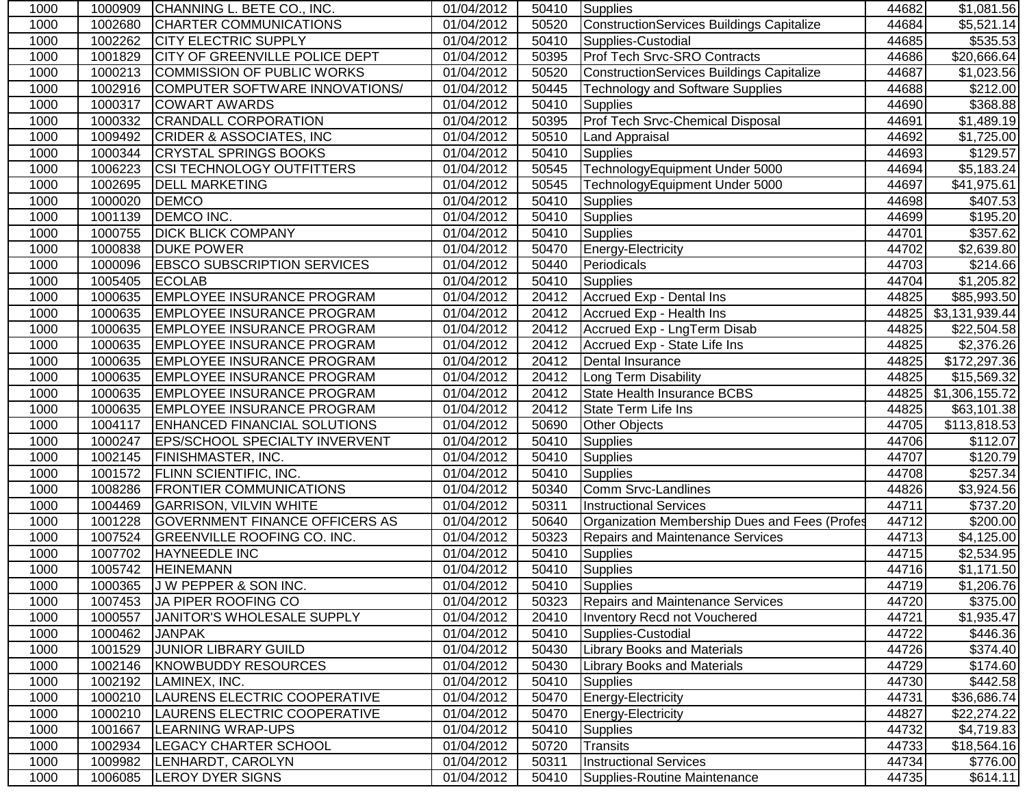| 1000 | 1000909 | CHANNING L. BETE CO., INC.            | 01/04/2012 | 50410 | Supplies                                      | 44682 | \$1,081.56               |
|------|---------|---------------------------------------|------------|-------|-----------------------------------------------|-------|--------------------------|
| 1000 | 1002680 | <b>CHARTER COMMUNICATIONS</b>         | 01/04/2012 | 50520 | ConstructionServices Buildings Capitalize     | 44684 | \$5,521.14               |
| 1000 | 1002262 | <b>CITY ELECTRIC SUPPLY</b>           | 01/04/2012 | 50410 | Supplies-Custodial                            | 44685 | \$535.53                 |
| 1000 | 1001829 | <b>CITY OF GREENVILLE POLICE DEPT</b> | 01/04/2012 | 50395 | Prof Tech Srvc-SRO Contracts                  | 44686 | \$20,666.64              |
| 1000 | 1000213 | COMMISSION OF PUBLIC WORKS            | 01/04/2012 | 50520 | ConstructionServices Buildings Capitalize     | 44687 | \$1,023.56               |
| 1000 | 1002916 | COMPUTER SOFTWARE INNOVATIONS/        | 01/04/2012 | 50445 | <b>Technology and Software Supplies</b>       | 44688 | $\overline{$212.00}$     |
| 1000 | 1000317 | <b>COWART AWARDS</b>                  | 01/04/2012 | 50410 | <b>Supplies</b>                               | 44690 | \$368.88                 |
| 1000 | 1000332 | <b>CRANDALL CORPORATION</b>           | 01/04/2012 | 50395 | Prof Tech Srvc-Chemical Disposal              | 44691 | \$1,489.19               |
| 1000 | 1009492 | <b>CRIDER &amp; ASSOCIATES, INC</b>   | 01/04/2012 | 50510 | Land Appraisal                                | 44692 | \$1,725.00               |
| 1000 | 1000344 | <b>CRYSTAL SPRINGS BOOKS</b>          | 01/04/2012 | 50410 | <b>Supplies</b>                               | 44693 | \$129.57                 |
| 1000 | 1006223 | <b>CSI TECHNOLOGY OUTFITTERS</b>      | 01/04/2012 | 50545 | TechnologyEquipment Under 5000                | 44694 | \$5,183.24               |
| 1000 | 1002695 | <b>DELL MARKETING</b>                 | 01/04/2012 | 50545 | TechnologyEquipment Under 5000                | 44697 | \$41,975.61              |
| 1000 | 1000020 | <b>DEMCO</b>                          | 01/04/2012 | 50410 | <b>Supplies</b>                               | 44698 | \$407.53                 |
| 1000 | 1001139 | <b>DEMCO INC.</b>                     | 01/04/2012 | 50410 | <b>Supplies</b>                               | 44699 | \$195.20                 |
| 1000 | 1000755 | <b>DICK BLICK COMPANY</b>             | 01/04/2012 | 50410 | <b>Supplies</b>                               | 44701 | \$357.62                 |
| 1000 | 1000838 | <b>DUKE POWER</b>                     | 01/04/2012 | 50470 | Energy-Electricity                            | 44702 | \$2,639.80               |
| 1000 | 1000096 | <b>EBSCO SUBSCRIPTION SERVICES</b>    | 01/04/2012 | 50440 | Periodicals                                   | 44703 | \$214.66                 |
| 1000 | 1005405 | <b>ECOLAB</b>                         | 01/04/2012 | 50410 | <b>Supplies</b>                               | 44704 | \$1,205.82               |
| 1000 | 1000635 | <b>EMPLOYEE INSURANCE PROGRAM</b>     | 01/04/2012 | 20412 | Accrued Exp - Dental Ins                      | 44825 | \$85,993.50              |
| 1000 | 1000635 | <b>EMPLOYEE INSURANCE PROGRAM</b>     | 01/04/2012 | 20412 | Accrued Exp - Health Ins                      |       | 44825 \$3,131,939.44     |
| 1000 | 1000635 | <b>EMPLOYEE INSURANCE PROGRAM</b>     | 01/04/2012 | 20412 | Accrued Exp - LngTerm Disab                   | 44825 | \$22,504.58              |
| 1000 | 1000635 | <b>EMPLOYEE INSURANCE PROGRAM</b>     | 01/04/2012 | 20412 | Accrued Exp - State Life Ins                  | 44825 | \$2,376.26               |
| 1000 | 1000635 | <b>EMPLOYEE INSURANCE PROGRAM</b>     | 01/04/2012 | 20412 | Dental Insurance                              | 44825 | \$172,297.36             |
| 1000 | 1000635 | <b>EMPLOYEE INSURANCE PROGRAM</b>     | 01/04/2012 | 20412 | Long Term Disability                          | 44825 | $\overline{$15,569.32}$  |
| 1000 | 1000635 | <b>EMPLOYEE INSURANCE PROGRAM</b>     | 01/04/2012 | 20412 | State Health Insurance BCBS                   |       | 44825 \$1,306,155.72     |
| 1000 | 1000635 | <b>EMPLOYEE INSURANCE PROGRAM</b>     | 01/04/2012 | 20412 | State Term Life Ins                           | 44825 | \$63,101.38              |
| 1000 | 1004117 | <b>ENHANCED FINANCIAL SOLUTIONS</b>   | 01/04/2012 | 50690 | Other Objects                                 | 44705 | $\overline{$}113,818.53$ |
| 1000 | 1000247 | <b>EPS/SCHOOL SPECIALTY INVERVENT</b> | 01/04/2012 | 50410 | <b>Supplies</b>                               | 44706 | \$112.07                 |
| 1000 | 1002145 | <b>FINISHMASTER, INC.</b>             | 01/04/2012 | 50410 | <b>Supplies</b>                               | 44707 | \$120.79                 |
| 1000 | 1001572 | <b>FLINN SCIENTIFIC, INC.</b>         | 01/04/2012 | 50410 | <b>Supplies</b>                               | 44708 | \$257.34                 |
| 1000 | 1008286 | <b>FRONTIER COMMUNICATIONS</b>        | 01/04/2012 | 50340 | Comm Srvc-Landlines                           | 44826 | \$3,924.56               |
| 1000 | 1004469 | <b>GARRISON, VILVIN WHITE</b>         | 01/04/2012 | 50311 | <b>Instructional Services</b>                 | 44711 | \$737.20                 |
| 1000 | 1001228 | <b>GOVERNMENT FINANCE OFFICERS AS</b> | 01/04/2012 | 50640 | Organization Membership Dues and Fees (Profes | 44712 | \$200.00                 |
| 1000 | 1007524 | <b>GREENVILLE ROOFING CO. INC.</b>    | 01/04/2012 | 50323 | <b>Repairs and Maintenance Services</b>       | 44713 | \$4,125.00               |
| 1000 | 1007702 | HAYNEEDLE INC                         | 01/04/2012 | 50410 | Supplies                                      | 44715 | \$2,534.95               |
| 1000 | 1005742 | <b>HEINEMANN</b>                      | 01/04/2012 | 50410 | Supplies                                      | 44716 | \$1,171.50               |
| 1000 |         | 1000365 J W PEPPER & SON INC.         | 01/04/2012 |       | 50410 Supplies                                | 44719 | \$1,206.76               |
| 1000 | 1007453 | JA PIPER ROOFING CO                   | 01/04/2012 | 50323 | Repairs and Maintenance Services              | 44720 | \$375.00                 |
| 1000 | 1000557 | JANITOR'S WHOLESALE SUPPLY            | 01/04/2012 | 20410 | <b>Inventory Recd not Vouchered</b>           | 44721 | \$1,935.47               |
| 1000 | 1000462 | <b>JANPAK</b>                         | 01/04/2012 | 50410 | Supplies-Custodial                            | 44722 | \$446.36                 |
| 1000 | 1001529 | <b>JUNIOR LIBRARY GUILD</b>           | 01/04/2012 | 50430 | <b>Library Books and Materials</b>            | 44726 | \$374.40                 |
| 1000 | 1002146 | <b>KNOWBUDDY RESOURCES</b>            | 01/04/2012 | 50430 | <b>Library Books and Materials</b>            | 44729 | \$174.60                 |
| 1000 | 1002192 | LAMINEX, INC.                         | 01/04/2012 | 50410 | Supplies                                      | 44730 | \$442.58                 |
| 1000 | 1000210 | LAURENS ELECTRIC COOPERATIVE          | 01/04/2012 | 50470 | Energy-Electricity                            | 44731 | \$36,686.74              |
| 1000 | 1000210 | LAURENS ELECTRIC COOPERATIVE          | 01/04/2012 | 50470 | Energy-Electricity                            | 44827 | \$22,274.22              |
| 1000 | 1001667 | LEARNING WRAP-UPS                     | 01/04/2012 | 50410 | <b>Supplies</b>                               | 44732 | \$4,719.83               |
| 1000 | 1002934 | LEGACY CHARTER SCHOOL                 | 01/04/2012 | 50720 | Transits                                      | 44733 | \$18,564.16              |
| 1000 | 1009982 | LENHARDT, CAROLYN                     | 01/04/2012 | 50311 | <b>Instructional Services</b>                 | 44734 | \$776.00                 |
| 1000 | 1006085 | <b>LEROY DYER SIGNS</b>               | 01/04/2012 | 50410 | Supplies-Routine Maintenance                  | 44735 | \$614.11                 |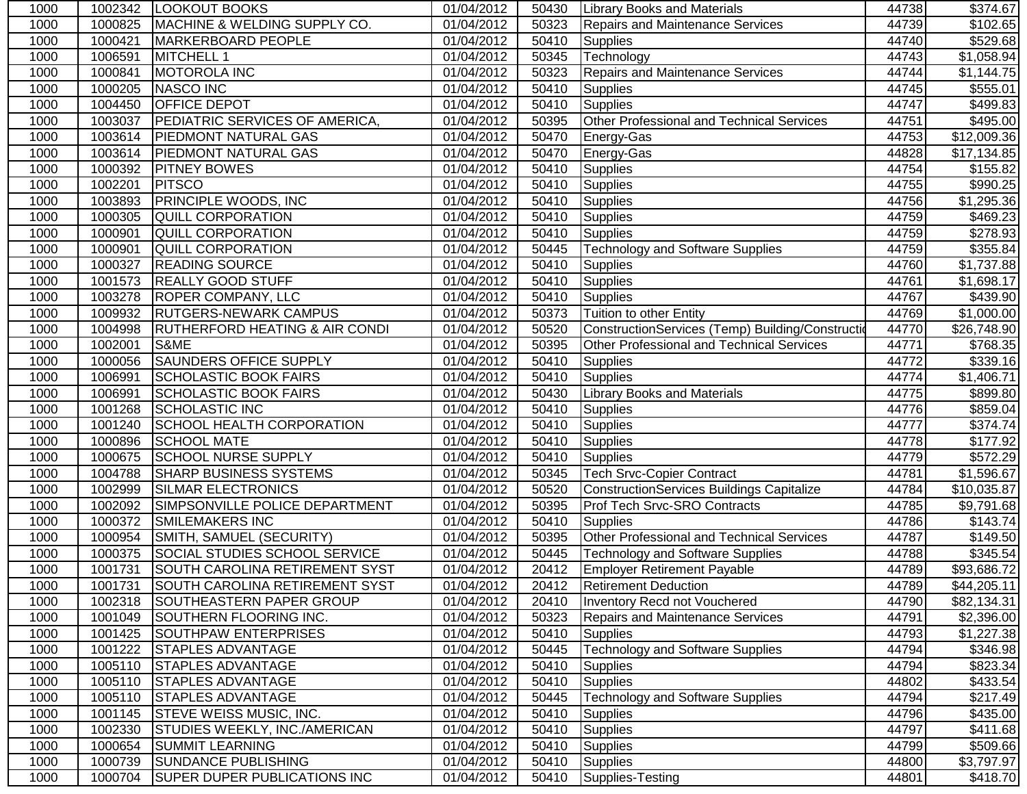| 1000 | 1002342 | <b>LOOKOUT BOOKS</b>                      | 01/04/2012 | 50430 | <b>Library Books and Materials</b>                | 44738 | \$374.67             |
|------|---------|-------------------------------------------|------------|-------|---------------------------------------------------|-------|----------------------|
| 1000 | 1000825 | MACHINE & WELDING SUPPLY CO.              | 01/04/2012 | 50323 | <b>Repairs and Maintenance Services</b>           | 44739 | \$102.65             |
| 1000 | 1000421 | <b>MARKERBOARD PEOPLE</b>                 | 01/04/2012 | 50410 | <b>Supplies</b>                                   | 44740 | \$529.68             |
| 1000 | 1006591 | <b>MITCHELL 1</b>                         | 01/04/2012 | 50345 | Technology                                        | 44743 | \$1,058.94           |
| 1000 | 1000841 | <b>MOTOROLA INC</b>                       | 01/04/2012 | 50323 | <b>Repairs and Maintenance Services</b>           | 44744 | \$1,144.75           |
| 1000 | 1000205 | <b>NASCO INC</b>                          | 01/04/2012 | 50410 | <b>Supplies</b>                                   | 44745 | \$555.01             |
| 1000 | 1004450 | <b>OFFICE DEPOT</b>                       | 01/04/2012 | 50410 | <b>Supplies</b>                                   | 44747 | \$499.83             |
| 1000 | 1003037 | PEDIATRIC SERVICES OF AMERICA,            | 01/04/2012 | 50395 | Other Professional and Technical Services         | 44751 | \$495.00             |
| 1000 | 1003614 | <b>PIEDMONT NATURAL GAS</b>               | 01/04/2012 | 50470 | Energy-Gas                                        | 44753 | \$12,009.36          |
| 1000 | 1003614 | <b>PIEDMONT NATURAL GAS</b>               | 01/04/2012 | 50470 | Energy-Gas                                        | 44828 | \$17,134.85          |
| 1000 | 1000392 | <b>PITNEY BOWES</b>                       | 01/04/2012 | 50410 | Supplies                                          | 44754 | \$155.82             |
| 1000 | 1002201 | <b>PITSCO</b>                             | 01/04/2012 | 50410 | Supplies                                          | 44755 | \$990.25             |
| 1000 | 1003893 | <b>PRINCIPLE WOODS, INC</b>               | 01/04/2012 | 50410 | <b>Supplies</b>                                   | 44756 | \$1,295.36           |
| 1000 | 1000305 | <b>QUILL CORPORATION</b>                  | 01/04/2012 | 50410 | <b>Supplies</b>                                   | 44759 | \$469.23             |
| 1000 | 1000901 | <b>QUILL CORPORATION</b>                  | 01/04/2012 | 50410 | <b>Supplies</b>                                   | 44759 | \$278.93             |
| 1000 | 1000901 | <b>QUILL CORPORATION</b>                  | 01/04/2012 | 50445 | <b>Technology and Software Supplies</b>           | 44759 | \$355.84             |
| 1000 | 1000327 | <b>READING SOURCE</b>                     | 01/04/2012 | 50410 | Supplies                                          | 44760 | \$1,737.88           |
| 1000 | 1001573 | <b>REALLY GOOD STUFF</b>                  | 01/04/2012 | 50410 | <b>Supplies</b>                                   | 44761 | \$1,698.17           |
| 1000 | 1003278 | <b>ROPER COMPANY, LLC</b>                 | 01/04/2012 | 50410 | Supplies                                          | 44767 | \$439.90             |
| 1000 | 1009932 | <b>RUTGERS-NEWARK CAMPUS</b>              | 01/04/2012 | 50373 | Tuition to other Entity                           | 44769 | \$1,000.00           |
| 1000 | 1004998 | <b>RUTHERFORD HEATING &amp; AIR CONDI</b> | 01/04/2012 | 50520 | ConstructionServices (Temp) Building/Construction | 44770 | \$26,748.90          |
| 1000 | 1002001 | S&ME                                      | 01/04/2012 | 50395 | Other Professional and Technical Services         | 44771 | $\overline{$}768.35$ |
| 1000 | 1000056 | <b>SAUNDERS OFFICE SUPPLY</b>             | 01/04/2012 | 50410 | <b>Supplies</b>                                   | 44772 | $\overline{$}339.16$ |
| 1000 | 1006991 | <b>SCHOLASTIC BOOK FAIRS</b>              | 01/04/2012 | 50410 | <b>Supplies</b>                                   | 44774 | \$1,406.71           |
| 1000 | 1006991 | <b>SCHOLASTIC BOOK FAIRS</b>              | 01/04/2012 | 50430 | <b>Library Books and Materials</b>                | 44775 | \$899.80             |
| 1000 | 1001268 | <b>SCHOLASTIC INC</b>                     | 01/04/2012 | 50410 | Supplies                                          | 44776 | \$859.04             |
| 1000 | 1001240 | SCHOOL HEALTH CORPORATION                 | 01/04/2012 | 50410 | <b>Supplies</b>                                   | 44777 | \$374.74             |
| 1000 | 1000896 | <b>SCHOOL MATE</b>                        | 01/04/2012 | 50410 | <b>Supplies</b>                                   | 44778 | \$177.92             |
| 1000 | 1000675 | <b>SCHOOL NURSE SUPPLY</b>                | 01/04/2012 | 50410 | <b>Supplies</b>                                   | 44779 | \$572.29             |
| 1000 | 1004788 | <b>SHARP BUSINESS SYSTEMS</b>             | 01/04/2012 | 50345 | <b>Tech Srvc-Copier Contract</b>                  | 44781 | \$1,596.67           |
| 1000 | 1002999 | <b>SILMAR ELECTRONICS</b>                 | 01/04/2012 | 50520 | <b>ConstructionServices Buildings Capitalize</b>  | 44784 | \$10,035.87          |
| 1000 | 1002092 | SIMPSONVILLE POLICE DEPARTMENT            | 01/04/2012 | 50395 | Prof Tech Srvc-SRO Contracts                      | 44785 | \$9,791.68           |
| 1000 | 1000372 | <b>SMILEMAKERS INC</b>                    | 01/04/2012 | 50410 | <b>Supplies</b>                                   | 44786 | \$143.74             |
| 1000 | 1000954 | SMITH, SAMUEL (SECURITY)                  | 01/04/2012 | 50395 | Other Professional and Technical Services         | 44787 | \$149.50             |
| 1000 | 1000375 | SOCIAL STUDIES SCHOOL SERVICE             | 01/04/2012 | 50445 | <b>Technology and Software Supplies</b>           | 44788 | \$345.54             |
| 1000 | 1001731 | SOUTH CAROLINA RETIREMENT SYST            | 01/04/2012 | 20412 | <b>Employer Retirement Payable</b>                | 44789 | \$93,686.72          |
| 1000 |         | 1001731 SOUTH CAROLINA RETIREMENT SYST    | 01/04/2012 |       | 20412   Retirement Deduction                      | 44789 | \$44,205.11          |
| 1000 | 1002318 | SOUTHEASTERN PAPER GROUP                  | 01/04/2012 | 20410 | Inventory Recd not Vouchered                      | 44790 | \$82,134.31          |
| 1000 | 1001049 | SOUTHERN FLOORING INC.                    | 01/04/2012 | 50323 | <b>Repairs and Maintenance Services</b>           | 44791 | \$2,396.00           |
| 1000 | 1001425 | <b>SOUTHPAW ENTERPRISES</b>               | 01/04/2012 | 50410 | <b>Supplies</b>                                   | 44793 | \$1,227.38           |
| 1000 | 1001222 | <b>STAPLES ADVANTAGE</b>                  | 01/04/2012 | 50445 | <b>Technology and Software Supplies</b>           | 44794 | \$346.98             |
| 1000 | 1005110 | <b>STAPLES ADVANTAGE</b>                  | 01/04/2012 | 50410 | <b>Supplies</b>                                   | 44794 | \$823.34             |
| 1000 | 1005110 | <b>STAPLES ADVANTAGE</b>                  | 01/04/2012 | 50410 | <b>Supplies</b>                                   | 44802 | \$433.54             |
| 1000 | 1005110 | <b>STAPLES ADVANTAGE</b>                  | 01/04/2012 | 50445 | <b>Technology and Software Supplies</b>           | 44794 | \$217.49             |
| 1000 | 1001145 | <b>STEVE WEISS MUSIC, INC.</b>            | 01/04/2012 | 50410 | <b>Supplies</b>                                   | 44796 | \$435.00             |
| 1000 | 1002330 | <b>STUDIES WEEKLY, INC./AMERICAN</b>      | 01/04/2012 | 50410 | <b>Supplies</b>                                   | 44797 | \$411.68             |
| 1000 | 1000654 | <b>SUMMIT LEARNING</b>                    | 01/04/2012 | 50410 | <b>Supplies</b>                                   | 44799 | \$509.66             |
| 1000 | 1000739 | <b>SUNDANCE PUBLISHING</b>                | 01/04/2012 | 50410 | <b>Supplies</b>                                   | 44800 | \$3,797.97           |
| 1000 | 1000704 | <b>SUPER DUPER PUBLICATIONS INC</b>       | 01/04/2012 | 50410 | Supplies-Testing                                  | 44801 | \$418.70             |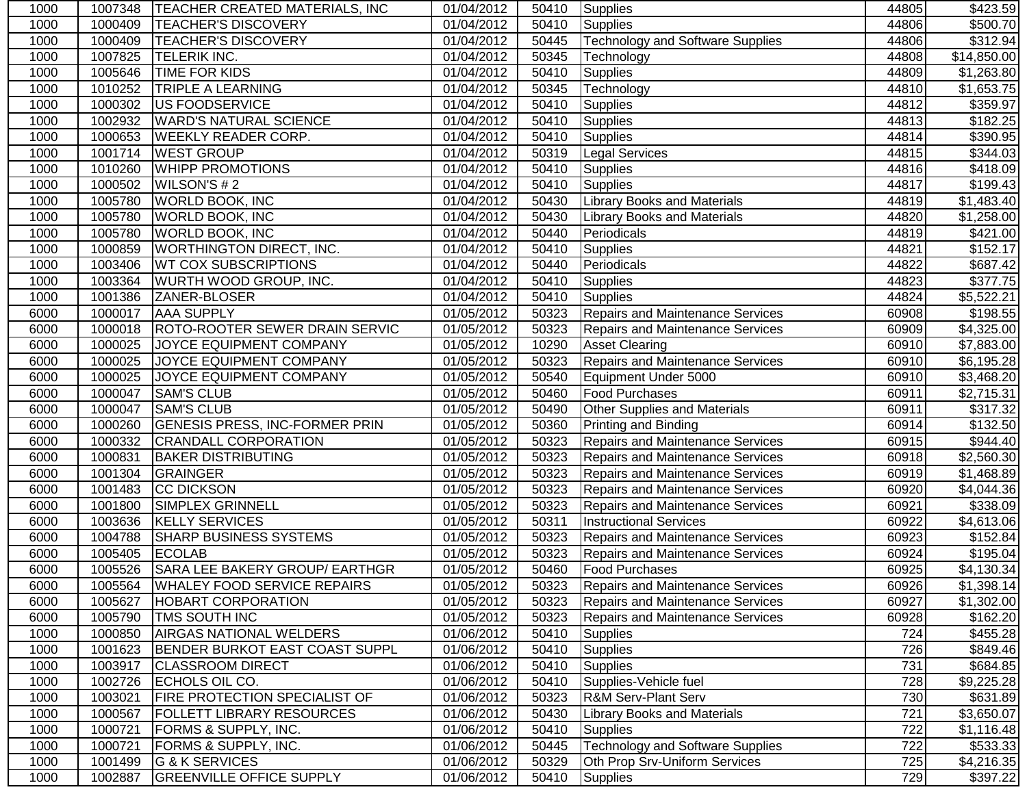| 1000 | 1007348 | <b>TEACHER CREATED MATERIALS, INC</b> | 01/04/2012 | 50410 | Supplies                                | 44805 | \$423.59               |
|------|---------|---------------------------------------|------------|-------|-----------------------------------------|-------|------------------------|
| 1000 | 1000409 | <b>TEACHER'S DISCOVERY</b>            | 01/04/2012 | 50410 | Supplies                                | 44806 | \$500.70               |
| 1000 | 1000409 | <b>TEACHER'S DISCOVERY</b>            | 01/04/2012 | 50445 | <b>Technology and Software Supplies</b> | 44806 | \$312.94               |
| 1000 | 1007825 | <b>TELERIK INC.</b>                   | 01/04/2012 | 50345 | Technology                              | 44808 | \$14,850.00            |
| 1000 | 1005646 | <b>TIME FOR KIDS</b>                  | 01/04/2012 | 50410 | <b>Supplies</b>                         | 44809 | \$1,263.80             |
| 1000 | 1010252 | <b>TRIPLE A LEARNING</b>              | 01/04/2012 | 50345 | Technology                              | 44810 | $\overline{$1,653.75}$ |
| 1000 | 1000302 | US FOODSERVICE                        | 01/04/2012 | 50410 | <b>Supplies</b>                         | 44812 | \$359.97               |
| 1000 | 1002932 | <b>WARD'S NATURAL SCIENCE</b>         | 01/04/2012 | 50410 | <b>Supplies</b>                         | 44813 | $\overline{$}182.25$   |
| 1000 | 1000653 | <b>WEEKLY READER CORP.</b>            | 01/04/2012 | 50410 | <b>Supplies</b>                         | 44814 | \$390.95               |
| 1000 | 1001714 | <b>WEST GROUP</b>                     | 01/04/2012 | 50319 | <b>Legal Services</b>                   | 44815 | \$344.03               |
| 1000 | 1010260 | <b>WHIPP PROMOTIONS</b>               | 01/04/2012 | 50410 | <b>Supplies</b>                         | 44816 | \$418.09               |
| 1000 | 1000502 | WILSON'S #2                           | 01/04/2012 | 50410 | <b>Supplies</b>                         | 44817 | \$199.43               |
| 1000 | 1005780 | <b>WORLD BOOK, INC</b>                | 01/04/2012 | 50430 | <b>Library Books and Materials</b>      | 44819 | \$1,483.40             |
| 1000 | 1005780 | <b>WORLD BOOK, INC</b>                | 01/04/2012 | 50430 | <b>Library Books and Materials</b>      | 44820 | \$1,258.00             |
| 1000 | 1005780 | <b>WORLD BOOK, INC</b>                | 01/04/2012 | 50440 | Periodicals                             | 44819 | \$421.00               |
| 1000 | 1000859 | <b>WORTHINGTON DIRECT, INC.</b>       | 01/04/2012 | 50410 | <b>Supplies</b>                         | 44821 | \$152.17               |
| 1000 | 1003406 | <b>WT COX SUBSCRIPTIONS</b>           | 01/04/2012 | 50440 | Periodicals                             | 44822 | \$687.42               |
| 1000 | 1003364 | <b>WURTH WOOD GROUP, INC.</b>         | 01/04/2012 | 50410 | Supplies                                | 44823 | \$377.75               |
| 1000 | 1001386 | ZANER-BLOSER                          | 01/04/2012 | 50410 | <b>Supplies</b>                         | 44824 | \$5,522.21             |
| 6000 | 1000017 | <b>AAA SUPPLY</b>                     | 01/05/2012 | 50323 | <b>Repairs and Maintenance Services</b> | 60908 | \$198.55               |
| 6000 | 1000018 | ROTO-ROOTER SEWER DRAIN SERVIC        | 01/05/2012 | 50323 | <b>Repairs and Maintenance Services</b> | 60909 | \$4,325.00             |
| 6000 | 1000025 | JOYCE EQUIPMENT COMPANY               | 01/05/2012 | 10290 | <b>Asset Clearing</b>                   | 60910 | \$7,883.00             |
| 6000 | 1000025 | JOYCE EQUIPMENT COMPANY               | 01/05/2012 | 50323 | Repairs and Maintenance Services        | 60910 | \$6,195.28             |
| 6000 | 1000025 | JOYCE EQUIPMENT COMPANY               | 01/05/2012 | 50540 | Equipment Under 5000                    | 60910 | \$3,468.20             |
| 6000 | 1000047 | <b>SAM'S CLUB</b>                     | 01/05/2012 | 50460 | <b>Food Purchases</b>                   | 60911 | \$2,715.31             |
| 6000 | 1000047 | <b>SAM'S CLUB</b>                     | 01/05/2012 | 50490 | Other Supplies and Materials            | 60911 | \$317.32               |
| 6000 | 1000260 | <b>GENESIS PRESS, INC-FORMER PRIN</b> | 01/05/2012 | 50360 | Printing and Binding                    | 60914 | \$132.50               |
| 6000 | 1000332 | <b>CRANDALL CORPORATION</b>           | 01/05/2012 | 50323 | Repairs and Maintenance Services        | 60915 | \$944.40               |
| 6000 | 1000831 | <b>BAKER DISTRIBUTING</b>             | 01/05/2012 | 50323 | <b>Repairs and Maintenance Services</b> | 60918 | \$2,560.30             |
| 6000 | 1001304 | <b>GRAINGER</b>                       | 01/05/2012 | 50323 | Repairs and Maintenance Services        | 60919 | \$1,468.89             |
| 6000 | 1001483 | <b>CC DICKSON</b>                     | 01/05/2012 | 50323 | <b>Repairs and Maintenance Services</b> | 60920 | \$4,044.36             |
| 6000 | 1001800 | <b>SIMPLEX GRINNELL</b>               | 01/05/2012 | 50323 | <b>Repairs and Maintenance Services</b> | 60921 | \$338.09               |
| 6000 | 1003636 | <b>KELLY SERVICES</b>                 | 01/05/2012 | 50311 | <b>Instructional Services</b>           | 60922 | \$4,613.06             |
| 6000 | 1004788 | <b>SHARP BUSINESS SYSTEMS</b>         | 01/05/2012 | 50323 | <b>Repairs and Maintenance Services</b> | 60923 | \$152.84               |
| 6000 | 1005405 | <b>ECOLAB</b>                         | 01/05/2012 | 50323 | <b>Repairs and Maintenance Services</b> | 60924 | \$195.04               |
| 6000 | 1005526 | SARA LEE BAKERY GROUP/ EARTHGR        | 01/05/2012 | 50460 | <b>Food Purchases</b>                   | 60925 | \$4,130.34             |
| 6000 |         | 1005564 WHALEY FOOD SERVICE REPAIRS   | 01/05/2012 |       | 50323 Repairs and Maintenance Services  | 60926 | \$1,398.14             |
| 6000 | 1005627 | <b>HOBART CORPORATION</b>             | 01/05/2012 | 50323 | <b>Repairs and Maintenance Services</b> | 60927 | \$1,302.00             |
| 6000 | 1005790 | <b>TMS SOUTH INC</b>                  | 01/05/2012 | 50323 | <b>Repairs and Maintenance Services</b> | 60928 | \$162.20               |
| 1000 | 1000850 | <b>AIRGAS NATIONAL WELDERS</b>        | 01/06/2012 | 50410 | <b>Supplies</b>                         | 724   | \$455.28               |
| 1000 | 1001623 | <b>BENDER BURKOT EAST COAST SUPPL</b> | 01/06/2012 | 50410 | <b>Supplies</b>                         | 726   | \$849.46               |
| 1000 | 1003917 | <b>CLASSROOM DIRECT</b>               | 01/06/2012 | 50410 | <b>Supplies</b>                         | 731   | \$684.85               |
| 1000 | 1002726 | ECHOLS OIL CO.                        | 01/06/2012 | 50410 | Supplies-Vehicle fuel                   | 728   | \$9,225.28             |
| 1000 | 1003021 | <b>FIRE PROTECTION SPECIALIST OF</b>  | 01/06/2012 | 50323 | <b>R&amp;M Serv-Plant Serv</b>          | 730   | \$631.89               |
| 1000 | 1000567 | <b>FOLLETT LIBRARY RESOURCES</b>      | 01/06/2012 | 50430 | <b>Library Books and Materials</b>      | 721   | \$3,650.07             |
| 1000 | 1000721 | FORMS & SUPPLY, INC.                  | 01/06/2012 | 50410 | <b>Supplies</b>                         | 722   | \$1,116.48             |
| 1000 | 1000721 | FORMS & SUPPLY, INC.                  | 01/06/2012 | 50445 | <b>Technology and Software Supplies</b> | 722   | \$533.33               |
| 1000 | 1001499 | G & K SERVICES                        | 01/06/2012 | 50329 | Oth Prop Srv-Uniform Services           | 725   | \$4,216.35             |
| 1000 | 1002887 | <b>GREENVILLE OFFICE SUPPLY</b>       | 01/06/2012 | 50410 | Supplies                                | 729   | \$397.22               |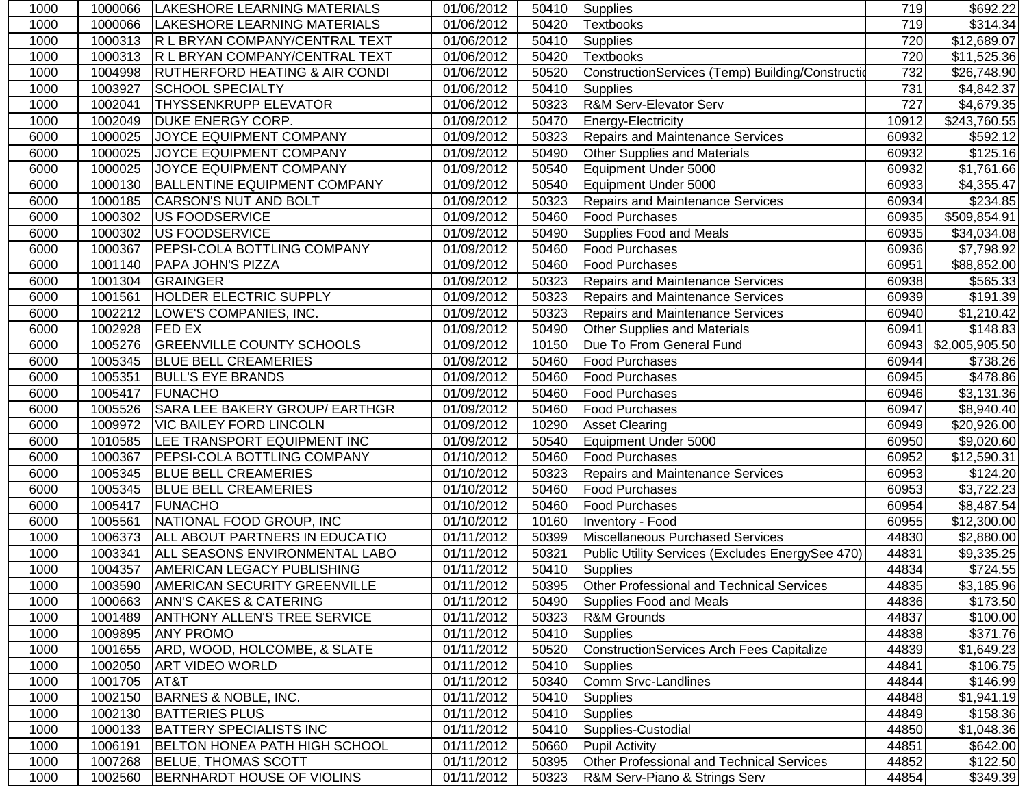| 1000 | 1000066 | LAKESHORE LEARNING MATERIALS              | 01/06/2012 | 50410 | Supplies                                          | 719   | \$692.22               |
|------|---------|-------------------------------------------|------------|-------|---------------------------------------------------|-------|------------------------|
| 1000 | 1000066 | LAKESHORE LEARNING MATERIALS              | 01/06/2012 | 50420 | <b>Textbooks</b>                                  | 719   | \$314.34               |
| 1000 | 1000313 | <b>R L BRYAN COMPANY/CENTRAL TEXT</b>     | 01/06/2012 | 50410 | <b>Supplies</b>                                   | 720   | \$12,689.07            |
| 1000 | 1000313 | R L BRYAN COMPANY/CENTRAL TEXT            | 01/06/2012 | 50420 | <b>Textbooks</b>                                  | 720   | \$11,525.36            |
| 1000 | 1004998 | <b>RUTHERFORD HEATING &amp; AIR CONDI</b> | 01/06/2012 | 50520 | ConstructionServices (Temp) Building/Construction | 732   | \$26,748.90            |
| 1000 | 1003927 | <b>SCHOOL SPECIALTY</b>                   | 01/06/2012 | 50410 | <b>Supplies</b>                                   | 731   | \$4,842.37             |
| 1000 | 1002041 | <b>THYSSENKRUPP ELEVATOR</b>              | 01/06/2012 | 50323 | <b>R&amp;M Serv-Elevator Serv</b>                 | 727   | $\overline{4,679.35}$  |
| 1000 | 1002049 | <b>DUKE ENERGY CORP.</b>                  | 01/09/2012 | 50470 | Energy-Electricity                                | 10912 | \$243,760.55           |
| 6000 | 1000025 | JOYCE EQUIPMENT COMPANY                   | 01/09/2012 | 50323 | <b>Repairs and Maintenance Services</b>           | 60932 | \$592.12               |
| 6000 | 1000025 | JOYCE EQUIPMENT COMPANY                   | 01/09/2012 | 50490 | <b>Other Supplies and Materials</b>               | 60932 | \$125.16               |
| 6000 | 1000025 | JOYCE EQUIPMENT COMPANY                   | 01/09/2012 | 50540 | Equipment Under 5000                              | 60932 | \$1,761.66             |
| 6000 | 1000130 | <b>BALLENTINE EQUIPMENT COMPANY</b>       | 01/09/2012 | 50540 | Equipment Under 5000                              | 60933 | \$4,355.47             |
| 6000 | 1000185 | <b>CARSON'S NUT AND BOLT</b>              | 01/09/2012 | 50323 | Repairs and Maintenance Services                  | 60934 | \$234.85               |
| 6000 | 1000302 | <b>US FOODSERVICE</b>                     | 01/09/2012 | 50460 | Food Purchases                                    | 60935 | \$509,854.91           |
| 6000 | 1000302 | US FOODSERVICE                            | 01/09/2012 | 50490 | Supplies Food and Meals                           | 60935 | \$34,034.08            |
| 6000 | 1000367 | <b>PEPSI-COLA BOTTLING COMPANY</b>        | 01/09/2012 | 50460 | <b>Food Purchases</b>                             | 60936 | \$7,798.92             |
| 6000 | 1001140 | PAPA JOHN'S PIZZA                         | 01/09/2012 | 50460 | <b>Food Purchases</b>                             | 60951 | \$88,852.00            |
| 6000 | 1001304 | GRAINGER                                  | 01/09/2012 | 50323 | <b>Repairs and Maintenance Services</b>           | 60938 | \$565.33               |
| 6000 | 1001561 | <b>HOLDER ELECTRIC SUPPLY</b>             | 01/09/2012 | 50323 | <b>Repairs and Maintenance Services</b>           | 60939 | $\overline{$}191.39$   |
| 6000 | 1002212 | LOWE'S COMPANIES, INC.                    | 01/09/2012 | 50323 | <b>Repairs and Maintenance Services</b>           | 60940 | $\overline{$}1,210.42$ |
| 6000 | 1002928 | <b>FED EX</b>                             | 01/09/2012 | 50490 | Other Supplies and Materials                      | 60941 | \$148.83               |
| 6000 | 1005276 | <b>GREENVILLE COUNTY SCHOOLS</b>          | 01/09/2012 | 10150 | Due To From General Fund                          | 60943 | \$2,005,905.50         |
| 6000 | 1005345 | <b>BLUE BELL CREAMERIES</b>               | 01/09/2012 | 50460 | <b>Food Purchases</b>                             | 60944 | $\overline{$}738.26$   |
| 6000 | 1005351 | <b>BULL'S EYE BRANDS</b>                  | 01/09/2012 | 50460 | Food Purchases                                    | 60945 | \$478.86               |
| 6000 | 1005417 | FUNACHO                                   | 01/09/2012 | 50460 | <b>Food Purchases</b>                             | 60946 | \$3,131.36             |
| 6000 | 1005526 | SARA LEE BAKERY GROUP/ EARTHGR            | 01/09/2012 | 50460 | <b>Food Purchases</b>                             | 60947 | \$8,940.40             |
| 6000 | 1009972 | <b>VIC BAILEY FORD LINCOLN</b>            | 01/09/2012 | 10290 | <b>Asset Clearing</b>                             | 60949 | \$20,926.00            |
| 6000 | 1010585 | LEE TRANSPORT EQUIPMENT INC               | 01/09/2012 | 50540 | Equipment Under 5000                              | 60950 | \$9,020.60             |
| 6000 | 1000367 | <b>PEPSI-COLA BOTTLING COMPANY</b>        | 01/10/2012 | 50460 | <b>Food Purchases</b>                             | 60952 | \$12,590.31            |
| 6000 | 1005345 | <b>BLUE BELL CREAMERIES</b>               | 01/10/2012 | 50323 | Repairs and Maintenance Services                  | 60953 | \$124.20               |
| 6000 | 1005345 | <b>BLUE BELL CREAMERIES</b>               | 01/10/2012 | 50460 | <b>Food Purchases</b>                             | 60953 | \$3,722.23             |
| 6000 | 1005417 | <b>FUNACHO</b>                            | 01/10/2012 | 50460 | <b>Food Purchases</b>                             | 60954 | \$8,487.54             |
| 6000 | 1005561 | NATIONAL FOOD GROUP, INC                  | 01/10/2012 | 10160 | Inventory - Food                                  | 60955 | \$12,300.00            |
| 1000 | 1006373 | ALL ABOUT PARTNERS IN EDUCATIO            | 01/11/2012 | 50399 | Miscellaneous Purchased Services                  | 44830 | \$2,880.00             |
| 1000 | 1003341 | ALL SEASONS ENVIRONMENTAL LABO            | 01/11/2012 | 50321 | Public Utility Services (Excludes EnergySee 470)  | 44831 | \$9,335.25             |
| 1000 | 1004357 | <b>AMERICAN LEGACY PUBLISHING</b>         | 01/11/2012 | 50410 | Supplies                                          | 44834 | \$724.55               |
| 1000 |         | 1003590 AMERICAN SECURITY GREENVILLE      | 01/11/2012 |       | 50395 Other Professional and Technical Services   | 44835 | \$3,185.96             |
| 1000 | 1000663 | <b>ANN'S CAKES &amp; CATERING</b>         | 01/11/2012 | 50490 | Supplies Food and Meals                           | 44836 | \$173.50               |
| 1000 | 1001489 | <b>ANTHONY ALLEN'S TREE SERVICE</b>       | 01/11/2012 | 50323 | R&M Grounds                                       | 44837 | \$100.00]              |
| 1000 | 1009895 | <b>ANY PROMO</b>                          | 01/11/2012 | 50410 | Supplies                                          | 44838 | \$371.76               |
| 1000 | 1001655 | ARD, WOOD, HOLCOMBE, & SLATE              | 01/11/2012 | 50520 | ConstructionServices Arch Fees Capitalize         | 44839 | \$1,649.23             |
| 1000 | 1002050 | <b>ART VIDEO WORLD</b>                    | 01/11/2012 | 50410 | Supplies                                          | 44841 | \$106.75               |
| 1000 | 1001705 | AT&T                                      | 01/11/2012 | 50340 | Comm Srvc-Landlines                               | 44844 | \$146.99               |
| 1000 | 1002150 | BARNES & NOBLE, INC.                      | 01/11/2012 | 50410 | <b>Supplies</b>                                   | 44848 | \$1,941.19             |
| 1000 | 1002130 | <b>BATTERIES PLUS</b>                     | 01/11/2012 | 50410 | Supplies                                          | 44849 | \$158.36               |
| 1000 | 1000133 | <b>BATTERY SPECIALISTS INC</b>            | 01/11/2012 | 50410 | Supplies-Custodial                                | 44850 | \$1,048.36             |
| 1000 | 1006191 | <b>BELTON HONEA PATH HIGH SCHOOL</b>      | 01/11/2012 | 50660 | <b>Pupil Activity</b>                             | 44851 | \$642.00               |
| 1000 | 1007268 | <b>BELUE, THOMAS SCOTT</b>                | 01/11/2012 | 50395 | <b>Other Professional and Technical Services</b>  | 44852 | \$122.50               |
| 1000 | 1002560 | BERNHARDT HOUSE OF VIOLINS                | 01/11/2012 | 50323 | R&M Serv-Piano & Strings Serv                     | 44854 | \$349.39               |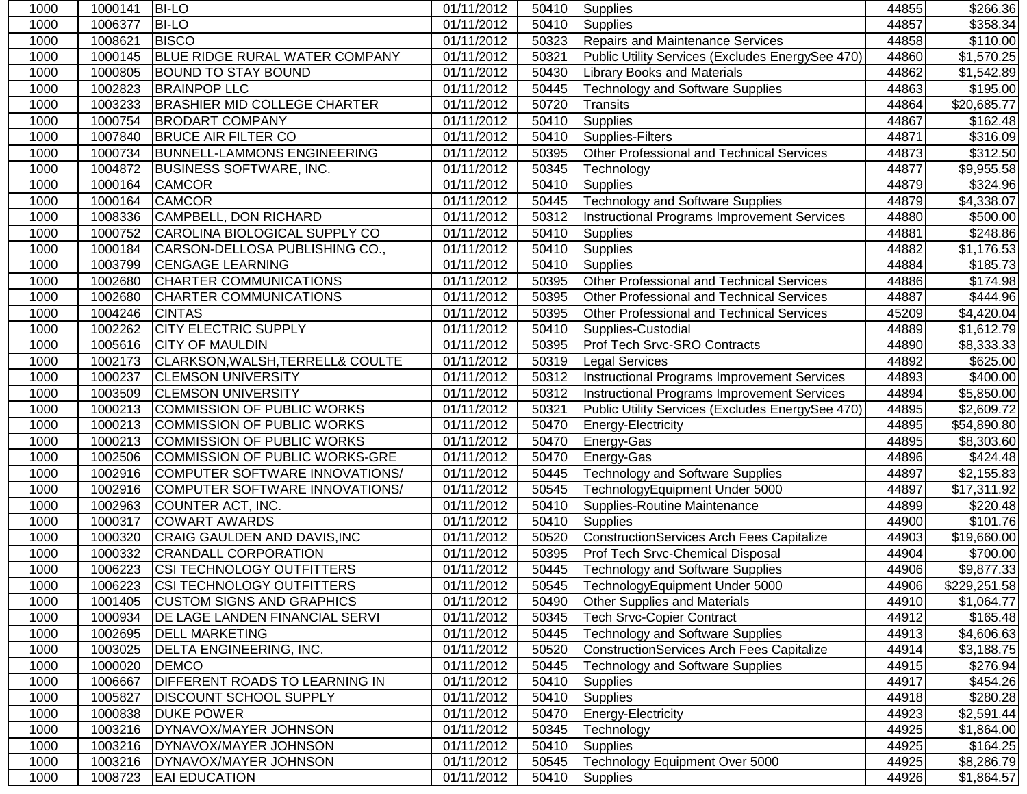| 1000 | 1000141 | <b>BI-LO</b>                          | 01/11/2012              | 50410 | Supplies                                           | 44855 | \$266.36                |
|------|---------|---------------------------------------|-------------------------|-------|----------------------------------------------------|-------|-------------------------|
| 1000 | 1006377 | <b>BI-LO</b>                          | 01/11/2012              | 50410 | Supplies                                           | 44857 | 358.34                  |
| 1000 | 1008621 | <b>BISCO</b>                          | 01/11/2012              | 50323 | Repairs and Maintenance Services                   | 44858 | \$110.00                |
| 1000 | 1000145 | <b>BLUE RIDGE RURAL WATER COMPANY</b> | $\overline{01}/11/2012$ | 50321 | Public Utility Services (Excludes EnergySee 470)   | 44860 | $\overline{\$1,570.25}$ |
| 1000 | 1000805 | <b>BOUND TO STAY BOUND</b>            | 01/11/2012              | 50430 | <b>Library Books and Materials</b>                 | 44862 | \$1,542.89              |
| 1000 | 1002823 | <b>BRAINPOP LLC</b>                   | 01/11/2012              | 50445 | <b>Technology and Software Supplies</b>            | 44863 | \$195.00                |
| 1000 | 1003233 | <b>BRASHIER MID COLLEGE CHARTER</b>   | 01/11/2012              | 50720 | <b>Transits</b>                                    | 44864 | \$20,685.77             |
| 1000 | 1000754 | <b>BRODART COMPANY</b>                | 01/11/2012              | 50410 | Supplies                                           | 44867 | \$162.48                |
| 1000 | 1007840 | <b>BRUCE AIR FILTER CO</b>            | 01/11/2012              | 50410 | Supplies-Filters                                   | 44871 | \$316.09                |
| 1000 | 1000734 | <b>BUNNELL-LAMMONS ENGINEERING</b>    | 01/11/2012              | 50395 | Other Professional and Technical Services          | 44873 | \$312.50                |
| 1000 | 1004872 | <b>BUSINESS SOFTWARE, INC.</b>        | 01/11/2012              | 50345 | Technology                                         | 44877 | \$9,955.58              |
| 1000 | 1000164 | <b>CAMCOR</b>                         | 01/11/2012              | 50410 | Supplies                                           | 44879 | \$324.96                |
| 1000 | 1000164 | <b>CAMCOR</b>                         | 01/11/2012              | 50445 | <b>Technology and Software Supplies</b>            | 44879 | \$4,338.07              |
| 1000 | 1008336 | CAMPBELL, DON RICHARD                 | 01/11/2012              | 50312 | <b>Instructional Programs Improvement Services</b> | 44880 | \$500.00                |
| 1000 | 1000752 | CAROLINA BIOLOGICAL SUPPLY CO         | 01/11/2012              | 50410 | <b>Supplies</b>                                    | 44881 | \$248.86                |
| 1000 | 1000184 | CARSON-DELLOSA PUBLISHING CO.,        | 01/11/2012              | 50410 | <b>Supplies</b>                                    | 44882 | \$1,176.53              |
| 1000 | 1003799 | <b>CENGAGE LEARNING</b>               | 01/11/2012              | 50410 | <b>Supplies</b>                                    | 44884 | \$185.73                |
| 1000 | 1002680 | <b>CHARTER COMMUNICATIONS</b>         | 01/11/2012              | 50395 | Other Professional and Technical Services          | 44886 | \$174.98                |
| 1000 | 1002680 | <b>CHARTER COMMUNICATIONS</b>         | 01/11/2012              | 50395 | Other Professional and Technical Services          | 44887 | \$444.96                |
| 1000 | 1004246 | <b>CINTAS</b>                         | 01/11/2012              | 50395 | Other Professional and Technical Services          | 45209 | \$4,420.04              |
| 1000 | 1002262 | <b>CITY ELECTRIC SUPPLY</b>           | 01/11/2012              | 50410 | Supplies-Custodial                                 | 44889 | \$1,612.79              |
| 1000 | 1005616 | <b>CITY OF MAULDIN</b>                | 01/11/2012              | 50395 | Prof Tech Srvc-SRO Contracts                       | 44890 | \$8,333.33              |
| 1000 | 1002173 | CLARKSON, WALSH, TERRELL& COULTE      | 01/11/2012              | 50319 | <b>Legal Services</b>                              | 44892 | \$625.00                |
| 1000 | 1000237 | <b>CLEMSON UNIVERSITY</b>             | 01/11/2012              | 50312 | Instructional Programs Improvement Services        | 44893 | \$400.00]               |
| 1000 | 1003509 | <b>CLEMSON UNIVERSITY</b>             | 01/11/2012              | 50312 | Instructional Programs Improvement Services        | 44894 | \$5,850.00              |
| 1000 | 1000213 | COMMISSION OF PUBLIC WORKS            | 01/11/2012              | 50321 | Public Utility Services (Excludes EnergySee 470)   | 44895 | \$2,609.72              |
| 1000 | 1000213 | COMMISSION OF PUBLIC WORKS            | 01/11/2012              | 50470 | Energy-Electricity                                 | 44895 | \$54,890.80             |
| 1000 | 1000213 | COMMISSION OF PUBLIC WORKS            | 01/11/2012              | 50470 | Energy-Gas                                         | 44895 | \$8,303.60              |
| 1000 | 1002506 | COMMISSION OF PUBLIC WORKS-GRE        | 01/11/2012              | 50470 | Energy-Gas                                         | 44896 | \$424.48                |
| 1000 | 1002916 | COMPUTER SOFTWARE INNOVATIONS/        | 01/11/2012              | 50445 | <b>Technology and Software Supplies</b>            | 44897 | \$2,155.83              |
| 1000 | 1002916 | COMPUTER SOFTWARE INNOVATIONS/        | 01/11/2012              | 50545 | TechnologyEquipment Under 5000                     | 44897 | \$17,311.92             |
| 1000 | 1002963 | COUNTER ACT, INC.                     | 01/11/2012              | 50410 | Supplies-Routine Maintenance                       | 44899 | \$220.48                |
| 1000 | 1000317 | <b>COWART AWARDS</b>                  | 01/11/2012              | 50410 | <b>Supplies</b>                                    | 44900 | \$101.76                |
| 1000 | 1000320 | CRAIG GAULDEN AND DAVIS, INC          | 01/11/2012              | 50520 | <b>ConstructionServices Arch Fees Capitalize</b>   | 44903 | \$19,660.00             |
| 1000 | 1000332 | <b>CRANDALL CORPORATION</b>           | 01/11/2012              | 50395 | <b>Prof Tech Srvc-Chemical Disposal</b>            | 44904 | \$700.00                |
| 1000 | 1006223 | <b>CSI TECHNOLOGY OUTFITTERS</b>      | 01/11/2012              | 50445 | <b>Technology and Software Supplies</b>            | 44906 | \$9,877.33              |
| 1000 |         | 1006223 CSI TECHNOLOGY OUTFITTERS     | 01/11/2012              |       | 50545   Technology Equipment Under 5000            | 44906 | \$229,251.58            |
| 1000 | 1001405 | <b>CUSTOM SIGNS AND GRAPHICS</b>      | 01/11/2012              | 50490 | <b>Other Supplies and Materials</b>                | 44910 | \$1,064.77              |
| 1000 | 1000934 | DE LAGE LANDEN FINANCIAL SERVI        | 01/11/2012              | 50345 | <b>Tech Srvc-Copier Contract</b>                   | 44912 | \$165.48                |
| 1000 | 1002695 | <b>DELL MARKETING</b>                 | 01/11/2012              | 50445 | <b>Technology and Software Supplies</b>            | 44913 | \$4,606.63              |
| 1000 | 1003025 | <b>DELTA ENGINEERING, INC.</b>        | 01/11/2012              | 50520 | <b>ConstructionServices Arch Fees Capitalize</b>   | 44914 | \$3,188.75              |
| 1000 | 1000020 | <b>DEMCO</b>                          | 01/11/2012              | 50445 | <b>Technology and Software Supplies</b>            | 44915 | \$276.94                |
| 1000 | 1006667 | <b>DIFFERENT ROADS TO LEARNING IN</b> | 01/11/2012              | 50410 | <b>Supplies</b>                                    | 44917 | \$454.26                |
| 1000 | 1005827 | <b>DISCOUNT SCHOOL SUPPLY</b>         | 01/11/2012              | 50410 | <b>Supplies</b>                                    | 44918 | \$280.28                |
| 1000 | 1000838 | <b>DUKE POWER</b>                     | 01/11/2012              | 50470 | Energy-Electricity                                 | 44923 | \$2,591.44              |
| 1000 | 1003216 | DYNAVOX/MAYER JOHNSON                 | 01/11/2012              | 50345 | Technology                                         | 44925 | \$1,864.00              |
| 1000 | 1003216 | DYNAVOX/MAYER JOHNSON                 | 01/11/2012              | 50410 | <b>Supplies</b>                                    | 44925 | \$164.25                |
| 1000 | 1003216 | DYNAVOX/MAYER JOHNSON                 | 01/11/2012              | 50545 | Technology Equipment Over 5000                     | 44925 | \$8,286.79              |
| 1000 | 1008723 | <b>EAI EDUCATION</b>                  | 01/11/2012              | 50410 | Supplies                                           | 44926 | \$1,864.57              |
|      |         |                                       |                         |       |                                                    |       |                         |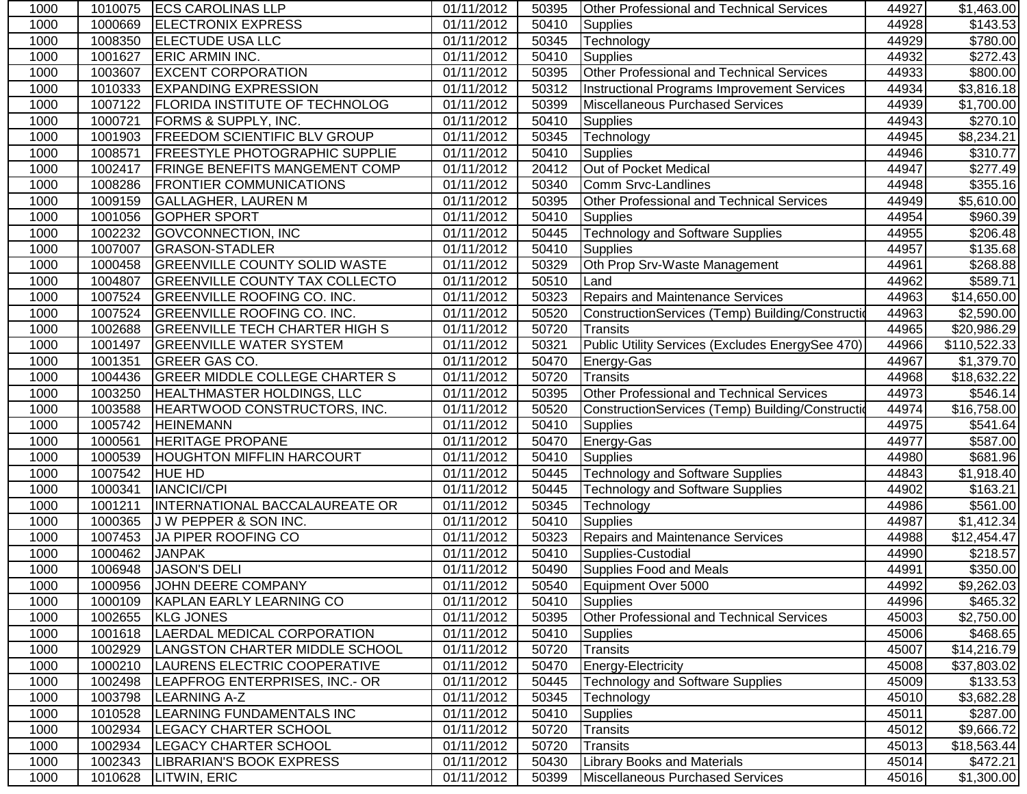| 1000 | 1010075 | <b>ECS CAROLINAS LLP</b>              | 01/11/2012 | 50395 | <b>Other Professional and Technical Services</b>  | 44927 | \$1,463.00              |
|------|---------|---------------------------------------|------------|-------|---------------------------------------------------|-------|-------------------------|
| 1000 | 1000669 | <b>ELECTRONIX EXPRESS</b>             | 01/11/2012 | 50410 | <b>Supplies</b>                                   | 44928 | \$143.53                |
| 1000 | 1008350 | <b>ELECTUDE USA LLC</b>               | 01/11/2012 | 50345 | Technology                                        | 44929 | \$780.00                |
| 1000 | 1001627 | <b>ERIC ARMIN INC.</b>                | 01/11/2012 | 50410 | <b>Supplies</b>                                   | 44932 | \$272.43                |
| 1000 | 1003607 | <b>EXCENT CORPORATION</b>             | 01/11/2012 | 50395 | Other Professional and Technical Services         | 44933 | \$800.00                |
| 1000 | 1010333 | <b>EXPANDING EXPRESSION</b>           | 01/11/2012 | 50312 | Instructional Programs Improvement Services       | 44934 | \$3,816.18              |
| 1000 | 1007122 | <b>FLORIDA INSTITUTE OF TECHNOLOG</b> | 01/11/2012 | 50399 | Miscellaneous Purchased Services                  | 44939 | \$1,700.00              |
| 1000 | 1000721 | FORMS & SUPPLY, INC.                  | 01/11/2012 | 50410 | <b>Supplies</b>                                   | 44943 | \$270.10                |
| 1000 | 1001903 | FREEDOM SCIENTIFIC BLV GROUP          | 01/11/2012 | 50345 | Technology                                        | 44945 | \$8,234.21              |
| 1000 | 1008571 | FREESTYLE PHOTOGRAPHIC SUPPLIE        | 01/11/2012 | 50410 | Supplies                                          | 44946 | \$310.77                |
| 1000 | 1002417 | FRINGE BENEFITS MANGEMENT COMP        | 01/11/2012 | 20412 | Out of Pocket Medical                             | 44947 | \$277.49                |
| 1000 | 1008286 | <b>FRONTIER COMMUNICATIONS</b>        | 01/11/2012 | 50340 | Comm Srvc-Landlines                               | 44948 | \$355.16                |
| 1000 | 1009159 | <b>GALLAGHER, LAUREN M</b>            | 01/11/2012 | 50395 | Other Professional and Technical Services         | 44949 | \$5,610.00              |
| 1000 | 1001056 | <b>GOPHER SPORT</b>                   | 01/11/2012 | 50410 | <b>Supplies</b>                                   | 44954 | \$960.39                |
| 1000 | 1002232 | <b>GOVCONNECTION, INC</b>             | 01/11/2012 | 50445 | <b>Technology and Software Supplies</b>           | 44955 | \$206.48                |
| 1000 | 1007007 | <b>GRASON-STADLER</b>                 | 01/11/2012 | 50410 | <b>Supplies</b>                                   | 44957 | \$135.68                |
| 1000 | 1000458 | <b>GREENVILLE COUNTY SOLID WASTE</b>  | 01/11/2012 | 50329 | Oth Prop Srv-Waste Management                     | 44961 | \$268.88                |
| 1000 | 1004807 | <b>GREENVILLE COUNTY TAX COLLECTO</b> | 01/11/2012 | 50510 | Land                                              | 44962 | \$589.71                |
| 1000 | 1007524 | <b>GREENVILLE ROOFING CO. INC.</b>    | 01/11/2012 | 50323 | Repairs and Maintenance Services                  | 44963 | \$14,650.00             |
| 1000 | 1007524 | <b>GREENVILLE ROOFING CO. INC.</b>    | 01/11/2012 | 50520 | ConstructionServices (Temp) Building/Construction | 44963 | \$2,590.00              |
| 1000 | 1002688 | <b>GREENVILLE TECH CHARTER HIGH S</b> | 01/11/2012 | 50720 | <b>Transits</b>                                   | 44965 | \$20,986.29             |
| 1000 | 1001497 | <b>GREENVILLE WATER SYSTEM</b>        | 01/11/2012 | 50321 | Public Utility Services (Excludes EnergySee 470)  | 44966 | \$110,522.33            |
| 1000 | 1001351 | GREER GAS CO.                         | 01/11/2012 | 50470 | Energy-Gas                                        | 44967 | \$1,379.70              |
| 1000 | 1004436 | <b>GREER MIDDLE COLLEGE CHARTER S</b> | 01/11/2012 | 50720 | Transits                                          | 44968 | \$18,632.22             |
| 1000 | 1003250 | <b>HEALTHMASTER HOLDINGS, LLC</b>     | 01/11/2012 | 50395 | Other Professional and Technical Services         | 44973 | \$546.14                |
| 1000 | 1003588 | HEARTWOOD CONSTRUCTORS, INC.          | 01/11/2012 | 50520 | ConstructionServices (Temp) Building/Construction | 44974 | $\overline{$16,758.00}$ |
| 1000 | 1005742 | <b>HEINEMANN</b>                      | 01/11/2012 | 50410 | <b>Supplies</b>                                   | 44975 | \$541.64                |
| 1000 | 1000561 | HERITAGE PROPANE                      | 01/11/2012 | 50470 | Energy-Gas                                        | 44977 | \$587.00                |
| 1000 | 1000539 | <b>HOUGHTON MIFFLIN HARCOURT</b>      | 01/11/2012 | 50410 | <b>Supplies</b>                                   | 44980 | \$681.96                |
| 1000 | 1007542 | <b>HUE HD</b>                         | 01/11/2012 | 50445 | <b>Technology and Software Supplies</b>           | 44843 | \$1,918.40              |
| 1000 | 1000341 | <b>IANCICI/CPI</b>                    | 01/11/2012 | 50445 | <b>Technology and Software Supplies</b>           | 44902 | \$163.21                |
| 1000 | 1001211 | INTERNATIONAL BACCALAUREATE OR        | 01/11/2012 | 50345 | Technology                                        | 44986 | \$561.00                |
| 1000 | 1000365 | J W PEPPER & SON INC.                 | 01/11/2012 | 50410 | <b>Supplies</b>                                   | 44987 | \$1,412.34              |
| 1000 | 1007453 | JA PIPER ROOFING CO                   | 01/11/2012 | 50323 | <b>Repairs and Maintenance Services</b>           | 44988 | \$12,454.47             |
| 1000 | 1000462 | <b>JANPAK</b>                         | 01/11/2012 | 50410 | Supplies-Custodial                                | 44990 | \$218.57                |
| 1000 | 1006948 | <b>JASON'S DELI</b>                   | 01/11/2012 | 50490 | Supplies Food and Meals                           | 44991 | \$350.00                |
| 1000 |         | 1000956 JOHN DEERE COMPANY            | 01/11/2012 |       | 50540 Equipment Over 5000                         | 44992 | \$9,262.03              |
| 1000 | 1000109 | KAPLAN EARLY LEARNING CO              | 01/11/2012 | 50410 | <b>Supplies</b>                                   | 44996 | \$465.32                |
| 1000 | 1002655 | <b>KLG JONES</b>                      | 01/11/2012 | 50395 | Other Professional and Technical Services         | 45003 | \$2,750.00              |
| 1000 | 1001618 | LAERDAL MEDICAL CORPORATION           | 01/11/2012 | 50410 | <b>Supplies</b>                                   | 45006 | \$468.65                |
| 1000 | 1002929 | LANGSTON CHARTER MIDDLE SCHOOL        | 01/11/2012 | 50720 | Transits                                          | 45007 | \$14,216.79             |
| 1000 | 1000210 | LAURENS ELECTRIC COOPERATIVE          | 01/11/2012 | 50470 | Energy-Electricity                                | 45008 | \$37,803.02             |
| 1000 | 1002498 | LEAPFROG ENTERPRISES, INC.- OR        | 01/11/2012 | 50445 | <b>Technology and Software Supplies</b>           | 45009 | \$133.53                |
| 1000 | 1003798 | <b>LEARNING A-Z</b>                   | 01/11/2012 | 50345 | Technology                                        | 45010 | \$3,682.28              |
| 1000 | 1010528 | LEARNING FUNDAMENTALS INC             | 01/11/2012 | 50410 | <b>Supplies</b>                                   | 45011 | \$287.00                |
| 1000 | 1002934 | <b>LEGACY CHARTER SCHOOL</b>          | 01/11/2012 | 50720 | <b>Transits</b>                                   | 45012 | \$9,666.72              |
| 1000 | 1002934 | LEGACY CHARTER SCHOOL                 | 01/11/2012 | 50720 | Transits                                          | 45013 | \$18,563.44             |
| 1000 | 1002343 | LIBRARIAN'S BOOK EXPRESS              | 01/11/2012 | 50430 | <b>Library Books and Materials</b>                | 45014 | \$472.21                |
| 1000 | 1010628 | LITWIN, ERIC                          | 01/11/2012 | 50399 | Miscellaneous Purchased Services                  | 45016 | \$1,300.00              |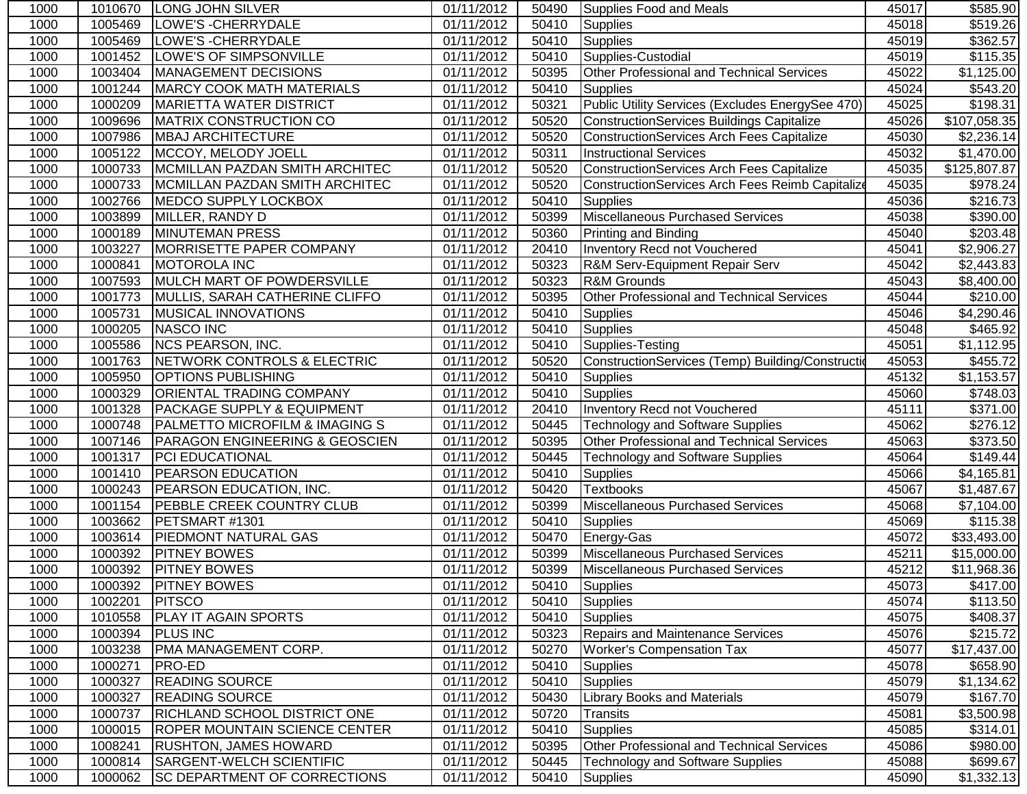| 1000 | 1010670 | <b>LONG JOHN SILVER</b>               | 01/11/2012 | 50490 | Supplies Food and Meals                           | 45017 | \$585.90               |
|------|---------|---------------------------------------|------------|-------|---------------------------------------------------|-------|------------------------|
| 1000 | 1005469 | LOWE'S - CHERRYDALE                   | 01/11/2012 | 50410 | Supplies                                          | 45018 | $\overline{$}519.26$   |
| 1000 | 1005469 | LOWE'S - CHERRYDALE                   | 01/11/2012 | 50410 | <b>Supplies</b>                                   | 45019 | \$362.57               |
| 1000 | 1001452 | LOWE'S OF SIMPSONVILLE                | 01/11/2012 | 50410 | Supplies-Custodial                                | 45019 | \$115.35               |
| 1000 | 1003404 | MANAGEMENT DECISIONS                  | 01/11/2012 | 50395 | Other Professional and Technical Services         | 45022 | \$1,125.00             |
| 1000 | 1001244 | <b>MARCY COOK MATH MATERIALS</b>      | 01/11/2012 | 50410 | <b>Supplies</b>                                   | 45024 | \$543.20               |
| 1000 | 1000209 | <b>MARIETTA WATER DISTRICT</b>        | 01/11/2012 | 50321 | Public Utility Services (Excludes EnergySee 470)  | 45025 | \$198.31               |
| 1000 | 1009696 | <b>MATRIX CONSTRUCTION CO</b>         | 01/11/2012 | 50520 | ConstructionServices Buildings Capitalize         | 45026 | \$107,058.35           |
| 1000 | 1007986 | <b>MBAJ ARCHITECTURE</b>              | 01/11/2012 | 50520 | ConstructionServices Arch Fees Capitalize         | 45030 | \$2,236.14             |
| 1000 | 1005122 | MCCOY, MELODY JOELL                   | 01/11/2012 | 50311 | <b>Instructional Services</b>                     | 45032 | \$1,470.00             |
| 1000 | 1000733 | MCMILLAN PAZDAN SMITH ARCHITEC        | 01/11/2012 | 50520 | <b>ConstructionServices Arch Fees Capitalize</b>  | 45035 | \$125,807.87           |
| 1000 | 1000733 | MCMILLAN PAZDAN SMITH ARCHITEC        | 01/11/2012 | 50520 | ConstructionServices Arch Fees Reimb Capitalize   | 45035 | \$978.24               |
| 1000 | 1002766 | MEDCO SUPPLY LOCKBOX                  | 01/11/2012 | 50410 | <b>Supplies</b>                                   | 45036 | \$216.73               |
| 1000 | 1003899 | MILLER, RANDY D                       | 01/11/2012 | 50399 | Miscellaneous Purchased Services                  | 45038 | \$390.00               |
| 1000 | 1000189 | <b>MINUTEMAN PRESS</b>                | 01/11/2012 | 50360 | <b>Printing and Binding</b>                       | 45040 | \$203.48               |
| 1000 | 1003227 | MORRISETTE PAPER COMPANY              | 01/11/2012 | 20410 | Inventory Recd not Vouchered                      | 45041 | \$2,906.27             |
| 1000 | 1000841 | <b>MOTOROLA INC</b>                   | 01/11/2012 | 50323 | R&M Serv-Equipment Repair Serv                    | 45042 | \$2,443.83             |
| 1000 | 1007593 | MULCH MART OF POWDERSVILLE            | 01/11/2012 | 50323 | <b>R&amp;M Grounds</b>                            | 45043 | \$8,400.00             |
| 1000 | 1001773 | MULLIS, SARAH CATHERINE CLIFFO        | 01/11/2012 | 50395 | Other Professional and Technical Services         | 45044 | $\overline{$}210.00$   |
| 1000 | 1005731 | <b>MUSICAL INNOVATIONS</b>            | 01/11/2012 | 50410 | Supplies                                          | 45046 | \$4,290.46             |
| 1000 | 1000205 | <b>NASCO INC</b>                      | 01/11/2012 | 50410 | <b>Supplies</b>                                   | 45048 | 3465.92                |
| 1000 | 1005586 | NCS PEARSON, INC.                     | 01/11/2012 | 50410 | Supplies-Testing                                  | 45051 | $\overline{31,112.95}$ |
| 1000 | 1001763 | NETWORK CONTROLS & ELECTRIC           | 01/11/2012 | 50520 | ConstructionServices (Temp) Building/Construction | 45053 | $\overline{$}455.72$   |
| 1000 | 1005950 | <b>OPTIONS PUBLISHING</b>             | 01/11/2012 | 50410 | <b>Supplies</b>                                   | 45132 | \$1,153.57             |
| 1000 | 1000329 | ORIENTAL TRADING COMPANY              | 01/11/2012 | 50410 | <b>Supplies</b>                                   | 45060 | \$748.03               |
| 1000 | 1001328 | <b>PACKAGE SUPPLY &amp; EQUIPMENT</b> | 01/11/2012 | 20410 | <b>Inventory Recd not Vouchered</b>               | 45111 | \$371.00               |
| 1000 | 1000748 | PALMETTO MICROFILM & IMAGING S        | 01/11/2012 | 50445 | <b>Technology and Software Supplies</b>           | 45062 | \$276.12               |
| 1000 | 1007146 | PARAGON ENGINEERING & GEOSCIEN        | 01/11/2012 | 50395 | Other Professional and Technical Services         | 45063 | \$373.50               |
| 1000 | 1001317 | PCI EDUCATIONAL                       | 01/11/2012 | 50445 | <b>Technology and Software Supplies</b>           | 45064 | \$149.44               |
| 1000 | 1001410 | <b>PEARSON EDUCATION</b>              | 01/11/2012 | 50410 | <b>Supplies</b>                                   | 45066 | \$4,165.81             |
| 1000 | 1000243 | PEARSON EDUCATION, INC.               | 01/11/2012 | 50420 | <b>Textbooks</b>                                  | 45067 | \$1,487.67             |
| 1000 | 1001154 | <b>PEBBLE CREEK COUNTRY CLUB</b>      | 01/11/2012 | 50399 | <b>Miscellaneous Purchased Services</b>           | 45068 | \$7,104.00             |
| 1000 | 1003662 | PETSMART #1301                        | 01/11/2012 | 50410 | <b>Supplies</b>                                   | 45069 | $\overline{$}115.38$   |
| 1000 | 1003614 | <b>PIEDMONT NATURAL GAS</b>           | 01/11/2012 | 50470 | Energy-Gas                                        | 45072 | \$33,493.00            |
| 1000 | 1000392 | <b>PITNEY BOWES</b>                   | 01/11/2012 | 50399 | Miscellaneous Purchased Services                  | 45211 | \$15,000.00            |
| 1000 | 1000392 | <b>PITNEY BOWES</b>                   | 01/11/2012 | 50399 | Miscellaneous Purchased Services                  | 45212 | \$11,968.36            |
| 1000 |         | 1000392 PITNEY BOWES                  | 01/11/2012 | 50410 | Supplies                                          | 45073 | \$417.00               |
| 1000 | 1002201 | <b>PITSCO</b>                         | 01/11/2012 | 50410 | Supplies                                          | 45074 | \$113.50               |
| 1000 | 1010558 | PLAY IT AGAIN SPORTS                  | 01/11/2012 | 50410 | <b>Supplies</b>                                   | 45075 | \$408.37               |
| 1000 | 1000394 | <b>PLUS INC</b>                       | 01/11/2012 | 50323 | <b>Repairs and Maintenance Services</b>           | 45076 | \$215.72               |
| 1000 | 1003238 | PMA MANAGEMENT CORP.                  | 01/11/2012 | 50270 | <b>Worker's Compensation Tax</b>                  | 45077 | \$17,437.00            |
| 1000 | 1000271 | <b>PRO-ED</b>                         | 01/11/2012 | 50410 | <b>Supplies</b>                                   | 45078 | \$658.90               |
| 1000 | 1000327 | <b>READING SOURCE</b>                 | 01/11/2012 | 50410 | <b>Supplies</b>                                   | 45079 | \$1,134.62             |
| 1000 | 1000327 | <b>READING SOURCE</b>                 | 01/11/2012 | 50430 | <b>Library Books and Materials</b>                | 45079 | \$167.70               |
| 1000 | 1000737 | <b>RICHLAND SCHOOL DISTRICT ONE</b>   | 01/11/2012 | 50720 | <b>Transits</b>                                   | 45081 | \$3,500.98             |
| 1000 | 1000015 | <b>ROPER MOUNTAIN SCIENCE CENTER</b>  | 01/11/2012 | 50410 | <b>Supplies</b>                                   | 45085 | \$314.01               |
| 1000 | 1008241 | <b>RUSHTON, JAMES HOWARD</b>          | 01/11/2012 | 50395 | Other Professional and Technical Services         | 45086 | \$980.00               |
| 1000 | 1000814 | SARGENT-WELCH SCIENTIFIC              | 01/11/2012 | 50445 | <b>Technology and Software Supplies</b>           | 45088 | \$699.67               |
| 1000 | 1000062 | <b>SC DEPARTMENT OF CORRECTIONS</b>   | 01/11/2012 | 50410 | <b>Supplies</b>                                   | 45090 | \$1,332.13             |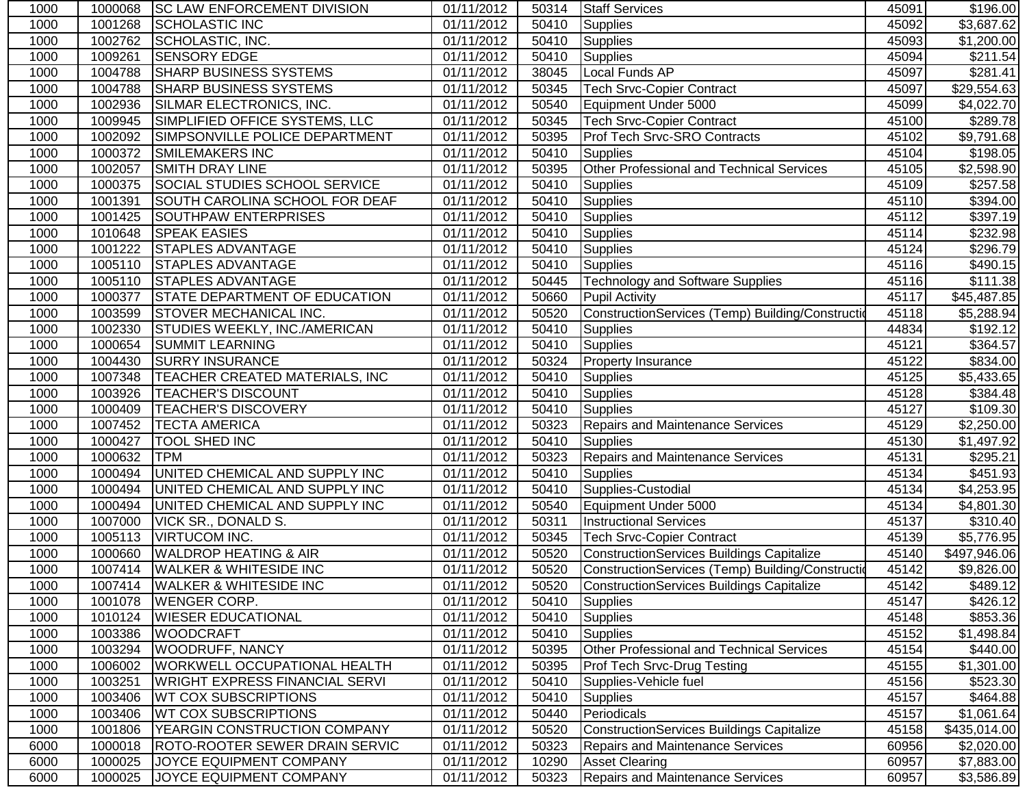| 1000 | 1000068 | <b>SC LAW ENFORCEMENT DIVISION</b>    | 01/11/2012              | 50314 | <b>Staff Services</b>                            | 45091 | \$196.00               |
|------|---------|---------------------------------------|-------------------------|-------|--------------------------------------------------|-------|------------------------|
| 1000 | 1001268 | <b>SCHOLASTIC INC</b>                 | 01/11/2012              | 50410 | <b>Supplies</b>                                  | 45092 | $\overline{$3,687.62}$ |
| 1000 | 1002762 | SCHOLASTIC, INC.                      | 01/11/2012              | 50410 | <b>Supplies</b>                                  | 45093 | \$1,200.00             |
| 1000 | 1009261 | <b>SENSORY EDGE</b>                   | $\overline{01}/11/2012$ | 50410 | <b>Supplies</b>                                  | 45094 | $\overline{$}211.54$   |
| 1000 | 1004788 | <b>SHARP BUSINESS SYSTEMS</b>         | 01/11/2012              | 38045 | Local Funds AP                                   | 45097 | $\overline{$}281.41$   |
| 1000 | 1004788 | <b>SHARP BUSINESS SYSTEMS</b>         | 01/11/2012              | 50345 | <b>Tech Srvc-Copier Contract</b>                 | 45097 | \$29,554.63            |
| 1000 | 1002936 | SILMAR ELECTRONICS, INC.              | 01/11/2012              | 50540 | Equipment Under 5000                             | 45099 | \$4,022.70             |
| 1000 | 1009945 | SIMPLIFIED OFFICE SYSTEMS, LLC        | 01/11/2012              | 50345 | <b>Tech Srvc-Copier Contract</b>                 | 45100 | \$289.78               |
| 1000 | 1002092 | SIMPSONVILLE POLICE DEPARTMENT        | 01/11/2012              | 50395 | Prof Tech Srvc-SRO Contracts                     | 45102 | \$9,791.68             |
| 1000 | 1000372 | <b>SMILEMAKERS INC</b>                | 01/11/2012              | 50410 | Supplies                                         | 45104 | \$198.05               |
| 1000 | 1002057 | <b>SMITH DRAY LINE</b>                | 01/11/2012              | 50395 | Other Professional and Technical Services        | 45105 | \$2,598.90             |
| 1000 | 1000375 | <b>SOCIAL STUDIES SCHOOL SERVICE</b>  | 01/11/2012              | 50410 | <b>Supplies</b>                                  | 45109 | \$257.58               |
| 1000 | 1001391 | SOUTH CAROLINA SCHOOL FOR DEAF        | 01/11/2012              | 50410 | <b>Supplies</b>                                  | 45110 | \$394.00               |
| 1000 | 1001425 | SOUTHPAW ENTERPRISES                  | 01/11/2012              | 50410 | Supplies                                         | 45112 | \$397.19               |
| 1000 | 1010648 | <b>SPEAK EASIES</b>                   | 01/11/2012              | 50410 | <b>Supplies</b>                                  | 45114 | \$232.98               |
| 1000 | 1001222 | <b>STAPLES ADVANTAGE</b>              | 01/11/2012              | 50410 | <b>Supplies</b>                                  | 45124 | \$296.79               |
| 1000 | 1005110 | <b>STAPLES ADVANTAGE</b>              | 01/11/2012              | 50410 | <b>Supplies</b>                                  | 45116 | \$490.15               |
| 1000 | 1005110 | <b>STAPLES ADVANTAGE</b>              | 01/11/2012              | 50445 | <b>Technology and Software Supplies</b>          | 45116 | \$111.38               |
| 1000 | 1000377 | <b>STATE DEPARTMENT OF EDUCATION</b>  | 01/11/2012              | 50660 | <b>Pupil Activity</b>                            | 45117 | \$45,487.85            |
| 1000 | 1003599 | <b>STOVER MECHANICAL INC.</b>         | 01/11/2012              | 50520 | ConstructionServices (Temp) Building/Constructio | 45118 | \$5,288.94             |
| 1000 | 1002330 | <b>STUDIES WEEKLY, INC./AMERICAN</b>  | 01/11/2012              | 50410 | <b>Supplies</b>                                  | 44834 | \$192.12               |
| 1000 | 1000654 | <b>SUMMIT LEARNING</b>                | 01/11/2012              | 50410 | <b>Supplies</b>                                  | 45121 | \$364.57               |
| 1000 | 1004430 | <b>SURRY INSURANCE</b>                | 01/11/2012              | 50324 | <b>Property Insurance</b>                        | 45122 | \$834.00               |
| 1000 | 1007348 | TEACHER CREATED MATERIALS, INC        | 01/11/2012              | 50410 | <b>Supplies</b>                                  | 45125 | \$5,433.65             |
| 1000 | 1003926 | <b>TEACHER'S DISCOUNT</b>             | 01/11/2012              | 50410 | <b>Supplies</b>                                  | 45128 | \$384.48               |
| 1000 | 1000409 | <b>TEACHER'S DISCOVERY</b>            | 01/11/2012              | 50410 | <b>Supplies</b>                                  | 45127 | \$109.30               |
| 1000 | 1007452 | <b>TECTA AMERICA</b>                  | 01/11/2012              | 50323 | <b>Repairs and Maintenance Services</b>          | 45129 | \$2,250.00             |
| 1000 | 1000427 | TOOL SHED INC                         | 01/11/2012              | 50410 | <b>Supplies</b>                                  | 45130 | \$1,497.92             |
| 1000 | 1000632 | <b>TPM</b>                            | 01/11/2012              | 50323 | <b>Repairs and Maintenance Services</b>          | 45131 | \$295.21               |
| 1000 | 1000494 | UNITED CHEMICAL AND SUPPLY INC        | 01/11/2012              | 50410 | <b>Supplies</b>                                  | 45134 | \$451.93               |
| 1000 | 1000494 | UNITED CHEMICAL AND SUPPLY INC        | 01/11/2012              | 50410 | Supplies-Custodial                               | 45134 | \$4,253.95             |
| 1000 | 1000494 | UNITED CHEMICAL AND SUPPLY INC        | 01/11/2012              | 50540 | Equipment Under 5000                             | 45134 | \$4,801.30             |
| 1000 | 1007000 | <b>VICK SR., DONALD S.</b>            | 01/11/2012              | 50311 | <b>Instructional Services</b>                    | 45137 | \$310.40               |
| 1000 | 1005113 | <b>VIRTUCOM INC.</b>                  | 01/11/2012              | 50345 | <b>Tech Srvc-Copier Contract</b>                 | 45139 | \$5,776.95             |
| 1000 | 1000660 | <b>WALDROP HEATING &amp; AIR</b>      | 01/11/2012              | 50520 | ConstructionServices Buildings Capitalize        | 45140 | \$497,946.06           |
| 1000 | 1007414 | <b>WALKER &amp; WHITESIDE INC</b>     | 01/11/2012              | 50520 | ConstructionServices (Temp) Building/Constructio | 45142 | \$9,826.00             |
| 1000 |         | 1007414 WALKER & WHITESIDE INC        | 01/11/2012              |       | 50520 ConstructionServices Buildings Capitalize  | 45142 | \$489.12               |
| 1000 | 1001078 | <b>WENGER CORP.</b>                   | 01/11/2012              | 50410 | <b>Supplies</b>                                  | 45147 | \$426.12]              |
| 1000 | 1010124 | <b>WIESER EDUCATIONAL</b>             | 01/11/2012              | 50410 | <b>Supplies</b>                                  | 45148 | \$853.36               |
| 1000 | 1003386 | <b>WOODCRAFT</b>                      | 01/11/2012              | 50410 | <b>Supplies</b>                                  | 45152 | \$1,498.84             |
| 1000 | 1003294 | <b>WOODRUFF, NANCY</b>                | 01/11/2012              | 50395 | Other Professional and Technical Services        | 45154 | \$440.00               |
| 1000 | 1006002 | <b>WORKWELL OCCUPATIONAL HEALTH</b>   | 01/11/2012              | 50395 | <b>Prof Tech Srvc-Drug Testing</b>               | 45155 | \$1,301.00             |
| 1000 | 1003251 | <b>WRIGHT EXPRESS FINANCIAL SERVI</b> | 01/11/2012              | 50410 | Supplies-Vehicle fuel                            | 45156 | \$523.30               |
| 1000 | 1003406 | <b>WT COX SUBSCRIPTIONS</b>           | 01/11/2012              | 50410 | <b>Supplies</b>                                  | 45157 | \$464.88               |
| 1000 | 1003406 | <b>WT COX SUBSCRIPTIONS</b>           | 01/11/2012              | 50440 | Periodicals                                      | 45157 | \$1,061.64             |
| 1000 | 1001806 | YEARGIN CONSTRUCTION COMPANY          | 01/11/2012              | 50520 | <b>ConstructionServices Buildings Capitalize</b> | 45158 | \$435,014.00           |
| 6000 | 1000018 | <b>ROTO-ROOTER SEWER DRAIN SERVIC</b> | 01/11/2012              | 50323 | <b>Repairs and Maintenance Services</b>          | 60956 | \$2,020.00             |
| 6000 | 1000025 | JOYCE EQUIPMENT COMPANY               | 01/11/2012              | 10290 | <b>Asset Clearing</b>                            | 60957 | \$7,883.00             |
| 6000 | 1000025 | JOYCE EQUIPMENT COMPANY               | 01/11/2012              | 50323 | <b>Repairs and Maintenance Services</b>          | 60957 | \$3,586.89             |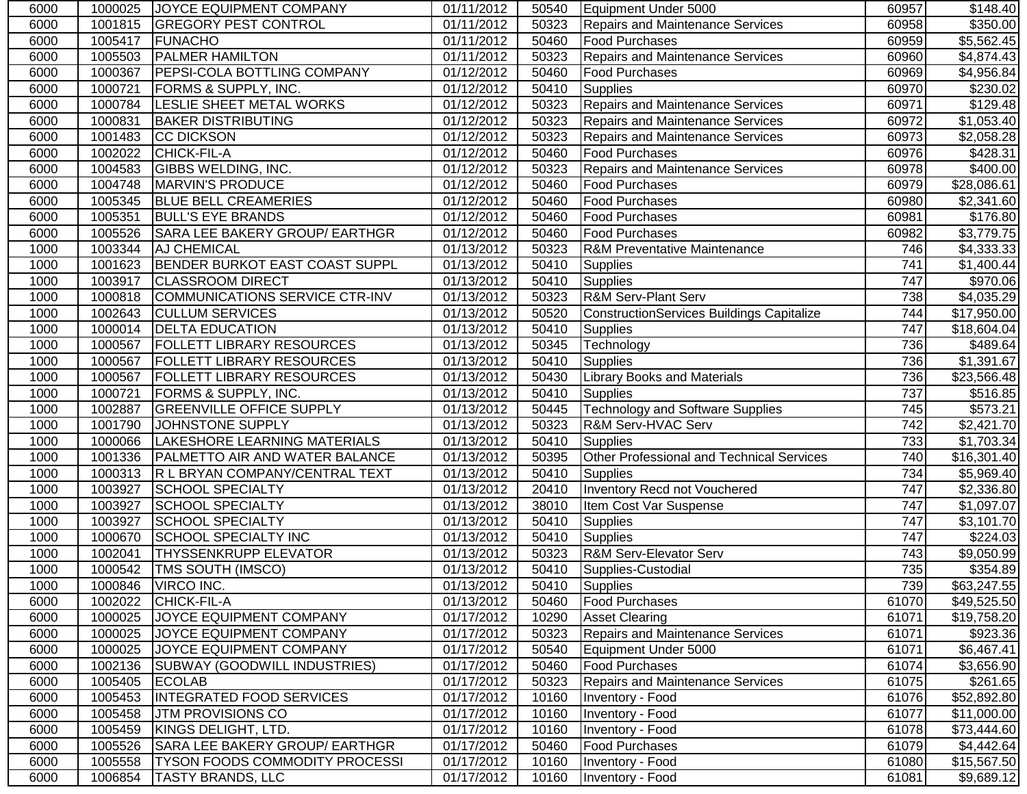| 6000 | 1000025 | <b>JOYCE EQUIPMENT COMPANY</b>        | 01/11/2012              | 50540 | Equipment Under 5000                      | 60957 | \$148.40               |
|------|---------|---------------------------------------|-------------------------|-------|-------------------------------------------|-------|------------------------|
| 6000 | 1001815 | <b>GREGORY PEST CONTROL</b>           | 01/11/2012              | 50323 | <b>Repairs and Maintenance Services</b>   | 60958 | \$350.00               |
| 6000 | 1005417 | FUNACHO                               | 01/11/2012              | 50460 | <b>Food Purchases</b>                     | 60959 | \$5,562.45             |
| 6000 | 1005503 | <b>PALMER HAMILTON</b>                | 01/11/2012              | 50323 | <b>Repairs and Maintenance Services</b>   | 60960 | \$4,874.43             |
| 6000 | 1000367 | <b>PEPSI-COLA BOTTLING COMPANY</b>    | 01/12/2012              | 50460 | <b>Food Purchases</b>                     | 60969 | \$4,956.84             |
| 6000 | 1000721 | <b>FORMS &amp; SUPPLY, INC.</b>       | 01/12/2012              | 50410 | <b>Supplies</b>                           | 60970 | \$230.02               |
| 6000 | 1000784 | <b>LESLIE SHEET METAL WORKS</b>       | 01/12/2012              | 50323 | <b>Repairs and Maintenance Services</b>   | 60971 | \$129.48               |
| 6000 | 1000831 | <b>BAKER DISTRIBUTING</b>             | 01/12/2012              | 50323 | <b>Repairs and Maintenance Services</b>   | 60972 | \$1,053.40             |
| 6000 | 1001483 | <b>CC DICKSON</b>                     | 01/12/2012              | 50323 | <b>Repairs and Maintenance Services</b>   | 60973 | \$2,058.28             |
| 6000 | 1002022 | <b>CHICK-FIL-A</b>                    | 01/12/2012              | 50460 | <b>Food Purchases</b>                     | 60976 | \$428.31               |
| 6000 | 1004583 | <b>GIBBS WELDING, INC.</b>            | 01/12/2012              | 50323 | <b>Repairs and Maintenance Services</b>   | 60978 | \$400.00               |
| 6000 | 1004748 | MARVIN'S PRODUCE                      | 01/12/2012              | 50460 | Food Purchases                            | 60979 | \$28,086.61            |
| 6000 | 1005345 | <b>BLUE BELL CREAMERIES</b>           | 01/12/2012              | 50460 | <b>Food Purchases</b>                     | 60980 | \$2,341.60             |
| 6000 | 1005351 | <b>BULL'S EYE BRANDS</b>              | 01/12/2012              | 50460 | <b>Food Purchases</b>                     | 60981 | \$176.80               |
| 6000 | 1005526 | SARA LEE BAKERY GROUP/ EARTHGR        | 01/12/2012              | 50460 | <b>Food Purchases</b>                     | 60982 | \$3,779.75             |
| 1000 | 1003344 | <b>AJ CHEMICAL</b>                    | 01/13/2012              | 50323 | <b>R&amp;M Preventative Maintenance</b>   | 746   | \$4,333.33             |
| 1000 | 1001623 | <b>BENDER BURKOT EAST COAST SUPPL</b> | 01/13/2012              | 50410 | <b>Supplies</b>                           | 741   | \$1,400.44             |
| 1000 | 1003917 | <b>CLASSROOM DIRECT</b>               | 01/13/2012              | 50410 | <b>Supplies</b>                           | 747   | \$970.06               |
| 1000 | 1000818 | COMMUNICATIONS SERVICE CTR-INV        | 01/13/2012              | 50323 | <b>R&amp;M Serv-Plant Serv</b>            | 738   | $\overline{4,035.29}$  |
| 1000 | 1002643 | <b>CULLUM SERVICES</b>                | 01/13/2012              | 50520 | ConstructionServices Buildings Capitalize | 744   | \$17,950.00            |
| 1000 | 1000014 | <b>DELTA EDUCATION</b>                | 01/13/2012              | 50410 | <b>Supplies</b>                           | 747   | \$18,604.04            |
| 1000 | 1000567 | <b>FOLLETT LIBRARY RESOURCES</b>      | 01/13/2012              | 50345 | Technology                                | 736   | 3489.64                |
| 1000 | 1000567 | <b>FOLLETT LIBRARY RESOURCES</b>      | $\overline{01/13}/2012$ | 50410 | Supplies                                  | 736   | \$1,391.67             |
| 1000 | 1000567 | <b>FOLLETT LIBRARY RESOURCES</b>      | 01/13/2012              | 50430 | <b>Library Books and Materials</b>        | 736   | \$23,566.48            |
| 1000 | 1000721 | <b>FORMS &amp; SUPPLY, INC.</b>       | 01/13/2012              | 50410 | <b>Supplies</b>                           | 737   | \$516.85               |
| 1000 | 1002887 | <b>GREENVILLE OFFICE SUPPLY</b>       | 01/13/2012              | 50445 | <b>Technology and Software Supplies</b>   | 745   | \$573.21               |
| 1000 | 1001790 | JOHNSTONE SUPPLY                      | 01/13/2012              | 50323 | <b>R&amp;M Serv-HVAC Serv</b>             | 742   | \$2,421.70             |
| 1000 | 1000066 | LAKESHORE LEARNING MATERIALS          | 01/13/2012              | 50410 | <b>Supplies</b>                           | 733   | \$1,703.34             |
| 1000 | 1001336 | <b>PALMETTO AIR AND WATER BALANCE</b> | 01/13/2012              | 50395 | Other Professional and Technical Services | 740   | \$16,301.40            |
| 1000 | 1000313 | R L BRYAN COMPANY/CENTRAL TEXT        | 01/13/2012              | 50410 | <b>Supplies</b>                           | 734   | $\overline{$5,969.40}$ |
| 1000 | 1003927 | <b>SCHOOL SPECIALTY</b>               | 01/13/2012              | 20410 | Inventory Recd not Vouchered              | 747   | $\overline{$2,336.80}$ |
| 1000 | 1003927 | <b>SCHOOL SPECIALTY</b>               | 01/13/2012              | 38010 | Item Cost Var Suspense                    | 747   | \$1,097.07             |
| 1000 | 1003927 | <b>SCHOOL SPECIALTY</b>               | 01/13/2012              | 50410 | Supplies                                  | 747   | $\overline{$3,101.70}$ |
| 1000 | 1000670 | <b>SCHOOL SPECIALTY INC</b>           | 01/13/2012              | 50410 | <b>Supplies</b>                           | 747   | \$224.03               |
| 1000 | 1002041 | <b>THYSSENKRUPP ELEVATOR</b>          | 01/13/2012              | 50323 | <b>R&amp;M Serv-Elevator Serv</b>         | 743   | \$9,050.99             |
| 1000 | 1000542 | <b>TMS SOUTH (IMSCO)</b>              | 01/13/2012              | 50410 | Supplies-Custodial                        | 735   | \$354.89               |
| 1000 |         | 1000846    VIRCO INC.                 | 01/13/2012              |       | 50410 Supplies                            | 739   | \$63,247.55            |
| 6000 | 1002022 | CHICK-FIL-A                           | 01/13/2012              | 50460 | <b>Food Purchases</b>                     | 61070 | \$49,525.50            |
| 6000 | 1000025 | JOYCE EQUIPMENT COMPANY               | 01/17/2012              | 10290 | <b>Asset Clearing</b>                     | 61071 | \$19,758.20            |
| 6000 | 1000025 | JOYCE EQUIPMENT COMPANY               | 01/17/2012              | 50323 | <b>Repairs and Maintenance Services</b>   | 61071 | \$923.36               |
| 6000 | 1000025 | JOYCE EQUIPMENT COMPANY               | 01/17/2012              | 50540 | Equipment Under 5000                      | 61071 | \$6,467.41             |
| 6000 | 1002136 | <b>SUBWAY (GOODWILL INDUSTRIES)</b>   | 01/17/2012              | 50460 | <b>Food Purchases</b>                     | 61074 | \$3,656.90             |
| 6000 | 1005405 | <b>ECOLAB</b>                         | 01/17/2012              | 50323 | Repairs and Maintenance Services          | 61075 | \$261.65               |
| 6000 | 1005453 | <b>INTEGRATED FOOD SERVICES</b>       | 01/17/2012              | 10160 | Inventory - Food                          | 61076 | \$52,892.80            |
| 6000 | 1005458 | <b>JTM PROVISIONS CO</b>              | 01/17/2012              | 10160 | Inventory - Food                          | 61077 | \$11,000.00            |
| 6000 | 1005459 | KINGS DELIGHT, LTD.                   | 01/17/2012              | 10160 | Inventory - Food                          | 61078 | \$73,444.60            |
| 6000 | 1005526 | SARA LEE BAKERY GROUP/ EARTHGR        | 01/17/2012              | 50460 | <b>Food Purchases</b>                     | 61079 | \$4,442.64             |
| 6000 | 1005558 | <b>TYSON FOODS COMMODITY PROCESSI</b> | 01/17/2012              | 10160 | Inventory - Food                          | 61080 | \$15,567.50            |
| 6000 | 1006854 | <b>TASTY BRANDS, LLC</b>              | 01/17/2012              | 10160 | Inventory - Food                          | 61081 | \$9,689.12             |
|      |         |                                       |                         |       |                                           |       |                        |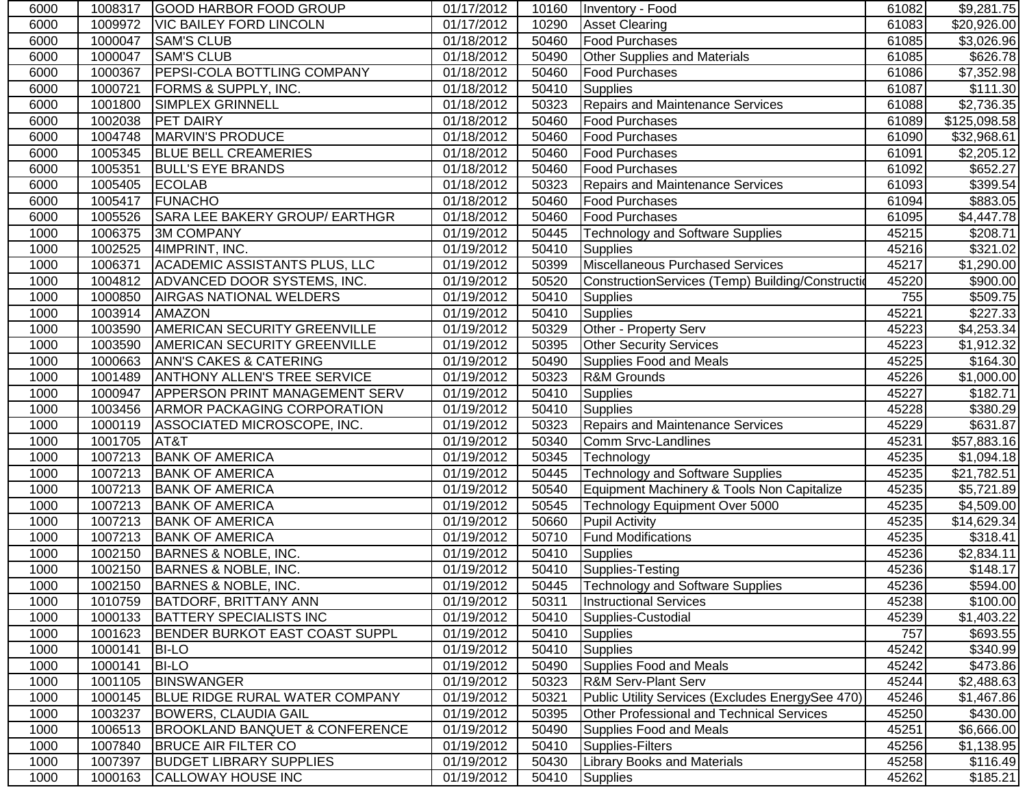| 6000 | 1008317 | GOOD HARBOR FOOD GROUP                    | 01/17/2012              | 10160 | Inventory - Food                                  | 61082 | \$9,281.75              |
|------|---------|-------------------------------------------|-------------------------|-------|---------------------------------------------------|-------|-------------------------|
| 6000 | 1009972 | <b>VIC BAILEY FORD LINCOLN</b>            | 01/17/2012              | 10290 | <b>Asset Clearing</b>                             | 61083 | \$20,926.00             |
| 6000 | 1000047 | <b>SAM'S CLUB</b>                         | 01/18/2012              | 50460 | <b>Food Purchases</b>                             | 61085 | \$3,026.96              |
| 6000 | 1000047 | <b>SAM'S CLUB</b>                         | 01/18/2012              | 50490 | Other Supplies and Materials                      | 61085 | \$626.78                |
| 6000 | 1000367 | <b>PEPSI-COLA BOTTLING COMPANY</b>        | 01/18/2012              | 50460 | Food Purchases                                    | 61086 | $\overline{$7,352.98}$  |
| 6000 | 1000721 | FORMS & SUPPLY, INC.                      | 01/18/2012              | 50410 | <b>Supplies</b>                                   | 61087 | \$111.30                |
| 6000 | 1001800 | SIMPLEX GRINNELL                          | 01/18/2012              | 50323 | <b>Repairs and Maintenance Services</b>           | 61088 | $\overline{$2,736.35}$  |
| 6000 | 1002038 | <b>PET DAIRY</b>                          | 01/18/2012              | 50460 | <b>Food Purchases</b>                             | 61089 | \$125,098.58            |
| 6000 | 1004748 | MARVIN'S PRODUCE                          | 01/18/2012              | 50460 | <b>Food Purchases</b>                             | 61090 | \$32,968.61             |
| 6000 | 1005345 | <b>BLUE BELL CREAMERIES</b>               | 01/18/2012              | 50460 | Food Purchases                                    | 61091 | \$2,205.12              |
| 6000 | 1005351 | <b>BULL'S EYE BRANDS</b>                  | 01/18/2012              | 50460 | <b>Food Purchases</b>                             | 61092 | \$652.27                |
| 6000 | 1005405 | <b>ECOLAB</b>                             | 01/18/2012              | 50323 | <b>Repairs and Maintenance Services</b>           | 61093 | \$399.54                |
| 6000 | 1005417 | <b>FUNACHO</b>                            | 01/18/2012              | 50460 | <b>Food Purchases</b>                             | 61094 | \$883.05                |
| 6000 | 1005526 | SARA LEE BAKERY GROUP/ EARTHGR            | 01/18/2012              | 50460 | <b>Food Purchases</b>                             | 61095 | \$4,447.78              |
| 1000 | 1006375 | <b>3M COMPANY</b>                         | 01/19/2012              | 50445 | <b>Technology and Software Supplies</b>           | 45215 | \$208.71                |
| 1000 | 1002525 | 4IMPRINT, INC.                            | 01/19/2012              | 50410 | <b>Supplies</b>                                   | 45216 | \$321.02                |
| 1000 | 1006371 | ACADEMIC ASSISTANTS PLUS, LLC             | 01/19/2012              | 50399 | Miscellaneous Purchased Services                  | 45217 | \$1,290.00              |
| 1000 | 1004812 | ADVANCED DOOR SYSTEMS, INC.               | 01/19/2012              | 50520 | ConstructionServices (Temp) Building/Construction | 45220 | \$900.00                |
| 1000 | 1000850 | AIRGAS NATIONAL WELDERS                   | 01/19/2012              | 50410 | Supplies                                          | 755   | \$509.75                |
| 1000 | 1003914 | AMAZON                                    | 01/19/2012              | 50410 | <b>Supplies</b>                                   | 45221 | \$227.33                |
| 1000 | 1003590 | <b>AMERICAN SECURITY GREENVILLE</b>       | 01/19/2012              | 50329 | Other - Property Serv                             | 45223 | \$4,253.34              |
| 1000 | 1003590 | <b>AMERICAN SECURITY GREENVILLE</b>       | 01/19/2012              | 50395 | <b>Other Security Services</b>                    | 45223 | $\overline{\$1,}912.32$ |
| 1000 | 1000663 | <b>ANN'S CAKES &amp; CATERING</b>         | 01/19/2012              | 50490 | Supplies Food and Meals                           | 45225 | \$164.30                |
| 1000 | 1001489 | <b>ANTHONY ALLEN'S TREE SERVICE</b>       | 01/19/2012              | 50323 | R&M Grounds                                       | 45226 | \$1,000.00              |
| 1000 | 1000947 | APPERSON PRINT MANAGEMENT SERV            | 01/19/2012              | 50410 | <b>Supplies</b>                                   | 45227 | \$182.71                |
| 1000 | 1003456 | ARMOR PACKAGING CORPORATION               | 01/19/2012              | 50410 | <b>Supplies</b>                                   | 45228 | \$380.29                |
| 1000 | 1000119 | ASSOCIATED MICROSCOPE, INC.               | 01/19/2012              | 50323 | <b>Repairs and Maintenance Services</b>           | 45229 | \$631.87                |
| 1000 | 1001705 | AT&T                                      | $\overline{0}1/19/2012$ | 50340 | Comm Srvc-Landlines                               | 45231 | \$57,883.16             |
| 1000 | 1007213 | <b>BANK OF AMERICA</b>                    | 01/19/2012              | 50345 | Technology                                        | 45235 | \$1,094.18              |
| 1000 | 1007213 | <b>BANK OF AMERICA</b>                    | 01/19/2012              | 50445 | <b>Technology and Software Supplies</b>           | 45235 | \$21,782.51             |
| 1000 | 1007213 | <b>BANK OF AMERICA</b>                    | 01/19/2012              | 50540 | Equipment Machinery & Tools Non Capitalize        | 45235 | \$5,721.89              |
| 1000 | 1007213 | <b>BANK OF AMERICA</b>                    | 01/19/2012              | 50545 | Technology Equipment Over 5000                    | 45235 | \$4,509.00              |
| 1000 | 1007213 | <b>BANK OF AMERICA</b>                    | 01/19/2012              | 50660 | Pupil Activity                                    | 45235 | \$14,629.34             |
| 1000 | 1007213 | <b>BANK OF AMERICA</b>                    | 01/19/2012              | 50710 | <b>Fund Modifications</b>                         | 45235 | \$318.41                |
| 1000 | 1002150 | BARNES & NOBLE, INC.                      | 01/19/2012              | 50410 | Supplies                                          | 45236 | \$2,834.11              |
| 1000 | 1002150 | BARNES & NOBLE, INC.                      | 01/19/2012              | 50410 | Supplies-Testing                                  | 45236 | \$148.17                |
| 1000 |         | 1002150 BARNES & NOBLE, INC.              | 01/19/2012              |       | 50445   Technology and Software Supplies          | 45236 | \$594.00                |
| 1000 | 1010759 | BATDORF, BRITTANY ANN                     | 01/19/2012              | 50311 | <b>Instructional Services</b>                     | 45238 | \$100.00                |
| 1000 | 1000133 | <b>BATTERY SPECIALISTS INC</b>            | 01/19/2012              | 50410 | Supplies-Custodial                                | 45239 | \$1,403.22              |
| 1000 | 1001623 | BENDER BURKOT EAST COAST SUPPL            | 01/19/2012              | 50410 | <b>Supplies</b>                                   | 757   | \$693.55                |
| 1000 | 1000141 | <b>BI-LO</b>                              | 01/19/2012              | 50410 | <b>Supplies</b>                                   | 45242 | \$340.99                |
| 1000 | 1000141 | <b>BI-LO</b>                              | 01/19/2012              | 50490 | Supplies Food and Meals                           | 45242 | \$473.86                |
| 1000 | 1001105 | <b>BINSWANGER</b>                         | 01/19/2012              | 50323 | <b>R&amp;M Serv-Plant Serv</b>                    | 45244 | \$2,488.63              |
| 1000 | 1000145 | <b>BLUE RIDGE RURAL WATER COMPANY</b>     | 01/19/2012              | 50321 | Public Utility Services (Excludes EnergySee 470)  | 45246 | \$1,467.86              |
| 1000 | 1003237 | <b>BOWERS, CLAUDIA GAIL</b>               | 01/19/2012              | 50395 | <b>Other Professional and Technical Services</b>  | 45250 | \$430.00                |
| 1000 | 1006513 | <b>BROOKLAND BANQUET &amp; CONFERENCE</b> | 01/19/2012              | 50490 | Supplies Food and Meals                           | 45251 | \$6,666.00              |
| 1000 | 1007840 | <b>BRUCE AIR FILTER CO</b>                | 01/19/2012              | 50410 | Supplies-Filters                                  | 45256 | \$1,138.95              |
| 1000 | 1007397 | <b>BUDGET LIBRARY SUPPLIES</b>            | 01/19/2012              | 50430 | <b>Library Books and Materials</b>                | 45258 | \$116.49                |
| 1000 | 1000163 | CALLOWAY HOUSE INC                        | 01/19/2012              | 50410 | <b>Supplies</b>                                   | 45262 | \$185.21                |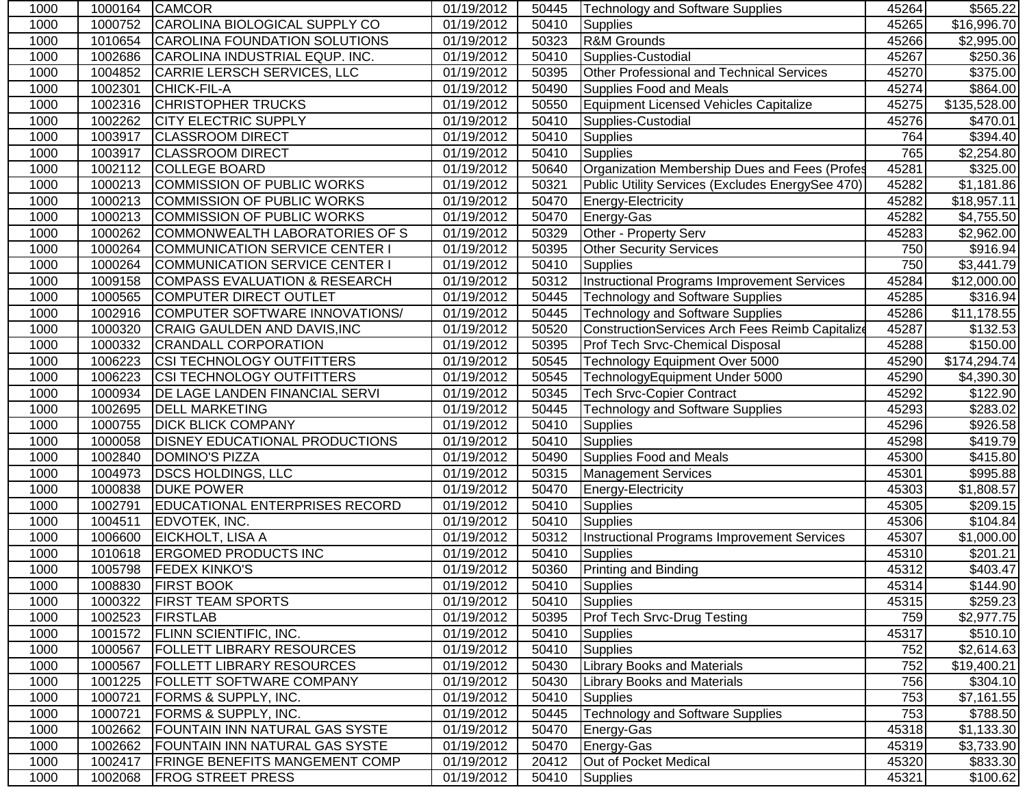| 1000 | 1000164 | <b>CAMCOR</b>                            | 01/19/2012 | 50445 | Technology and Software Supplies                   | 45264 | \$565.22                 |
|------|---------|------------------------------------------|------------|-------|----------------------------------------------------|-------|--------------------------|
| 1000 | 1000752 | CAROLINA BIOLOGICAL SUPPLY CO            | 01/19/2012 | 50410 | Supplies                                           | 45265 | $\overline{$16,996.70}$  |
| 1000 | 1010654 | CAROLINA FOUNDATION SOLUTIONS            | 01/19/2012 | 50323 | R&M Grounds                                        | 45266 | \$2,995.00               |
| 1000 | 1002686 | CAROLINA INDUSTRIAL EQUP. INC.           | 01/19/2012 | 50410 | Supplies-Custodial                                 | 45267 | \$250.36                 |
| 1000 | 1004852 | CARRIE LERSCH SERVICES, LLC              | 01/19/2012 | 50395 | Other Professional and Technical Services          | 45270 | \$375.00                 |
| 1000 | 1002301 | CHICK-FIL-A                              | 01/19/2012 | 50490 | Supplies Food and Meals                            | 45274 | \$864.00                 |
| 1000 | 1002316 | <b>CHRISTOPHER TRUCKS</b>                | 01/19/2012 | 50550 | Equipment Licensed Vehicles Capitalize             | 45275 | \$135,528.00             |
| 1000 | 1002262 | <b>CITY ELECTRIC SUPPLY</b>              | 01/19/2012 | 50410 | Supplies-Custodial                                 | 45276 | \$470.01                 |
| 1000 | 1003917 | <b>CLASSROOM DIRECT</b>                  | 01/19/2012 | 50410 | Supplies                                           | 764   | \$394.40                 |
| 1000 | 1003917 | <b>CLASSROOM DIRECT</b>                  | 01/19/2012 | 50410 | <b>Supplies</b>                                    | 765   | \$2,254.80               |
| 1000 | 1002112 | <b>COLLEGE BOARD</b>                     | 01/19/2012 | 50640 | Organization Membership Dues and Fees (Profes      | 45281 | \$325.00                 |
| 1000 | 1000213 | <b>COMMISSION OF PUBLIC WORKS</b>        | 01/19/2012 | 50321 | Public Utility Services (Excludes EnergySee 470)   | 45282 | \$1,181.86               |
| 1000 | 1000213 | <b>COMMISSION OF PUBLIC WORKS</b>        | 01/19/2012 | 50470 | Energy-Electricity                                 | 45282 | \$18,957.11              |
| 1000 | 1000213 | <b>COMMISSION OF PUBLIC WORKS</b>        | 01/19/2012 | 50470 | Energy-Gas                                         | 45282 | \$4,755.50               |
| 1000 | 1000262 | COMMONWEALTH LABORATORIES OF S           | 01/19/2012 | 50329 | Other - Property Serv                              | 45283 | \$2,962.00               |
| 1000 | 1000264 | COMMUNICATION SERVICE CENTER I           | 01/19/2012 | 50395 | <b>Other Security Services</b>                     | 750   | \$916.94                 |
| 1000 | 1000264 | <b>COMMUNICATION SERVICE CENTER I</b>    | 01/19/2012 | 50410 | Supplies                                           | 750   | \$3,441.79               |
| 1000 | 1009158 | <b>COMPASS EVALUATION &amp; RESEARCH</b> | 01/19/2012 | 50312 | <b>Instructional Programs Improvement Services</b> | 45284 | \$12,000.00              |
| 1000 | 1000565 | <b>COMPUTER DIRECT OUTLET</b>            | 01/19/2012 | 50445 | <b>Technology and Software Supplies</b>            | 45285 | \$316.94                 |
| 1000 | 1002916 | COMPUTER SOFTWARE INNOVATIONS/           | 01/19/2012 | 50445 | <b>Technology and Software Supplies</b>            | 45286 | $\overline{\$11,178.55}$ |
| 1000 | 1000320 | CRAIG GAULDEN AND DAVIS, INC             | 01/19/2012 | 50520 | ConstructionServices Arch Fees Reimb Capitalize    | 45287 | \$132.53                 |
| 1000 | 1000332 | <b>CRANDALL CORPORATION</b>              | 01/19/2012 | 50395 | Prof Tech Srvc-Chemical Disposal                   | 45288 | \$150.00                 |
| 1000 | 1006223 | CSI TECHNOLOGY OUTFITTERS                | 01/19/2012 | 50545 | Technology Equipment Over 5000                     | 45290 | \$174,294.74             |
| 1000 | 1006223 | CSI TECHNOLOGY OUTFITTERS                | 01/19/2012 | 50545 | TechnologyEquipment Under 5000                     | 45290 | \$4,390.30               |
| 1000 | 1000934 | DE LAGE LANDEN FINANCIAL SERVI           | 01/19/2012 | 50345 | <b>Tech Srvc-Copier Contract</b>                   | 45292 | $\overline{$122.90}$     |
| 1000 | 1002695 | <b>DELL MARKETING</b>                    | 01/19/2012 | 50445 | <b>Technology and Software Supplies</b>            | 45293 | \$283.02                 |
| 1000 | 1000755 | <b>DICK BLICK COMPANY</b>                | 01/19/2012 | 50410 | <b>Supplies</b>                                    | 45296 | $\overline{$}926.58$     |
| 1000 | 1000058 | <b>DISNEY EDUCATIONAL PRODUCTIONS</b>    | 01/19/2012 | 50410 | <b>Supplies</b>                                    | 45298 | \$419.79                 |
| 1000 | 1002840 | <b>DOMINO'S PIZZA</b>                    | 01/19/2012 | 50490 | <b>Supplies Food and Meals</b>                     | 45300 | \$415.80                 |
| 1000 | 1004973 | <b>DSCS HOLDINGS, LLC</b>                | 01/19/2012 | 50315 | <b>Management Services</b>                         | 45301 | \$995.88                 |
| 1000 | 1000838 | <b>DUKE POWER</b>                        | 01/19/2012 | 50470 | Energy-Electricity                                 | 45303 | $\overline{$1,808.57}$   |
| 1000 | 1002791 | <b>EDUCATIONAL ENTERPRISES RECORD</b>    | 01/19/2012 | 50410 | <b>Supplies</b>                                    | 45305 | \$209.15                 |
| 1000 | 1004511 | EDVOTEK, INC.                            | 01/19/2012 | 50410 | <b>Supplies</b>                                    | 45306 | \$104.84                 |
| 1000 | 1006600 | EICKHOLT, LISA A                         | 01/19/2012 | 50312 | Instructional Programs Improvement Services        | 45307 | \$1,000.00               |
| 1000 | 1010618 | <b>ERGOMED PRODUCTS INC</b>              | 01/19/2012 | 50410 | Supplies                                           | 45310 | \$201.21                 |
| 1000 | 1005798 | <b>FEDEX KINKO'S</b>                     | 01/19/2012 | 50360 | Printing and Binding                               | 45312 | \$403.47                 |
| 1000 |         | 1008830 FIRST BOOK                       | 01/19/2012 |       | 50410 Supplies                                     | 45314 | \$144.90                 |
| 1000 | 1000322 | <b>FIRST TEAM SPORTS</b>                 | 01/19/2012 | 50410 | Supplies                                           | 45315 | $\overline{$}259.23$     |
| 1000 | 1002523 | <b>FIRSTLAB</b>                          | 01/19/2012 | 50395 | <b>Prof Tech Srvc-Drug Testing</b>                 | 759   | \$2,977.75               |
| 1000 | 1001572 | <b>FLINN SCIENTIFIC, INC.</b>            | 01/19/2012 | 50410 | <b>Supplies</b>                                    | 45317 | \$510.10                 |
| 1000 | 1000567 | <b>FOLLETT LIBRARY RESOURCES</b>         | 01/19/2012 | 50410 | Supplies                                           | 752   | \$2,614.63               |
| 1000 | 1000567 | <b>FOLLETT LIBRARY RESOURCES</b>         | 01/19/2012 | 50430 | <b>Library Books and Materials</b>                 | 752   | \$19,400.21              |
| 1000 | 1001225 | FOLLETT SOFTWARE COMPANY                 | 01/19/2012 | 50430 | <b>Library Books and Materials</b>                 | 756   | \$304.10                 |
| 1000 | 1000721 | FORMS & SUPPLY, INC.                     | 01/19/2012 | 50410 | Supplies                                           | 753   | \$7,161.55               |
| 1000 | 1000721 | FORMS & SUPPLY, INC.                     | 01/19/2012 | 50445 | <b>Technology and Software Supplies</b>            | 753   | \$788.50                 |
| 1000 | 1002662 | FOUNTAIN INN NATURAL GAS SYSTE           | 01/19/2012 | 50470 | Energy-Gas                                         | 45318 | \$1,133.30               |
| 1000 | 1002662 | FOUNTAIN INN NATURAL GAS SYSTE           | 01/19/2012 | 50470 | Energy-Gas                                         | 45319 | \$3,733.90               |
| 1000 | 1002417 | FRINGE BENEFITS MANGEMENT COMP           | 01/19/2012 | 20412 | Out of Pocket Medical                              | 45320 | \$833.30                 |
| 1000 | 1002068 | <b>FROG STREET PRESS</b>                 | 01/19/2012 | 50410 | <b>Supplies</b>                                    | 45321 | \$100.62]                |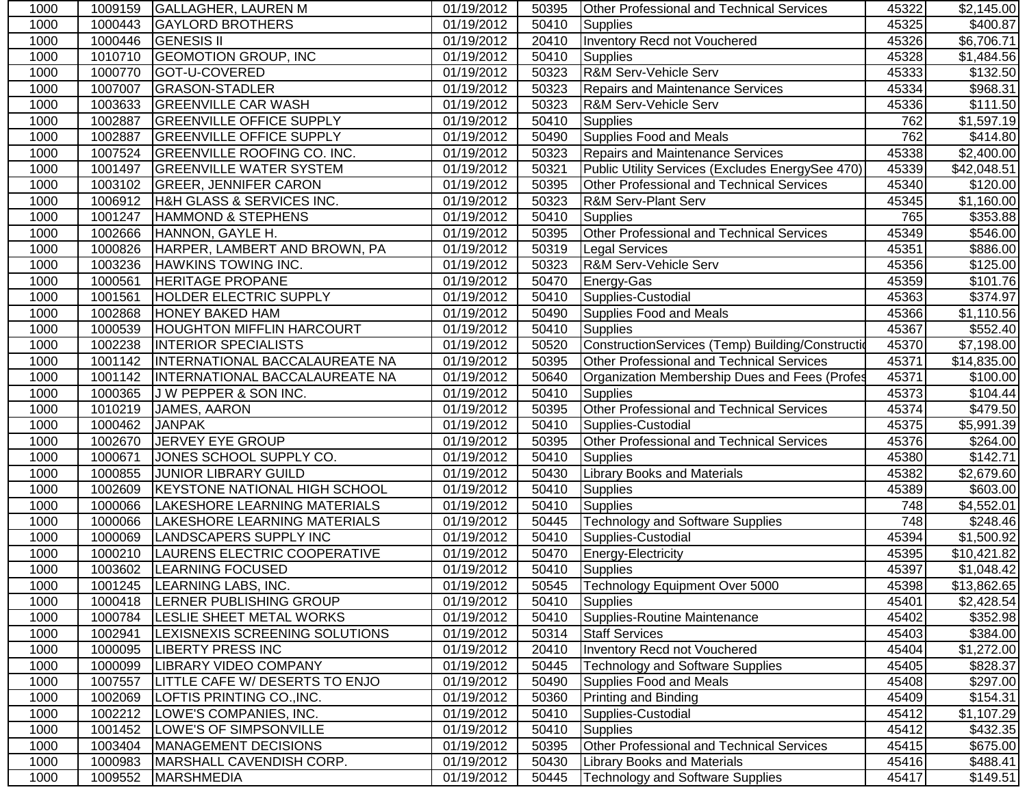| 1000 | 1009159 | <b>GALLAGHER, LAUREN M</b>           | 01/19/2012 | 50395 | <b>Other Professional and Technical Services</b>  | 45322 | \$2,145.00           |
|------|---------|--------------------------------------|------------|-------|---------------------------------------------------|-------|----------------------|
| 1000 | 1000443 | <b>GAYLORD BROTHERS</b>              | 01/19/2012 | 50410 | Supplies                                          | 45325 | \$400.87             |
| 1000 | 1000446 | <b>GENESIS II</b>                    | 01/19/2012 | 20410 | Inventory Recd not Vouchered                      | 45326 | \$6,706.71           |
| 1000 | 1010710 | <b>GEOMOTION GROUP, INC</b>          | 01/19/2012 | 50410 | Supplies                                          | 45328 | \$1,484.56           |
| 1000 | 1000770 | GOT-U-COVERED                        | 01/19/2012 | 50323 | R&M Serv-Vehicle Serv                             | 45333 | \$132.50             |
| 1000 | 1007007 | <b>GRASON-STADLER</b>                | 01/19/2012 | 50323 | <b>Repairs and Maintenance Services</b>           | 45334 | \$968.31             |
| 1000 | 1003633 | <b>GREENVILLE CAR WASH</b>           | 01/19/2012 | 50323 | R&M Serv-Vehicle Serv                             | 45336 | \$111.50             |
| 1000 | 1002887 | <b>GREENVILLE OFFICE SUPPLY</b>      | 01/19/2012 | 50410 | <b>Supplies</b>                                   | 762   | \$1,597.19           |
| 1000 | 1002887 | <b>GREENVILLE OFFICE SUPPLY</b>      | 01/19/2012 | 50490 | <b>Supplies Food and Meals</b>                    | 762   | \$414.80             |
| 1000 | 1007524 | <b>GREENVILLE ROOFING CO. INC.</b>   | 01/19/2012 | 50323 | <b>Repairs and Maintenance Services</b>           | 45338 | \$2,400.00           |
| 1000 | 1001497 | <b>GREENVILLE WATER SYSTEM</b>       | 01/19/2012 | 50321 | Public Utility Services (Excludes EnergySee 470)  | 45339 | \$42,048.51          |
| 1000 | 1003102 | <b>GREER, JENNIFER CARON</b>         | 01/19/2012 | 50395 | Other Professional and Technical Services         | 45340 | \$120.00             |
| 1000 | 1006912 | H&H GLASS & SERVICES INC.            | 01/19/2012 | 50323 | R&M Serv-Plant Serv                               | 45345 | \$1,160.00           |
| 1000 | 1001247 | <b>HAMMOND &amp; STEPHENS</b>        | 01/19/2012 | 50410 | <b>Supplies</b>                                   | 765   | \$353.88             |
| 1000 | 1002666 | HANNON, GAYLE H.                     | 01/19/2012 | 50395 | Other Professional and Technical Services         | 45349 | \$546.00             |
| 1000 | 1000826 | HARPER, LAMBERT AND BROWN, PA        | 01/19/2012 | 50319 | <b>Legal Services</b>                             | 45351 | \$886.00             |
| 1000 | 1003236 | <b>HAWKINS TOWING INC.</b>           | 01/19/2012 | 50323 | R&M Serv-Vehicle Serv                             | 45356 | \$125.00             |
| 1000 | 1000561 | <b>HERITAGE PROPANE</b>              | 01/19/2012 | 50470 | Energy-Gas                                        | 45359 | \$101.76             |
| 1000 | 1001561 | <b>HOLDER ELECTRIC SUPPLY</b>        | 01/19/2012 | 50410 | Supplies-Custodial                                | 45363 | \$374.97             |
| 1000 | 1002868 | <b>HONEY BAKED HAM</b>               | 01/19/2012 | 50490 | Supplies Food and Meals                           | 45366 | \$1,110.56           |
| 1000 | 1000539 | <b>HOUGHTON MIFFLIN HARCOURT</b>     | 01/19/2012 | 50410 | <b>Supplies</b>                                   | 45367 | \$552.40             |
| 1000 | 1002238 | <b>INTERIOR SPECIALISTS</b>          | 01/19/2012 | 50520 | ConstructionServices (Temp) Building/Construction | 45370 | \$7,198.00           |
| 1000 | 1001142 | INTERNATIONAL BACCALAUREATE NA       | 01/19/2012 | 50395 | <b>Other Professional and Technical Services</b>  | 45371 | \$14,835.00          |
| 1000 | 1001142 | INTERNATIONAL BACCALAUREATE NA       | 01/19/2012 | 50640 | Organization Membership Dues and Fees (Profes     | 45371 | $\overline{$}100.00$ |
| 1000 | 1000365 | J W PEPPER & SON INC.                | 01/19/2012 | 50410 | <b>Supplies</b>                                   | 45373 | \$104.44             |
| 1000 | 1010219 | JAMES, AARON                         | 01/19/2012 | 50395 | Other Professional and Technical Services         | 45374 | \$479.50             |
| 1000 | 1000462 | <b>JANPAK</b>                        | 01/19/2012 | 50410 | Supplies-Custodial                                | 45375 | \$5,991.39           |
| 1000 | 1002670 | JERVEY EYE GROUP                     | 01/19/2012 | 50395 | Other Professional and Technical Services         | 45376 | \$264.00             |
| 1000 | 1000671 | JONES SCHOOL SUPPLY CO.              | 01/19/2012 | 50410 | <b>Supplies</b>                                   | 45380 | \$142.71             |
| 1000 | 1000855 | <b>JUNIOR LIBRARY GUILD</b>          | 01/19/2012 | 50430 | <b>Library Books and Materials</b>                | 45382 | \$2,679.60           |
| 1000 | 1002609 | <b>KEYSTONE NATIONAL HIGH SCHOOL</b> | 01/19/2012 | 50410 | <b>Supplies</b>                                   | 45389 | \$603.00             |
| 1000 | 1000066 | LAKESHORE LEARNING MATERIALS         | 01/19/2012 | 50410 | <b>Supplies</b>                                   | 748   | \$4,552.01           |
| 1000 | 1000066 | LAKESHORE LEARNING MATERIALS         | 01/19/2012 | 50445 | <b>Technology and Software Supplies</b>           | 748   | $\overline{$}248.46$ |
| 1000 | 1000069 | LANDSCAPERS SUPPLY INC               | 01/19/2012 | 50410 | Supplies-Custodial                                | 45394 | \$1,500.92           |
| 1000 | 1000210 | LAURENS ELECTRIC COOPERATIVE         | 01/19/2012 | 50470 | Energy-Electricity                                | 45395 | \$10,421.82          |
| 1000 | 1003602 | <b>LEARNING FOCUSED</b>              | 01/19/2012 | 50410 | Supplies                                          | 45397 | \$1,048.42           |
| 1000 |         | 1001245 LEARNING LABS, INC.          | 01/19/2012 |       | 50545 Technology Equipment Over 5000              | 45398 | \$13,862.65          |
| 1000 | 1000418 | <b>LERNER PUBLISHING GROUP</b>       | 01/19/2012 | 50410 | Supplies                                          | 45401 | \$2,428.54           |
| 1000 | 1000784 | LESLIE SHEET METAL WORKS             | 01/19/2012 | 50410 | Supplies-Routine Maintenance                      | 45402 | \$352.98             |
| 1000 | 1002941 | LEXISNEXIS SCREENING SOLUTIONS       | 01/19/2012 | 50314 | <b>Staff Services</b>                             | 45403 | \$384.00             |
| 1000 | 1000095 | <b>LIBERTY PRESS INC</b>             | 01/19/2012 | 20410 | Inventory Recd not Vouchered                      | 45404 | \$1,272.00           |
| 1000 | 1000099 | <b>LIBRARY VIDEO COMPANY</b>         | 01/19/2012 | 50445 | <b>Technology and Software Supplies</b>           | 45405 | \$828.37             |
| 1000 | 1007557 | LITTLE CAFE W/DESERTS TO ENJO        | 01/19/2012 | 50490 | <b>Supplies Food and Meals</b>                    | 45408 | \$297.00             |
| 1000 | 1002069 | LOFTIS PRINTING CO., INC.            | 01/19/2012 | 50360 | Printing and Binding                              | 45409 | \$154.31             |
| 1000 | 1002212 | LOWE'S COMPANIES, INC.               | 01/19/2012 | 50410 | Supplies-Custodial                                | 45412 | \$1,107.29           |
| 1000 | 1001452 | LOWE'S OF SIMPSONVILLE               | 01/19/2012 | 50410 | <b>Supplies</b>                                   | 45412 | \$432.35             |
| 1000 | 1003404 | MANAGEMENT DECISIONS                 | 01/19/2012 | 50395 | Other Professional and Technical Services         | 45415 | \$675.00             |
| 1000 | 1000983 | MARSHALL CAVENDISH CORP.             | 01/19/2012 | 50430 | Library Books and Materials                       | 45416 | \$488.41             |
| 1000 | 1009552 | <b>MARSHMEDIA</b>                    | 01/19/2012 | 50445 | <b>Technology and Software Supplies</b>           | 45417 | \$149.51             |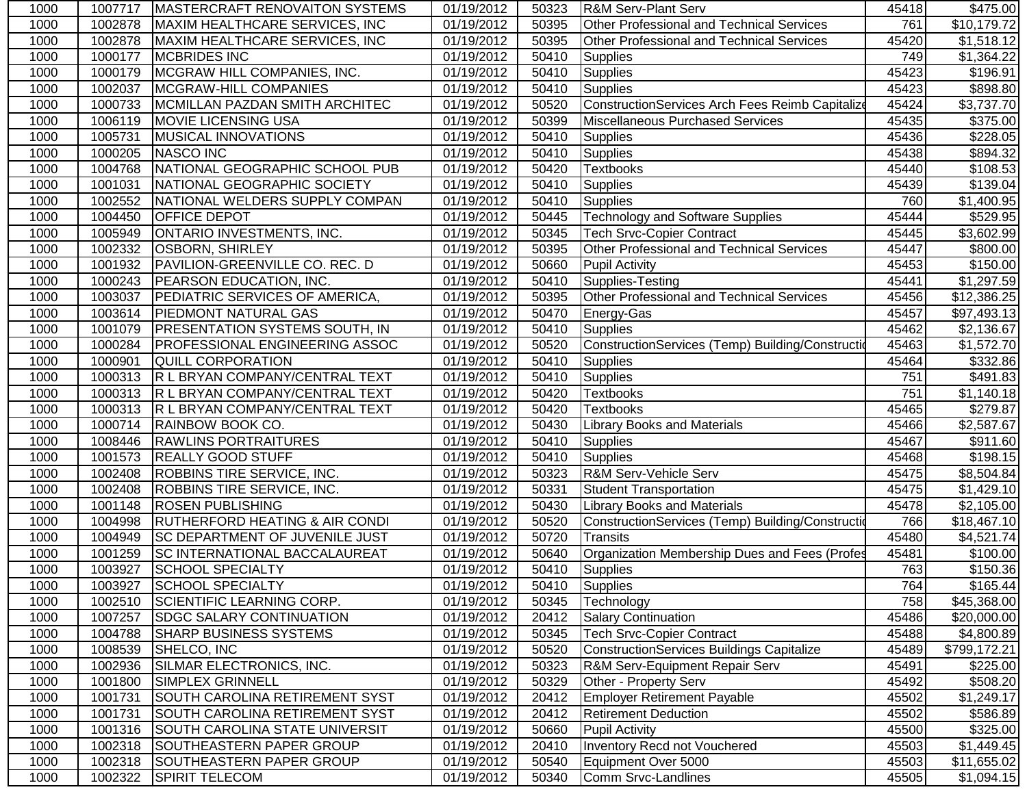| 1000 | 1007717 | <b>IMASTERCRAFT RENOVAITON SYSTEMS</b>    | 01/19/2012 | 50323 | R&M Serv-Plant Serv                               | 45418 | \$475.00               |
|------|---------|-------------------------------------------|------------|-------|---------------------------------------------------|-------|------------------------|
| 1000 | 1002878 | MAXIM HEALTHCARE SERVICES, INC            | 01/19/2012 | 50395 | Other Professional and Technical Services         | 761   | \$10,179.72            |
| 1000 | 1002878 | MAXIM HEALTHCARE SERVICES, INC            | 01/19/2012 | 50395 | <b>Other Professional and Technical Services</b>  | 45420 | \$1,518.12             |
| 1000 | 1000177 | <b>MCBRIDES INC</b>                       | 01/19/2012 | 50410 | <b>Supplies</b>                                   | 749   | \$1,364.22             |
| 1000 | 1000179 | MCGRAW HILL COMPANIES, INC.               | 01/19/2012 | 50410 | <b>Supplies</b>                                   | 45423 | \$196.91               |
| 1000 | 1002037 | MCGRAW-HILL COMPANIES                     | 01/19/2012 | 50410 | <b>Supplies</b>                                   | 45423 | \$898.80               |
| 1000 | 1000733 | MCMILLAN PAZDAN SMITH ARCHITEC            | 01/19/2012 | 50520 | ConstructionServices Arch Fees Reimb Capitalize   | 45424 | \$3,737.70             |
| 1000 | 1006119 | <b>MOVIE LICENSING USA</b>                | 01/19/2012 | 50399 | Miscellaneous Purchased Services                  | 45435 | \$375.00               |
| 1000 | 1005731 | <b>MUSICAL INNOVATIONS</b>                | 01/19/2012 | 50410 | Supplies                                          | 45436 | \$228.05               |
| 1000 | 1000205 | <b>NASCO INC</b>                          | 01/19/2012 | 50410 | Supplies                                          | 45438 | \$894.32               |
| 1000 | 1004768 | NATIONAL GEOGRAPHIC SCHOOL PUB            | 01/19/2012 | 50420 | <b>Textbooks</b>                                  | 45440 | \$108.53               |
| 1000 | 1001031 | NATIONAL GEOGRAPHIC SOCIETY               | 01/19/2012 | 50410 | <b>Supplies</b>                                   | 45439 | \$139.04               |
| 1000 | 1002552 | NATIONAL WELDERS SUPPLY COMPAN            | 01/19/2012 | 50410 | <b>Supplies</b>                                   | 760   | \$1,400.95             |
| 1000 | 1004450 | <b>OFFICE DEPOT</b>                       | 01/19/2012 | 50445 | <b>Technology and Software Supplies</b>           | 45444 | \$529.95               |
| 1000 | 1005949 | <b>ONTARIO INVESTMENTS, INC.</b>          | 01/19/2012 | 50345 | <b>Tech Srvc-Copier Contract</b>                  | 45445 | \$3,602.99             |
| 1000 | 1002332 | <b>OSBORN, SHIRLEY</b>                    | 01/19/2012 | 50395 | Other Professional and Technical Services         | 45447 | \$800.00               |
| 1000 | 1001932 | PAVILION-GREENVILLE CO. REC. D            | 01/19/2012 | 50660 | Pupil Activity                                    | 45453 | \$150.00               |
| 1000 | 1000243 | <b>PEARSON EDUCATION, INC.</b>            | 01/19/2012 | 50410 | Supplies-Testing                                  | 45441 | \$1,297.59             |
| 1000 | 1003037 | <b>PEDIATRIC SERVICES OF AMERICA,</b>     | 01/19/2012 | 50395 | Other Professional and Technical Services         | 45456 | \$12,386.25            |
| 1000 | 1003614 | <b>PIEDMONT NATURAL GAS</b>               | 01/19/2012 | 50470 | Energy-Gas                                        | 45457 | \$97,493.13            |
| 1000 | 1001079 | <b>PRESENTATION SYSTEMS SOUTH, IN</b>     | 01/19/2012 | 50410 | <b>Supplies</b>                                   | 45462 | \$2,136.67             |
| 1000 | 1000284 | <b>PROFESSIONAL ENGINEERING ASSOC</b>     | 01/19/2012 | 50520 | ConstructionServices (Temp) Building/Construction | 45463 | \$1,572.70             |
| 1000 | 1000901 | <b>QUILL CORPORATION</b>                  | 01/19/2012 | 50410 | <b>Supplies</b>                                   | 45464 | \$332.86               |
| 1000 | 1000313 | R L BRYAN COMPANY/CENTRAL TEXT            | 01/19/2012 | 50410 | Supplies                                          | 751   | \$491.83               |
| 1000 | 1000313 | R L BRYAN COMPANY/CENTRAL TEXT            | 01/19/2012 | 50420 | <b>Textbooks</b>                                  | 751   | \$1,140.18             |
| 1000 | 1000313 | R L BRYAN COMPANY/CENTRAL TEXT            | 01/19/2012 | 50420 | <b>Textbooks</b>                                  | 45465 | \$279.87               |
| 1000 | 1000714 | <b>RAINBOW BOOK CO.</b>                   | 01/19/2012 | 50430 | <b>Library Books and Materials</b>                | 45466 | $\overline{$2,587.67}$ |
| 1000 | 1008446 | <b>RAWLINS PORTRAITURES</b>               | 01/19/2012 | 50410 | <b>Supplies</b>                                   | 45467 | \$911.60               |
| 1000 | 1001573 | <b>REALLY GOOD STUFF</b>                  | 01/19/2012 | 50410 | <b>Supplies</b>                                   | 45468 | \$198.15               |
| 1000 | 1002408 | <b>ROBBINS TIRE SERVICE, INC.</b>         | 01/19/2012 | 50323 | <b>R&amp;M Serv-Vehicle Serv</b>                  | 45475 | \$8,504.84             |
| 1000 | 1002408 | ROBBINS TIRE SERVICE, INC.                | 01/19/2012 | 50331 | <b>Student Transportation</b>                     | 45475 | \$1,429.10             |
| 1000 | 1001148 | <b>ROSEN PUBLISHING</b>                   | 01/19/2012 | 50430 | <b>Library Books and Materials</b>                | 45478 | \$2,105.00             |
| 1000 | 1004998 | <b>RUTHERFORD HEATING &amp; AIR CONDI</b> | 01/19/2012 | 50520 | ConstructionServices (Temp) Building/Construction | 766   | \$18,467.10            |
| 1000 | 1004949 | <b>SC DEPARTMENT OF JUVENILE JUST</b>     | 01/19/2012 | 50720 | Transits                                          | 45480 | \$4,521.74             |
| 1000 | 1001259 | <b>SC INTERNATIONAL BACCALAUREAT</b>      | 01/19/2012 | 50640 | Organization Membership Dues and Fees (Profes     | 45481 | \$100.00               |
| 1000 | 1003927 | <b>SCHOOL SPECIALTY</b>                   | 01/19/2012 | 50410 | Supplies                                          | 763   | \$150.36               |
| 1000 | 1003927 | SCHOOL SPECIALTY                          | 01/19/2012 |       | 50410 Supplies                                    | 764   | \$165.44               |
| 1000 | 1002510 | SCIENTIFIC LEARNING CORP.                 | 01/19/2012 | 50345 | Technology                                        | 758   | \$45,368.00            |
| 1000 | 1007257 | <b>SDGC SALARY CONTINUATION</b>           | 01/19/2012 | 20412 | <b>Salary Continuation</b>                        | 45486 | \$20,000.00            |
| 1000 | 1004788 | <b>SHARP BUSINESS SYSTEMS</b>             | 01/19/2012 | 50345 | <b>Tech Srvc-Copier Contract</b>                  | 45488 | \$4,800.89             |
| 1000 | 1008539 | SHELCO, INC                               | 01/19/2012 | 50520 | ConstructionServices Buildings Capitalize         | 45489 | \$799,172.21           |
| 1000 | 1002936 | SILMAR ELECTRONICS, INC.                  | 01/19/2012 | 50323 | <b>R&amp;M Serv-Equipment Repair Serv</b>         | 45491 | \$225.00               |
| 1000 | 1001800 | SIMPLEX GRINNELL                          | 01/19/2012 | 50329 | Other - Property Serv                             | 45492 | \$508.20               |
| 1000 | 1001731 | <b>SOUTH CAROLINA RETIREMENT SYST</b>     | 01/19/2012 | 20412 | <b>Employer Retirement Payable</b>                | 45502 | \$1,249.17             |
| 1000 | 1001731 | SOUTH CAROLINA RETIREMENT SYST            | 01/19/2012 | 20412 | <b>Retirement Deduction</b>                       | 45502 | \$586.89               |
| 1000 | 1001316 | SOUTH CAROLINA STATE UNIVERSIT            | 01/19/2012 | 50660 | <b>Pupil Activity</b>                             | 45500 | \$325.00               |
| 1000 | 1002318 | SOUTHEASTERN PAPER GROUP                  | 01/19/2012 | 20410 | Inventory Recd not Vouchered                      | 45503 | \$1,449.45             |
| 1000 | 1002318 | SOUTHEASTERN PAPER GROUP                  | 01/19/2012 | 50540 | Equipment Over 5000                               | 45503 | \$11,655.02            |
| 1000 | 1002322 | <b>SPIRIT TELECOM</b>                     | 01/19/2012 | 50340 | Comm Srvc-Landlines                               | 45505 | \$1,094.15             |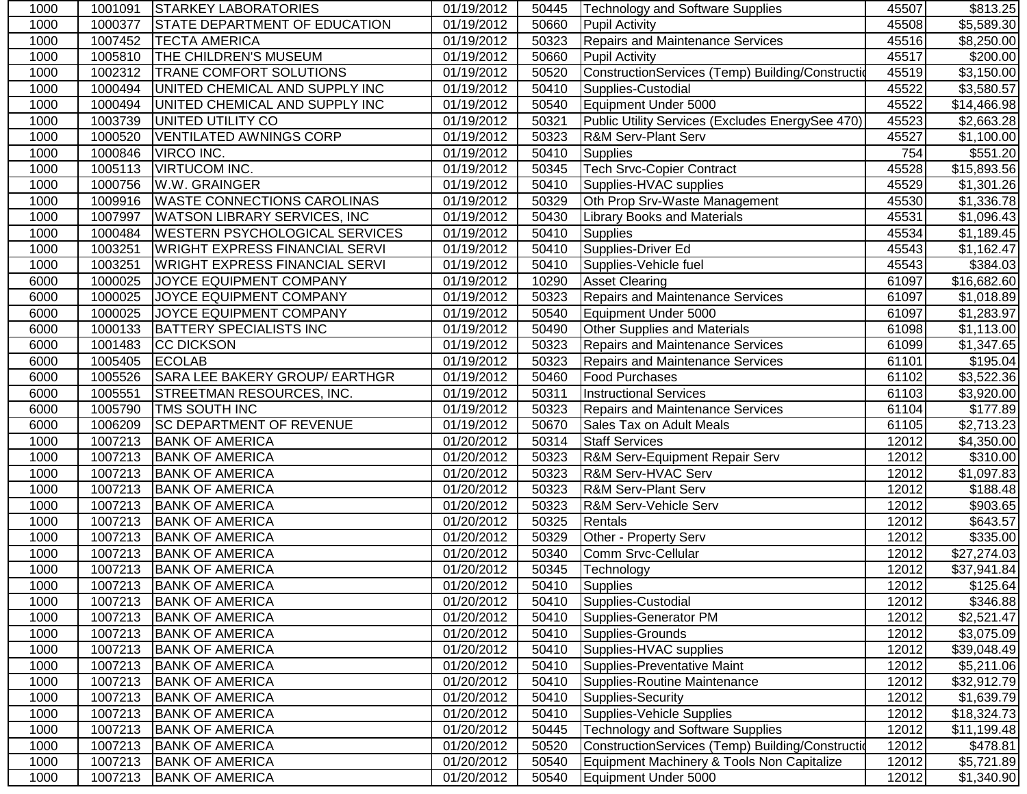| 1000 | 1001091 | STARKEY LABORATORIES                  | 01/19/2012 | 50445 | Technology and Software Supplies                  | 45507 | \$813.25             |
|------|---------|---------------------------------------|------------|-------|---------------------------------------------------|-------|----------------------|
| 1000 | 1000377 | <b>STATE DEPARTMENT OF EDUCATION</b>  | 01/19/2012 | 50660 | <b>Pupil Activity</b>                             | 45508 | \$5,589.30           |
| 1000 | 1007452 | <b>TECTA AMERICA</b>                  | 01/19/2012 | 50323 | <b>Repairs and Maintenance Services</b>           | 45516 | \$8,250.00           |
| 1000 | 1005810 | <b>THE CHILDREN'S MUSEUM</b>          | 01/19/2012 | 50660 | <b>Pupil Activity</b>                             | 45517 | \$200.00             |
| 1000 | 1002312 | <b>TRANE COMFORT SOLUTIONS</b>        | 01/19/2012 | 50520 | ConstructionServices (Temp) Building/Construction | 45519 | \$3,150.00           |
| 1000 | 1000494 | UNITED CHEMICAL AND SUPPLY INC        | 01/19/2012 | 50410 | Supplies-Custodial                                | 45522 | \$3,580.57           |
| 1000 | 1000494 | UNITED CHEMICAL AND SUPPLY INC        | 01/19/2012 | 50540 | Equipment Under 5000                              | 45522 | \$14,466.98          |
| 1000 | 1003739 | UNITED UTILITY CO                     | 01/19/2012 | 50321 | Public Utility Services (Excludes EnergySee 470)  | 45523 | \$2,663.28           |
| 1000 | 1000520 | <b>VENTILATED AWNINGS CORP</b>        | 01/19/2012 | 50323 | R&M Serv-Plant Serv                               | 45527 | \$1,100.00           |
| 1000 | 1000846 | VIRCO INC.                            | 01/19/2012 | 50410 | Supplies                                          | 754   | \$551.20             |
| 1000 | 1005113 | <b>VIRTUCOM INC.</b>                  | 01/19/2012 | 50345 | <b>Tech Srvc-Copier Contract</b>                  | 45528 | \$15,893.56          |
| 1000 | 1000756 | W.W. GRAINGER                         | 01/19/2012 | 50410 | Supplies-HVAC supplies                            | 45529 | \$1,301.26           |
| 1000 | 1009916 | <b>WASTE CONNECTIONS CAROLINAS</b>    | 01/19/2012 | 50329 | Oth Prop Srv-Waste Management                     | 45530 | \$1,336.78           |
| 1000 | 1007997 | WATSON LIBRARY SERVICES, INC          | 01/19/2012 | 50430 | <b>Library Books and Materials</b>                | 45531 | \$1,096.43           |
| 1000 | 1000484 | <b>WESTERN PSYCHOLOGICAL SERVICES</b> | 01/19/2012 | 50410 | <b>Supplies</b>                                   | 45534 | \$1,189.45           |
| 1000 | 1003251 | <b>WRIGHT EXPRESS FINANCIAL SERVI</b> | 01/19/2012 | 50410 | Supplies-Driver Ed                                | 45543 | \$1,162.47           |
| 1000 | 1003251 | <b>WRIGHT EXPRESS FINANCIAL SERVI</b> | 01/19/2012 | 50410 | Supplies-Vehicle fuel                             | 45543 | \$384.03             |
| 6000 | 1000025 | JOYCE EQUIPMENT COMPANY               | 01/19/2012 | 10290 | <b>Asset Clearing</b>                             | 61097 | \$16,682.60          |
| 6000 | 1000025 | JOYCE EQUIPMENT COMPANY               | 01/19/2012 | 50323 | <b>Repairs and Maintenance Services</b>           | 61097 | \$1,018.89           |
| 6000 | 1000025 | JOYCE EQUIPMENT COMPANY               | 01/19/2012 | 50540 | Equipment Under 5000                              | 61097 | \$1,283.97           |
| 6000 | 1000133 | <b>BATTERY SPECIALISTS INC</b>        | 01/19/2012 | 50490 | <b>Other Supplies and Materials</b>               | 61098 | \$1,113.00           |
| 6000 | 1001483 | <b>CC DICKSON</b>                     | 01/19/2012 | 50323 | <b>Repairs and Maintenance Services</b>           | 61099 | \$1,347.65           |
| 6000 | 1005405 | <b>ECOLAB</b>                         | 01/19/2012 | 50323 | Repairs and Maintenance Services                  | 61101 | \$195.04             |
| 6000 | 1005526 | SARA LEE BAKERY GROUP/ EARTHGR        | 01/19/2012 | 50460 | <b>Food Purchases</b>                             | 61102 | \$3,522.36           |
| 6000 | 1005551 | STREETMAN RESOURCES, INC.             | 01/19/2012 | 50311 | <b>Instructional Services</b>                     | 61103 | \$3,920.00           |
| 6000 | 1005790 | TMS SOUTH INC                         | 01/19/2012 | 50323 | <b>Repairs and Maintenance Services</b>           | 61104 | \$177.89             |
| 6000 | 1006209 | SC DEPARTMENT OF REVENUE              | 01/19/2012 | 50670 | Sales Tax on Adult Meals                          | 61105 | \$2,713.23           |
| 1000 | 1007213 | <b>BANK OF AMERICA</b>                | 01/20/2012 | 50314 | <b>Staff Services</b>                             | 12012 | \$4,350.00           |
| 1000 | 1007213 | <b>BANK OF AMERICA</b>                | 01/20/2012 | 50323 | R&M Serv-Equipment Repair Serv                    | 12012 | \$310.00             |
| 1000 | 1007213 | <b>BANK OF AMERICA</b>                | 01/20/2012 | 50323 | R&M Serv-HVAC Serv                                | 12012 | \$1,097.83           |
| 1000 | 1007213 | <b>BANK OF AMERICA</b>                | 01/20/2012 | 50323 | <b>R&amp;M Serv-Plant Serv</b>                    | 12012 | $\overline{$}188.48$ |
| 1000 | 1007213 | <b>BANK OF AMERICA</b>                | 01/20/2012 | 50323 | R&M Serv-Vehicle Serv                             | 12012 | \$903.65             |
| 1000 | 1007213 | <b>BANK OF AMERICA</b>                | 01/20/2012 | 50325 | Rentals                                           | 12012 | \$643.57             |
| 1000 | 1007213 | <b>BANK OF AMERICA</b>                | 01/20/2012 | 50329 | Other - Property Serv                             | 12012 | \$335.00             |
| 1000 | 1007213 | <b>BANK OF AMERICA</b>                | 01/20/2012 | 50340 | Comm Srvc-Cellular                                | 12012 | \$27,274.03          |
| 1000 | 1007213 | <b>BANK OF AMERICA</b>                | 01/20/2012 | 50345 | Technology                                        | 12012 | \$37,941.84          |
| 1000 |         | 1007213 BANK OF AMERICA               | 01/20/2012 |       | 50410 Supplies                                    | 12012 | \$125.64             |
| 1000 | 1007213 | <b>BANK OF AMERICA</b>                | 01/20/2012 | 50410 | Supplies-Custodial                                | 12012 | \$346.88             |
| 1000 | 1007213 | <b>BANK OF AMERICA</b>                | 01/20/2012 | 50410 | Supplies-Generator PM                             | 12012 | \$2,521.47           |
| 1000 | 1007213 | <b>BANK OF AMERICA</b>                | 01/20/2012 | 50410 | Supplies-Grounds                                  | 12012 | \$3,075.09           |
| 1000 | 1007213 | <b>BANK OF AMERICA</b>                | 01/20/2012 | 50410 | Supplies-HVAC supplies                            | 12012 | \$39,048.49          |
| 1000 | 1007213 | <b>BANK OF AMERICA</b>                | 01/20/2012 | 50410 | Supplies-Preventative Maint                       | 12012 | \$5,211.06           |
| 1000 | 1007213 | <b>BANK OF AMERICA</b>                | 01/20/2012 | 50410 | Supplies-Routine Maintenance                      | 12012 | \$32,912.79          |
| 1000 | 1007213 | <b>BANK OF AMERICA</b>                | 01/20/2012 | 50410 | Supplies-Security                                 | 12012 | \$1,639.79           |
| 1000 | 1007213 | <b>BANK OF AMERICA</b>                | 01/20/2012 | 50410 | Supplies-Vehicle Supplies                         | 12012 | \$18,324.73          |
| 1000 | 1007213 | <b>BANK OF AMERICA</b>                | 01/20/2012 | 50445 | <b>Technology and Software Supplies</b>           | 12012 | \$11,199.48          |
| 1000 | 1007213 | <b>BANK OF AMERICA</b>                | 01/20/2012 | 50520 | ConstructionServices (Temp) Building/Construction | 12012 | \$478.81             |
| 1000 | 1007213 | <b>BANK OF AMERICA</b>                | 01/20/2012 | 50540 | Equipment Machinery & Tools Non Capitalize        | 12012 | \$5,721.89           |
| 1000 | 1007213 | <b>BANK OF AMERICA</b>                | 01/20/2012 | 50540 | Equipment Under 5000                              | 12012 | \$1,340.90           |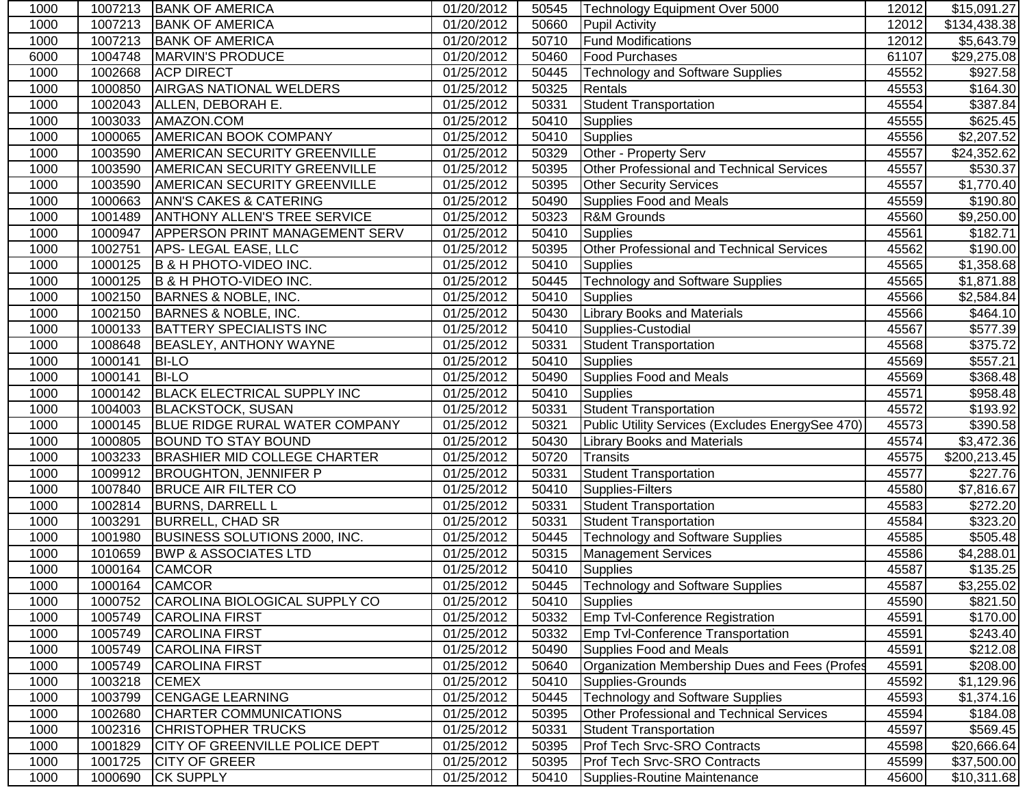| <b>BANK OF AMERICA</b><br>1000<br>1007213<br>01/20/2012<br><b>Pupil Activity</b><br>12012<br>\$134,438.38<br>50660<br>1007213<br><b>BANK OF AMERICA</b><br>01/20/2012<br>50710<br><b>Fund Modifications</b><br>12012<br>1000<br>MARVIN'S PRODUCE<br>01/20/2012<br>\$29,275.08<br>6000<br>1004748<br>50460<br><b>Food Purchases</b><br>61107<br><b>ACP DIRECT</b><br>1002668<br>01/25/2012<br>50445<br><b>Technology and Software Supplies</b><br>45552<br>1000<br><b>AIRGAS NATIONAL WELDERS</b><br>1000850<br>01/25/2012<br>50325<br>Rentals<br>45553<br>1000<br>ALLEN, DEBORAH E.<br>\$387.84<br>1002043<br>01/25/2012<br>50331<br><b>Student Transportation</b><br>45554<br>1000<br>1003033<br>AMAZON.COM<br>1000<br>01/25/2012<br>50410<br><b>Supplies</b><br>45555<br>1000065<br><b>AMERICAN BOOK COMPANY</b><br>01/25/2012<br><b>Supplies</b><br>1000<br>50410<br>45556<br>1003590<br><b>AMERICAN SECURITY GREENVILLE</b><br>01/25/2012<br>50329<br>Other - Property Serv<br>45557<br>1000<br>45557<br>1000<br>1003590<br><b>AMERICAN SECURITY GREENVILLE</b><br>01/25/2012<br>50395<br>Other Professional and Technical Services<br>1000<br>1003590<br><b>AMERICAN SECURITY GREENVILLE</b><br>01/25/2012<br>50395<br>45557<br><b>Other Security Services</b><br>1000663<br><b>ANN'S CAKES &amp; CATERING</b><br>01/25/2012<br>50490<br>Supplies Food and Meals<br>45559<br>1000<br>R&M Grounds<br>1001489<br><b>ANTHONY ALLEN'S TREE SERVICE</b><br>01/25/2012<br>50323<br>45560<br>1000<br><b>APPERSON PRINT MANAGEMENT SERV</b><br>01/25/2012<br>\$182.71<br>1000<br>1000947<br>50410<br><b>Supplies</b><br>45561<br>1000<br>1002751<br>APS-LEGAL EASE, LLC<br>01/25/2012<br>50395<br>Other Professional and Technical Services<br>45562<br>1000125<br>B & H PHOTO-VIDEO INC.<br>01/25/2012<br>1000<br>50410<br><b>Supplies</b><br>45565<br><b>Technology and Software Supplies</b><br>1000<br>1000125<br>B & H PHOTO-VIDEO INC.<br>01/25/2012<br>50445<br>45565<br>BARNES & NOBLE, INC.<br>1002150<br>01/25/2012<br>50410<br><b>Supplies</b><br>45566<br>1000<br><b>Library Books and Materials</b><br>1002150<br>BARNES & NOBLE, INC.<br>01/25/2012<br>50430<br>45566<br>1000<br><b>BATTERY SPECIALISTS INC</b><br>1000133<br>01/25/2012<br>Supplies-Custodial<br>45567<br>1000<br>50410<br><b>BEASLEY, ANTHONY WAYNE</b><br>\$375.72<br>1008648<br>01/25/2012<br>50331<br><b>Student Transportation</b><br>45568<br>1000<br>01/25/2012<br>3557.21<br>1000141<br><b>BI-LO</b><br>50410<br><b>Supplies</b><br>45569<br>1000<br>1000141<br><b>BI-LO</b><br>01/25/2012<br>50490<br>Supplies Food and Meals<br>45569<br>1000<br><b>BLACK ELECTRICAL SUPPLY INC</b><br>1000142<br>01/25/2012<br>45571<br>1000<br>50410<br><b>Supplies</b><br><b>BLACKSTOCK, SUSAN</b><br>\$193.92<br>1004003<br>01/25/2012<br><b>Student Transportation</b><br>45572<br>1000<br>50331<br>Public Utility Services (Excludes EnergySee 470)<br>45573<br>1000145<br><b>BLUE RIDGE RURAL WATER COMPANY</b><br>01/25/2012<br>50321<br>1000<br>1000805<br><b>BOUND TO STAY BOUND</b><br>01/25/2012<br>50430<br><b>Library Books and Materials</b><br>45574<br>1000<br>45575<br>1000<br>1003233<br><b>BRASHIER MID COLLEGE CHARTER</b><br>01/25/2012<br>50720<br><b>Transits</b><br>1009912<br><b>BROUGHTON, JENNIFER P</b><br>01/25/2012<br>50331<br><b>Student Transportation</b><br>45577<br>1000<br>1007840<br><b>BRUCE AIR FILTER CO</b><br>01/25/2012<br>50410<br>Supplies-Filters<br>1000<br>45580<br><b>Student Transportation</b><br>1002814<br><b>BURNS, DARRELL L</b><br>01/25/2012<br>50331<br>45583<br>1000<br>1003291<br><b>BURRELL, CHAD SR</b><br>01/25/2012<br>50331<br>1000<br><b>Student Transportation</b><br>45584<br>1001980<br>BUSINESS SOLUTIONS 2000, INC.<br>01/25/2012<br><b>Technology and Software Supplies</b><br>1000<br>50445<br>45585<br>\$4,288.01<br>1000<br>1010659<br><b>BWP &amp; ASSOCIATES LTD</b><br>01/25/2012<br>50315<br><b>Management Services</b><br>45586<br><b>CAMCOR</b><br>01/25/2012<br>1000<br>1000164<br>50410<br>Supplies<br>45587<br>1000164 CAMCOR<br>50445 Technology and Software Supplies<br>45587<br>\$3,255.02<br>1000<br>01/25/2012<br>CAROLINA BIOLOGICAL SUPPLY CO<br>45590<br>1000<br>01/25/2012<br>1000752<br>50410<br>Supplies<br><b>CAROLINA FIRST</b><br>01/25/2012<br><b>Emp Tvl-Conference Registration</b><br>1000<br>1005749<br>50332<br>45591<br>1005749<br><b>CAROLINA FIRST</b><br>01/25/2012<br>50332<br><b>Emp Tvl-Conference Transportation</b><br>45591<br>1000<br>45591<br>1005749<br><b>CAROLINA FIRST</b><br>01/25/2012<br>50490<br>\$212.08<br>1000<br>Supplies Food and Meals<br><b>CAROLINA FIRST</b><br>01/25/2012<br>45591<br>\$208.00<br>1000<br>1005749<br>Organization Membership Dues and Fees (Profes<br>50640<br>1003218<br><b>CEMEX</b><br>01/25/2012<br>Supplies-Grounds<br>45592<br>1000<br>50410<br><b>CENGAGE LEARNING</b><br>1003799<br>01/25/2012<br>50445<br><b>Technology and Software Supplies</b><br>45593<br>1000<br>01/25/2012<br>Other Professional and Technical Services<br>45594<br>1000<br>1002680<br><b>CHARTER COMMUNICATIONS</b><br>50395<br>45597<br>1002316<br><b>CHRISTOPHER TRUCKS</b><br>01/25/2012<br>50331<br>1000<br><b>Student Transportation</b><br><b>CITY OF GREENVILLE POLICE DEPT</b><br>1000<br>1001829<br>01/25/2012<br>50395<br><b>Prof Tech Srvc-SRO Contracts</b><br>45598<br>1001725<br><b>CITY OF GREER</b><br>01/25/2012<br><b>Prof Tech Srvc-SRO Contracts</b><br>1000<br>50395<br>45599<br>1000<br>1000690<br><b>CK SUPPLY</b><br>01/25/2012<br>Supplies-Routine Maintenance<br>45600<br>50410 | 1000 | 1007213 | <b>BANK OF AMERICA</b> | 01/20/2012 | 50545 | Technology Equipment Over 5000 | 12012 | \$15,091.27            |
|--------------------------------------------------------------------------------------------------------------------------------------------------------------------------------------------------------------------------------------------------------------------------------------------------------------------------------------------------------------------------------------------------------------------------------------------------------------------------------------------------------------------------------------------------------------------------------------------------------------------------------------------------------------------------------------------------------------------------------------------------------------------------------------------------------------------------------------------------------------------------------------------------------------------------------------------------------------------------------------------------------------------------------------------------------------------------------------------------------------------------------------------------------------------------------------------------------------------------------------------------------------------------------------------------------------------------------------------------------------------------------------------------------------------------------------------------------------------------------------------------------------------------------------------------------------------------------------------------------------------------------------------------------------------------------------------------------------------------------------------------------------------------------------------------------------------------------------------------------------------------------------------------------------------------------------------------------------------------------------------------------------------------------------------------------------------------------------------------------------------------------------------------------------------------------------------------------------------------------------------------------------------------------------------------------------------------------------------------------------------------------------------------------------------------------------------------------------------------------------------------------------------------------------------------------------------------------------------------------------------------------------------------------------------------------------------------------------------------------------------------------------------------------------------------------------------------------------------------------------------------------------------------------------------------------------------------------------------------------------------------------------------------------------------------------------------------------------------------------------------------------------------------------------------------------------------------------------------------------------------------------------------------------------------------------------------------------------------------------------------------------------------------------------------------------------------------------------------------------------------------------------------------------------------------------------------------------------------------------------------------------------------------------------------------------------------------------------------------------------------------------------------------------------------------------------------------------------------------------------------------------------------------------------------------------------------------------------------------------------------------------------------------------------------------------------------------------------------------------------------------------------------------------------------------------------------------------------------------------------------------------------------------------------------------------------------------------------------------------------------------------------------------------------------------------------------------------------------------------------------------------------------------------------------------------------------------------------------------------------------------------------------------------------------------------------------------------------------------------------------------------------------------------------------------------------------------------------------------------------------------------------------------------------------------------------------------------------------------------------------------------------------------------------------------------------------------------------------------------------------------------------------------------------------------------------------------------------------------------------------------------------------------------------------------------------------------------------------------------------------------------------------------------------------------------------------------------------------------------------------------------------------------------------------------------------------------------------------------------------------------|------|---------|------------------------|------------|-------|--------------------------------|-------|------------------------|
|                                                                                                                                                                                                                                                                                                                                                                                                                                                                                                                                                                                                                                                                                                                                                                                                                                                                                                                                                                                                                                                                                                                                                                                                                                                                                                                                                                                                                                                                                                                                                                                                                                                                                                                                                                                                                                                                                                                                                                                                                                                                                                                                                                                                                                                                                                                                                                                                                                                                                                                                                                                                                                                                                                                                                                                                                                                                                                                                                                                                                                                                                                                                                                                                                                                                                                                                                                                                                                                                                                                                                                                                                                                                                                                                                                                                                                                                                                                                                                                                                                                                                                                                                                                                                                                                                                                                                                                                                                                                                                                                                                                                                                                                                                                                                                                                                                                                                                                                                                                                                                                                                                                                                                                                                                                                                                                                                                                                                                                                                                                                                                                                                          |      |         |                        |            |       |                                |       |                        |
|                                                                                                                                                                                                                                                                                                                                                                                                                                                                                                                                                                                                                                                                                                                                                                                                                                                                                                                                                                                                                                                                                                                                                                                                                                                                                                                                                                                                                                                                                                                                                                                                                                                                                                                                                                                                                                                                                                                                                                                                                                                                                                                                                                                                                                                                                                                                                                                                                                                                                                                                                                                                                                                                                                                                                                                                                                                                                                                                                                                                                                                                                                                                                                                                                                                                                                                                                                                                                                                                                                                                                                                                                                                                                                                                                                                                                                                                                                                                                                                                                                                                                                                                                                                                                                                                                                                                                                                                                                                                                                                                                                                                                                                                                                                                                                                                                                                                                                                                                                                                                                                                                                                                                                                                                                                                                                                                                                                                                                                                                                                                                                                                                          |      |         |                        |            |       |                                |       | \$5,643.79             |
|                                                                                                                                                                                                                                                                                                                                                                                                                                                                                                                                                                                                                                                                                                                                                                                                                                                                                                                                                                                                                                                                                                                                                                                                                                                                                                                                                                                                                                                                                                                                                                                                                                                                                                                                                                                                                                                                                                                                                                                                                                                                                                                                                                                                                                                                                                                                                                                                                                                                                                                                                                                                                                                                                                                                                                                                                                                                                                                                                                                                                                                                                                                                                                                                                                                                                                                                                                                                                                                                                                                                                                                                                                                                                                                                                                                                                                                                                                                                                                                                                                                                                                                                                                                                                                                                                                                                                                                                                                                                                                                                                                                                                                                                                                                                                                                                                                                                                                                                                                                                                                                                                                                                                                                                                                                                                                                                                                                                                                                                                                                                                                                                                          |      |         |                        |            |       |                                |       |                        |
|                                                                                                                                                                                                                                                                                                                                                                                                                                                                                                                                                                                                                                                                                                                                                                                                                                                                                                                                                                                                                                                                                                                                                                                                                                                                                                                                                                                                                                                                                                                                                                                                                                                                                                                                                                                                                                                                                                                                                                                                                                                                                                                                                                                                                                                                                                                                                                                                                                                                                                                                                                                                                                                                                                                                                                                                                                                                                                                                                                                                                                                                                                                                                                                                                                                                                                                                                                                                                                                                                                                                                                                                                                                                                                                                                                                                                                                                                                                                                                                                                                                                                                                                                                                                                                                                                                                                                                                                                                                                                                                                                                                                                                                                                                                                                                                                                                                                                                                                                                                                                                                                                                                                                                                                                                                                                                                                                                                                                                                                                                                                                                                                                          |      |         |                        |            |       |                                |       | \$927.58               |
|                                                                                                                                                                                                                                                                                                                                                                                                                                                                                                                                                                                                                                                                                                                                                                                                                                                                                                                                                                                                                                                                                                                                                                                                                                                                                                                                                                                                                                                                                                                                                                                                                                                                                                                                                                                                                                                                                                                                                                                                                                                                                                                                                                                                                                                                                                                                                                                                                                                                                                                                                                                                                                                                                                                                                                                                                                                                                                                                                                                                                                                                                                                                                                                                                                                                                                                                                                                                                                                                                                                                                                                                                                                                                                                                                                                                                                                                                                                                                                                                                                                                                                                                                                                                                                                                                                                                                                                                                                                                                                                                                                                                                                                                                                                                                                                                                                                                                                                                                                                                                                                                                                                                                                                                                                                                                                                                                                                                                                                                                                                                                                                                                          |      |         |                        |            |       |                                |       | \$164.30               |
|                                                                                                                                                                                                                                                                                                                                                                                                                                                                                                                                                                                                                                                                                                                                                                                                                                                                                                                                                                                                                                                                                                                                                                                                                                                                                                                                                                                                                                                                                                                                                                                                                                                                                                                                                                                                                                                                                                                                                                                                                                                                                                                                                                                                                                                                                                                                                                                                                                                                                                                                                                                                                                                                                                                                                                                                                                                                                                                                                                                                                                                                                                                                                                                                                                                                                                                                                                                                                                                                                                                                                                                                                                                                                                                                                                                                                                                                                                                                                                                                                                                                                                                                                                                                                                                                                                                                                                                                                                                                                                                                                                                                                                                                                                                                                                                                                                                                                                                                                                                                                                                                                                                                                                                                                                                                                                                                                                                                                                                                                                                                                                                                                          |      |         |                        |            |       |                                |       |                        |
|                                                                                                                                                                                                                                                                                                                                                                                                                                                                                                                                                                                                                                                                                                                                                                                                                                                                                                                                                                                                                                                                                                                                                                                                                                                                                                                                                                                                                                                                                                                                                                                                                                                                                                                                                                                                                                                                                                                                                                                                                                                                                                                                                                                                                                                                                                                                                                                                                                                                                                                                                                                                                                                                                                                                                                                                                                                                                                                                                                                                                                                                                                                                                                                                                                                                                                                                                                                                                                                                                                                                                                                                                                                                                                                                                                                                                                                                                                                                                                                                                                                                                                                                                                                                                                                                                                                                                                                                                                                                                                                                                                                                                                                                                                                                                                                                                                                                                                                                                                                                                                                                                                                                                                                                                                                                                                                                                                                                                                                                                                                                                                                                                          |      |         |                        |            |       |                                |       | \$625.45               |
|                                                                                                                                                                                                                                                                                                                                                                                                                                                                                                                                                                                                                                                                                                                                                                                                                                                                                                                                                                                                                                                                                                                                                                                                                                                                                                                                                                                                                                                                                                                                                                                                                                                                                                                                                                                                                                                                                                                                                                                                                                                                                                                                                                                                                                                                                                                                                                                                                                                                                                                                                                                                                                                                                                                                                                                                                                                                                                                                                                                                                                                                                                                                                                                                                                                                                                                                                                                                                                                                                                                                                                                                                                                                                                                                                                                                                                                                                                                                                                                                                                                                                                                                                                                                                                                                                                                                                                                                                                                                                                                                                                                                                                                                                                                                                                                                                                                                                                                                                                                                                                                                                                                                                                                                                                                                                                                                                                                                                                                                                                                                                                                                                          |      |         |                        |            |       |                                |       | \$2,207.52             |
|                                                                                                                                                                                                                                                                                                                                                                                                                                                                                                                                                                                                                                                                                                                                                                                                                                                                                                                                                                                                                                                                                                                                                                                                                                                                                                                                                                                                                                                                                                                                                                                                                                                                                                                                                                                                                                                                                                                                                                                                                                                                                                                                                                                                                                                                                                                                                                                                                                                                                                                                                                                                                                                                                                                                                                                                                                                                                                                                                                                                                                                                                                                                                                                                                                                                                                                                                                                                                                                                                                                                                                                                                                                                                                                                                                                                                                                                                                                                                                                                                                                                                                                                                                                                                                                                                                                                                                                                                                                                                                                                                                                                                                                                                                                                                                                                                                                                                                                                                                                                                                                                                                                                                                                                                                                                                                                                                                                                                                                                                                                                                                                                                          |      |         |                        |            |       |                                |       | \$24,352.62            |
|                                                                                                                                                                                                                                                                                                                                                                                                                                                                                                                                                                                                                                                                                                                                                                                                                                                                                                                                                                                                                                                                                                                                                                                                                                                                                                                                                                                                                                                                                                                                                                                                                                                                                                                                                                                                                                                                                                                                                                                                                                                                                                                                                                                                                                                                                                                                                                                                                                                                                                                                                                                                                                                                                                                                                                                                                                                                                                                                                                                                                                                                                                                                                                                                                                                                                                                                                                                                                                                                                                                                                                                                                                                                                                                                                                                                                                                                                                                                                                                                                                                                                                                                                                                                                                                                                                                                                                                                                                                                                                                                                                                                                                                                                                                                                                                                                                                                                                                                                                                                                                                                                                                                                                                                                                                                                                                                                                                                                                                                                                                                                                                                                          |      |         |                        |            |       |                                |       | \$530.37               |
|                                                                                                                                                                                                                                                                                                                                                                                                                                                                                                                                                                                                                                                                                                                                                                                                                                                                                                                                                                                                                                                                                                                                                                                                                                                                                                                                                                                                                                                                                                                                                                                                                                                                                                                                                                                                                                                                                                                                                                                                                                                                                                                                                                                                                                                                                                                                                                                                                                                                                                                                                                                                                                                                                                                                                                                                                                                                                                                                                                                                                                                                                                                                                                                                                                                                                                                                                                                                                                                                                                                                                                                                                                                                                                                                                                                                                                                                                                                                                                                                                                                                                                                                                                                                                                                                                                                                                                                                                                                                                                                                                                                                                                                                                                                                                                                                                                                                                                                                                                                                                                                                                                                                                                                                                                                                                                                                                                                                                                                                                                                                                                                                                          |      |         |                        |            |       |                                |       | \$1,770.40             |
|                                                                                                                                                                                                                                                                                                                                                                                                                                                                                                                                                                                                                                                                                                                                                                                                                                                                                                                                                                                                                                                                                                                                                                                                                                                                                                                                                                                                                                                                                                                                                                                                                                                                                                                                                                                                                                                                                                                                                                                                                                                                                                                                                                                                                                                                                                                                                                                                                                                                                                                                                                                                                                                                                                                                                                                                                                                                                                                                                                                                                                                                                                                                                                                                                                                                                                                                                                                                                                                                                                                                                                                                                                                                                                                                                                                                                                                                                                                                                                                                                                                                                                                                                                                                                                                                                                                                                                                                                                                                                                                                                                                                                                                                                                                                                                                                                                                                                                                                                                                                                                                                                                                                                                                                                                                                                                                                                                                                                                                                                                                                                                                                                          |      |         |                        |            |       |                                |       | \$190.80               |
|                                                                                                                                                                                                                                                                                                                                                                                                                                                                                                                                                                                                                                                                                                                                                                                                                                                                                                                                                                                                                                                                                                                                                                                                                                                                                                                                                                                                                                                                                                                                                                                                                                                                                                                                                                                                                                                                                                                                                                                                                                                                                                                                                                                                                                                                                                                                                                                                                                                                                                                                                                                                                                                                                                                                                                                                                                                                                                                                                                                                                                                                                                                                                                                                                                                                                                                                                                                                                                                                                                                                                                                                                                                                                                                                                                                                                                                                                                                                                                                                                                                                                                                                                                                                                                                                                                                                                                                                                                                                                                                                                                                                                                                                                                                                                                                                                                                                                                                                                                                                                                                                                                                                                                                                                                                                                                                                                                                                                                                                                                                                                                                                                          |      |         |                        |            |       |                                |       | \$9,250.00             |
|                                                                                                                                                                                                                                                                                                                                                                                                                                                                                                                                                                                                                                                                                                                                                                                                                                                                                                                                                                                                                                                                                                                                                                                                                                                                                                                                                                                                                                                                                                                                                                                                                                                                                                                                                                                                                                                                                                                                                                                                                                                                                                                                                                                                                                                                                                                                                                                                                                                                                                                                                                                                                                                                                                                                                                                                                                                                                                                                                                                                                                                                                                                                                                                                                                                                                                                                                                                                                                                                                                                                                                                                                                                                                                                                                                                                                                                                                                                                                                                                                                                                                                                                                                                                                                                                                                                                                                                                                                                                                                                                                                                                                                                                                                                                                                                                                                                                                                                                                                                                                                                                                                                                                                                                                                                                                                                                                                                                                                                                                                                                                                                                                          |      |         |                        |            |       |                                |       |                        |
|                                                                                                                                                                                                                                                                                                                                                                                                                                                                                                                                                                                                                                                                                                                                                                                                                                                                                                                                                                                                                                                                                                                                                                                                                                                                                                                                                                                                                                                                                                                                                                                                                                                                                                                                                                                                                                                                                                                                                                                                                                                                                                                                                                                                                                                                                                                                                                                                                                                                                                                                                                                                                                                                                                                                                                                                                                                                                                                                                                                                                                                                                                                                                                                                                                                                                                                                                                                                                                                                                                                                                                                                                                                                                                                                                                                                                                                                                                                                                                                                                                                                                                                                                                                                                                                                                                                                                                                                                                                                                                                                                                                                                                                                                                                                                                                                                                                                                                                                                                                                                                                                                                                                                                                                                                                                                                                                                                                                                                                                                                                                                                                                                          |      |         |                        |            |       |                                |       | \$190.00               |
|                                                                                                                                                                                                                                                                                                                                                                                                                                                                                                                                                                                                                                                                                                                                                                                                                                                                                                                                                                                                                                                                                                                                                                                                                                                                                                                                                                                                                                                                                                                                                                                                                                                                                                                                                                                                                                                                                                                                                                                                                                                                                                                                                                                                                                                                                                                                                                                                                                                                                                                                                                                                                                                                                                                                                                                                                                                                                                                                                                                                                                                                                                                                                                                                                                                                                                                                                                                                                                                                                                                                                                                                                                                                                                                                                                                                                                                                                                                                                                                                                                                                                                                                                                                                                                                                                                                                                                                                                                                                                                                                                                                                                                                                                                                                                                                                                                                                                                                                                                                                                                                                                                                                                                                                                                                                                                                                                                                                                                                                                                                                                                                                                          |      |         |                        |            |       |                                |       | \$1,358.68             |
|                                                                                                                                                                                                                                                                                                                                                                                                                                                                                                                                                                                                                                                                                                                                                                                                                                                                                                                                                                                                                                                                                                                                                                                                                                                                                                                                                                                                                                                                                                                                                                                                                                                                                                                                                                                                                                                                                                                                                                                                                                                                                                                                                                                                                                                                                                                                                                                                                                                                                                                                                                                                                                                                                                                                                                                                                                                                                                                                                                                                                                                                                                                                                                                                                                                                                                                                                                                                                                                                                                                                                                                                                                                                                                                                                                                                                                                                                                                                                                                                                                                                                                                                                                                                                                                                                                                                                                                                                                                                                                                                                                                                                                                                                                                                                                                                                                                                                                                                                                                                                                                                                                                                                                                                                                                                                                                                                                                                                                                                                                                                                                                                                          |      |         |                        |            |       |                                |       | \$1,871.88             |
|                                                                                                                                                                                                                                                                                                                                                                                                                                                                                                                                                                                                                                                                                                                                                                                                                                                                                                                                                                                                                                                                                                                                                                                                                                                                                                                                                                                                                                                                                                                                                                                                                                                                                                                                                                                                                                                                                                                                                                                                                                                                                                                                                                                                                                                                                                                                                                                                                                                                                                                                                                                                                                                                                                                                                                                                                                                                                                                                                                                                                                                                                                                                                                                                                                                                                                                                                                                                                                                                                                                                                                                                                                                                                                                                                                                                                                                                                                                                                                                                                                                                                                                                                                                                                                                                                                                                                                                                                                                                                                                                                                                                                                                                                                                                                                                                                                                                                                                                                                                                                                                                                                                                                                                                                                                                                                                                                                                                                                                                                                                                                                                                                          |      |         |                        |            |       |                                |       | \$2,584.84             |
|                                                                                                                                                                                                                                                                                                                                                                                                                                                                                                                                                                                                                                                                                                                                                                                                                                                                                                                                                                                                                                                                                                                                                                                                                                                                                                                                                                                                                                                                                                                                                                                                                                                                                                                                                                                                                                                                                                                                                                                                                                                                                                                                                                                                                                                                                                                                                                                                                                                                                                                                                                                                                                                                                                                                                                                                                                                                                                                                                                                                                                                                                                                                                                                                                                                                                                                                                                                                                                                                                                                                                                                                                                                                                                                                                                                                                                                                                                                                                                                                                                                                                                                                                                                                                                                                                                                                                                                                                                                                                                                                                                                                                                                                                                                                                                                                                                                                                                                                                                                                                                                                                                                                                                                                                                                                                                                                                                                                                                                                                                                                                                                                                          |      |         |                        |            |       |                                |       | \$464.10               |
|                                                                                                                                                                                                                                                                                                                                                                                                                                                                                                                                                                                                                                                                                                                                                                                                                                                                                                                                                                                                                                                                                                                                                                                                                                                                                                                                                                                                                                                                                                                                                                                                                                                                                                                                                                                                                                                                                                                                                                                                                                                                                                                                                                                                                                                                                                                                                                                                                                                                                                                                                                                                                                                                                                                                                                                                                                                                                                                                                                                                                                                                                                                                                                                                                                                                                                                                                                                                                                                                                                                                                                                                                                                                                                                                                                                                                                                                                                                                                                                                                                                                                                                                                                                                                                                                                                                                                                                                                                                                                                                                                                                                                                                                                                                                                                                                                                                                                                                                                                                                                                                                                                                                                                                                                                                                                                                                                                                                                                                                                                                                                                                                                          |      |         |                        |            |       |                                |       | $\overline{$}577.39$   |
|                                                                                                                                                                                                                                                                                                                                                                                                                                                                                                                                                                                                                                                                                                                                                                                                                                                                                                                                                                                                                                                                                                                                                                                                                                                                                                                                                                                                                                                                                                                                                                                                                                                                                                                                                                                                                                                                                                                                                                                                                                                                                                                                                                                                                                                                                                                                                                                                                                                                                                                                                                                                                                                                                                                                                                                                                                                                                                                                                                                                                                                                                                                                                                                                                                                                                                                                                                                                                                                                                                                                                                                                                                                                                                                                                                                                                                                                                                                                                                                                                                                                                                                                                                                                                                                                                                                                                                                                                                                                                                                                                                                                                                                                                                                                                                                                                                                                                                                                                                                                                                                                                                                                                                                                                                                                                                                                                                                                                                                                                                                                                                                                                          |      |         |                        |            |       |                                |       |                        |
|                                                                                                                                                                                                                                                                                                                                                                                                                                                                                                                                                                                                                                                                                                                                                                                                                                                                                                                                                                                                                                                                                                                                                                                                                                                                                                                                                                                                                                                                                                                                                                                                                                                                                                                                                                                                                                                                                                                                                                                                                                                                                                                                                                                                                                                                                                                                                                                                                                                                                                                                                                                                                                                                                                                                                                                                                                                                                                                                                                                                                                                                                                                                                                                                                                                                                                                                                                                                                                                                                                                                                                                                                                                                                                                                                                                                                                                                                                                                                                                                                                                                                                                                                                                                                                                                                                                                                                                                                                                                                                                                                                                                                                                                                                                                                                                                                                                                                                                                                                                                                                                                                                                                                                                                                                                                                                                                                                                                                                                                                                                                                                                                                          |      |         |                        |            |       |                                |       |                        |
|                                                                                                                                                                                                                                                                                                                                                                                                                                                                                                                                                                                                                                                                                                                                                                                                                                                                                                                                                                                                                                                                                                                                                                                                                                                                                                                                                                                                                                                                                                                                                                                                                                                                                                                                                                                                                                                                                                                                                                                                                                                                                                                                                                                                                                                                                                                                                                                                                                                                                                                                                                                                                                                                                                                                                                                                                                                                                                                                                                                                                                                                                                                                                                                                                                                                                                                                                                                                                                                                                                                                                                                                                                                                                                                                                                                                                                                                                                                                                                                                                                                                                                                                                                                                                                                                                                                                                                                                                                                                                                                                                                                                                                                                                                                                                                                                                                                                                                                                                                                                                                                                                                                                                                                                                                                                                                                                                                                                                                                                                                                                                                                                                          |      |         |                        |            |       |                                |       | \$368.48               |
|                                                                                                                                                                                                                                                                                                                                                                                                                                                                                                                                                                                                                                                                                                                                                                                                                                                                                                                                                                                                                                                                                                                                                                                                                                                                                                                                                                                                                                                                                                                                                                                                                                                                                                                                                                                                                                                                                                                                                                                                                                                                                                                                                                                                                                                                                                                                                                                                                                                                                                                                                                                                                                                                                                                                                                                                                                                                                                                                                                                                                                                                                                                                                                                                                                                                                                                                                                                                                                                                                                                                                                                                                                                                                                                                                                                                                                                                                                                                                                                                                                                                                                                                                                                                                                                                                                                                                                                                                                                                                                                                                                                                                                                                                                                                                                                                                                                                                                                                                                                                                                                                                                                                                                                                                                                                                                                                                                                                                                                                                                                                                                                                                          |      |         |                        |            |       |                                |       | \$958.48               |
|                                                                                                                                                                                                                                                                                                                                                                                                                                                                                                                                                                                                                                                                                                                                                                                                                                                                                                                                                                                                                                                                                                                                                                                                                                                                                                                                                                                                                                                                                                                                                                                                                                                                                                                                                                                                                                                                                                                                                                                                                                                                                                                                                                                                                                                                                                                                                                                                                                                                                                                                                                                                                                                                                                                                                                                                                                                                                                                                                                                                                                                                                                                                                                                                                                                                                                                                                                                                                                                                                                                                                                                                                                                                                                                                                                                                                                                                                                                                                                                                                                                                                                                                                                                                                                                                                                                                                                                                                                                                                                                                                                                                                                                                                                                                                                                                                                                                                                                                                                                                                                                                                                                                                                                                                                                                                                                                                                                                                                                                                                                                                                                                                          |      |         |                        |            |       |                                |       |                        |
|                                                                                                                                                                                                                                                                                                                                                                                                                                                                                                                                                                                                                                                                                                                                                                                                                                                                                                                                                                                                                                                                                                                                                                                                                                                                                                                                                                                                                                                                                                                                                                                                                                                                                                                                                                                                                                                                                                                                                                                                                                                                                                                                                                                                                                                                                                                                                                                                                                                                                                                                                                                                                                                                                                                                                                                                                                                                                                                                                                                                                                                                                                                                                                                                                                                                                                                                                                                                                                                                                                                                                                                                                                                                                                                                                                                                                                                                                                                                                                                                                                                                                                                                                                                                                                                                                                                                                                                                                                                                                                                                                                                                                                                                                                                                                                                                                                                                                                                                                                                                                                                                                                                                                                                                                                                                                                                                                                                                                                                                                                                                                                                                                          |      |         |                        |            |       |                                |       | 3390.58                |
|                                                                                                                                                                                                                                                                                                                                                                                                                                                                                                                                                                                                                                                                                                                                                                                                                                                                                                                                                                                                                                                                                                                                                                                                                                                                                                                                                                                                                                                                                                                                                                                                                                                                                                                                                                                                                                                                                                                                                                                                                                                                                                                                                                                                                                                                                                                                                                                                                                                                                                                                                                                                                                                                                                                                                                                                                                                                                                                                                                                                                                                                                                                                                                                                                                                                                                                                                                                                                                                                                                                                                                                                                                                                                                                                                                                                                                                                                                                                                                                                                                                                                                                                                                                                                                                                                                                                                                                                                                                                                                                                                                                                                                                                                                                                                                                                                                                                                                                                                                                                                                                                                                                                                                                                                                                                                                                                                                                                                                                                                                                                                                                                                          |      |         |                        |            |       |                                |       | \$3,472.36             |
|                                                                                                                                                                                                                                                                                                                                                                                                                                                                                                                                                                                                                                                                                                                                                                                                                                                                                                                                                                                                                                                                                                                                                                                                                                                                                                                                                                                                                                                                                                                                                                                                                                                                                                                                                                                                                                                                                                                                                                                                                                                                                                                                                                                                                                                                                                                                                                                                                                                                                                                                                                                                                                                                                                                                                                                                                                                                                                                                                                                                                                                                                                                                                                                                                                                                                                                                                                                                                                                                                                                                                                                                                                                                                                                                                                                                                                                                                                                                                                                                                                                                                                                                                                                                                                                                                                                                                                                                                                                                                                                                                                                                                                                                                                                                                                                                                                                                                                                                                                                                                                                                                                                                                                                                                                                                                                                                                                                                                                                                                                                                                                                                                          |      |         |                        |            |       |                                |       | \$200,213.45           |
|                                                                                                                                                                                                                                                                                                                                                                                                                                                                                                                                                                                                                                                                                                                                                                                                                                                                                                                                                                                                                                                                                                                                                                                                                                                                                                                                                                                                                                                                                                                                                                                                                                                                                                                                                                                                                                                                                                                                                                                                                                                                                                                                                                                                                                                                                                                                                                                                                                                                                                                                                                                                                                                                                                                                                                                                                                                                                                                                                                                                                                                                                                                                                                                                                                                                                                                                                                                                                                                                                                                                                                                                                                                                                                                                                                                                                                                                                                                                                                                                                                                                                                                                                                                                                                                                                                                                                                                                                                                                                                                                                                                                                                                                                                                                                                                                                                                                                                                                                                                                                                                                                                                                                                                                                                                                                                                                                                                                                                                                                                                                                                                                                          |      |         |                        |            |       |                                |       | \$227.76               |
|                                                                                                                                                                                                                                                                                                                                                                                                                                                                                                                                                                                                                                                                                                                                                                                                                                                                                                                                                                                                                                                                                                                                                                                                                                                                                                                                                                                                                                                                                                                                                                                                                                                                                                                                                                                                                                                                                                                                                                                                                                                                                                                                                                                                                                                                                                                                                                                                                                                                                                                                                                                                                                                                                                                                                                                                                                                                                                                                                                                                                                                                                                                                                                                                                                                                                                                                                                                                                                                                                                                                                                                                                                                                                                                                                                                                                                                                                                                                                                                                                                                                                                                                                                                                                                                                                                                                                                                                                                                                                                                                                                                                                                                                                                                                                                                                                                                                                                                                                                                                                                                                                                                                                                                                                                                                                                                                                                                                                                                                                                                                                                                                                          |      |         |                        |            |       |                                |       | $\overline{$7,816.67}$ |
|                                                                                                                                                                                                                                                                                                                                                                                                                                                                                                                                                                                                                                                                                                                                                                                                                                                                                                                                                                                                                                                                                                                                                                                                                                                                                                                                                                                                                                                                                                                                                                                                                                                                                                                                                                                                                                                                                                                                                                                                                                                                                                                                                                                                                                                                                                                                                                                                                                                                                                                                                                                                                                                                                                                                                                                                                                                                                                                                                                                                                                                                                                                                                                                                                                                                                                                                                                                                                                                                                                                                                                                                                                                                                                                                                                                                                                                                                                                                                                                                                                                                                                                                                                                                                                                                                                                                                                                                                                                                                                                                                                                                                                                                                                                                                                                                                                                                                                                                                                                                                                                                                                                                                                                                                                                                                                                                                                                                                                                                                                                                                                                                                          |      |         |                        |            |       |                                |       | \$272.20               |
|                                                                                                                                                                                                                                                                                                                                                                                                                                                                                                                                                                                                                                                                                                                                                                                                                                                                                                                                                                                                                                                                                                                                                                                                                                                                                                                                                                                                                                                                                                                                                                                                                                                                                                                                                                                                                                                                                                                                                                                                                                                                                                                                                                                                                                                                                                                                                                                                                                                                                                                                                                                                                                                                                                                                                                                                                                                                                                                                                                                                                                                                                                                                                                                                                                                                                                                                                                                                                                                                                                                                                                                                                                                                                                                                                                                                                                                                                                                                                                                                                                                                                                                                                                                                                                                                                                                                                                                                                                                                                                                                                                                                                                                                                                                                                                                                                                                                                                                                                                                                                                                                                                                                                                                                                                                                                                                                                                                                                                                                                                                                                                                                                          |      |         |                        |            |       |                                |       | \$323.20               |
|                                                                                                                                                                                                                                                                                                                                                                                                                                                                                                                                                                                                                                                                                                                                                                                                                                                                                                                                                                                                                                                                                                                                                                                                                                                                                                                                                                                                                                                                                                                                                                                                                                                                                                                                                                                                                                                                                                                                                                                                                                                                                                                                                                                                                                                                                                                                                                                                                                                                                                                                                                                                                                                                                                                                                                                                                                                                                                                                                                                                                                                                                                                                                                                                                                                                                                                                                                                                                                                                                                                                                                                                                                                                                                                                                                                                                                                                                                                                                                                                                                                                                                                                                                                                                                                                                                                                                                                                                                                                                                                                                                                                                                                                                                                                                                                                                                                                                                                                                                                                                                                                                                                                                                                                                                                                                                                                                                                                                                                                                                                                                                                                                          |      |         |                        |            |       |                                |       | \$505.48]              |
|                                                                                                                                                                                                                                                                                                                                                                                                                                                                                                                                                                                                                                                                                                                                                                                                                                                                                                                                                                                                                                                                                                                                                                                                                                                                                                                                                                                                                                                                                                                                                                                                                                                                                                                                                                                                                                                                                                                                                                                                                                                                                                                                                                                                                                                                                                                                                                                                                                                                                                                                                                                                                                                                                                                                                                                                                                                                                                                                                                                                                                                                                                                                                                                                                                                                                                                                                                                                                                                                                                                                                                                                                                                                                                                                                                                                                                                                                                                                                                                                                                                                                                                                                                                                                                                                                                                                                                                                                                                                                                                                                                                                                                                                                                                                                                                                                                                                                                                                                                                                                                                                                                                                                                                                                                                                                                                                                                                                                                                                                                                                                                                                                          |      |         |                        |            |       |                                |       |                        |
|                                                                                                                                                                                                                                                                                                                                                                                                                                                                                                                                                                                                                                                                                                                                                                                                                                                                                                                                                                                                                                                                                                                                                                                                                                                                                                                                                                                                                                                                                                                                                                                                                                                                                                                                                                                                                                                                                                                                                                                                                                                                                                                                                                                                                                                                                                                                                                                                                                                                                                                                                                                                                                                                                                                                                                                                                                                                                                                                                                                                                                                                                                                                                                                                                                                                                                                                                                                                                                                                                                                                                                                                                                                                                                                                                                                                                                                                                                                                                                                                                                                                                                                                                                                                                                                                                                                                                                                                                                                                                                                                                                                                                                                                                                                                                                                                                                                                                                                                                                                                                                                                                                                                                                                                                                                                                                                                                                                                                                                                                                                                                                                                                          |      |         |                        |            |       |                                |       | \$135.25               |
|                                                                                                                                                                                                                                                                                                                                                                                                                                                                                                                                                                                                                                                                                                                                                                                                                                                                                                                                                                                                                                                                                                                                                                                                                                                                                                                                                                                                                                                                                                                                                                                                                                                                                                                                                                                                                                                                                                                                                                                                                                                                                                                                                                                                                                                                                                                                                                                                                                                                                                                                                                                                                                                                                                                                                                                                                                                                                                                                                                                                                                                                                                                                                                                                                                                                                                                                                                                                                                                                                                                                                                                                                                                                                                                                                                                                                                                                                                                                                                                                                                                                                                                                                                                                                                                                                                                                                                                                                                                                                                                                                                                                                                                                                                                                                                                                                                                                                                                                                                                                                                                                                                                                                                                                                                                                                                                                                                                                                                                                                                                                                                                                                          |      |         |                        |            |       |                                |       |                        |
|                                                                                                                                                                                                                                                                                                                                                                                                                                                                                                                                                                                                                                                                                                                                                                                                                                                                                                                                                                                                                                                                                                                                                                                                                                                                                                                                                                                                                                                                                                                                                                                                                                                                                                                                                                                                                                                                                                                                                                                                                                                                                                                                                                                                                                                                                                                                                                                                                                                                                                                                                                                                                                                                                                                                                                                                                                                                                                                                                                                                                                                                                                                                                                                                                                                                                                                                                                                                                                                                                                                                                                                                                                                                                                                                                                                                                                                                                                                                                                                                                                                                                                                                                                                                                                                                                                                                                                                                                                                                                                                                                                                                                                                                                                                                                                                                                                                                                                                                                                                                                                                                                                                                                                                                                                                                                                                                                                                                                                                                                                                                                                                                                          |      |         |                        |            |       |                                |       | \$821.50               |
|                                                                                                                                                                                                                                                                                                                                                                                                                                                                                                                                                                                                                                                                                                                                                                                                                                                                                                                                                                                                                                                                                                                                                                                                                                                                                                                                                                                                                                                                                                                                                                                                                                                                                                                                                                                                                                                                                                                                                                                                                                                                                                                                                                                                                                                                                                                                                                                                                                                                                                                                                                                                                                                                                                                                                                                                                                                                                                                                                                                                                                                                                                                                                                                                                                                                                                                                                                                                                                                                                                                                                                                                                                                                                                                                                                                                                                                                                                                                                                                                                                                                                                                                                                                                                                                                                                                                                                                                                                                                                                                                                                                                                                                                                                                                                                                                                                                                                                                                                                                                                                                                                                                                                                                                                                                                                                                                                                                                                                                                                                                                                                                                                          |      |         |                        |            |       |                                |       | \$170.00               |
|                                                                                                                                                                                                                                                                                                                                                                                                                                                                                                                                                                                                                                                                                                                                                                                                                                                                                                                                                                                                                                                                                                                                                                                                                                                                                                                                                                                                                                                                                                                                                                                                                                                                                                                                                                                                                                                                                                                                                                                                                                                                                                                                                                                                                                                                                                                                                                                                                                                                                                                                                                                                                                                                                                                                                                                                                                                                                                                                                                                                                                                                                                                                                                                                                                                                                                                                                                                                                                                                                                                                                                                                                                                                                                                                                                                                                                                                                                                                                                                                                                                                                                                                                                                                                                                                                                                                                                                                                                                                                                                                                                                                                                                                                                                                                                                                                                                                                                                                                                                                                                                                                                                                                                                                                                                                                                                                                                                                                                                                                                                                                                                                                          |      |         |                        |            |       |                                |       | \$243.40               |
|                                                                                                                                                                                                                                                                                                                                                                                                                                                                                                                                                                                                                                                                                                                                                                                                                                                                                                                                                                                                                                                                                                                                                                                                                                                                                                                                                                                                                                                                                                                                                                                                                                                                                                                                                                                                                                                                                                                                                                                                                                                                                                                                                                                                                                                                                                                                                                                                                                                                                                                                                                                                                                                                                                                                                                                                                                                                                                                                                                                                                                                                                                                                                                                                                                                                                                                                                                                                                                                                                                                                                                                                                                                                                                                                                                                                                                                                                                                                                                                                                                                                                                                                                                                                                                                                                                                                                                                                                                                                                                                                                                                                                                                                                                                                                                                                                                                                                                                                                                                                                                                                                                                                                                                                                                                                                                                                                                                                                                                                                                                                                                                                                          |      |         |                        |            |       |                                |       |                        |
|                                                                                                                                                                                                                                                                                                                                                                                                                                                                                                                                                                                                                                                                                                                                                                                                                                                                                                                                                                                                                                                                                                                                                                                                                                                                                                                                                                                                                                                                                                                                                                                                                                                                                                                                                                                                                                                                                                                                                                                                                                                                                                                                                                                                                                                                                                                                                                                                                                                                                                                                                                                                                                                                                                                                                                                                                                                                                                                                                                                                                                                                                                                                                                                                                                                                                                                                                                                                                                                                                                                                                                                                                                                                                                                                                                                                                                                                                                                                                                                                                                                                                                                                                                                                                                                                                                                                                                                                                                                                                                                                                                                                                                                                                                                                                                                                                                                                                                                                                                                                                                                                                                                                                                                                                                                                                                                                                                                                                                                                                                                                                                                                                          |      |         |                        |            |       |                                |       |                        |
|                                                                                                                                                                                                                                                                                                                                                                                                                                                                                                                                                                                                                                                                                                                                                                                                                                                                                                                                                                                                                                                                                                                                                                                                                                                                                                                                                                                                                                                                                                                                                                                                                                                                                                                                                                                                                                                                                                                                                                                                                                                                                                                                                                                                                                                                                                                                                                                                                                                                                                                                                                                                                                                                                                                                                                                                                                                                                                                                                                                                                                                                                                                                                                                                                                                                                                                                                                                                                                                                                                                                                                                                                                                                                                                                                                                                                                                                                                                                                                                                                                                                                                                                                                                                                                                                                                                                                                                                                                                                                                                                                                                                                                                                                                                                                                                                                                                                                                                                                                                                                                                                                                                                                                                                                                                                                                                                                                                                                                                                                                                                                                                                                          |      |         |                        |            |       |                                |       | \$1,129.96             |
|                                                                                                                                                                                                                                                                                                                                                                                                                                                                                                                                                                                                                                                                                                                                                                                                                                                                                                                                                                                                                                                                                                                                                                                                                                                                                                                                                                                                                                                                                                                                                                                                                                                                                                                                                                                                                                                                                                                                                                                                                                                                                                                                                                                                                                                                                                                                                                                                                                                                                                                                                                                                                                                                                                                                                                                                                                                                                                                                                                                                                                                                                                                                                                                                                                                                                                                                                                                                                                                                                                                                                                                                                                                                                                                                                                                                                                                                                                                                                                                                                                                                                                                                                                                                                                                                                                                                                                                                                                                                                                                                                                                                                                                                                                                                                                                                                                                                                                                                                                                                                                                                                                                                                                                                                                                                                                                                                                                                                                                                                                                                                                                                                          |      |         |                        |            |       |                                |       | \$1,374.16             |
|                                                                                                                                                                                                                                                                                                                                                                                                                                                                                                                                                                                                                                                                                                                                                                                                                                                                                                                                                                                                                                                                                                                                                                                                                                                                                                                                                                                                                                                                                                                                                                                                                                                                                                                                                                                                                                                                                                                                                                                                                                                                                                                                                                                                                                                                                                                                                                                                                                                                                                                                                                                                                                                                                                                                                                                                                                                                                                                                                                                                                                                                                                                                                                                                                                                                                                                                                                                                                                                                                                                                                                                                                                                                                                                                                                                                                                                                                                                                                                                                                                                                                                                                                                                                                                                                                                                                                                                                                                                                                                                                                                                                                                                                                                                                                                                                                                                                                                                                                                                                                                                                                                                                                                                                                                                                                                                                                                                                                                                                                                                                                                                                                          |      |         |                        |            |       |                                |       | \$184.08               |
|                                                                                                                                                                                                                                                                                                                                                                                                                                                                                                                                                                                                                                                                                                                                                                                                                                                                                                                                                                                                                                                                                                                                                                                                                                                                                                                                                                                                                                                                                                                                                                                                                                                                                                                                                                                                                                                                                                                                                                                                                                                                                                                                                                                                                                                                                                                                                                                                                                                                                                                                                                                                                                                                                                                                                                                                                                                                                                                                                                                                                                                                                                                                                                                                                                                                                                                                                                                                                                                                                                                                                                                                                                                                                                                                                                                                                                                                                                                                                                                                                                                                                                                                                                                                                                                                                                                                                                                                                                                                                                                                                                                                                                                                                                                                                                                                                                                                                                                                                                                                                                                                                                                                                                                                                                                                                                                                                                                                                                                                                                                                                                                                                          |      |         |                        |            |       |                                |       | \$569.45               |
|                                                                                                                                                                                                                                                                                                                                                                                                                                                                                                                                                                                                                                                                                                                                                                                                                                                                                                                                                                                                                                                                                                                                                                                                                                                                                                                                                                                                                                                                                                                                                                                                                                                                                                                                                                                                                                                                                                                                                                                                                                                                                                                                                                                                                                                                                                                                                                                                                                                                                                                                                                                                                                                                                                                                                                                                                                                                                                                                                                                                                                                                                                                                                                                                                                                                                                                                                                                                                                                                                                                                                                                                                                                                                                                                                                                                                                                                                                                                                                                                                                                                                                                                                                                                                                                                                                                                                                                                                                                                                                                                                                                                                                                                                                                                                                                                                                                                                                                                                                                                                                                                                                                                                                                                                                                                                                                                                                                                                                                                                                                                                                                                                          |      |         |                        |            |       |                                |       | \$20,666.64            |
|                                                                                                                                                                                                                                                                                                                                                                                                                                                                                                                                                                                                                                                                                                                                                                                                                                                                                                                                                                                                                                                                                                                                                                                                                                                                                                                                                                                                                                                                                                                                                                                                                                                                                                                                                                                                                                                                                                                                                                                                                                                                                                                                                                                                                                                                                                                                                                                                                                                                                                                                                                                                                                                                                                                                                                                                                                                                                                                                                                                                                                                                                                                                                                                                                                                                                                                                                                                                                                                                                                                                                                                                                                                                                                                                                                                                                                                                                                                                                                                                                                                                                                                                                                                                                                                                                                                                                                                                                                                                                                                                                                                                                                                                                                                                                                                                                                                                                                                                                                                                                                                                                                                                                                                                                                                                                                                                                                                                                                                                                                                                                                                                                          |      |         |                        |            |       |                                |       | \$37,500.00            |
|                                                                                                                                                                                                                                                                                                                                                                                                                                                                                                                                                                                                                                                                                                                                                                                                                                                                                                                                                                                                                                                                                                                                                                                                                                                                                                                                                                                                                                                                                                                                                                                                                                                                                                                                                                                                                                                                                                                                                                                                                                                                                                                                                                                                                                                                                                                                                                                                                                                                                                                                                                                                                                                                                                                                                                                                                                                                                                                                                                                                                                                                                                                                                                                                                                                                                                                                                                                                                                                                                                                                                                                                                                                                                                                                                                                                                                                                                                                                                                                                                                                                                                                                                                                                                                                                                                                                                                                                                                                                                                                                                                                                                                                                                                                                                                                                                                                                                                                                                                                                                                                                                                                                                                                                                                                                                                                                                                                                                                                                                                                                                                                                                          |      |         |                        |            |       |                                |       | \$10,311.68            |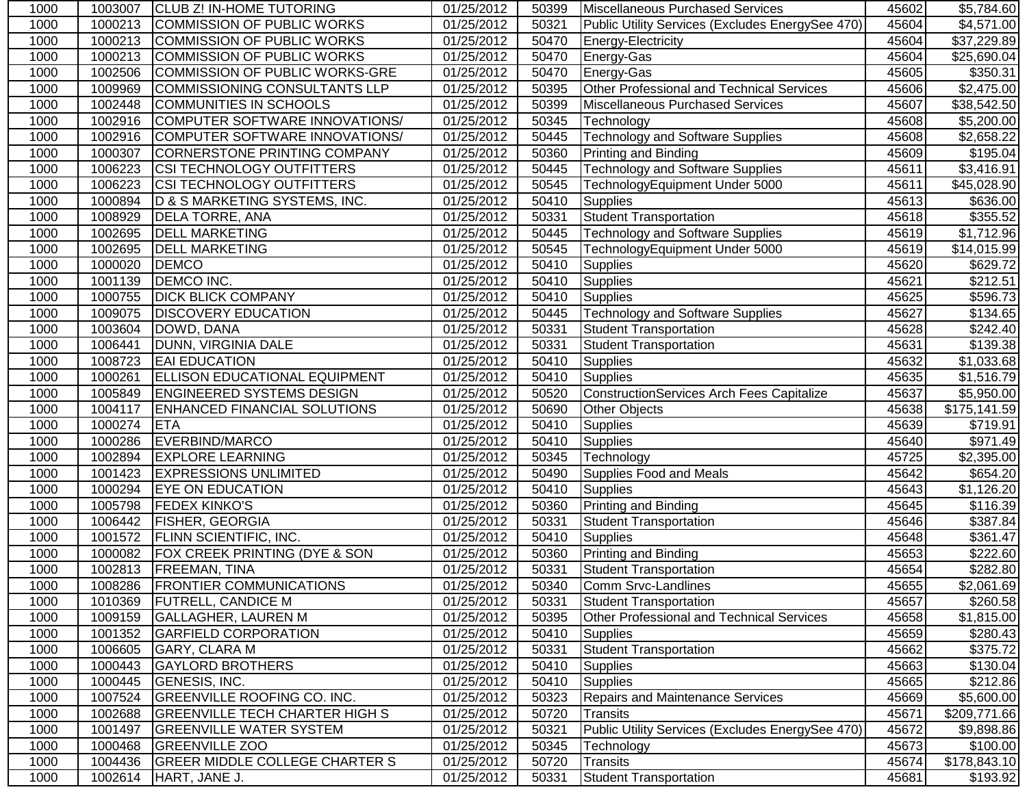| 1000 | 1003007 | CLUB Z! IN-HOME TUTORING                 | 01/25/2012 | 50399 | Miscellaneous Purchased Services                 | 45602 | \$5,784.60             |
|------|---------|------------------------------------------|------------|-------|--------------------------------------------------|-------|------------------------|
| 1000 | 1000213 | <b>COMMISSION OF PUBLIC WORKS</b>        | 01/25/2012 | 50321 | Public Utility Services (Excludes EnergySee 470) | 45604 | \$4,571.00             |
| 1000 | 1000213 | <b>COMMISSION OF PUBLIC WORKS</b>        | 01/25/2012 | 50470 | Energy-Electricity                               | 45604 | \$37,229.89            |
| 1000 | 1000213 | <b>COMMISSION OF PUBLIC WORKS</b>        | 01/25/2012 | 50470 | Energy-Gas                                       | 45604 | \$25,690.04            |
| 1000 | 1002506 | COMMISSION OF PUBLIC WORKS-GRE           | 01/25/2012 | 50470 | Energy-Gas                                       | 45605 | \$350.31               |
| 1000 | 1009969 | <b>COMMISSIONING CONSULTANTS LLP</b>     | 01/25/2012 | 50395 | Other Professional and Technical Services        | 45606 | \$2,475.00             |
| 1000 | 1002448 | COMMUNITIES IN SCHOOLS                   | 01/25/2012 | 50399 | Miscellaneous Purchased Services                 | 45607 | \$38,542.50            |
| 1000 | 1002916 | COMPUTER SOFTWARE INNOVATIONS/           | 01/25/2012 | 50345 | Technology                                       | 45608 | \$5,200.00             |
| 1000 | 1002916 | COMPUTER SOFTWARE INNOVATIONS/           | 01/25/2012 | 50445 | <b>Technology and Software Supplies</b>          | 45608 | \$2,658.22             |
| 1000 | 1000307 | CORNERSTONE PRINTING COMPANY             | 01/25/2012 | 50360 | Printing and Binding                             | 45609 | \$195.04               |
| 1000 | 1006223 | CSI TECHNOLOGY OUTFITTERS                | 01/25/2012 | 50445 | <b>Technology and Software Supplies</b>          | 45611 | \$3,416.91             |
| 1000 | 1006223 | CSI TECHNOLOGY OUTFITTERS                | 01/25/2012 | 50545 | TechnologyEquipment Under 5000                   | 45611 | \$45,028.90            |
| 1000 | 1000894 | D & S MARKETING SYSTEMS, INC.            | 01/25/2012 | 50410 | <b>Supplies</b>                                  | 45613 | \$636.00               |
| 1000 | 1008929 | <b>DELA TORRE, ANA</b>                   | 01/25/2012 | 50331 | <b>Student Transportation</b>                    | 45618 | \$355.52               |
| 1000 | 1002695 | <b>DELL MARKETING</b>                    | 01/25/2012 | 50445 | <b>Technology and Software Supplies</b>          | 45619 | \$1,712.96             |
| 1000 | 1002695 | <b>DELL MARKETING</b>                    | 01/25/2012 | 50545 | TechnologyEquipment Under 5000                   | 45619 | \$14,015.99            |
| 1000 | 1000020 | <b>DEMCO</b>                             | 01/25/2012 | 50410 | Supplies                                         | 45620 | \$629.72               |
| 1000 | 1001139 | <b>DEMCO INC.</b>                        | 01/25/2012 | 50410 | <b>Supplies</b>                                  | 45621 | \$212.51               |
| 1000 | 1000755 | <b>DICK BLICK COMPANY</b>                | 01/25/2012 | 50410 | <b>Supplies</b>                                  | 45625 | \$596.73               |
| 1000 | 1009075 | <b>DISCOVERY EDUCATION</b>               | 01/25/2012 | 50445 | <b>Technology and Software Supplies</b>          | 45627 | \$134.65               |
| 1000 | 1003604 | DOWD, DANA                               | 01/25/2012 | 50331 | <b>Student Transportation</b>                    | 45628 | \$242.40               |
| 1000 | 1006441 | DUNN, VIRGINIA DALE                      | 01/25/2012 | 50331 | <b>Student Transportation</b>                    | 45631 | $\overline{$}139.38$   |
| 1000 | 1008723 | <b>EAI EDUCATION</b>                     | 01/25/2012 | 50410 | <b>Supplies</b>                                  | 45632 | \$1,033.68             |
| 1000 | 1000261 | <b>ELLISON EDUCATIONAL EQUIPMENT</b>     | 01/25/2012 | 50410 | <b>Supplies</b>                                  | 45635 | $\overline{$1,516.79}$ |
| 1000 | 1005849 | <b>ENGINEERED SYSTEMS DESIGN</b>         | 01/25/2012 | 50520 | <b>ConstructionServices Arch Fees Capitalize</b> | 45637 | \$5,950.00             |
| 1000 | 1004117 | <b>ENHANCED FINANCIAL SOLUTIONS</b>      | 01/25/2012 | 50690 | Other Objects                                    | 45638 | \$175,141.59           |
| 1000 | 1000274 | <b>ETA</b>                               | 01/25/2012 | 50410 | Supplies                                         | 45639 | $\overline{$}719.91$   |
| 1000 | 1000286 | EVERBIND/MARCO                           | 01/25/2012 | 50410 | <b>Supplies</b>                                  | 45640 | \$971.49               |
| 1000 | 1002894 | <b>EXPLORE LEARNING</b>                  | 01/25/2012 | 50345 | Technology                                       | 45725 | \$2,395.00             |
| 1000 | 1001423 | <b>EXPRESSIONS UNLIMITED</b>             | 01/25/2012 | 50490 | Supplies Food and Meals                          | 45642 | \$654.20               |
| 1000 | 1000294 | EYE ON EDUCATION                         | 01/25/2012 | 50410 | <b>Supplies</b>                                  | 45643 | \$1,126.20             |
| 1000 | 1005798 | <b>FEDEX KINKO'S</b>                     | 01/25/2012 | 50360 | Printing and Binding                             | 45645 | \$116.39               |
| 1000 | 1006442 | <b>FISHER, GEORGIA</b>                   | 01/25/2012 | 50331 | <b>Student Transportation</b>                    | 45646 | \$387.84               |
| 1000 | 1001572 | <b>FLINN SCIENTIFIC, INC.</b>            | 01/25/2012 | 50410 | <b>Supplies</b>                                  | 45648 | \$361.47               |
| 1000 | 1000082 | <b>FOX CREEK PRINTING (DYE &amp; SON</b> | 01/25/2012 | 50360 | Printing and Binding                             | 45653 | \$222.60               |
| 1000 | 1002813 | <b>FREEMAN, TINA</b>                     | 01/25/2012 | 50331 | Student Transportation                           | 45654 | \$282.80               |
| 1000 |         | 1008286 FRONTIER COMMUNICATIONS          | 01/25/2012 |       | 50340 Comm Srvc-Landlines                        | 45655 | \$2,061.69             |
| 1000 | 1010369 | <b>FUTRELL, CANDICE M</b>                | 01/25/2012 | 50331 | <b>Student Transportation</b>                    | 45657 | \$260.58               |
| 1000 | 1009159 | <b>GALLAGHER, LAUREN M</b>               | 01/25/2012 | 50395 | <b>Other Professional and Technical Services</b> | 45658 | \$1,815.00             |
| 1000 | 1001352 | <b>GARFIELD CORPORATION</b>              | 01/25/2012 | 50410 | <b>Supplies</b>                                  | 45659 | \$280.43               |
| 1000 | 1006605 | GARY, CLARA M                            | 01/25/2012 | 50331 | Student Transportation                           | 45662 | \$375.72               |
| 1000 | 1000443 | <b>GAYLORD BROTHERS</b>                  | 01/25/2012 | 50410 | <b>Supplies</b>                                  | 45663 | \$130.04               |
| 1000 | 1000445 | GENESIS, INC.                            | 01/25/2012 | 50410 | <b>Supplies</b>                                  | 45665 | \$212.86               |
| 1000 | 1007524 | <b>GREENVILLE ROOFING CO. INC.</b>       | 01/25/2012 | 50323 | <b>Repairs and Maintenance Services</b>          | 45669 | \$5,600.00             |
| 1000 | 1002688 | <b>GREENVILLE TECH CHARTER HIGH S</b>    | 01/25/2012 | 50720 | Transits                                         | 45671 | \$209,771.66           |
| 1000 | 1001497 | <b>GREENVILLE WATER SYSTEM</b>           | 01/25/2012 | 50321 | Public Utility Services (Excludes EnergySee 470) | 45672 | \$9,898.86             |
| 1000 | 1000468 | <b>GREENVILLE ZOO</b>                    | 01/25/2012 | 50345 | Technology                                       | 45673 | \$100.00               |
| 1000 | 1004436 | <b>GREER MIDDLE COLLEGE CHARTER S</b>    | 01/25/2012 | 50720 | <b>Transits</b>                                  | 45674 | \$178,843.10           |
| 1000 | 1002614 | HART, JANE J.                            | 01/25/2012 | 50331 | <b>Student Transportation</b>                    | 45681 | \$193.92               |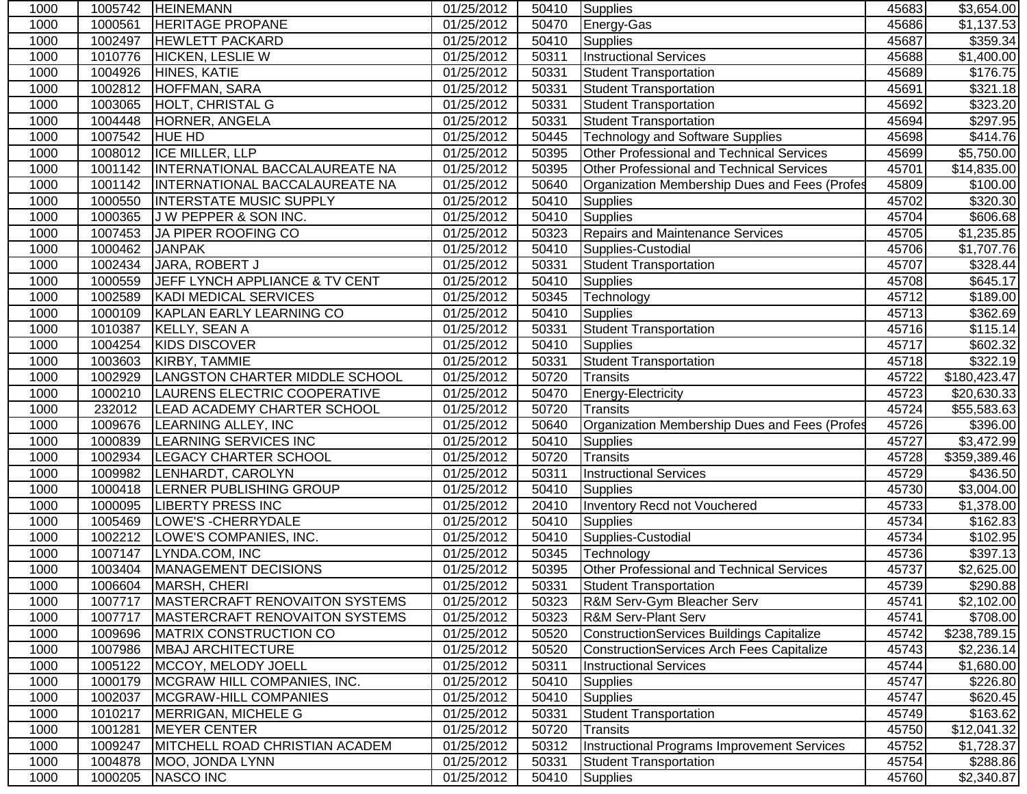| 1000 |         | 1005742  HEINEMANN                       | 01/25/2012              | 50410 | Supplies                                         | 45683 | \$3,654.00              |
|------|---------|------------------------------------------|-------------------------|-------|--------------------------------------------------|-------|-------------------------|
| 1000 | 1000561 | <b>HERITAGE PROPANE</b>                  | 01/25/2012              | 50470 | Energy-Gas                                       | 45686 | $\overline{31,137.53}$  |
| 1000 | 1002497 | <b>HEWLETT PACKARD</b>                   | 01/25/2012              | 50410 | Supplies                                         | 45687 | \$359.34                |
| 1000 | 1010776 | <b>HICKEN, LESLIE W</b>                  | 01/25/2012              | 50311 | <b>Instructional Services</b>                    | 45688 | \$1,400.00              |
| 1000 | 1004926 | HINES, KATIE                             | 01/25/2012              | 50331 | Student Transportation                           | 45689 | \$176.75                |
| 1000 | 1002812 | <b>HOFFMAN, SARA</b>                     | $\overline{01}/25/2012$ | 50331 | <b>Student Transportation</b>                    | 45691 | 3321.18                 |
| 1000 | 1003065 | <b>HOLT, CHRISTAL G</b>                  | 01/25/2012              | 50331 | <b>Student Transportation</b>                    | 45692 | 3323.20                 |
| 1000 | 1004448 | HORNER, ANGELA                           | 01/25/2012              | 50331 | <b>Student Transportation</b>                    | 45694 | $\overline{$}297.95$    |
| 1000 | 1007542 | <b>HUE HD</b>                            | 01/25/2012              | 50445 | <b>Technology and Software Supplies</b>          | 45698 | \$414.76                |
| 1000 | 1008012 | ICE MILLER, LLP                          | 01/25/2012              | 50395 | Other Professional and Technical Services        | 45699 | \$5,750.00              |
| 1000 | 1001142 | INTERNATIONAL BACCALAUREATE NA           | 01/25/2012              | 50395 | Other Professional and Technical Services        | 45701 | \$14,835.00             |
| 1000 | 1001142 | INTERNATIONAL BACCALAUREATE NA           | 01/25/2012              | 50640 | Organization Membership Dues and Fees (Profes    | 45809 | \$100.00                |
| 1000 | 1000550 | <b>INTERSTATE MUSIC SUPPLY</b>           | 01/25/2012              | 50410 | <b>Supplies</b>                                  | 45702 | \$320.30                |
| 1000 | 1000365 | J W PEPPER & SON INC.                    | 01/25/2012              | 50410 | <b>Supplies</b>                                  | 45704 | \$606.68                |
| 1000 | 1007453 | JA PIPER ROOFING CO                      | 01/25/2012              | 50323 | <b>Repairs and Maintenance Services</b>          | 45705 | \$1,235.85              |
| 1000 | 1000462 | <b>JANPAK</b>                            | 01/25/2012              | 50410 | Supplies-Custodial                               | 45706 | $\overline{\$1,707.76}$ |
| 1000 | 1002434 | JARA, ROBERT J                           | 01/25/2012              | 50331 | <b>Student Transportation</b>                    | 45707 | \$328.44                |
| 1000 | 1000559 | JEFF LYNCH APPLIANCE & TV CENT           | 01/25/2012              | 50410 | Supplies                                         | 45708 | \$645.17                |
| 1000 | 1002589 | KADI MEDICAL SERVICES                    | 01/25/2012              | 50345 | Technology                                       | 45712 | $\overline{$}189.00$    |
| 1000 | 1000109 | KAPLAN EARLY LEARNING CO                 | 01/25/2012              | 50410 | Supplies                                         | 45713 | \$362.69                |
| 1000 | 1010387 | KELLY, SEAN A                            | 01/25/2012              | 50331 | <b>Student Transportation</b>                    | 45716 | \$115.14                |
| 1000 | 1004254 | <b>KIDS DISCOVER</b>                     | 01/25/2012              | 50410 | <b>Supplies</b>                                  | 45717 | \$602.32                |
| 1000 | 1003603 | KIRBY, TAMMIE                            | 01/25/2012              | 50331 | <b>Student Transportation</b>                    | 45718 | \$322.19                |
| 1000 | 1002929 | LANGSTON CHARTER MIDDLE SCHOOL           | 01/25/2012              | 50720 | <b>Transits</b>                                  | 45722 | \$180,423.47            |
| 1000 | 1000210 | LAURENS ELECTRIC COOPERATIVE             | 01/25/2012              | 50470 | Energy-Electricity                               | 45723 | \$20,630.33             |
| 1000 | 232012  | LEAD ACADEMY CHARTER SCHOOL              | 01/25/2012              | 50720 | <b>Transits</b>                                  | 45724 | \$55,583.63             |
| 1000 | 1009676 | LEARNING ALLEY, INC                      | 01/25/2012              | 50640 | Organization Membership Dues and Fees (Profes    | 45726 | \$396.00                |
| 1000 | 1000839 | LEARNING SERVICES INC                    | 01/25/2012              | 50410 | <b>Supplies</b>                                  | 45727 | \$3,472.99              |
| 1000 | 1002934 | <b>LEGACY CHARTER SCHOOL</b>             | 01/25/2012              | 50720 | <b>Transits</b>                                  | 45728 | \$359,389.46            |
| 1000 | 1009982 | LENHARDT, CAROLYN                        | 01/25/2012              | 50311 | <b>Instructional Services</b>                    | 45729 | \$436.50                |
| 1000 | 1000418 | LERNER PUBLISHING GROUP                  | 01/25/2012              | 50410 | <b>Supplies</b>                                  | 45730 | \$3,004.00              |
| 1000 | 1000095 | <b>LIBERTY PRESS INC</b>                 | 01/25/2012              | 20410 | Inventory Recd not Vouchered                     | 45733 | $\overline{$1,378.00}$  |
| 1000 | 1005469 | LOWE'S - CHERRYDALE                      | 01/25/2012              | 50410 | <b>Supplies</b>                                  | 45734 | \$162.83                |
| 1000 | 1002212 | LOWE'S COMPANIES, INC.                   | 01/25/2012              | 50410 | Supplies-Custodial                               | 45734 | \$102.95                |
| 1000 | 1007147 | LYNDA.COM, INC                           | 01/25/2012              | 50345 | Technology                                       | 45736 | \$397.13                |
| 1000 | 1003404 | <b>MANAGEMENT DECISIONS</b>              | 01/25/2012              | 50395 | Other Professional and Technical Services        | 45737 | \$2,625.00              |
| 1000 |         | 1006604 MARSH, CHERI                     | 01/25/2012              | 50331 | Student Transportation                           | 45739 | \$290.88                |
| 1000 |         | 1007717   MASTERCRAFT RENOVAITON SYSTEMS | 01/25/2012              | 50323 | R&M Serv-Gym Bleacher Serv                       | 45741 | \$2,102.00              |
| 1000 | 1007717 | <b>IMASTERCRAFT RENOVAITON SYSTEMS</b>   | 01/25/2012              | 50323 | <b>R&amp;M Serv-Plant Serv</b>                   | 45741 | \$708.00                |
| 1000 | 1009696 | <b>MATRIX CONSTRUCTION CO</b>            | 01/25/2012              | 50520 | <b>ConstructionServices Buildings Capitalize</b> | 45742 | \$238,789.15            |
| 1000 | 1007986 | <b>MBAJ ARCHITECTURE</b>                 | 01/25/2012              | 50520 | <b>ConstructionServices Arch Fees Capitalize</b> | 45743 | \$2,236.14              |
| 1000 | 1005122 | MCCOY, MELODY JOELL                      | 01/25/2012              | 50311 | <b>Instructional Services</b>                    | 45744 | \$1,680.00              |
| 1000 | 1000179 | MCGRAW HILL COMPANIES, INC.              | 01/25/2012              | 50410 | <b>Supplies</b>                                  | 45747 | \$226.80                |
| 1000 | 1002037 | MCGRAW-HILL COMPANIES                    | 01/25/2012              | 50410 | <b>Supplies</b>                                  | 45747 | \$620.45                |
| 1000 | 1010217 | MERRIGAN, MICHELE G                      | 01/25/2012              | 50331 | <b>Student Transportation</b>                    | 45749 | \$163.62                |
| 1000 | 1001281 | <b>MEYER CENTER</b>                      | 01/25/2012              | 50720 | <b>Transits</b>                                  | 45750 | \$12,041.32             |
| 1000 | 1009247 | <b>MITCHELL ROAD CHRISTIAN ACADEM</b>    | 01/25/2012              | 50312 | Instructional Programs Improvement Services      | 45752 | \$1,728.37              |
| 1000 | 1004878 | MOO, JONDA LYNN                          | 01/25/2012              | 50331 | <b>Student Transportation</b>                    | 45754 | \$288.86                |
| 1000 | 1000205 | NASCO INC                                | 01/25/2012              | 50410 | <b>Supplies</b>                                  | 45760 | \$2,340.87              |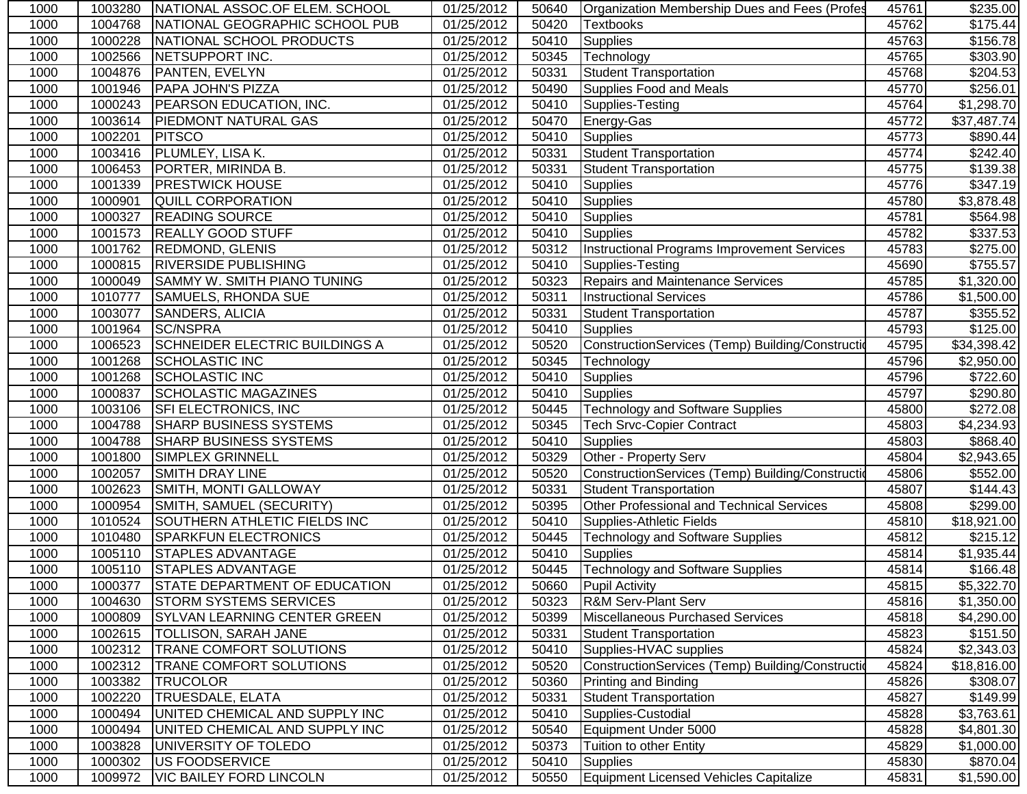| 1000 | 1003280 | NATIONAL ASSOC.OF ELEM. SCHOOL        | 01/25/2012 | 50640 | Organization Membership Dues and Fees (Profes     | 45761 | \$235.00             |
|------|---------|---------------------------------------|------------|-------|---------------------------------------------------|-------|----------------------|
| 1000 | 1004768 | NATIONAL GEOGRAPHIC SCHOOL PUB        | 01/25/2012 | 50420 | <b>Textbooks</b>                                  | 45762 | \$175.44             |
| 1000 | 1000228 | NATIONAL SCHOOL PRODUCTS              | 01/25/2012 | 50410 | <b>Supplies</b>                                   | 45763 | \$156.78             |
| 1000 | 1002566 | NETSUPPORT INC.                       | 01/25/2012 | 50345 | Technology                                        | 45765 | \$303.90             |
| 1000 | 1004876 | PANTEN, EVELYN                        | 01/25/2012 | 50331 | <b>Student Transportation</b>                     | 45768 | \$204.53             |
| 1000 | 1001946 | PAPA JOHN'S PIZZA                     | 01/25/2012 | 50490 | Supplies Food and Meals                           | 45770 | \$256.01             |
| 1000 | 1000243 | PEARSON EDUCATION, INC.               | 01/25/2012 | 50410 | Supplies-Testing                                  | 45764 | \$1,298.70           |
| 1000 | 1003614 | <b>PIEDMONT NATURAL GAS</b>           | 01/25/2012 | 50470 | Energy-Gas                                        | 45772 | \$37,487.74          |
| 1000 | 1002201 | <b>PITSCO</b>                         | 01/25/2012 | 50410 | <b>Supplies</b>                                   | 45773 | \$890.44             |
| 1000 | 1003416 | PLUMLEY, LISA K.                      | 01/25/2012 | 50331 | <b>Student Transportation</b>                     | 45774 | \$242.40             |
| 1000 | 1006453 | PORTER, MIRINDA B.                    | 01/25/2012 | 50331 | <b>Student Transportation</b>                     | 45775 | \$139.38             |
| 1000 | 1001339 | <b>PRESTWICK HOUSE</b>                | 01/25/2012 | 50410 | <b>Supplies</b>                                   | 45776 | \$347.19             |
| 1000 | 1000901 | QUILL CORPORATION                     | 01/25/2012 | 50410 | <b>Supplies</b>                                   | 45780 | \$3,878.48           |
| 1000 | 1000327 | <b>READING SOURCE</b>                 | 01/25/2012 | 50410 | <b>Supplies</b>                                   | 45781 | \$564.98             |
| 1000 | 1001573 | <b>REALLY GOOD STUFF</b>              | 01/25/2012 | 50410 | Supplies                                          | 45782 | $\overline{$}337.53$ |
| 1000 | 1001762 | <b>REDMOND, GLENIS</b>                | 01/25/2012 | 50312 | Instructional Programs Improvement Services       | 45783 | \$275.00             |
| 1000 | 1000815 | <b>RIVERSIDE PUBLISHING</b>           | 01/25/2012 | 50410 | Supplies-Testing                                  | 45690 | \$755.57             |
| 1000 | 1000049 | SAMMY W. SMITH PIANO TUNING           | 01/25/2012 | 50323 | Repairs and Maintenance Services                  | 45785 | \$1,320.00           |
| 1000 | 1010777 | SAMUELS, RHONDA SUE                   | 01/25/2012 | 50311 | <b>Instructional Services</b>                     | 45786 | \$1,500.00           |
| 1000 | 1003077 | SANDERS, ALICIA                       | 01/25/2012 | 50331 | <b>Student Transportation</b>                     | 45787 | \$355.52             |
| 1000 | 1001964 | <b>SC/NSPRA</b>                       | 01/25/2012 | 50410 | <b>Supplies</b>                                   | 45793 | \$125.00             |
| 1000 | 1006523 | SCHNEIDER ELECTRIC BUILDINGS A        | 01/25/2012 | 50520 | ConstructionServices (Temp) Building/Construction | 45795 | \$34,398.42          |
| 1000 | 1001268 | <b>SCHOLASTIC INC</b>                 | 01/25/2012 | 50345 | Technology                                        | 45796 | \$2,950.00           |
| 1000 | 1001268 | <b>SCHOLASTIC INC</b>                 | 01/25/2012 | 50410 | <b>Supplies</b>                                   | 45796 | \$722.60             |
| 1000 | 1000837 | SCHOLASTIC MAGAZINES                  | 01/25/2012 | 50410 | <b>Supplies</b>                                   | 45797 | \$290.80             |
| 1000 | 1003106 | SFI ELECTRONICS, INC                  | 01/25/2012 | 50445 | <b>Technology and Software Supplies</b>           | 45800 | $\overline{$272.08}$ |
| 1000 | 1004788 | SHARP BUSINESS SYSTEMS                | 01/25/2012 | 50345 | <b>Tech Srvc-Copier Contract</b>                  | 45803 | \$4,234.93           |
| 1000 | 1004788 | SHARP BUSINESS SYSTEMS                | 01/25/2012 | 50410 | <b>Supplies</b>                                   | 45803 | \$868.40             |
| 1000 | 1001800 | SIMPLEX GRINNELL                      | 01/25/2012 | 50329 | Other - Property Serv                             | 45804 | \$2,943.65           |
| 1000 | 1002057 | <b>SMITH DRAY LINE</b>                | 01/25/2012 | 50520 | ConstructionServices (Temp) Building/Construction | 45806 | \$552.00             |
| 1000 | 1002623 | SMITH, MONTI GALLOWAY                 | 01/25/2012 | 50331 | <b>Student Transportation</b>                     | 45807 | \$144.43             |
| 1000 | 1000954 | SMITH, SAMUEL (SECURITY)              | 01/25/2012 | 50395 | Other Professional and Technical Services         | 45808 | \$299.00             |
| 1000 | 1010524 | SOUTHERN ATHLETIC FIELDS INC          | 01/25/2012 | 50410 | Supplies-Athletic Fields                          | 45810 | \$18,921.00          |
| 1000 | 1010480 | SPARKFUN ELECTRONICS                  | 01/25/2012 | 50445 | <b>Technology and Software Supplies</b>           | 45812 | \$215.12             |
| 1000 | 1005110 | <b>STAPLES ADVANTAGE</b>              | 01/25/2012 | 50410 | <b>Supplies</b>                                   | 45814 | \$1,935.44           |
| 1000 | 1005110 | <b>STAPLES ADVANTAGE</b>              | 01/25/2012 | 50445 | <b>Technology and Software Supplies</b>           | 45814 | \$166.48             |
| 1000 |         | 1000377 STATE DEPARTMENT OF EDUCATION | 01/25/2012 |       | 50660 Pupil Activity                              | 45815 | \$5,322.70           |
| 1000 | 1004630 | <b>STORM SYSTEMS SERVICES</b>         | 01/25/2012 | 50323 | <b>R&amp;M Serv-Plant Serv</b>                    | 45816 | \$1,350.00           |
| 1000 | 1000809 | <b>SYLVAN LEARNING CENTER GREEN</b>   | 01/25/2012 | 50399 | Miscellaneous Purchased Services                  | 45818 | \$4,290.00           |
| 1000 | 1002615 | TOLLISON, SARAH JANE                  | 01/25/2012 | 50331 | <b>Student Transportation</b>                     | 45823 | \$151.50             |
| 1000 | 1002312 | TRANE COMFORT SOLUTIONS               | 01/25/2012 | 50410 | Supplies-HVAC supplies                            | 45824 | \$2,343.03           |
| 1000 | 1002312 | TRANE COMFORT SOLUTIONS               | 01/25/2012 | 50520 | ConstructionServices (Temp) Building/Constructio  | 45824 | \$18,816.00          |
| 1000 | 1003382 | <b>TRUCOLOR</b>                       | 01/25/2012 | 50360 | Printing and Binding                              | 45826 | \$308.07             |
| 1000 | 1002220 | TRUESDALE, ELATA                      | 01/25/2012 | 50331 | <b>Student Transportation</b>                     | 45827 | \$149.99             |
| 1000 | 1000494 | UNITED CHEMICAL AND SUPPLY INC        | 01/25/2012 | 50410 | Supplies-Custodial                                | 45828 | \$3,763.61           |
| 1000 | 1000494 | UNITED CHEMICAL AND SUPPLY INC        | 01/25/2012 | 50540 | Equipment Under 5000                              | 45828 | \$4,801.30           |
| 1000 | 1003828 | UNIVERSITY OF TOLEDO                  | 01/25/2012 | 50373 | Tuition to other Entity                           | 45829 | \$1,000.00           |
| 1000 | 1000302 | <b>US FOODSERVICE</b>                 | 01/25/2012 | 50410 | <b>Supplies</b>                                   | 45830 | \$870.04             |
| 1000 | 1009972 | <b>VIC BAILEY FORD LINCOLN</b>        | 01/25/2012 | 50550 | Equipment Licensed Vehicles Capitalize            | 45831 | \$1,590.00           |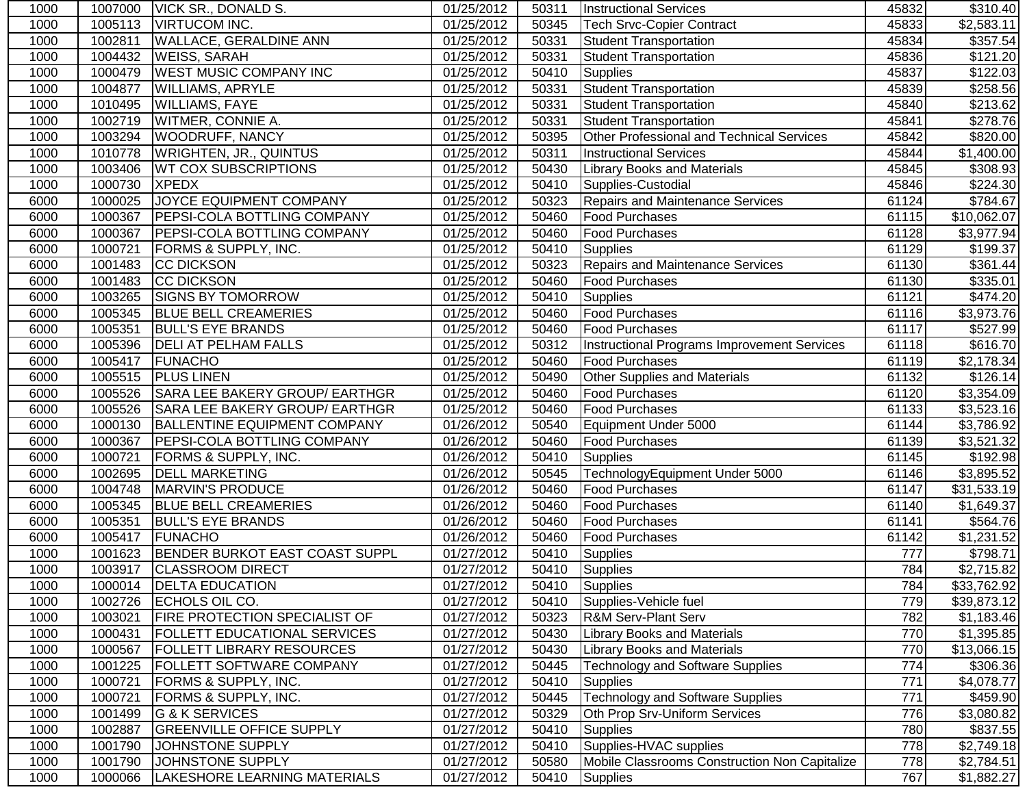| 1000 | 1007000 | VICK SR., DONALD S.                  | 01/25/2012 | 50311 | <b>Instructional Services</b>                 | 45832 | \$310.40               |
|------|---------|--------------------------------------|------------|-------|-----------------------------------------------|-------|------------------------|
| 1000 | 1005113 | <b>VIRTUCOM INC.</b>                 | 01/25/2012 | 50345 | <b>Tech Srvc-Copier Contract</b>              | 45833 | \$2,583.11             |
| 1000 | 1002811 | <b>WALLACE, GERALDINE ANN</b>        | 01/25/2012 | 50331 | Student Transportation                        | 45834 | \$357.54]              |
| 1000 | 1004432 | <b>WEISS, SARAH</b>                  | 01/25/2012 | 50331 | Student Transportation                        | 45836 | \$121.20               |
| 1000 | 1000479 | <b>WEST MUSIC COMPANY INC</b>        | 01/25/2012 | 50410 | <b>Supplies</b>                               | 45837 | \$122.03               |
| 1000 | 1004877 | <b>WILLIAMS, APRYLE</b>              | 01/25/2012 | 50331 | <b>Student Transportation</b>                 | 45839 | \$258.56               |
| 1000 | 1010495 | <b>WILLIAMS, FAYE</b>                | 01/25/2012 | 50331 | <b>Student Transportation</b>                 | 45840 | \$213.62               |
| 1000 | 1002719 | <b>WITMER, CONNIE A.</b>             | 01/25/2012 | 50331 | <b>Student Transportation</b>                 | 45841 | \$278.76               |
| 1000 | 1003294 | <b>WOODRUFF, NANCY</b>               | 01/25/2012 | 50395 | Other Professional and Technical Services     | 45842 | \$820.00               |
| 1000 | 1010778 | <b>WRIGHTEN, JR., QUINTUS</b>        | 01/25/2012 | 50311 | <b>Instructional Services</b>                 | 45844 | \$1,400.00             |
| 1000 | 1003406 | <b>WT COX SUBSCRIPTIONS</b>          | 01/25/2012 | 50430 | <b>Library Books and Materials</b>            | 45845 | \$308.93               |
| 1000 | 1000730 | <b>XPEDX</b>                         | 01/25/2012 | 50410 | Supplies-Custodial                            | 45846 | \$224.30               |
| 6000 | 1000025 | JOYCE EQUIPMENT COMPANY              | 01/25/2012 | 50323 | <b>Repairs and Maintenance Services</b>       | 61124 | \$784.67               |
| 6000 | 1000367 | <b>PEPSI-COLA BOTTLING COMPANY</b>   | 01/25/2012 | 50460 | <b>Food Purchases</b>                         | 61115 | \$10,062.07            |
| 6000 | 1000367 | <b>PEPSI-COLA BOTTLING COMPANY</b>   | 01/25/2012 | 50460 | <b>Food Purchases</b>                         | 61128 | \$3,977.94             |
| 6000 | 1000721 | <b>FORMS &amp; SUPPLY, INC.</b>      | 01/25/2012 | 50410 | <b>Supplies</b>                               | 61129 | \$199.37               |
| 6000 | 1001483 | <b>CC DICKSON</b>                    | 01/25/2012 | 50323 | <b>Repairs and Maintenance Services</b>       | 61130 | $\overline{$}361.44$   |
| 6000 | 1001483 | <b>CC DICKSON</b>                    | 01/25/2012 | 50460 | Food Purchases                                | 61130 | \$335.01               |
| 6000 | 1003265 | <b>SIGNS BY TOMORROW</b>             | 01/25/2012 | 50410 | <b>Supplies</b>                               | 61121 | \$474.20               |
| 6000 | 1005345 | <b>BLUE BELL CREAMERIES</b>          | 01/25/2012 | 50460 | <b>Food Purchases</b>                         | 61116 | \$3,973.76             |
| 6000 | 1005351 | <b>BULL'S EYE BRANDS</b>             | 01/25/2012 | 50460 | <b>Food Purchases</b>                         | 61117 | \$527.99               |
| 6000 | 1005396 | <b>DELI AT PELHAM FALLS</b>          | 01/25/2012 | 50312 | Instructional Programs Improvement Services   | 61118 | \$616.70               |
| 6000 | 1005417 | FUNACHO                              | 01/25/2012 | 50460 | <b>Food Purchases</b>                         | 61119 | \$2,178.34             |
| 6000 | 1005515 | <b>PLUS LINEN</b>                    | 01/25/2012 | 50490 | <b>Other Supplies and Materials</b>           | 61132 | \$126.14               |
| 6000 | 1005526 | SARA LEE BAKERY GROUP/ EARTHGR       | 01/25/2012 | 50460 | <b>Food Purchases</b>                         | 61120 | \$3,354.09             |
| 6000 | 1005526 | SARA LEE BAKERY GROUP/ EARTHGR       | 01/25/2012 | 50460 | <b>Food Purchases</b>                         | 61133 | \$3,523.16             |
| 6000 | 1000130 | <b>BALLENTINE EQUIPMENT COMPANY</b>  | 01/26/2012 | 50540 | Equipment Under 5000                          | 61144 | \$3,786.92             |
| 6000 | 1000367 | <b>PEPSI-COLA BOTTLING COMPANY</b>   | 01/26/2012 | 50460 | <b>Food Purchases</b>                         | 61139 | \$3,521.32             |
| 6000 | 1000721 | FORMS & SUPPLY, INC.                 | 01/26/2012 | 50410 | <b>Supplies</b>                               | 61145 | \$192.98               |
| 6000 | 1002695 | <b>DELL MARKETING</b>                | 01/26/2012 | 50545 | TechnologyEquipment Under 5000                | 61146 | \$3,895.52             |
| 6000 | 1004748 | <b>MARVIN'S PRODUCE</b>              | 01/26/2012 | 50460 | <b>Food Purchases</b>                         | 61147 | \$31,533.19            |
| 6000 | 1005345 | <b>BLUE BELL CREAMERIES</b>          | 01/26/2012 | 50460 | Food Purchases                                | 61140 | \$1,649.37             |
| 6000 | 1005351 | <b>BULL'S EYE BRANDS</b>             | 01/26/2012 | 50460 | <b>Food Purchases</b>                         | 61141 | \$564.76               |
| 6000 | 1005417 | FUNACHO                              | 01/26/2012 | 50460 | <b>Food Purchases</b>                         | 61142 | \$1,231.52             |
| 1000 | 1001623 | BENDER BURKOT EAST COAST SUPPL       | 01/27/2012 | 50410 | Supplies                                      | 777   | \$798.71               |
| 1000 | 1003917 | <b>CLASSROOM DIRECT</b>              | 01/27/2012 | 50410 | Supplies                                      | 784   | $\overline{$}2,715.82$ |
| 1000 |         | 1000014   DELTA EDUCATION            | 01/27/2012 |       | 50410 Supplies                                | 784   | \$33,762.92            |
| 1000 | 1002726 | ECHOLS OIL CO.                       | 01/27/2012 | 50410 | Supplies-Vehicle fuel                         | 779   | \$39,873.12            |
| 1000 | 1003021 | <b>FIRE PROTECTION SPECIALIST OF</b> | 01/27/2012 | 50323 | <b>R&amp;M Serv-Plant Serv</b>                | 782   | \$1,183.46             |
| 1000 | 1000431 | <b>FOLLETT EDUCATIONAL SERVICES</b>  | 01/27/2012 | 50430 | <b>Library Books and Materials</b>            | 770   | \$1,395.85             |
| 1000 | 1000567 | <b>FOLLETT LIBRARY RESOURCES</b>     | 01/27/2012 | 50430 | <b>Library Books and Materials</b>            | 770   | \$13,066.15            |
| 1000 | 1001225 | <b>FOLLETT SOFTWARE COMPANY</b>      | 01/27/2012 | 50445 | Technology and Software Supplies              | 774   | \$306.36               |
| 1000 | 1000721 | <b>FORMS &amp; SUPPLY, INC.</b>      | 01/27/2012 | 50410 | <b>Supplies</b>                               | 771   | \$4,078.77             |
| 1000 | 1000721 | <b>FORMS &amp; SUPPLY, INC.</b>      | 01/27/2012 | 50445 | <b>Technology and Software Supplies</b>       | 771   | \$459.90               |
| 1000 | 1001499 | G & K SERVICES                       | 01/27/2012 | 50329 | Oth Prop Srv-Uniform Services                 | 776   | \$3,080.82             |
| 1000 | 1002887 | <b>GREENVILLE OFFICE SUPPLY</b>      | 01/27/2012 | 50410 | <b>Supplies</b>                               | 780   | \$837.55               |
| 1000 | 1001790 | JOHNSTONE SUPPLY                     | 01/27/2012 | 50410 | Supplies-HVAC supplies                        | 778   | \$2,749.18             |
| 1000 | 1001790 | JOHNSTONE SUPPLY                     | 01/27/2012 | 50580 | Mobile Classrooms Construction Non Capitalize | 778   | \$2,784.51             |
| 1000 | 1000066 | LAKESHORE LEARNING MATERIALS         | 01/27/2012 | 50410 | Supplies                                      | 767   | \$1,882.27             |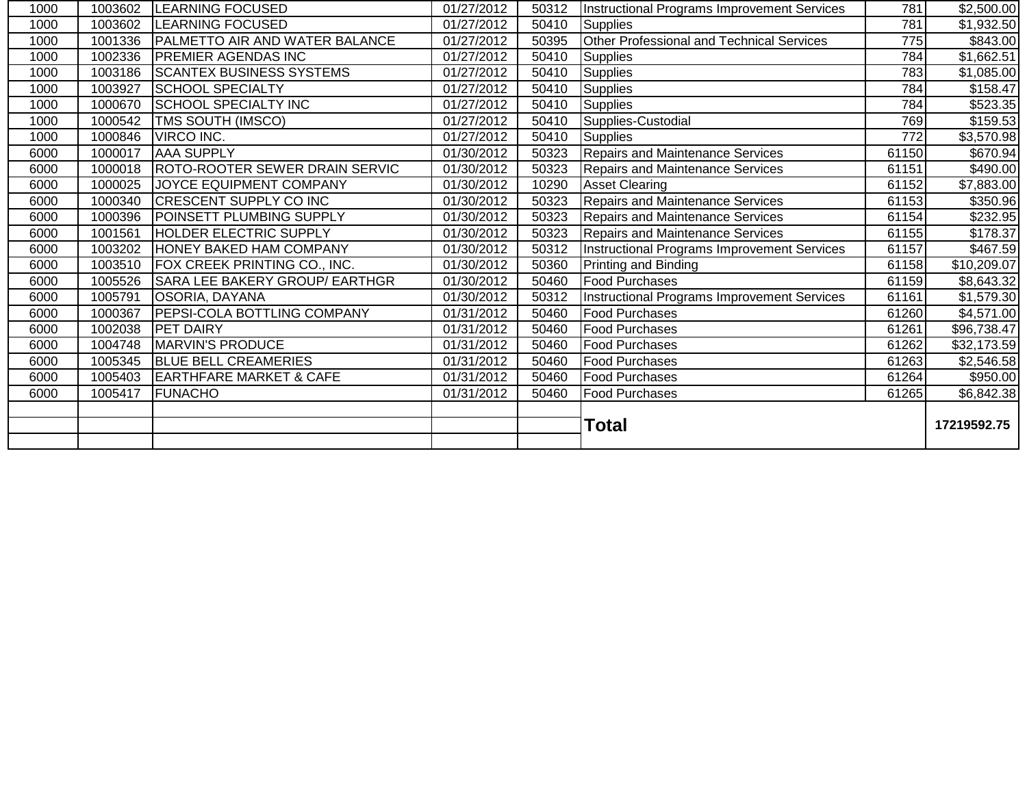| 1000 | 1003602 | <b>LEARNING FOCUSED</b>               | 01/27/2012 | 50312 | <b>Instructional Programs Improvement Services</b> | 781   | \$2,500.00  |
|------|---------|---------------------------------------|------------|-------|----------------------------------------------------|-------|-------------|
| 1000 | 1003602 | <b>LEARNING FOCUSED</b>               | 01/27/2012 | 50410 | Supplies                                           | 781   | \$1,932.50  |
| 1000 | 1001336 | <b>PALMETTO AIR AND WATER BALANCE</b> | 01/27/2012 | 50395 | Other Professional and Technical Services          | 775   | \$843.00    |
| 1000 | 1002336 | <b>PREMIER AGENDAS INC</b>            | 01/27/2012 | 50410 | <b>Supplies</b>                                    | 784   | \$1,662.51  |
| 1000 | 1003186 | <b>SCANTEX BUSINESS SYSTEMS</b>       | 01/27/2012 | 50410 | <b>Supplies</b>                                    | 783   | \$1,085.00  |
| 1000 | 1003927 | <b>SCHOOL SPECIALTY</b>               | 01/27/2012 | 50410 | Supplies                                           | 784   | \$158.47    |
| 1000 | 1000670 | <b>SCHOOL SPECIALTY INC</b>           | 01/27/2012 | 50410 | <b>Supplies</b>                                    | 784   | \$523.35    |
| 1000 | 1000542 | TMS SOUTH (IMSCO)                     | 01/27/2012 | 50410 | Supplies-Custodial                                 | 769   | \$159.53    |
| 1000 | 1000846 | VIRCO INC.                            | 01/27/2012 | 50410 | Supplies                                           | 772   | \$3,570.98  |
| 6000 | 1000017 | <b>AAA SUPPLY</b>                     | 01/30/2012 | 50323 | Repairs and Maintenance Services                   | 61150 | \$670.94    |
| 6000 | 1000018 | ROTO-ROOTER SEWER DRAIN SERVIC        | 01/30/2012 | 50323 | <b>Repairs and Maintenance Services</b>            | 61151 | \$490.00    |
| 6000 | 1000025 | JOYCE EQUIPMENT COMPANY               | 01/30/2012 | 10290 | <b>Asset Clearing</b>                              | 61152 | \$7,883.00  |
| 6000 | 1000340 | <b>CRESCENT SUPPLY CO INC</b>         | 01/30/2012 | 50323 | <b>Repairs and Maintenance Services</b>            | 61153 | \$350.96    |
| 6000 | 1000396 | POINSETT PLUMBING SUPPLY              | 01/30/2012 | 50323 | <b>Repairs and Maintenance Services</b>            | 61154 | \$232.95    |
| 6000 | 1001561 | <b>HOLDER ELECTRIC SUPPLY</b>         | 01/30/2012 | 50323 | <b>Repairs and Maintenance Services</b>            | 61155 | \$178.37    |
| 6000 | 1003202 | <b>HONEY BAKED HAM COMPANY</b>        | 01/30/2012 | 50312 | <b>Instructional Programs Improvement Services</b> | 61157 | \$467.59    |
| 6000 | 1003510 | FOX CREEK PRINTING CO., INC.          | 01/30/2012 | 50360 | Printing and Binding                               | 61158 | \$10,209.07 |
| 6000 | 1005526 | <b>SARA LEE BAKERY GROUP/ EARTHGR</b> | 01/30/2012 | 50460 | <b>Food Purchases</b>                              | 61159 | \$8,643.32  |
| 6000 | 1005791 | <b>OSORIA, DAYANA</b>                 | 01/30/2012 | 50312 | <b>Instructional Programs Improvement Services</b> | 61161 | \$1,579.30  |
| 6000 | 1000367 | <b>PEPSI-COLA BOTTLING COMPANY</b>    | 01/31/2012 | 50460 | <b>Food Purchases</b>                              | 61260 | \$4,571.00  |
| 6000 | 1002038 | PET DAIRY                             | 01/31/2012 | 50460 | <b>Food Purchases</b>                              | 61261 | \$96,738.47 |
| 6000 | 1004748 | <b>MARVIN'S PRODUCE</b>               | 01/31/2012 | 50460 | <b>Food Purchases</b>                              | 61262 | \$32,173.59 |
| 6000 | 1005345 | <b>BLUE BELL CREAMERIES</b>           | 01/31/2012 | 50460 | <b>Food Purchases</b>                              | 61263 | \$2,546.58  |
| 6000 | 1005403 | <b>EARTHFARE MARKET &amp; CAFE</b>    | 01/31/2012 | 50460 | <b>Food Purchases</b>                              | 61264 | \$950.00    |
| 6000 | 1005417 | <b>FUNACHO</b>                        | 01/31/2012 | 50460 | Food Purchases                                     | 61265 | \$6,842.38  |
|      |         |                                       |            |       | <b>Total</b>                                       |       | 17219592.75 |
|      |         |                                       |            |       |                                                    |       |             |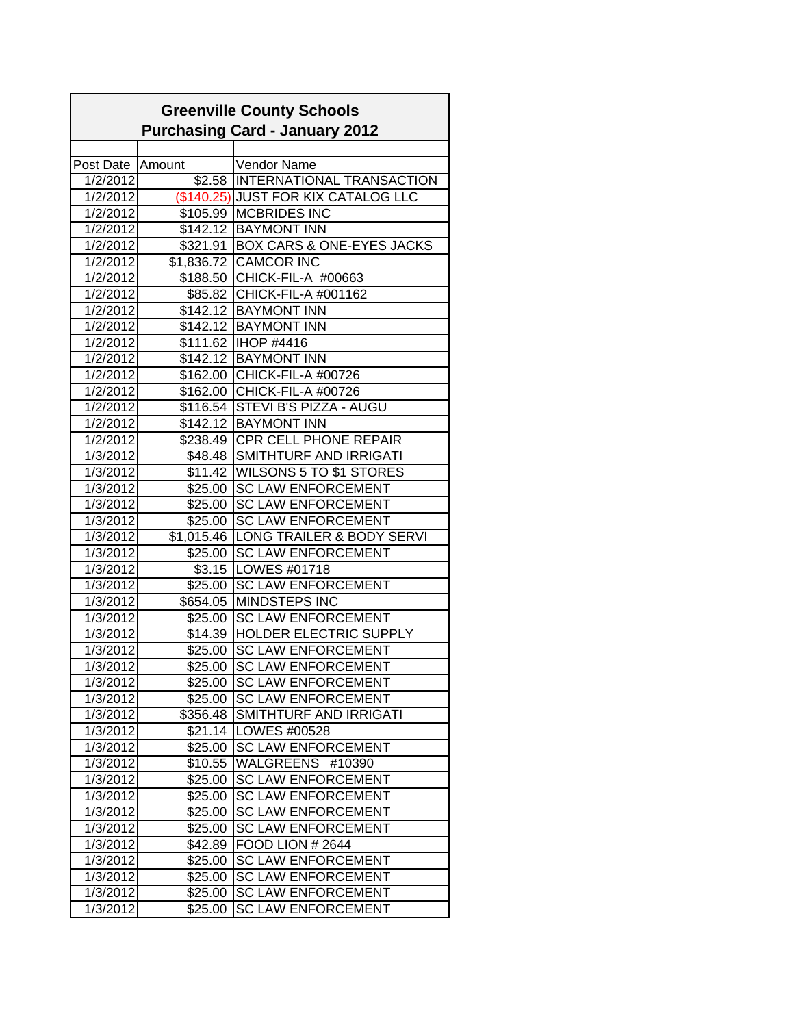|                  |            | <b>Greenville County Schools</b>      |
|------------------|------------|---------------------------------------|
|                  |            | <b>Purchasing Card - January 2012</b> |
|                  |            |                                       |
| Post Date Amount |            | <b>Vendor Name</b>                    |
| 1/2/2012         |            | \$2.58 INTERNATIONAL TRANSACTION      |
| 1/2/2012         |            | (\$140.25) JUST FOR KIX CATALOG LLC   |
| 1/2/2012         |            | \$105.99 MCBRIDES INC                 |
| 1/2/2012         |            | \$142.12 BAYMONT INN                  |
| 1/2/2012         |            | \$321.91 BOX CARS & ONE-EYES JACKS    |
| 1/2/2012         |            | \$1,836.72 CAMCOR INC                 |
| 1/2/2012         |            | \$188.50 CHICK-FIL-A #00663           |
| 1/2/2012         |            | \$85.82 CHICK-FIL-A #001162           |
| 1/2/2012         |            | \$142.12 BAYMONT INN                  |
| 1/2/2012         |            | \$142.12 BAYMONT INN                  |
| 1/2/2012         |            | \$111.62  IHOP #4416                  |
| 1/2/2012         |            | \$142.12 BAYMONT INN                  |
| 1/2/2012         |            | \$162.00 CHICK-FIL-A #00726           |
| 1/2/2012         |            | \$162.00 CHICK-FIL-A #00726           |
| 1/2/2012         |            | \$116.54 STEVI B'S PIZZA - AUGU       |
| 1/2/2012         |            | \$142.12 BAYMONT INN                  |
| 1/2/2012         |            | \$238.49 CPR CELL PHONE REPAIR        |
| 1/3/2012         |            | \$48.48 SMITHTURF AND IRRIGATI        |
| 1/3/2012         |            | \$11.42 WILSONS 5 TO \$1 STORES       |
| 1/3/2012         | \$25.00    | <b>SC LAW ENFORCEMENT</b>             |
| 1/3/2012         | \$25.00    | <b>SC LAW ENFORCEMENT</b>             |
| 1/3/2012         | \$25.00    | <b>SC LAW ENFORCEMENT</b>             |
| 1/3/2012         | \$1,015.46 | LONG TRAILER & BODY SERVI             |
| 1/3/2012         | \$25.00    | <b>SC LAW ENFORCEMENT</b>             |
| 1/3/2012         |            | \$3.15   LOWES #01718                 |
| 1/3/2012         |            | \$25.00 SC LAW ENFORCEMENT            |
| 1/3/2012         |            | \$654.05 MINDSTEPS INC                |
| 1/3/2012         | \$25.00    | <b>SC LAW ENFORCEMENT</b>             |
| 1/3/2012         |            | \$14.39 HOLDER ELECTRIC SUPPLY        |
| 1/3/2012         | \$25.00    | <b>SC LAW ENFORCEMENT</b>             |
| 1/3/2012         | \$25.00    | <b>SC LAW ENFORCEMENT</b>             |
| 1/3/2012         | \$25.00    | <b>SC LAW ENFORCEMENT</b>             |
| 1/3/2012         | \$25.00    | <b>SC LAW ENFORCEMENT</b>             |
| 1/3/2012         | \$356.48   | SMITHTURF AND IRRIGATI                |
| 1/3/2012         | \$21.14    | <b>LOWES #00528</b>                   |
| 1/3/2012         | \$25.00    | <b>SC LAW ENFORCEMENT</b>             |
| 1/3/2012         | \$10.55    | WALGREENS #10390                      |
| 1/3/2012         | \$25.00    | <b>SC LAW ENFORCEMENT</b>             |
| 1/3/2012         | \$25.00    | <b>SC LAW ENFORCEMENT</b>             |
| 1/3/2012         | \$25.00    | <b>SC LAW ENFORCEMENT</b>             |
| 1/3/2012         | \$25.00    | <b>SC LAW ENFORCEMENT</b>             |
| 1/3/2012         | \$42.89    | <b>FOOD LION # 2644</b>               |
| 1/3/2012         | \$25.00    | <b>SC LAW ENFORCEMENT</b>             |
| 1/3/2012         | \$25.00    | <b>SC LAW ENFORCEMENT</b>             |
| 1/3/2012         | \$25.00    | <b>SC LAW ENFORCEMENT</b>             |
| 1/3/2012         | \$25.00    | <b>SC LAW ENFORCEMENT</b>             |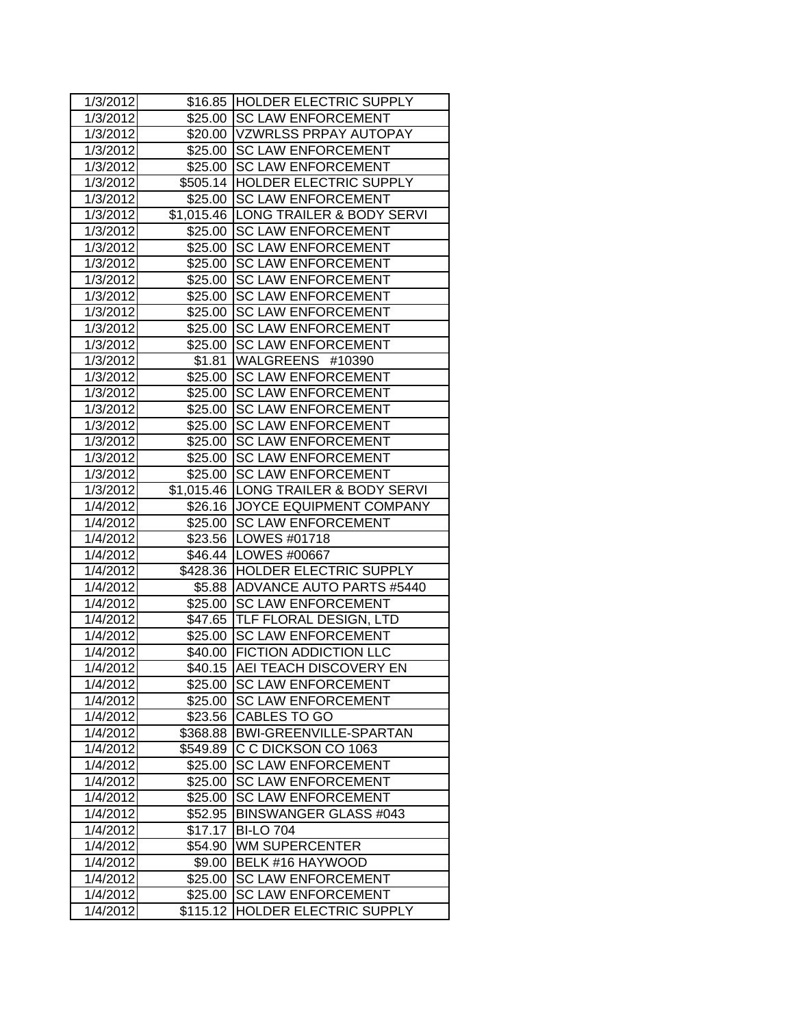| 1/3/2012 |          | \$16.85 HOLDER ELECTRIC SUPPLY       |
|----------|----------|--------------------------------------|
| 1/3/2012 |          | \$25.00 SC LAW ENFORCEMENT           |
| 1/3/2012 |          | \$20.00 VZWRLSS PRPAY AUTOPAY        |
| 1/3/2012 |          | \$25.00 SC LAW ENFORCEMENT           |
| 1/3/2012 | \$25.00  | <b>SC LAW ENFORCEMENT</b>            |
| 1/3/2012 |          | \$505.14 HOLDER ELECTRIC SUPPLY      |
| 1/3/2012 | \$25.00  | <b>SC LAW ENFORCEMENT</b>            |
| 1/3/2012 |          | \$1,015.46 LONG TRAILER & BODY SERVI |
| 1/3/2012 | \$25.00  | <b>SC LAW ENFORCEMENT</b>            |
| 1/3/2012 |          | \$25.00 SC LAW ENFORCEMENT           |
| 1/3/2012 | \$25.00  | <b>SC LAW ENFORCEMENT</b>            |
| 1/3/2012 | \$25.00  | <b>SC LAW ENFORCEMENT</b>            |
| 1/3/2012 | \$25.00  | <b>SC LAW ENFORCEMENT</b>            |
| 1/3/2012 | \$25.00  | <b>SC LAW ENFORCEMENT</b>            |
| 1/3/2012 | \$25.00  | <b>ISC LAW ENFORCEMENT</b>           |
| 1/3/2012 |          | \$25.00 SC LAW ENFORCEMENT           |
| 1/3/2012 | \$1.81   | WALGREENS #10390                     |
| 1/3/2012 | \$25.00  | <b>SC LAW ENFORCEMENT</b>            |
| 1/3/2012 | \$25.00  | <b>SC LAW ENFORCEMENT</b>            |
| 1/3/2012 | \$25.00  | <b>SC LAW ENFORCEMENT</b>            |
| 1/3/2012 | \$25.00  | <b>SC LAW ENFORCEMENT</b>            |
| 1/3/2012 | \$25.00  | <b>SC LAW ENFORCEMENT</b>            |
| 1/3/2012 | \$25.00  | <b>SC LAW ENFORCEMENT</b>            |
| 1/3/2012 | \$25.00  | <b>SC LAW ENFORCEMENT</b>            |
| 1/3/2012 |          | \$1,015.46 LONG TRAILER & BODY SERVI |
| 1/4/2012 |          | \$26.16 JOYCE EQUIPMENT COMPANY      |
| 1/4/2012 |          | \$25.00 SC LAW ENFORCEMENT           |
| 1/4/2012 |          | \$23.56   LOWES #01718               |
| 1/4/2012 |          | \$46.44   LOWES #00667               |
| 1/4/2012 |          | \$428.36 HOLDER ELECTRIC SUPPLY      |
| 1/4/2012 |          | \$5.88 ADVANCE AUTO PARTS #5440      |
| 1/4/2012 | \$25.00  | <b>SC LAW ENFORCEMENT</b>            |
| 1/4/2012 | \$47.65  | <b>TLF FLORAL DESIGN, LTD</b>        |
| 1/4/2012 | \$25.00  | <b>SC LAW ENFORCEMENT</b>            |
| 1/4/2012 |          | \$40.00 FICTION ADDICTION LLC        |
| 1/4/2012 | \$40.15  | <b>AEI TEACH DISCOVERY EN</b>        |
| 1/4/2012 |          | \$25.00 SC LAW ENFORCEMENT           |
| 1/4/2012 | \$25.00  | <b>SC LAW ENFORCEMENT</b>            |
| 1/4/2012 | \$23.56  | <b>CABLES TO GO</b>                  |
| 1/4/2012 | \$368.88 | <b>BWI-GREENVILLE-SPARTAN</b>        |
| 1/4/2012 | \$549.89 | C C DICKSON CO 1063                  |
| 1/4/2012 | \$25.00  | <b>SC LAW ENFORCEMENT</b>            |
| 1/4/2012 | \$25.00  | <b>SC LAW ENFORCEMENT</b>            |
| 1/4/2012 | \$25.00  | <b>SC LAW ENFORCEMENT</b>            |
| 1/4/2012 | \$52.95  | <b>BINSWANGER GLASS #043</b>         |
| 1/4/2012 | \$17.17  | <b>BI-LO 704</b>                     |
| 1/4/2012 | \$54.90  | <b>WM SUPERCENTER</b>                |
| 1/4/2012 | \$9.00   | BELK #16 HAYWOOD                     |
| 1/4/2012 | \$25.00  | <b>SC LAW ENFORCEMENT</b>            |
| 1/4/2012 | \$25.00  | <b>SC LAW ENFORCEMENT</b>            |
| 1/4/2012 | \$115.12 | HOLDER ELECTRIC SUPPLY               |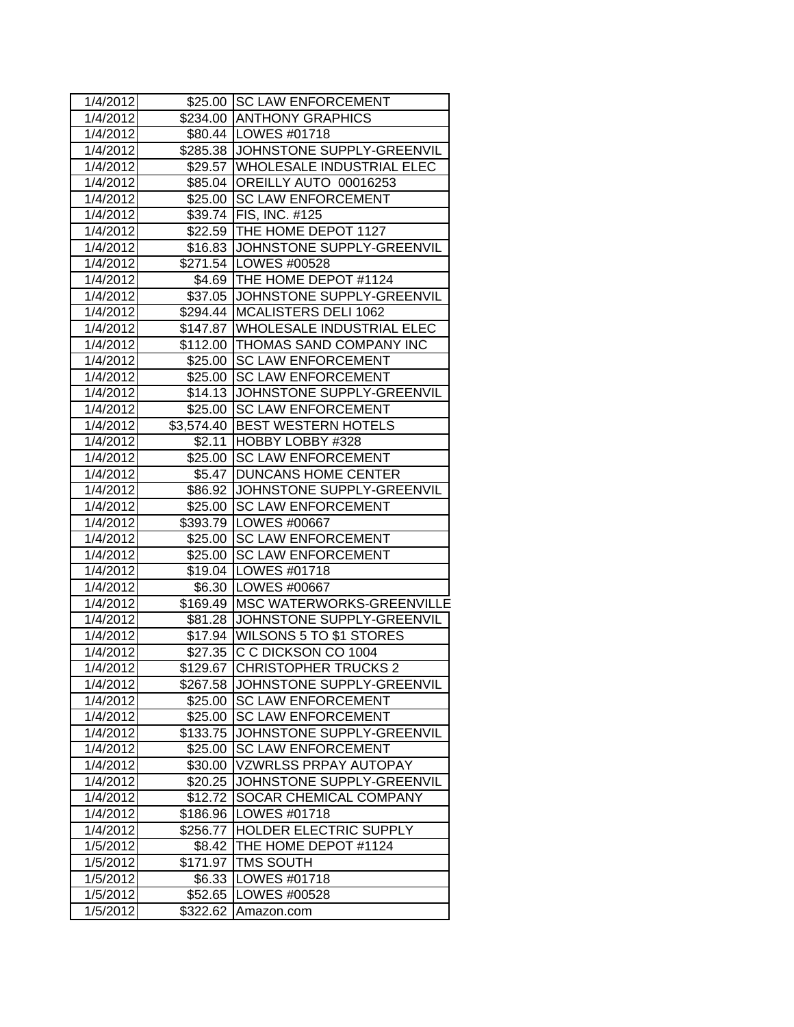| 1/4/2012 |            | \$25.00 SC LAW ENFORCEMENT         |
|----------|------------|------------------------------------|
| 1/4/2012 |            | \$234.00 ANTHONY GRAPHICS          |
| 1/4/2012 |            | \$80.44   LOWES #01718             |
| 1/4/2012 |            | \$285.38 JOHNSTONE SUPPLY-GREENVIL |
| 1/4/2012 |            | \$29.57 WHOLESALE INDUSTRIAL ELEC  |
| 1/4/2012 |            | \$85.04 OREILLY AUTO 00016253      |
| 1/4/2012 | \$25.00    | <b>SC LAW ENFORCEMENT</b>          |
| 1/4/2012 | \$39.74    | <b>FIS, INC. #125</b>              |
| 1/4/2012 | \$22.59    | THE HOME DEPOT 1127                |
| 1/4/2012 | \$16.83    | JOHNSTONE SUPPLY-GREENVIL          |
| 1/4/2012 |            | \$271.54   LOWES #00528            |
| 1/4/2012 |            | \$4.69 THE HOME DEPOT #1124        |
| 1/4/2012 | \$37.05    | JOHNSTONE SUPPLY-GREENVIL          |
| 1/4/2012 | \$294.44   | MCALISTERS DELI 1062               |
| 1/4/2012 | \$147.87   | <b>WHOLESALE INDUSTRIAL ELEC</b>   |
| 1/4/2012 |            | \$112.00 THOMAS SAND COMPANY INC   |
| 1/4/2012 | \$25.00    | <b>SC LAW ENFORCEMENT</b>          |
| 1/4/2012 | \$25.00    | <b>SC LAW ENFORCEMENT</b>          |
| 1/4/2012 | \$14.13    | JOHNSTONE SUPPLY-GREENVIL          |
| 1/4/2012 | \$25.00    | <b>SC LAW ENFORCEMENT</b>          |
| 1/4/2012 | \$3,574.40 | <b>BEST WESTERN HOTELS</b>         |
| 1/4/2012 | \$2.11     | HOBBY LOBBY #328                   |
| 1/4/2012 | \$25.00    | <b>SC LAW ENFORCEMENT</b>          |
| 1/4/2012 | \$5.47     | <b>DUNCANS HOME CENTER</b>         |
| 1/4/2012 |            | \$86.92 JJOHNSTONE SUPPLY-GREENVIL |
| 1/4/2012 | \$25.00    | <b>SC LAW ENFORCEMENT</b>          |
| 1/4/2012 |            | \$393.79   LOWES #00667            |
| 1/4/2012 |            | \$25.00 SC LAW ENFORCEMENT         |
| 1/4/2012 | \$25.00    | <b>ISC LAW ENFORCEMENT</b>         |
| 1/4/2012 |            | \$19.04   LOWES #01718             |
| 1/4/2012 | \$6.30     | LOWES #00667                       |
| 1/4/2012 | \$169.49   | <b>MSC WATERWORKS-GREENVILLE</b>   |
| 1/4/2012 | \$81.28    | JOHNSTONE SUPPLY-GREENVIL          |
| 1/4/2012 | \$17.94    | <b>WILSONS 5 TO \$1 STORES</b>     |
| 1/4/2012 | \$27.35    | C C DICKSON CO 1004                |
| 1/4/2012 |            | \$129.67 CHRISTOPHER TRUCKS 2      |
| 1/4/2012 | \$267.58   | JOHNSTONE SUPPLY-GREENVIL          |
| 1/4/2012 | \$25.00    | <b>SC LAW ENFORCEMENT</b>          |
| 1/4/2012 | \$25.00    | <b>SC LAW ENFORCEMENT</b>          |
| 1/4/2012 | \$133.75   | JOHNSTONE SUPPLY-GREENVIL          |
| 1/4/2012 | \$25.00    | <b>SC LAW ENFORCEMENT</b>          |
| 1/4/2012 | \$30.00    | <b>VZWRLSS PRPAY AUTOPAY</b>       |
| 1/4/2012 | \$20.25    | JOHNSTONE SUPPLY-GREENVIL          |
| 1/4/2012 | \$12.72    | <b>SOCAR CHEMICAL COMPANY</b>      |
| 1/4/2012 | \$186.96   | LOWES #01718                       |
| 1/4/2012 | \$256.77   | <b>HOLDER ELECTRIC SUPPLY</b>      |
| 1/5/2012 | \$8.42     | THE HOME DEPOT #1124               |
| 1/5/2012 | \$171.97   | <b>TMS SOUTH</b>                   |
| 1/5/2012 | \$6.33     | LOWES #01718                       |
| 1/5/2012 | \$52.65    | LOWES #00528                       |
| 1/5/2012 | \$322.62   | Amazon.com                         |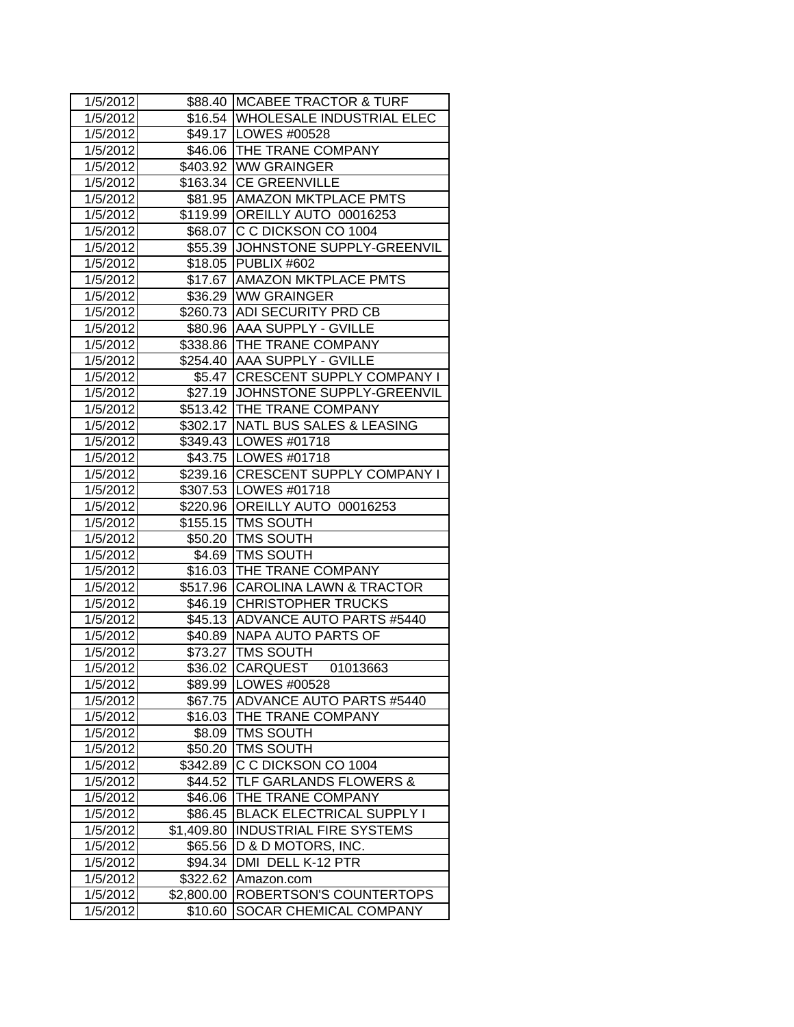| 1/5/2012 |            | \$88.40 MCABEE TRACTOR & TURF      |
|----------|------------|------------------------------------|
| 1/5/2012 |            | \$16.54 WHOLESALE INDUSTRIAL ELEC  |
| 1/5/2012 |            | \$49.17   LOWES #00528             |
| 1/5/2012 |            | \$46.06 THE TRANE COMPANY          |
| 1/5/2012 |            | \$403.92 WW GRAINGER               |
| 1/5/2012 |            | \$163.34 CE GREENVILLE             |
| 1/5/2012 |            | \$81.95 AMAZON MKTPLACE PMTS       |
| 1/5/2012 |            | \$119.99 OREILLY AUTO 00016253     |
| 1/5/2012 |            | \$68.07 C C DICKSON CO 1004        |
| 1/5/2012 |            | \$55.39 JOHNSTONE SUPPLY-GREENVIL  |
| 1/5/2012 |            | \$18.05 PUBLIX #602                |
| 1/5/2012 |            | \$17.67 AMAZON MKTPLACE PMTS       |
| 1/5/2012 |            | \$36.29 WW GRAINGER                |
| 1/5/2012 |            | \$260.73 ADI SECURITY PRD CB       |
| 1/5/2012 |            | \$80.96 AAA SUPPLY - GVILLE        |
| 1/5/2012 |            | \$338.86 THE TRANE COMPANY         |
| 1/5/2012 |            | \$254.40 AAA SUPPLY - GVILLE       |
| 1/5/2012 |            | \$5.47 CRESCENT SUPPLY COMPANY I   |
| 1/5/2012 |            | \$27.19 JOHNSTONE SUPPLY-GREENVIL  |
| 1/5/2012 |            | \$513.42 THE TRANE COMPANY         |
| 1/5/2012 |            | \$302.17 NATL BUS SALES & LEASING  |
| 1/5/2012 |            | \$349.43 LOWES #01718              |
| 1/5/2012 |            | \$43.75 LOWES #01718               |
| 1/5/2012 |            | \$239.16 CRESCENT SUPPLY COMPANY I |
| 1/5/2012 |            | \$307.53 LOWES #01718              |
| 1/5/2012 |            | \$220.96 OREILLY AUTO 00016253     |
| 1/5/2012 |            | \$155.15   TMS SOUTH               |
| 1/5/2012 |            | \$50.20   TMS SOUTH                |
| 1/5/2012 |            | \$4.69 TMS SOUTH                   |
| 1/5/2012 |            | \$16.03 THE TRANE COMPANY          |
| 1/5/2012 |            | \$517.96 CAROLINA LAWN & TRACTOR   |
| 1/5/2012 |            | \$46.19 CHRISTOPHER TRUCKS         |
| 1/5/2012 |            | \$45.13 ADVANCE AUTO PARTS #5440   |
| 1/5/2012 |            | \$40.89 NAPA AUTO PARTS OF         |
| 1/5/2012 |            | \$73.27 TMS SOUTH                  |
| 1/5/2012 |            | \$36.02 CARQUEST<br>01013663       |
| 1/5/2012 |            | \$89.99   LOWES #00528             |
| 1/5/2012 | \$67.75    | ADVANCE AUTO PARTS #5440           |
| 1/5/2012 |            | \$16.03 THE TRANE COMPANY          |
| 1/5/2012 | \$8.09     | <b>TMS SOUTH</b>                   |
| 1/5/2012 |            | \$50.20 TMS SOUTH                  |
| 1/5/2012 |            | \$342.89 C C DICKSON CO 1004       |
| 1/5/2012 | \$44.52    | <b>TLF GARLANDS FLOWERS &amp;</b>  |
| 1/5/2012 | \$46.06    | <b>THE TRANE COMPANY</b>           |
| 1/5/2012 | \$86.45    | <b>BLACK ELECTRICAL SUPPLY I</b>   |
| 1/5/2012 | \$1,409.80 | <b>INDUSTRIAL FIRE SYSTEMS</b>     |
| 1/5/2012 | \$65.56    | D & D MOTORS, INC.                 |
| 1/5/2012 | \$94.34    | DMI DELL K-12 PTR                  |
| 1/5/2012 | \$322.62   | Amazon.com                         |
| 1/5/2012 | \$2,800.00 | ROBERTSON'S COUNTERTOPS            |
| 1/5/2012 | \$10.60    | SOCAR CHEMICAL COMPANY             |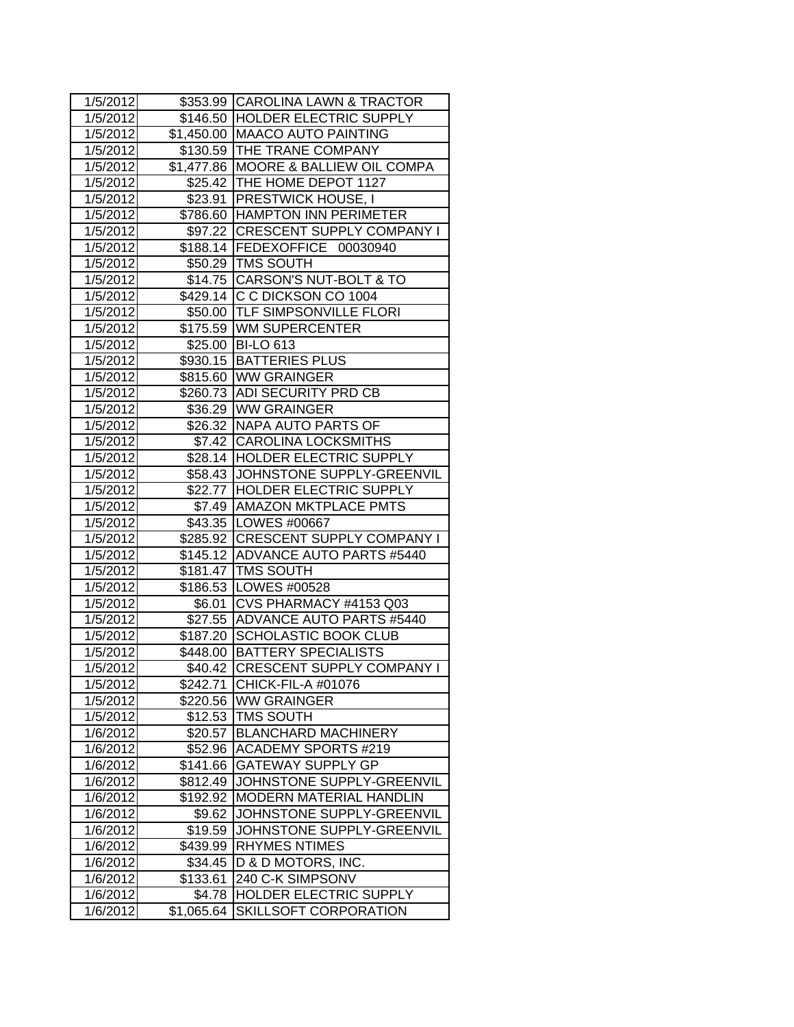| 1/5/2012 |            | \$353.99 CAROLINA LAWN & TRACTOR     |
|----------|------------|--------------------------------------|
| 1/5/2012 |            | \$146.50 HOLDER ELECTRIC SUPPLY      |
| 1/5/2012 |            | \$1,450.00 MAACO AUTO PAINTING       |
| 1/5/2012 |            | \$130.59 THE TRANE COMPANY           |
| 1/5/2012 |            | \$1,477.86 MOORE & BALLIEW OIL COMPA |
| 1/5/2012 |            | \$25.42 THE HOME DEPOT 1127          |
| 1/5/2012 |            | \$23.91 PRESTWICK HOUSE, I           |
| 1/5/2012 |            | \$786.60 HAMPTON INN PERIMETER       |
| 1/5/2012 |            | \$97.22 CRESCENT SUPPLY COMPANY I    |
| 1/5/2012 |            | \$188.14 FEDEXOFFICE 00030940        |
| 1/5/2012 |            | \$50.29   TMS SOUTH                  |
| 1/5/2012 |            | \$14.75 CARSON'S NUT-BOLT & TO       |
| 1/5/2012 |            | \$429.14 C C DICKSON CO 1004         |
| 1/5/2012 |            | \$50.00  TLF SIMPSONVILLE FLORI      |
| 1/5/2012 |            | \$175.59 WM SUPERCENTER              |
| 1/5/2012 |            | \$25.00 BI-LO 613                    |
| 1/5/2012 |            | \$930.15   BATTERIES PLUS            |
| 1/5/2012 |            | \$815.60 WW GRAINGER                 |
| 1/5/2012 |            | \$260.73 ADI SECURITY PRD CB         |
| 1/5/2012 |            | \$36.29 WW GRAINGER                  |
| 1/5/2012 |            | \$26.32   NAPA AUTO PARTS OF         |
| 1/5/2012 |            | \$7.42 CAROLINA LOCKSMITHS           |
| 1/5/2012 |            | \$28.14 HOLDER ELECTRIC SUPPLY       |
| 1/5/2012 |            | \$58.43 JJOHNSTONE SUPPLY-GREENVIL   |
| 1/5/2012 |            | \$22.77  HOLDER ELECTRIC SUPPLY      |
| 1/5/2012 |            | \$7.49   AMAZON MKTPLACE PMTS        |
| 1/5/2012 |            | \$43.35   LOWES #00667               |
| 1/5/2012 |            | \$285.92 CRESCENT SUPPLY COMPANY I   |
| 1/5/2012 |            | \$145.12 ADVANCE AUTO PARTS #5440    |
| 1/5/2012 |            | \$181.47   TMS SOUTH                 |
| 1/5/2012 |            | \$186.53 LOWES #00528                |
| 1/5/2012 | \$6.01     | CVS PHARMACY #4153 Q03               |
| 1/5/2012 | \$27.55    | ADVANCE AUTO PARTS #5440             |
| 1/5/2012 |            | \$187.20 SCHOLASTIC BOOK CLUB        |
| 1/5/2012 |            | \$448.00 BATTERY SPECIALISTS         |
| 1/5/2012 |            | \$40.42 CRESCENT SUPPLY COMPANY I    |
| 1/5/2012 | \$242.71   | CHICK-FIL-A #01076                   |
| 1/5/2012 | \$220.56   | <b>WW GRAINGER</b>                   |
| 1/5/2012 | \$12.53    | <b>TMS SOUTH</b>                     |
| 1/6/2012 | \$20.57    | <b>BLANCHARD MACHINERY</b>           |
| 1/6/2012 | \$52.96    | <b>ACADEMY SPORTS #219</b>           |
| 1/6/2012 | \$141.66   | <b>GATEWAY SUPPLY GP</b>             |
| 1/6/2012 | \$812.49   | JOHNSTONE SUPPLY-GREENVIL            |
| 1/6/2012 | \$192.92   | MODERN MATERIAL HANDLIN              |
| 1/6/2012 | \$9.62     | JOHNSTONE SUPPLY-GREENVIL            |
| 1/6/2012 | \$19.59    | JOHNSTONE SUPPLY-GREENVIL            |
| 1/6/2012 | \$439.99   | <b>RHYMES NTIMES</b>                 |
| 1/6/2012 | \$34.45    | D & D MOTORS, INC.                   |
| 1/6/2012 | \$133.61   | 240 C-K SIMPSONV                     |
| 1/6/2012 | \$4.78     | HOLDER ELECTRIC SUPPLY               |
| 1/6/2012 | \$1,065.64 | SKILLSOFT CORPORATION                |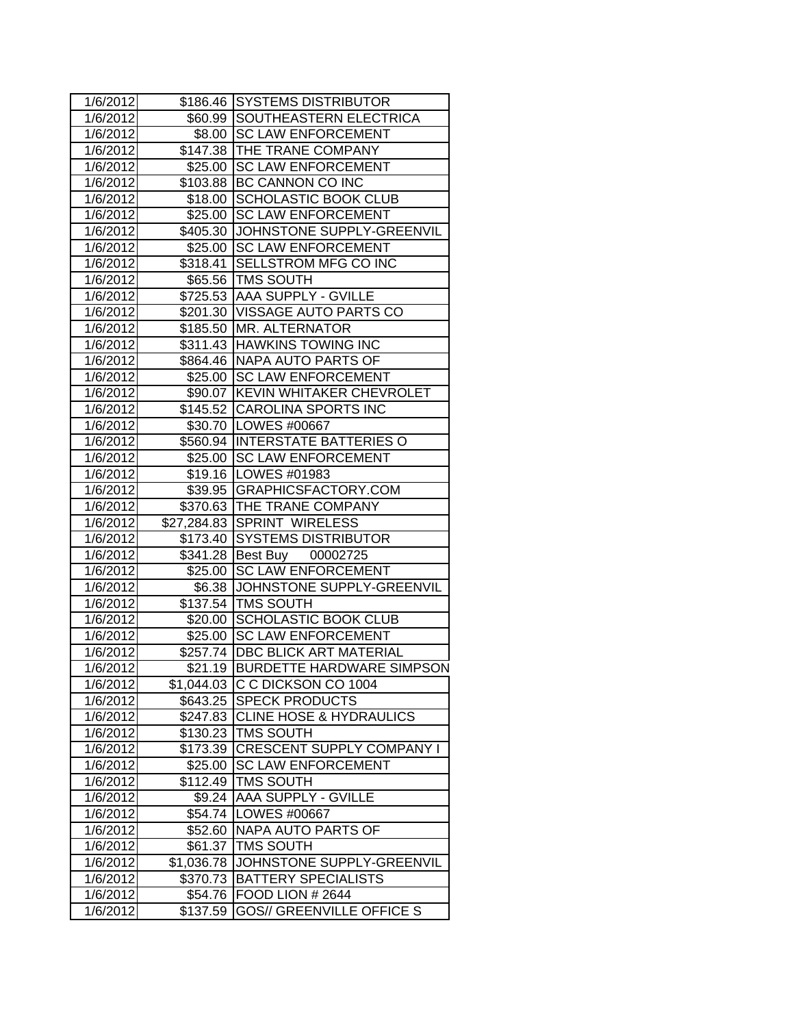| 1/6/2012 |            | \$186.46 SYSTEMS DISTRIBUTOR       |
|----------|------------|------------------------------------|
| 1/6/2012 |            | \$60.99 SOUTHEASTERN ELECTRICA     |
| 1/6/2012 |            | \$8.00 SC LAW ENFORCEMENT          |
| 1/6/2012 |            | \$147.38 THE TRANE COMPANY         |
| 1/6/2012 |            | \$25.00 SC LAW ENFORCEMENT         |
| 1/6/2012 |            | \$103.88 BC CANNON CO INC          |
| 1/6/2012 | \$18.00    | <b>SCHOLASTIC BOOK CLUB</b>        |
| 1/6/2012 | \$25.00    | <b>SC LAW ENFORCEMENT</b>          |
| 1/6/2012 | \$405.30   | JOHNSTONE SUPPLY-GREENVIL          |
| 1/6/2012 |            | \$25.00 SC LAW ENFORCEMENT         |
| 1/6/2012 |            | \$318.41 SELLSTROM MFG CO INC      |
| 1/6/2012 |            | \$65.56   TMS SOUTH                |
| 1/6/2012 |            | \$725.53 AAA SUPPLY - GVILLE       |
| 1/6/2012 |            | \$201.30 VISSAGE AUTO PARTS CO     |
| 1/6/2012 |            | \$185.50 MR. ALTERNATOR            |
| 1/6/2012 |            | \$311.43 HAWKINS TOWING INC        |
| 1/6/2012 |            | \$864.46 NAPA AUTO PARTS OF        |
| 1/6/2012 |            | \$25.00 SC LAW ENFORCEMENT         |
| 1/6/2012 |            | \$90.07 KEVIN WHITAKER CHEVROLET   |
| 1/6/2012 |            | \$145.52 CAROLINA SPORTS INC       |
| 1/6/2012 |            | \$30.70   LOWES #00667             |
| 1/6/2012 |            | \$560.94 INTERSTATE BATTERIES O    |
| 1/6/2012 |            | \$25.00 SC LAW ENFORCEMENT         |
| 1/6/2012 |            | \$19.16   LOWES #01983             |
| 1/6/2012 |            | \$39.95 GRAPHICSFACTORY.COM        |
| 1/6/2012 |            | \$370.63 THE TRANE COMPANY         |
| 1/6/2012 |            | \$27,284.83 SPRINT WIRELESS        |
| 1/6/2012 |            | \$173.40 SYSTEMS DISTRIBUTOR       |
| 1/6/2012 |            | \$341.28 Best Buy 00002725         |
| 1/6/2012 | \$25.00    | <b>SC LAW ENFORCEMENT</b>          |
| 1/6/2012 |            | \$6.38 JJOHNSTONE SUPPLY-GREENVIL  |
| 1/6/2012 |            | \$137.54 TMS SOUTH                 |
| 1/6/2012 | \$20.00    | SCHOLASTIC BOOK CLUB               |
| 1/6/2012 | \$25.00    | <b>SC LAW ENFORCEMENT</b>          |
| 1/6/2012 |            | \$257.74   DBC BLICK ART MATERIAL  |
| 1/6/2012 |            | \$21.19 BURDETTE HARDWARE SIMPSON  |
| 1/6/2012 |            | \$1,044.03 C C DICKSON CO 1004     |
| 1/6/2012 | \$643.25   | <b>SPECK PRODUCTS</b>              |
| 1/6/2012 | \$247.83   | <b>CLINE HOSE &amp; HYDRAULICS</b> |
| 1/6/2012 |            | \$130.23   TMS SOUTH               |
| 1/6/2012 | \$173.39   | <b>CRESCENT SUPPLY COMPANY I</b>   |
| 1/6/2012 |            | \$25.00 SC LAW ENFORCEMENT         |
| 1/6/2012 | \$112.49   | <b>TMS SOUTH</b>                   |
| 1/6/2012 | \$9.24     | <b>AAA SUPPLY - GVILLE</b>         |
| 1/6/2012 | \$54.74    | LOWES #00667                       |
| 1/6/2012 | \$52.60    | NAPA AUTO PARTS OF                 |
| 1/6/2012 | \$61.37    | <b>TMS SOUTH</b>                   |
| 1/6/2012 | \$1,036.78 | JOHNSTONE SUPPLY-GREENVIL          |
| 1/6/2012 | \$370.73   | <b>BATTERY SPECIALISTS</b>         |
| 1/6/2012 | \$54.76    | <b>FOOD LION # 2644</b>            |
| 1/6/2012 | \$137.59   | <b>GOS// GREENVILLE OFFICE S</b>   |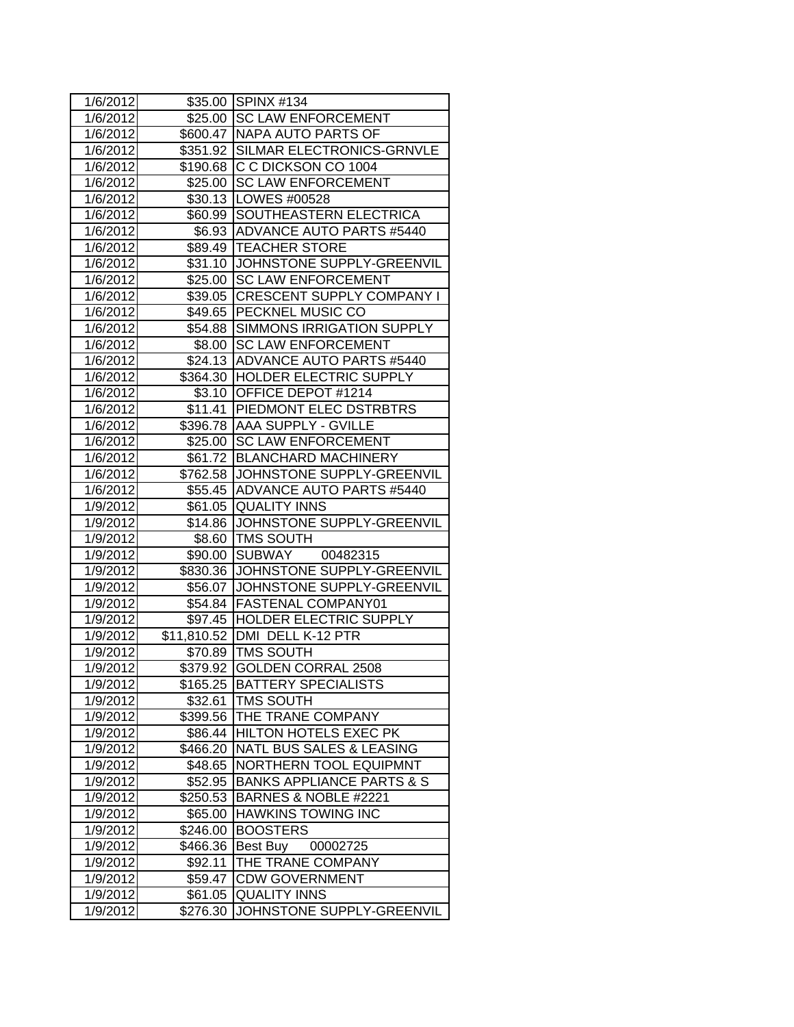| 1/6/2012           |             | \$35.00 SPINX #134                   |
|--------------------|-------------|--------------------------------------|
| 1/6/2012           |             | \$25.00 SC LAW ENFORCEMENT           |
| 1/6/2012           |             | \$600.47 NAPA AUTO PARTS OF          |
| 1/6/2012           |             | \$351.92 SILMAR ELECTRONICS-GRNVLE   |
| 1/6/2012           | \$190.68    | C C DICKSON CO 1004                  |
| 1/6/2012           | \$25.00     | <b>SC LAW ENFORCEMENT</b>            |
| 1/6/2012           | \$30.13     | LOWES #00528                         |
| 1/6/2012           | \$60.99     | <b>SOUTHEASTERN ELECTRICA</b>        |
| 1/6/2012           | \$6.93      | ADVANCE AUTO PARTS #5440             |
| 1/6/2012           | \$89.49     | <b>TEACHER STORE</b>                 |
| 1/6/2012           |             | \$31.10 JOHNSTONE SUPPLY-GREENVIL    |
| 1/6/2012           | \$25.00     | <b>SC LAW ENFORCEMENT</b>            |
| 1/6/2012           | \$39.05     | <b>CRESCENT SUPPLY COMPANY I</b>     |
| 1/6/2012           | \$49.65     | <b>PECKNEL MUSIC CO</b>              |
| 1/6/2012           | \$54.88     | <b>SIMMONS IRRIGATION SUPPLY</b>     |
| 1/6/2012           | \$8.00      | <b>SC LAW ENFORCEMENT</b>            |
| 1/6/2012           |             | \$24.13 ADVANCE AUTO PARTS #5440     |
| 1/6/2012           | \$364.30    | <b>HOLDER ELECTRIC SUPPLY</b>        |
| 1/6/2012           | \$3.10      | <b>OFFICE DEPOT #1214</b>            |
| 1/6/2012           | \$11.41     | <b>PIEDMONT ELEC DSTRBTRS</b>        |
| 1/6/2012           | \$396.78    | <b>AAA SUPPLY - GVILLE</b>           |
| 1/6/2012           | \$25.00     | <b>SC LAW ENFORCEMENT</b>            |
| 1/6/2012           | \$61.72     | <b>BLANCHARD MACHINERY</b>           |
| 1/6/2012           | \$762.58    | JOHNSTONE SUPPLY-GREENVIL            |
| 1/6/2012           | \$55.45     | ADVANCE AUTO PARTS #5440             |
| 1/9/2012           | \$61.05     | <b>QUALITY INNS</b>                  |
| 1/9/2012           | \$14.86     | JOHNSTONE SUPPLY-GREENVIL            |
| 1/9/2012           | \$8.60      | <b>TMS SOUTH</b>                     |
| 1/9/2012           | \$90.00     | SUBWAY 00482315                      |
| 1/9/2012           | \$830.36    | JOHNSTONE SUPPLY-GREENVIL            |
| 1/9/2012           | \$56.07     | JOHNSTONE SUPPLY-GREENVIL            |
| 1/9/2012           | \$54.84     | <b>FASTENAL COMPANY01</b>            |
| 1/9/2012           | \$97.45     | <b>HOLDER ELECTRIC SUPPLY</b>        |
| 1/9/2012           | \$11,810.52 | DMI DELL K-12 PTR                    |
| 1/9/2012           | \$70.89     | <b>TMS SOUTH</b>                     |
| $\frac{1}{9/2012}$ | \$379.92    | <b>GOLDEN CORRAL 2508</b>            |
| 1/9/2012           | \$165.25    | BATTERY SPECIALISTS                  |
| 1/9/2012           | \$32.61     | <b>TMS SOUTH</b>                     |
| 1/9/2012           | \$399.56    | THE TRANE COMPANY                    |
| 1/9/2012           | \$86.44     | <b>HILTON HOTELS EXEC PK</b>         |
| 1/9/2012           | \$466.20    | NATL BUS SALES & LEASING             |
| 1/9/2012           | \$48.65     | <b>NORTHERN TOOL EQUIPMNT</b>        |
| 1/9/2012           | \$52.95     | <b>BANKS APPLIANCE PARTS &amp; S</b> |
| 1/9/2012           | \$250.53    | BARNES & NOBLE #2221                 |
| 1/9/2012           | \$65.00     | <b>HAWKINS TOWING INC</b>            |
| 1/9/2012           | \$246.00    | <b>BOOSTERS</b>                      |
| 1/9/2012           | \$466.36    | Best Buy 00002725                    |
| 1/9/2012           | \$92.11     | THE TRANE COMPANY                    |
| 1/9/2012           | \$59.47     | <b>CDW GOVERNMENT</b>                |
| 1/9/2012           | \$61.05     | <b>QUALITY INNS</b>                  |
| 1/9/2012           | \$276.30    | JOHNSTONE SUPPLY-GREENVIL            |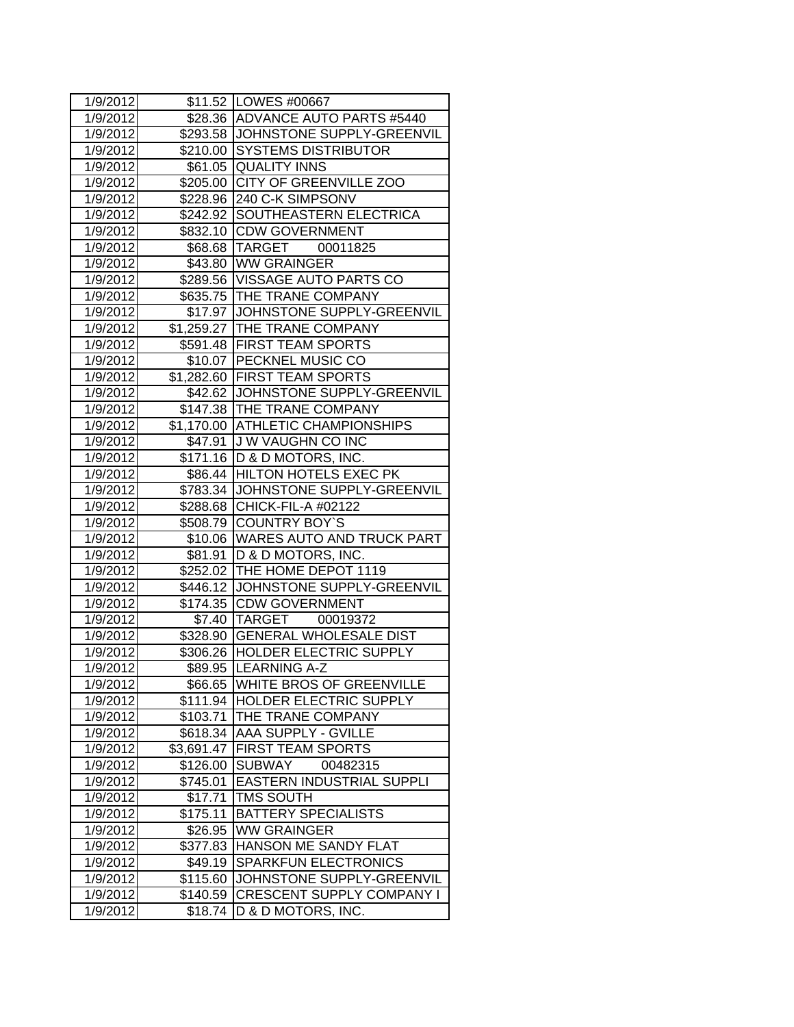| 1/9/2012           |                        | \$11.52   LOWES #00667             |
|--------------------|------------------------|------------------------------------|
| 1/9/2012           |                        | \$28.36 ADVANCE AUTO PARTS #5440   |
| 1/9/2012           |                        | \$293.58 JOHNSTONE SUPPLY-GREENVIL |
| 1/9/2012           |                        | \$210.00 SYSTEMS DISTRIBUTOR       |
| 1/9/2012           |                        | \$61.05 QUALITY INNS               |
| 1/9/2012           | \$205.00               | <b>CITY OF GREENVILLE ZOO</b>      |
| 1/9/2012           |                        | \$228.96 240 C-K SIMPSONV          |
| 1/9/2012           | \$242.92               | SOUTHEASTERN ELECTRICA             |
| 1/9/2012           | \$832.10               | <b>CDW GOVERNMENT</b>              |
| 1/9/2012           | \$68.68                | TARGET 00011825                    |
| 1/9/2012           |                        | \$43.80 WW GRAINGER                |
| 1/9/2012           |                        | \$289.56 VISSAGE AUTO PARTS CO     |
| 1/9/2012           |                        | \$635.75 THE TRANE COMPANY         |
| 1/9/2012           |                        | \$17.97 JOHNSTONE SUPPLY-GREENVIL  |
| 1/9/2012           |                        | \$1,259.27 THE TRANE COMPANY       |
| 1/9/2012           |                        | \$591.48 FIRST TEAM SPORTS         |
| 1/9/2012           |                        | \$10.07 PECKNEL MUSIC CO           |
| 1/9/2012           | $\overline{$}1,282.60$ | <b>FIRST TEAM SPORTS</b>           |
| 1/9/2012           | \$42.62                | JOHNSTONE SUPPLY-GREENVIL          |
| 1/9/2012           | \$147.38               | <b>THE TRANE COMPANY</b>           |
| 1/9/2012           |                        | \$1,170.00 ATHLETIC CHAMPIONSHIPS  |
| 1/9/2012           | \$47.91                | J W VAUGHN CO INC                  |
| 1/9/2012           | \$171.16               | D & D MOTORS, INC.                 |
| 1/9/2012           |                        | \$86.44 HILTON HOTELS EXEC PK      |
| 1/9/2012           | \$783.34               | <b>JOHNSTONE SUPPLY-GREENVIL</b>   |
| 1/9/2012           |                        | \$288.68 CHICK-FIL-A #02122        |
| 1/9/2012           |                        | \$508.79 COUNTRY BOY'S             |
| 1/9/2012           |                        | \$10.06 WARES AUTO AND TRUCK PART  |
| 1/9/2012           | \$81.91                | D & D MOTORS, INC.                 |
| 1/9/2012           |                        | \$252.02 THE HOME DEPOT 1119       |
| 1/9/2012           |                        | \$446.12 JOHNSTONE SUPPLY-GREENVIL |
| 1/9/2012           |                        | \$174.35 CDW GOVERNMENT            |
| 1/9/2012           |                        | \$7.40 TARGET 00019372             |
| 1/9/2012           | \$328.90               | <b>GENERAL WHOLESALE DIST</b>      |
| 1/9/2012           | \$306.26               | <b>HOLDER ELECTRIC SUPPLY</b>      |
| $\frac{1}{9/2012}$ |                        | \$89.95 LEARNING A-Z               |
| 1/9/2012           | \$66.65                | <b>WHITE BROS OF GREENVILLE</b>    |
| 1/9/2012           | \$111.94               | HOLDER ELECTRIC SUPPLY             |
| 1/9/2012           | \$103.71               | THE TRANE COMPANY                  |
| 1/9/2012           | \$618.34               | <b>AAA SUPPLY - GVILLE</b>         |
| 1/9/2012           | \$3,691.47             | <b>FIRST TEAM SPORTS</b>           |
| 1/9/2012           | \$126.00               | <b>SUBWAY</b><br>00482315          |
| 1/9/2012           | \$745.01               | <b>EASTERN INDUSTRIAL SUPPLI</b>   |
| 1/9/2012           | \$17.71                | <b>TMS SOUTH</b>                   |
| 1/9/2012           | \$175.11               | <b>BATTERY SPECIALISTS</b>         |
| 1/9/2012           | \$26.95                | <b>WW GRAINGER</b>                 |
| 1/9/2012           | \$377.83               | HANSON ME SANDY FLAT               |
| 1/9/2012           | \$49.19                | <b>SPARKFUN ELECTRONICS</b>        |
| 1/9/2012           | \$115.60               | JOHNSTONE SUPPLY-GREENVIL          |
| 1/9/2012           | \$140.59               | <b>CRESCENT SUPPLY COMPANY I</b>   |
| 1/9/2012           | \$18.74                | D & D MOTORS, INC.                 |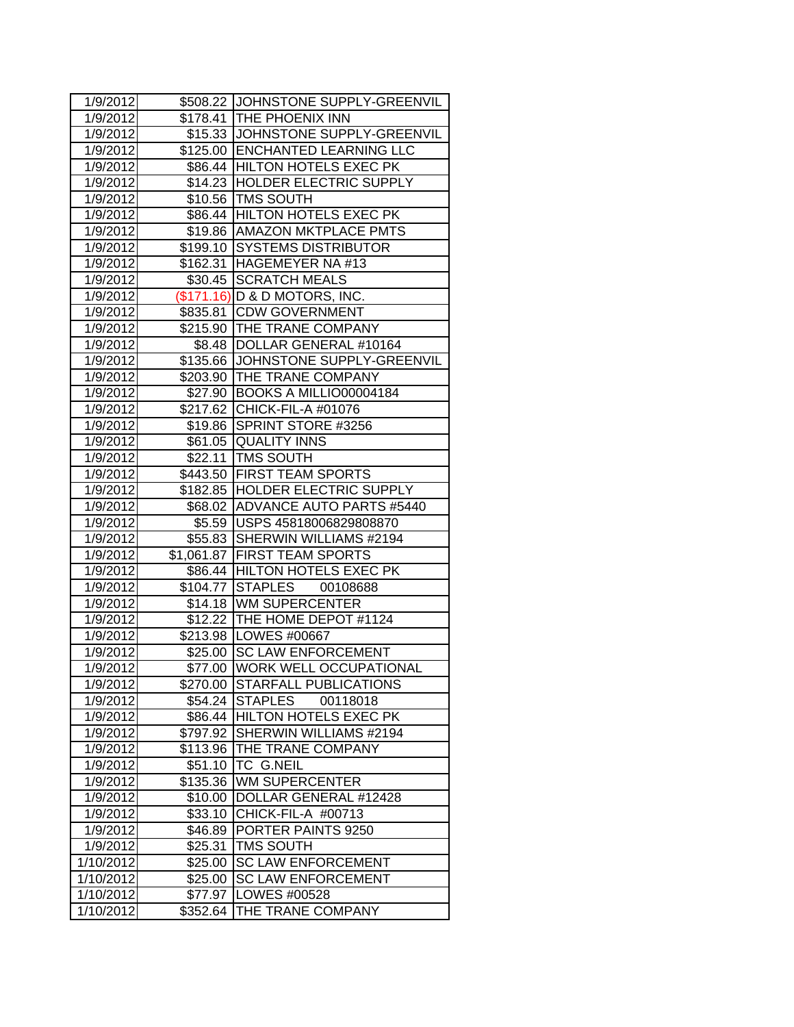| 1/9/2012               |          | \$508.22 JJOHNSTONE SUPPLY-GREENVIL |
|------------------------|----------|-------------------------------------|
| 1/9/2012               |          | \$178.41 THE PHOENIX INN            |
| 1/9/2012               |          | \$15.33 JJOHNSTONE SUPPLY-GREENVIL  |
| 1/9/2012               |          | \$125.00 ENCHANTED LEARNING LLC     |
| 1/9/2012               |          | \$86.44 HILTON HOTELS EXEC PK       |
| 1/9/2012               |          | \$14.23 HOLDER ELECTRIC SUPPLY      |
| 1/9/2012               |          | \$10.56 TMS SOUTH                   |
| 1/9/2012               |          | \$86.44 HILTON HOTELS EXEC PK       |
| 1/9/2012               | \$19.86  | <b>AMAZON MKTPLACE PMTS</b>         |
| 1/9/2012               |          | \$199.10 SYSTEMS DISTRIBUTOR        |
| 1/9/2012               |          | \$162.31 HAGEMEYER NA #13           |
| 1/9/2012               |          | \$30.45 SCRATCH MEALS               |
| 1/9/2012               |          | (\$171.16) D & D MOTORS, INC.       |
| 1/9/2012               | \$835.81 | <b>CDW GOVERNMENT</b>               |
| 1/9/2012               |          | \$215.90 THE TRANE COMPANY          |
| 1/9/2012               |          | \$8.48  DOLLAR GENERAL #10164       |
| 1/9/2012               |          | \$135.66 JJOHNSTONE SUPPLY-GREENVIL |
| 1/9/2012               | \$203.90 | <b>THE TRANE COMPANY</b>            |
| 1/9/2012               | \$27.90  | BOOKS A MILLIO00004184              |
| 1/9/2012               | \$217.62 | CHICK-FIL-A #01076                  |
| 1/9/2012               | \$19.86  | SPRINT STORE #3256                  |
| 1/9/2012               |          | \$61.05 QUALITY INNS                |
| 1/9/2012               |          | \$22.11   TMS SOUTH                 |
| 1/9/2012               |          | \$443.50 FIRST TEAM SPORTS          |
| 1/9/2012               |          | \$182.85 HOLDER ELECTRIC SUPPLY     |
| 1/9/2012               |          | \$68.02 ADVANCE AUTO PARTS #5440    |
| 1/9/2012               |          | \$5.59 USPS 45818006829808870       |
| 1/9/2012               |          | \$55.83 SHERWIN WILLIAMS #2194      |
| 1/9/2012               |          | \$1,061.87 FIRST TEAM SPORTS        |
| 1/9/2012               |          | \$86.44 HILTON HOTELS EXEC PK       |
| 1/9/2012               |          | \$104.77 STAPLES 00108688           |
| 1/9/2012               |          | \$14.18 WM SUPERCENTER              |
| 1/9/2012               |          | \$12.22 THE HOME DEPOT #1124        |
| 1/9/2012               |          | \$213.98 LOWES #00667               |
| 1/9/2012               |          | \$25.00 SC LAW ENFORCEMENT          |
| 1/9/2012               |          | \$77.00 WORK WELL OCCUPATIONAL      |
| 1/9/2012               | \$270.00 | <b>STARFALL PUBLICATIONS</b>        |
| 1/9/2012               | \$54.24  | <b>STAPLES</b><br>00118018          |
| 1/9/2012               | \$86.44  | <b>HILTON HOTELS EXEC PK</b>        |
| 1/9/2012               | \$797.92 | SHERWIN WILLIAMS #2194              |
| 1/9/2012               | \$113.96 | THE TRANE COMPANY                   |
| 1/9/2012               | \$51.10  | <b>TC G.NEIL</b>                    |
| 1/9/2012               | \$135.36 | <b>WM SUPERCENTER</b>               |
| 1/9/2012               | \$10.00  | DOLLAR GENERAL #12428               |
| 1/9/2012               | \$33.10  | CHICK-FIL-A #00713                  |
| 1/9/2012               | \$46.89  | PORTER PAINTS 9250                  |
| 1/9/2012               | \$25.31  | <b>TMS SOUTH</b>                    |
| 1/10/2012              | \$25.00  | <b>SC LAW ENFORCEMENT</b>           |
| $\overline{1}/10/2012$ | \$25.00  | <b>SC LAW ENFORCEMENT</b>           |
| 1/10/2012              | \$77.97  | LOWES #00528                        |
| 1/10/2012              | \$352.64 | THE TRANE COMPANY                   |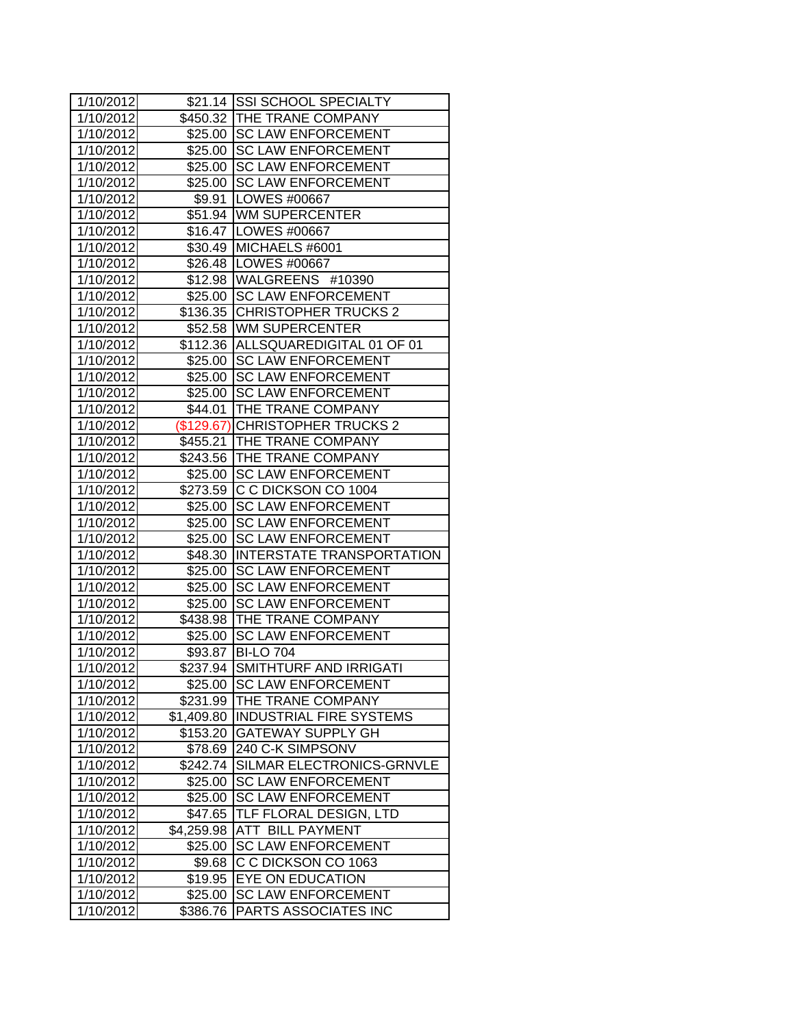| 1/10/2012 |            | \$21.14 SSI SCHOOL SPECIALTY       |
|-----------|------------|------------------------------------|
| 1/10/2012 |            | \$450.32 THE TRANE COMPANY         |
| 1/10/2012 |            | \$25.00 SC LAW ENFORCEMENT         |
| 1/10/2012 |            | \$25.00 SC LAW ENFORCEMENT         |
| 1/10/2012 | \$25.00    | <b>SC LAW ENFORCEMENT</b>          |
| 1/10/2012 |            | \$25.00 SC LAW ENFORCEMENT         |
| 1/10/2012 |            | \$9.91 LOWES #00667                |
| 1/10/2012 |            | \$51.94 WM SUPERCENTER             |
| 1/10/2012 |            | \$16.47   LOWES #00667             |
| 1/10/2012 |            | \$30.49 MICHAELS #6001             |
| 1/10/2012 |            | \$26.48   LOWES #00667             |
| 1/10/2012 |            | \$12.98   WALGREENS #10390         |
| 1/10/2012 |            | \$25.00 SC LAW ENFORCEMENT         |
| 1/10/2012 |            | \$136.35 CHRISTOPHER TRUCKS 2      |
| 1/10/2012 |            | \$52.58 WM SUPERCENTER             |
| 1/10/2012 |            | \$112.36 ALLSQUAREDIGITAL 01 OF 01 |
| 1/10/2012 |            | \$25.00 SC LAW ENFORCEMENT         |
| 1/10/2012 | \$25.00    | <b>SC LAW ENFORCEMENT</b>          |
| 1/10/2012 | \$25.00    | <b>SC LAW ENFORCEMENT</b>          |
| 1/10/2012 |            | \$44.01 THE TRANE COMPANY          |
| 1/10/2012 |            | (\$129.67) CHRISTOPHER TRUCKS 2    |
| 1/10/2012 |            | \$455.21 THE TRANE COMPANY         |
| 1/10/2012 |            | \$243.56 THE TRANE COMPANY         |
| 1/10/2012 |            | \$25.00 SC LAW ENFORCEMENT         |
| 1/10/2012 |            | \$273.59 C C DICKSON CO 1004       |
| 1/10/2012 |            | \$25.00 SC LAW ENFORCEMENT         |
| 1/10/2012 |            | \$25.00 SC LAW ENFORCEMENT         |
| 1/10/2012 |            | \$25.00 SC LAW ENFORCEMENT         |
| 1/10/2012 |            | \$48.30 INTERSTATE TRANSPORTATION  |
| 1/10/2012 | \$25.00    | <b>SC LAW ENFORCEMENT</b>          |
| 1/10/2012 | \$25.00    | <b>SC LAW ENFORCEMENT</b>          |
| 1/10/2012 | \$25.00    | <b>SC LAW ENFORCEMENT</b>          |
| 1/10/2012 | \$438.98   | <b>THE TRANE COMPANY</b>           |
| 1/10/2012 | \$25.00    | <b>SC LAW ENFORCEMENT</b>          |
| 1/10/2012 |            | \$93.87 BI-LO 704                  |
| 1/10/2012 | \$237.94   | <b>SMITHTURF AND IRRIGATI</b>      |
| 1/10/2012 |            | \$25.00 SC LAW ENFORCEMENT         |
| 1/10/2012 | \$231.99   | THE TRANE COMPANY                  |
| 1/10/2012 | \$1,409.80 | <b>INDUSTRIAL FIRE SYSTEMS</b>     |
| 1/10/2012 | \$153.20   | <b>GATEWAY SUPPLY GH</b>           |
| 1/10/2012 | \$78.69    | 240 C-K SIMPSONV                   |
| 1/10/2012 | \$242.74   | SILMAR ELECTRONICS-GRNVLE          |
| 1/10/2012 | \$25.00    | <b>SC LAW ENFORCEMENT</b>          |
| 1/10/2012 | \$25.00    | <b>SC LAW ENFORCEMENT</b>          |
| 1/10/2012 | \$47.65    | TLF FLORAL DESIGN, LTD             |
| 1/10/2012 | \$4,259.98 | <b>ATT BILL PAYMENT</b>            |
| 1/10/2012 | \$25.00    | <b>SC LAW ENFORCEMENT</b>          |
| 1/10/2012 | \$9.68     | C C DICKSON CO 1063                |
| 1/10/2012 | \$19.95    | <b>EYE ON EDUCATION</b>            |
| 1/10/2012 | \$25.00    | <b>SC LAW ENFORCEMENT</b>          |
| 1/10/2012 | \$386.76   | PARTS ASSOCIATES INC               |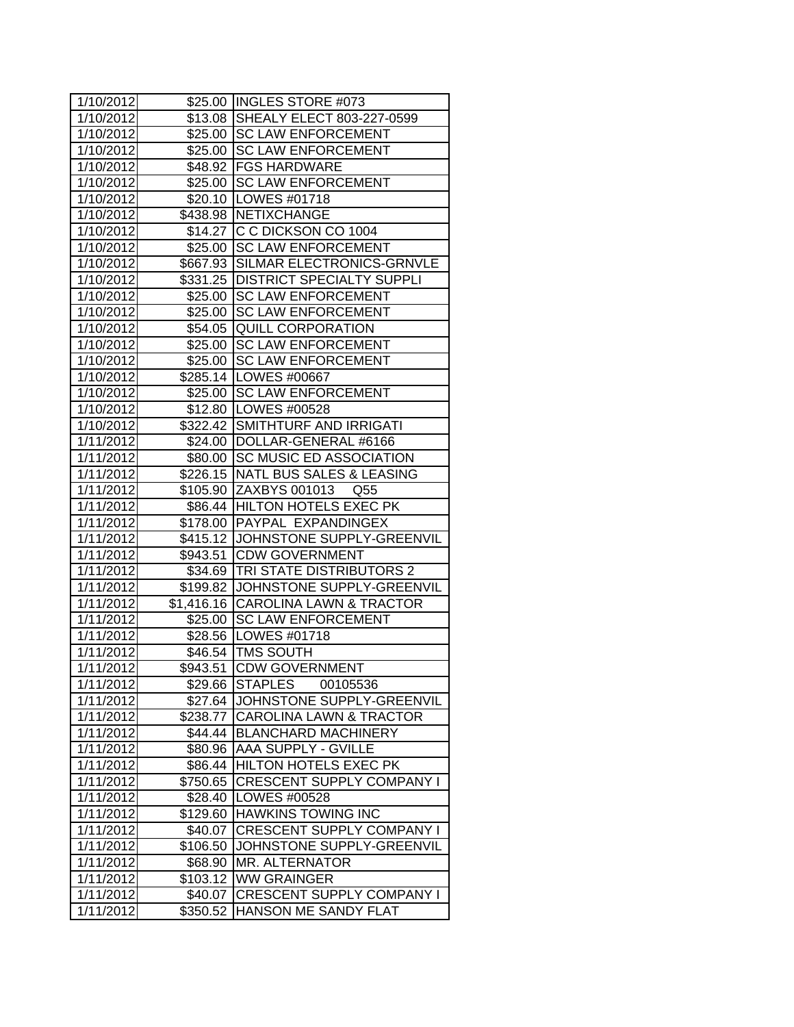| 1/10/2012              |          | \$25.00 INGLES STORE #073            |
|------------------------|----------|--------------------------------------|
| 1/10/2012              |          | \$13.08 SHEALY ELECT 803-227-0599    |
| 1/10/2012              |          | \$25.00 SC LAW ENFORCEMENT           |
| 1/10/2012              |          | \$25.00 SC LAW ENFORCEMENT           |
| 1/10/2012              |          | \$48.92 FGS HARDWARE                 |
| 1/10/2012              |          | \$25.00 SC LAW ENFORCEMENT           |
| 1/10/2012              |          | \$20.10   LOWES #01718               |
| 1/10/2012              |          | \$438.98 NETIXCHANGE                 |
| 1/10/2012              |          | \$14.27 C C DICKSON CO 1004          |
| 1/10/2012              |          | \$25.00 SC LAW ENFORCEMENT           |
| 1/10/2012              |          | \$667.93 SILMAR ELECTRONICS-GRNVLE   |
| 1/10/2012              |          | \$331.25   DISTRICT SPECIALTY SUPPLI |
| 1/10/2012              |          | \$25.00 SC LAW ENFORCEMENT           |
| 1/10/2012              |          | \$25.00 SC LAW ENFORCEMENT           |
| 1/10/2012              | \$54.05  | <b>QUILL CORPORATION</b>             |
| 1/10/2012              |          | \$25.00 SC LAW ENFORCEMENT           |
| 1/10/2012              |          | \$25.00 SC LAW ENFORCEMENT           |
| 1/10/2012              |          | \$285.14   LOWES #00667              |
| 1/10/2012              | \$25.00  | <b>SC LAW ENFORCEMENT</b>            |
| 1/10/2012              |          | \$12.80   LOWES #00528               |
| 1/10/2012              |          | \$322.42 SMITHTURF AND IRRIGATI      |
| 1/11/2012              |          | \$24.00   DOLLAR-GENERAL #6166       |
| 1/11/2012              |          | \$80.00 SC MUSIC ED ASSOCIATION      |
| 1/11/2012              |          | \$226.15 NATL BUS SALES & LEASING    |
| 1/11/2012              |          | \$105.90 ZAXBYS 001013 Q55           |
| 1/11/2012              |          | \$86.44 HILTON HOTELS EXEC PK        |
| 1/11/2012              |          | \$178.00 PAYPAL EXPANDINGEX          |
| 1/11/2012              |          | \$415.12 JOHNSTONE SUPPLY-GREENVIL   |
| 1/11/2012              |          | \$943.51 CDW GOVERNMENT              |
| 1/11/2012              |          | \$34.69  TRI STATE DISTRIBUTORS 2    |
| 1/11/2012              |          | \$199.82 JOHNSTONE SUPPLY-GREENVIL   |
| 1/11/2012              |          | \$1,416.16 CAROLINA LAWN & TRACTOR   |
| 1/11/2012              | \$25.00  | <b>SC LAW ENFORCEMENT</b>            |
| 1/11/2012              | \$28.56  | LOWES #01718                         |
| 1/11/2012              |          | \$46.54 TMS SOUTH                    |
| $\overline{1/11/2012}$ |          | \$943.51 CDW GOVERNMENT              |
| 1/11/2012              | \$29.66  | <b>STAPLES</b><br>00105536           |
| 1/11/2012              | \$27.64  | JOHNSTONE SUPPLY-GREENVIL            |
| 1/11/2012              | \$238.77 | <b>CAROLINA LAWN &amp; TRACTOR</b>   |
| 1/11/2012              | \$44.44  | <b>BLANCHARD MACHINERY</b>           |
| 1/11/2012              | \$80.96  | AAA SUPPLY - GVILLE                  |
| 1/11/2012              | \$86.44  | <b>HILTON HOTELS EXEC PK</b>         |
| 1/11/2012              | \$750.65 | <b>CRESCENT SUPPLY COMPANY I</b>     |
| 1/11/2012              | \$28.40  | LOWES #00528                         |
| 1/11/2012              | \$129.60 | <b>HAWKINS TOWING INC</b>            |
| 1/11/2012              | \$40.07  | <b>CRESCENT SUPPLY COMPANY I</b>     |
| 1/11/2012              | \$106.50 | JOHNSTONE SUPPLY-GREENVIL            |
| 1/11/2012              | \$68.90  | MR. ALTERNATOR                       |
| 1/11/2012              | \$103.12 | <b>WW GRAINGER</b>                   |
| 1/11/2012              | \$40.07  | <b>CRESCENT SUPPLY COMPANY I</b>     |
| 1/11/2012              | \$350.52 | HANSON ME SANDY FLAT                 |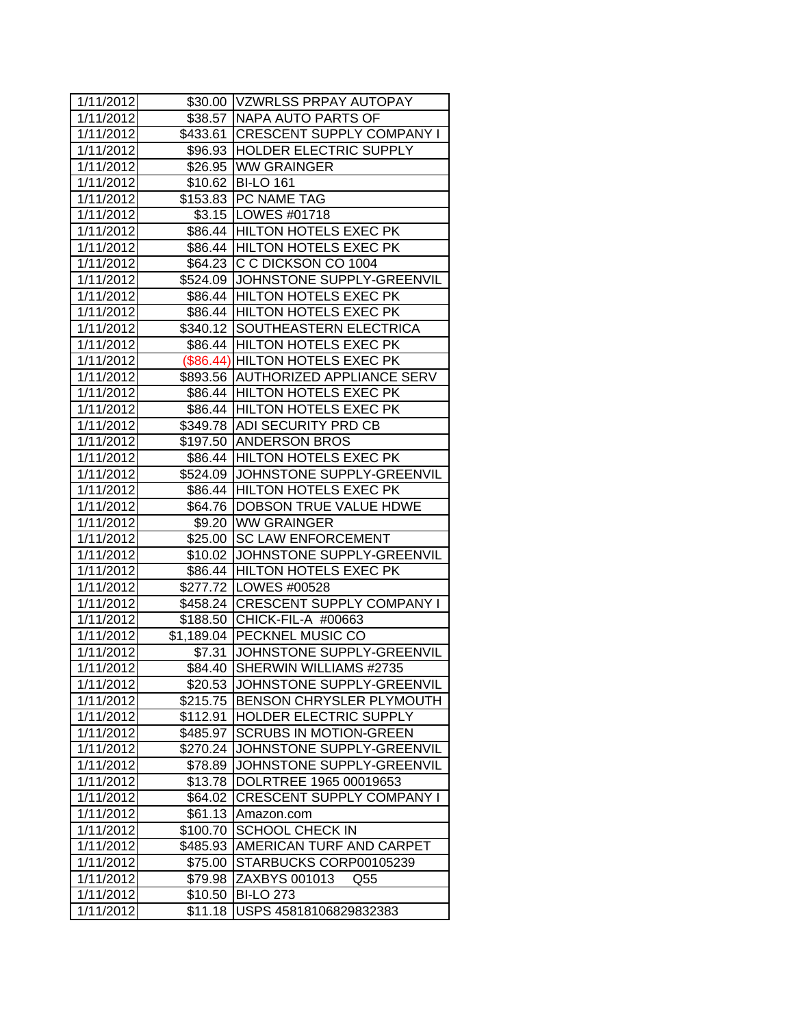| 1/11/2012 |          | \$30.00 VZWRLSS PRPAY AUTOPAY       |
|-----------|----------|-------------------------------------|
| 1/11/2012 |          | \$38.57   NAPA AUTO PARTS OF        |
| 1/11/2012 |          | \$433.61 CRESCENT SUPPLY COMPANY I  |
| 1/11/2012 |          | \$96.93 HOLDER ELECTRIC SUPPLY      |
| 1/11/2012 |          | \$26.95 WW GRAINGER                 |
| 1/11/2012 |          | \$10.62 BI-LO 161                   |
| 1/11/2012 |          | \$153.83 PC NAME TAG                |
| 1/11/2012 |          | \$3.15  LOWES #01718                |
| 1/11/2012 |          | \$86.44 HILTON HOTELS EXEC PK       |
| 1/11/2012 |          | \$86.44 HILTON HOTELS EXEC PK       |
| 1/11/2012 |          | \$64.23 C C DICKSON CO 1004         |
| 1/11/2012 |          | \$524.09 JJOHNSTONE SUPPLY-GREENVIL |
| 1/11/2012 |          | \$86.44 HILTON HOTELS EXEC PK       |
| 1/11/2012 |          | \$86.44 HILTON HOTELS EXEC PK       |
| 1/11/2012 |          | \$340.12 SOUTHEASTERN ELECTRICA     |
| 1/11/2012 |          | \$86.44 HILTON HOTELS EXEC PK       |
| 1/11/2012 |          | (\$86.44) HILTON HOTELS EXEC PK     |
| 1/11/2012 |          | \$893.56 AUTHORIZED APPLIANCE SERV  |
| 1/11/2012 |          | \$86.44 HILTON HOTELS EXEC PK       |
| 1/11/2012 |          | \$86.44 HILTON HOTELS EXEC PK       |
| 1/11/2012 |          | \$349.78 ADI SECURITY PRD CB        |
| 1/11/2012 |          | \$197.50 ANDERSON BROS              |
| 1/11/2012 |          | \$86.44 HILTON HOTELS EXEC PK       |
| 1/11/2012 |          | \$524.09 JOHNSTONE SUPPLY-GREENVIL  |
| 1/11/2012 |          | \$86.44 HILTON HOTELS EXEC PK       |
| 1/11/2012 |          | \$64.76  DOBSON TRUE VALUE HDWE     |
| 1/11/2012 |          | \$9.20 WW GRAINGER                  |
| 1/11/2012 |          | \$25.00 SC LAW ENFORCEMENT          |
| 1/11/2012 |          | \$10.02 JJOHNSTONE SUPPLY-GREENVIL  |
| 1/11/2012 |          | \$86.44 HILTON HOTELS EXEC PK       |
| 1/11/2012 |          | \$277.72 LOWES #00528               |
| 1/11/2012 |          | \$458.24 CRESCENT SUPPLY COMPANY I  |
| 1/11/2012 |          | \$188.50 CHICK-FIL-A #00663         |
| 1/11/2012 |          | \$1,189.04 PECKNEL MUSIC CO         |
| 1/11/2012 |          | \$7.31 JOHNSTONE SUPPLY-GREENVIL    |
| 1/11/2012 |          | \$84.40 SHERWIN WILLIAMS #2735      |
| 1/11/2012 | \$20.53  | JOHNSTONE SUPPLY-GREENVIL           |
| 1/11/2012 | \$215.75 | <b>BENSON CHRYSLER PLYMOUTH</b>     |
| 1/11/2012 | \$112.91 | <b>HOLDER ELECTRIC SUPPLY</b>       |
| 1/11/2012 | \$485.97 | <b>SCRUBS IN MOTION-GREEN</b>       |
| 1/11/2012 | \$270.24 | JOHNSTONE SUPPLY-GREENVIL           |
| 1/11/2012 | \$78.89  | JOHNSTONE SUPPLY-GREENVIL           |
| 1/11/2012 | \$13.78  | DOLRTREE 1965 00019653              |
| 1/11/2012 | \$64.02  | <b>CRESCENT SUPPLY COMPANY I</b>    |
| 1/11/2012 | \$61.13  | Amazon.com                          |
| 1/11/2012 | \$100.70 | <b>SCHOOL CHECK IN</b>              |
| 1/11/2012 | \$485.93 | AMERICAN TURF AND CARPET            |
| 1/11/2012 | \$75.00  | STARBUCKS CORP00105239              |
| 1/11/2012 | \$79.98  | ZAXBYS 001013<br>Q55                |
| 1/11/2012 | \$10.50  | <b>BI-LO 273</b>                    |
| 1/11/2012 | \$11.18  | USPS 45818106829832383              |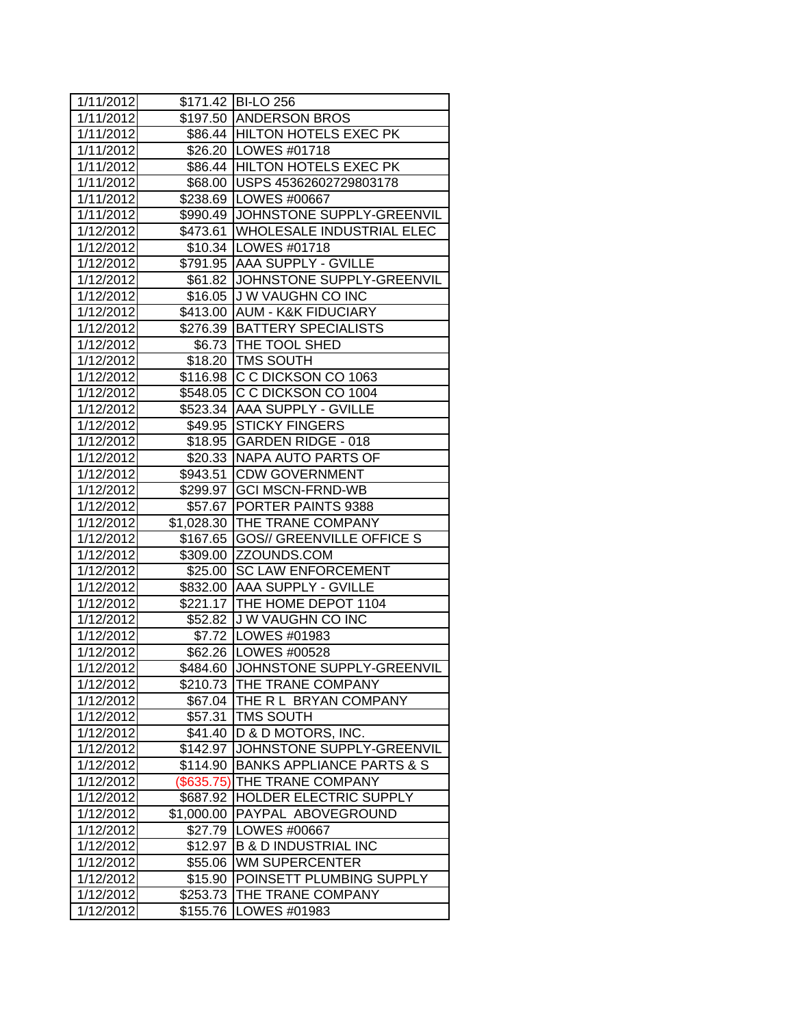| 1/11/2012              |                    | \$171.42 BI-LO 256                   |
|------------------------|--------------------|--------------------------------------|
| 1/11/2012              |                    | \$197.50 ANDERSON BROS               |
| 1/11/2012              |                    | \$86.44 HILTON HOTELS EXEC PK        |
| 1/11/2012              |                    | \$26.20 LOWES #01718                 |
| 1/11/2012              |                    | \$86.44 HILTON HOTELS EXEC PK        |
| 1/11/2012              |                    | \$68.00 USPS 45362602729803178       |
| 1/11/2012              |                    | \$238.69 LOWES #00667                |
| 1/11/2012              |                    | \$990.49 JOHNSTONE SUPPLY-GREENVIL   |
| 1/12/2012              |                    | \$473.61 WHOLESALE INDUSTRIAL ELEC   |
| 1/12/2012              |                    | \$10.34   LOWES #01718               |
| 1/12/2012              |                    | \$791.95 AAA SUPPLY - GVILLE         |
| 1/12/2012              |                    | \$61.82 JJOHNSTONE SUPPLY-GREENVIL   |
| 1/12/2012              |                    | \$16.05 J W VAUGHN CO INC            |
| 1/12/2012              |                    | \$413.00 AUM - K&K FIDUCIARY         |
| 1/12/2012              |                    | \$276.39   BATTERY SPECIALISTS       |
| 1/12/2012              |                    | \$6.73   THE TOOL SHED               |
| 1/12/2012              |                    | \$18.20   TMS SOUTH                  |
| 1/12/2012              |                    | \$116.98 C C DICKSON CO 1063         |
| 1/12/2012              |                    | \$548.05 C C DICKSON CO 1004         |
| 1/12/2012              |                    | \$523.34 AAA SUPPLY - GVILLE         |
| 1/12/2012              |                    | \$49.95 STICKY FINGERS               |
| 1/12/2012              |                    | \$18.95 GARDEN RIDGE - 018           |
| 1/12/2012              |                    | \$20.33 NAPA AUTO PARTS OF           |
| 1/12/2012              |                    | \$943.51 CDW GOVERNMENT              |
| 1/12/2012              |                    | \$299.97 GCI MSCN-FRND-WB            |
| 1/12/2012              |                    | \$57.67 PORTER PAINTS 9388           |
| 1/12/2012              |                    | \$1,028.30 THE TRANE COMPANY         |
| 1/12/2012              |                    | \$167.65 GOS// GREENVILLE OFFICE S   |
| 1/12/2012              |                    | \$309.00 ZZOUNDS.COM                 |
| 1/12/2012              |                    | \$25.00 SC LAW ENFORCEMENT           |
| 1/12/2012              |                    | \$832.00 AAA SUPPLY - GVILLE         |
| 1/12/2012              |                    | \$221.17 THE HOME DEPOT 1104         |
| 1/12/2012              |                    | \$52.82 J W VAUGHN CO INC            |
| 1/12/2012              |                    | \$7.72 LOWES #01983                  |
| 1/12/2012              |                    | \$62.26   LOWES #00528               |
| 1/12/2012              |                    | \$484.60 JJOHNSTONE SUPPLY-GREENVIL  |
| 1/12/2012              | \$210.73           | <b>THE TRANE COMPANY</b>             |
| 1/12/2012              | \$67.04            | THE R L BRYAN COMPANY                |
| 1/12/2012              | \$57.31            | <b>TMS SOUTH</b>                     |
| 1/12/2012              | \$41.40            | D & D MOTORS, INC.                   |
| 1/12/2012              | \$142.97           | JOHNSTONE SUPPLY-GREENVIL            |
| 1/12/2012              | \$114.90           | <b>BANKS APPLIANCE PARTS &amp; S</b> |
| 1/12/2012              | (\$635.75)         | <b>THE TRANE COMPANY</b>             |
| 1/12/2012              | \$687.92           | <b>HOLDER ELECTRIC SUPPLY</b>        |
| 1/12/2012              | \$1,000.00         | PAYPAL ABOVEGROUND                   |
| 1/12/2012              | \$27.79            | <b>LOWES #00667</b>                  |
| 1/12/2012              | \$12.97            | <b>B &amp; D INDUSTRIAL INC</b>      |
|                        |                    | <b>WM SUPERCENTER</b>                |
| 1/12/2012<br>1/12/2012 | \$55.06<br>\$15.90 | POINSETT PLUMBING SUPPLY             |
| 1/12/2012              | \$253.73           | THE TRANE COMPANY                    |
| 1/12/2012              | \$155.76           | LOWES #01983                         |
|                        |                    |                                      |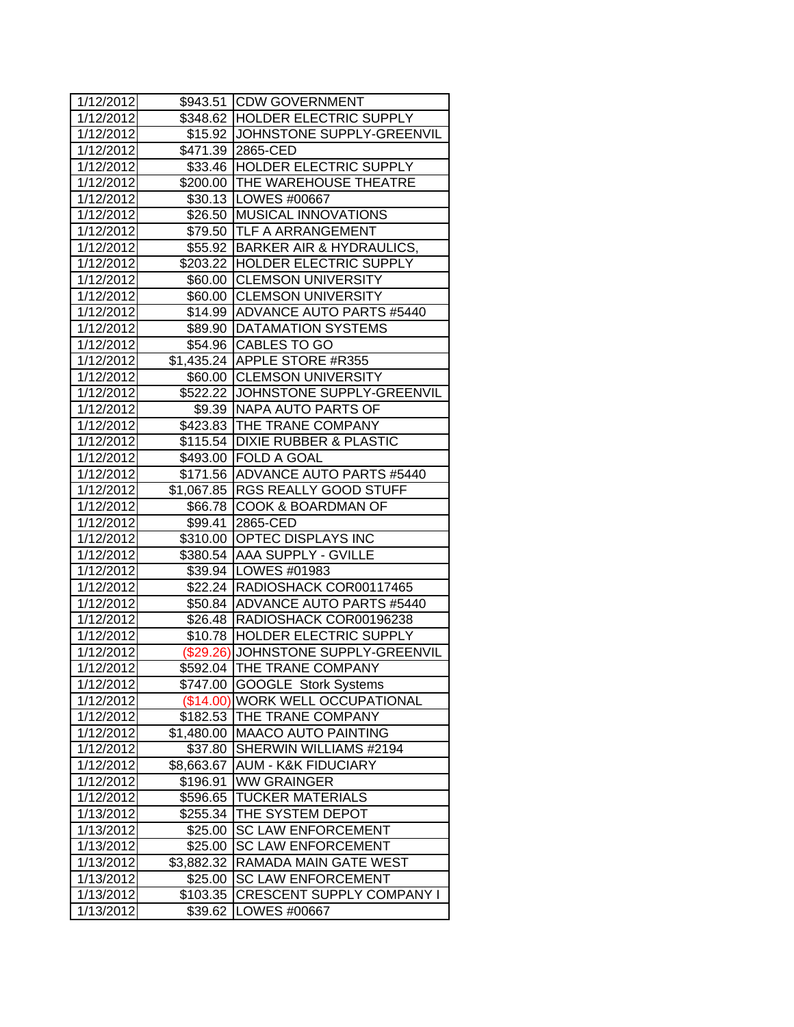| 1/12/2012 |            | \$943.51 CDW GOVERNMENT             |
|-----------|------------|-------------------------------------|
| 1/12/2012 |            | \$348.62 HOLDER ELECTRIC SUPPLY     |
| 1/12/2012 |            | \$15.92 JOHNSTONE SUPPLY-GREENVIL   |
| 1/12/2012 |            | \$471.39 2865-CED                   |
| 1/12/2012 |            | \$33.46 HOLDER ELECTRIC SUPPLY      |
| 1/12/2012 |            | \$200.00  THE WAREHOUSE THEATRE     |
| 1/12/2012 |            | \$30.13   LOWES #00667              |
| 1/12/2012 |            | \$26.50 MUSICAL INNOVATIONS         |
| 1/12/2012 |            | \$79.50 TLF A ARRANGEMENT           |
| 1/12/2012 |            | \$55.92 BARKER AIR & HYDRAULICS,    |
| 1/12/2012 |            | \$203.22 HOLDER ELECTRIC SUPPLY     |
| 1/12/2012 |            | \$60.00 CLEMSON UNIVERSITY          |
| 1/12/2012 |            | \$60.00 CLEMSON UNIVERSITY          |
| 1/12/2012 |            | \$14.99 JADVANCE AUTO PARTS #5440   |
| 1/12/2012 |            | \$89.90   DATAMATION SYSTEMS        |
| 1/12/2012 |            | \$54.96 CABLES TO GO                |
| 1/12/2012 |            | \$1,435.24 APPLE STORE #R355        |
| 1/12/2012 |            | \$60.00 CLEMSON UNIVERSITY          |
| 1/12/2012 |            | \$522.22 JJOHNSTONE SUPPLY-GREENVIL |
| 1/12/2012 |            | \$9.39 NAPA AUTO PARTS OF           |
| 1/12/2012 |            | \$423.83 THE TRANE COMPANY          |
| 1/12/2012 |            | \$115.54 DIXIE RUBBER & PLASTIC     |
| 1/12/2012 |            | \$493.00 FOLD A GOAL                |
| 1/12/2012 |            | \$171.56 ADVANCE AUTO PARTS #5440   |
| 1/12/2012 |            | \$1,067.85 RGS REALLY GOOD STUFF    |
| 1/12/2012 |            | \$66.78 COOK & BOARDMAN OF          |
| 1/12/2012 |            | \$99.41 2865-CED                    |
| 1/12/2012 |            | \$310.00 OPTEC DISPLAYS INC         |
| 1/12/2012 |            | \$380.54 AAA SUPPLY - GVILLE        |
| 1/12/2012 |            | \$39.94 LOWES #01983                |
| 1/12/2012 |            | \$22.24 RADIOSHACK COR00117465      |
| 1/12/2012 |            | \$50.84 ADVANCE AUTO PARTS #5440    |
| 1/12/2012 |            | \$26.48 RADIOSHACK COR00196238      |
| 1/12/2012 |            | \$10.78  HOLDER ELECTRIC SUPPLY     |
| 1/12/2012 |            | (\$29.26) JOHNSTONE SUPPLY-GREENVIL |
| 1/12/2012 |            | \$592.04 THE TRANE COMPANY          |
| 1/12/2012 |            | \$747.00 GOOGLE Stork Systems       |
| 1/12/2012 |            | (\$14.00) WORK WELL OCCUPATIONAL    |
| 1/12/2012 | \$182.53   | THE TRANE COMPANY                   |
| 1/12/2012 | \$1,480.00 | <b>MAACO AUTO PAINTING</b>          |
| 1/12/2012 | \$37.80    | SHERWIN WILLIAMS #2194              |
| 1/12/2012 | \$8,663.67 | <b>AUM - K&amp;K FIDUCIARY</b>      |
| 1/12/2012 | \$196.91   | <b>WW GRAINGER</b>                  |
| 1/12/2012 | \$596.65   | <b>TUCKER MATERIALS</b>             |
| 1/13/2012 | \$255.34   | THE SYSTEM DEPOT                    |
| 1/13/2012 | \$25.00    | <b>SC LAW ENFORCEMENT</b>           |
| 1/13/2012 | \$25.00    | <b>SC LAW ENFORCEMENT</b>           |
| 1/13/2012 | \$3,882.32 | <b>RAMADA MAIN GATE WEST</b>        |
| 1/13/2012 | \$25.00    | <b>SC LAW ENFORCEMENT</b>           |
| 1/13/2012 | \$103.35   | <b>CRESCENT SUPPLY COMPANY I</b>    |
| 1/13/2012 | \$39.62    | LOWES #00667                        |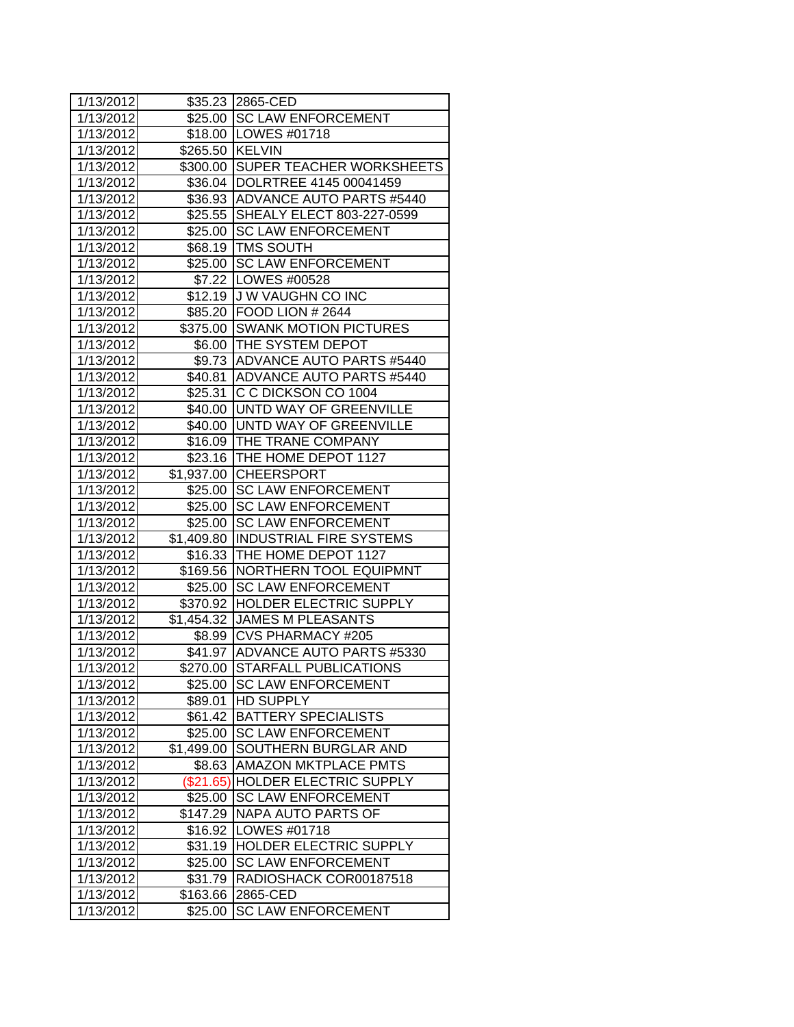| 1/13/2012 |                 | \$35.23 2865-CED                                                |
|-----------|-----------------|-----------------------------------------------------------------|
| 1/13/2012 |                 | \$25.00 SC LAW ENFORCEMENT                                      |
| 1/13/2012 |                 | \$18.00 LOWES #01718                                            |
| 1/13/2012 | \$265.50 KELVIN |                                                                 |
| 1/13/2012 |                 | \$300.00 SUPER TEACHER WORKSHEETS                               |
| 1/13/2012 |                 | \$36.04  DOLRTREE 4145 00041459                                 |
| 1/13/2012 |                 | \$36.93 ADVANCE AUTO PARTS #5440                                |
| 1/13/2012 |                 | \$25.55 SHEALY ELECT 803-227-0599                               |
| 1/13/2012 |                 | \$25.00 SC LAW ENFORCEMENT                                      |
| 1/13/2012 |                 | \$68.19   TMS SOUTH                                             |
| 1/13/2012 |                 | \$25.00 SC LAW ENFORCEMENT                                      |
| 1/13/2012 |                 | \$7.22   LOWES #00528                                           |
| 1/13/2012 |                 | \$12.19 J W VAUGHN CO INC                                       |
| 1/13/2012 |                 | \$85.20 FOOD LION # 2644                                        |
| 1/13/2012 |                 | \$375.00 SWANK MOTION PICTURES                                  |
| 1/13/2012 |                 | \$6.00   THE SYSTEM DEPOT                                       |
| 1/13/2012 |                 | \$9.73 ADVANCE AUTO PARTS #5440                                 |
| 1/13/2012 |                 | \$40.81 ADVANCE AUTO PARTS #5440                                |
| 1/13/2012 |                 | \$25.31 C C DICKSON CO 1004                                     |
| 1/13/2012 |                 | \$40.00 UNTD WAY OF GREENVILLE                                  |
| 1/13/2012 |                 | \$40.00 UNTD WAY OF GREENVILLE                                  |
| 1/13/2012 |                 | \$16.09 THE TRANE COMPANY                                       |
| 1/13/2012 |                 | \$23.16   THE HOME DEPOT 1127                                   |
|           |                 |                                                                 |
| 1/13/2012 |                 | \$1,937.00 CHEERSPORT                                           |
| 1/13/2012 |                 | \$25.00 SC LAW ENFORCEMENT                                      |
| 1/13/2012 |                 | \$25.00 SC LAW ENFORCEMENT                                      |
| 1/13/2012 |                 | \$25.00 SC LAW ENFORCEMENT                                      |
| 1/13/2012 |                 | \$1,409.80  INDUSTRIAL FIRE SYSTEMS                             |
| 1/13/2012 |                 | \$16.33 THE HOME DEPOT 1127                                     |
| 1/13/2012 |                 | \$169.56 NORTHERN TOOL EQUIPMNT                                 |
| 1/13/2012 |                 | \$25.00 SC LAW ENFORCEMENT                                      |
| 1/13/2012 |                 | \$370.92 HOLDER ELECTRIC SUPPLY<br>\$1,454.32 JAMES M PLEASANTS |
| 1/13/2012 |                 | \$8.99 CVS PHARMACY #205                                        |
| 1/13/2012 |                 |                                                                 |
| 1/13/2012 |                 | \$41.97 ADVANCE AUTO PARTS #5330                                |
| 1/13/2012 |                 | \$270.00 STARFALL PUBLICATIONS                                  |
| 1/13/2012 | \$25.00         | <b>SC LAW ENFORCEMENT</b>                                       |
| 1/13/2012 | \$89.01         | <b>HD SUPPLY</b>                                                |
| 1/13/2012 | \$61.42         | <b>BATTERY SPECIALISTS</b>                                      |
| 1/13/2012 | \$25.00         | <b>SC LAW ENFORCEMENT</b>                                       |
| 1/13/2012 | \$1,499.00      | SOUTHERN BURGLAR AND                                            |
| 1/13/2012 | \$8.63          | <b>AMAZON MKTPLACE PMTS</b>                                     |
| 1/13/2012 | (\$21.65)       | <b>HOLDER ELECTRIC SUPPLY</b>                                   |
| 1/13/2012 | \$25.00         | <b>SC LAW ENFORCEMENT</b>                                       |
| 1/13/2012 | \$147.29        | <b>NAPA AUTO PARTS OF</b>                                       |
| 1/13/2012 | \$16.92         | <b>LOWES #01718</b>                                             |
| 1/13/2012 | \$31.19         | HOLDER ELECTRIC SUPPLY                                          |
| 1/13/2012 | \$25.00         | <b>SC LAW ENFORCEMENT</b>                                       |
| 1/13/2012 | \$31.79         | RADIOSHACK COR00187518                                          |
| 1/13/2012 | \$163.66        | 2865-CED                                                        |
| 1/13/2012 | \$25.00         | <b>SC LAW ENFORCEMENT</b>                                       |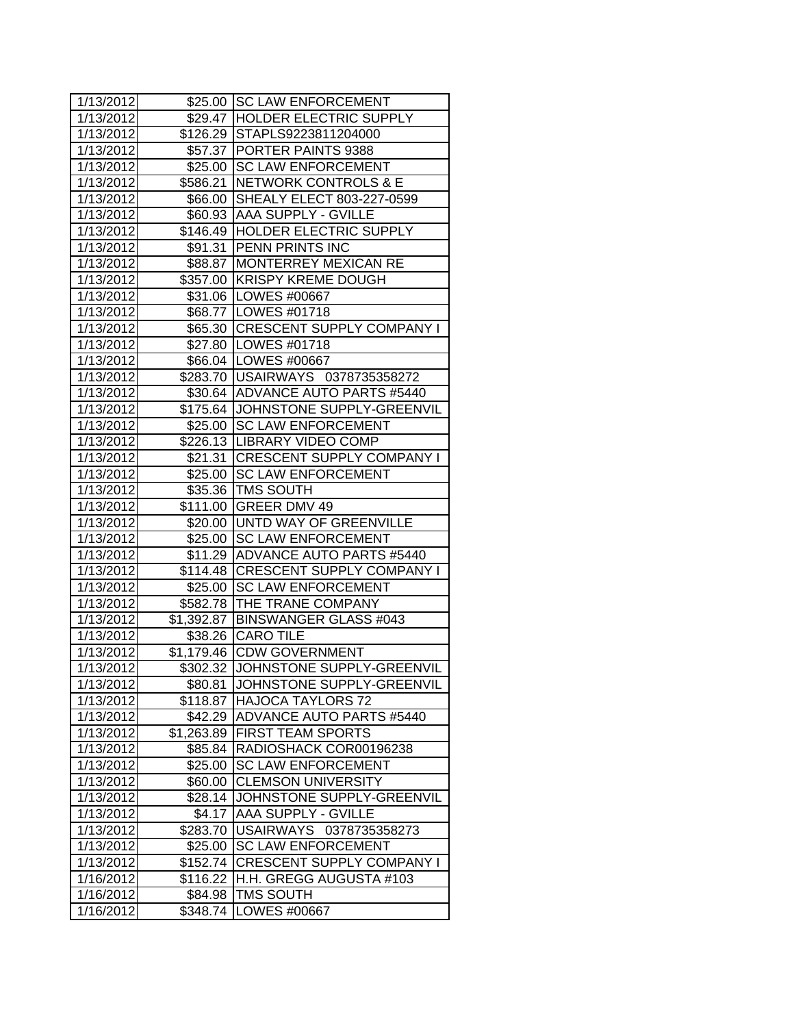| 1/13/2012 |            | \$25.00 SC LAW ENFORCEMENT          |
|-----------|------------|-------------------------------------|
| 1/13/2012 |            | \$29.47 HOLDER ELECTRIC SUPPLY      |
| 1/13/2012 |            | \$126.29 STAPLS9223811204000        |
| 1/13/2012 |            | \$57.37   PORTER PAINTS 9388        |
| 1/13/2012 |            | \$25.00 SC LAW ENFORCEMENT          |
| 1/13/2012 |            | \$586.21 NETWORK CONTROLS & E       |
| 1/13/2012 |            | \$66.00 SHEALY ELECT 803-227-0599   |
| 1/13/2012 |            | \$60.93 AAA SUPPLY - GVILLE         |
| 1/13/2012 |            | \$146.49 HOLDER ELECTRIC SUPPLY     |
| 1/13/2012 |            | \$91.31 PENN PRINTS INC             |
| 1/13/2012 |            | \$88.87 MONTERREY MEXICAN RE        |
| 1/13/2012 |            | \$357.00 KRISPY KREME DOUGH         |
| 1/13/2012 |            | \$31.06   LOWES #00667              |
| 1/13/2012 |            | \$68.77   LOWES #01718              |
| 1/13/2012 |            | \$65.30 CRESCENT SUPPLY COMPANY I   |
| 1/13/2012 |            | \$27.80   LOWES #01718              |
| 1/13/2012 |            | \$66.04   LOWES #00667              |
| 1/13/2012 |            | \$283.70 USAIRWAYS 0378735358272    |
| 1/13/2012 |            | \$30.64 ADVANCE AUTO PARTS #5440    |
| 1/13/2012 |            | \$175.64 JJOHNSTONE SUPPLY-GREENVIL |
| 1/13/2012 |            | \$25.00 SC LAW ENFORCEMENT          |
| 1/13/2012 |            | \$226.13 LIBRARY VIDEO COMP         |
| 1/13/2012 |            | \$21.31 CRESCENT SUPPLY COMPANY I   |
| 1/13/2012 |            | \$25.00 SC LAW ENFORCEMENT          |
| 1/13/2012 |            | \$35.36   TMS SOUTH                 |
| 1/13/2012 |            | \$111.00 GREER DMV 49               |
| 1/13/2012 |            | \$20.00 UNTD WAY OF GREENVILLE      |
| 1/13/2012 |            | \$25.00 SC LAW ENFORCEMENT          |
| 1/13/2012 |            | \$11.29 ADVANCE AUTO PARTS #5440    |
| 1/13/2012 |            | \$114.48 CRESCENT SUPPLY COMPANY I  |
| 1/13/2012 |            | \$25.00 SC LAW ENFORCEMENT          |
| 1/13/2012 |            | \$582.78 THE TRANE COMPANY          |
| 1/13/2012 |            | \$1,392.87 BINSWANGER GLASS #043    |
| 1/13/2012 |            | \$38.26 CARO TILE                   |
| 1/13/2012 |            | \$1,179.46 CDW GOVERNMENT           |
| 1/13/2012 |            | \$302.32 JJOHNSTONE SUPPLY-GREENVIL |
| 1/13/2012 | \$80.81    | JOHNSTONE SUPPLY-GREENVIL           |
| 1/13/2012 | \$118.87   | <b>HAJOCA TAYLORS 72</b>            |
| 1/13/2012 | \$42.29    | <b>ADVANCE AUTO PARTS #5440</b>     |
| 1/13/2012 | \$1,263.89 | <b>FIRST TEAM SPORTS</b>            |
| 1/13/2012 | \$85.84    | RADIOSHACK COR00196238              |
| 1/13/2012 | \$25.00    | <b>SC LAW ENFORCEMENT</b>           |
| 1/13/2012 | \$60.00    | <b>CLEMSON UNIVERSITY</b>           |
| 1/13/2012 | \$28.14    | JOHNSTONE SUPPLY-GREENVIL           |
| 1/13/2012 | \$4.17     | <b>AAA SUPPLY - GVILLE</b>          |
| 1/13/2012 | \$283.70   | USAIRWAYS 0378735358273             |
| 1/13/2012 | \$25.00    | <b>SC LAW ENFORCEMENT</b>           |
| 1/13/2012 | \$152.74   | <b>CRESCENT SUPPLY COMPANY I</b>    |
| 1/16/2012 | \$116.22   | H.H. GREGG AUGUSTA #103             |
| 1/16/2012 | \$84.98    | <b>TMS SOUTH</b>                    |
| 1/16/2012 | \$348.74   | LOWES #00667                        |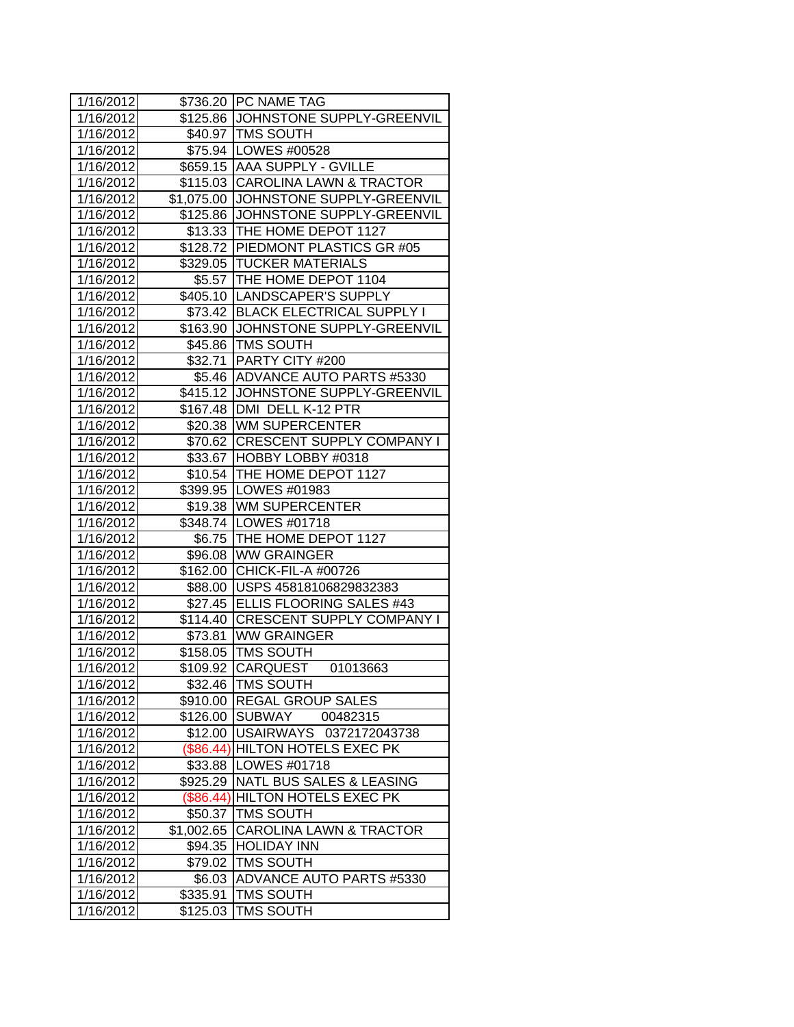| 1/16/2012 |            | \$736.20 PC NAME TAG                 |
|-----------|------------|--------------------------------------|
| 1/16/2012 |            | \$125.86 JJOHNSTONE SUPPLY-GREENVIL  |
| 1/16/2012 |            | \$40.97   TMS SOUTH                  |
| 1/16/2012 |            | \$75.94 LOWES #00528                 |
| 1/16/2012 |            | \$659.15 AAA SUPPLY - GVILLE         |
| 1/16/2012 |            | \$115.03 CAROLINA LAWN & TRACTOR     |
| 1/16/2012 |            | \$1,075.00 JOHNSTONE SUPPLY-GREENVIL |
| 1/16/2012 | \$125.86   | JOHNSTONE SUPPLY-GREENVIL            |
| 1/16/2012 |            | \$13.33 THE HOME DEPOT 1127          |
| 1/16/2012 |            | \$128.72 PIEDMONT PLASTICS GR #05    |
| 1/16/2012 |            | \$329.05  TUCKER MATERIALS           |
| 1/16/2012 |            | \$5.57 THE HOME DEPOT 1104           |
| 1/16/2012 |            | \$405.10  LANDSCAPER'S SUPPLY        |
| 1/16/2012 |            | \$73.42 BLACK ELECTRICAL SUPPLY I    |
| 1/16/2012 |            | \$163.90 JJOHNSTONE SUPPLY-GREENVIL  |
| 1/16/2012 |            | \$45.86 TMS SOUTH                    |
| 1/16/2012 |            | \$32.71 PARTY CITY #200              |
| 1/16/2012 |            | \$5.46 ADVANCE AUTO PARTS #5330      |
| 1/16/2012 |            | \$415.12 JOHNSTONE SUPPLY-GREENVIL   |
| 1/16/2012 | \$167.48   | DMI DELL K-12 PTR                    |
| 1/16/2012 |            | \$20.38 WM SUPERCENTER               |
| 1/16/2012 |            | \$70.62 CRESCENT SUPPLY COMPANY I    |
| 1/16/2012 |            | \$33.67 HOBBY LOBBY #0318            |
| 1/16/2012 |            | \$10.54 THE HOME DEPOT 1127          |
| 1/16/2012 |            | \$399.95 LOWES #01983                |
| 1/16/2012 |            | \$19.38 WM SUPERCENTER               |
| 1/16/2012 |            | \$348.74   LOWES #01718              |
| 1/16/2012 |            | \$6.75   THE HOME DEPOT 1127         |
| 1/16/2012 |            | \$96.08 WW GRAINGER                  |
| 1/16/2012 |            | \$162.00 CHICK-FIL-A #00726          |
| 1/16/2012 |            | \$88.00 USPS 45818106829832383       |
| 1/16/2012 |            | \$27.45 ELLIS FLOORING SALES #43     |
| 1/16/2012 |            | \$114.40 CRESCENT SUPPLY COMPANY I   |
| 1/16/2012 |            | \$73.81 WW GRAINGER                  |
| 1/16/2012 |            | \$158.05 TMS SOUTH                   |
| 1/16/2012 |            | \$109.92 CARQUEST<br>01013663        |
| 1/16/2012 |            | \$32.46   TMS SOUTH                  |
| 1/16/2012 | \$910.00   | <b>REGAL GROUP SALES</b>             |
| 1/16/2012 | \$126.00   | <b>SUBWAY</b><br>00482315            |
| 1/16/2012 | \$12.00    | USAIRWAYS 0372172043738              |
| 1/16/2012 |            | (\$86.44) HILTON HOTELS EXEC PK      |
| 1/16/2012 | \$33.88    | LOWES #01718                         |
| 1/16/2012 | \$925.29   | <b>NATL BUS SALES &amp; LEASING</b>  |
| 1/16/2012 | (\$86.44)  | <b>HILTON HOTELS EXEC PK</b>         |
| 1/16/2012 | \$50.37    | <b>TMS SOUTH</b>                     |
| 1/16/2012 | \$1,002.65 | <b>CAROLINA LAWN &amp; TRACTOR</b>   |
| 1/16/2012 | \$94.35    | <b>HOLIDAY INN</b>                   |
| 1/16/2012 | \$79.02    | <b>TMS SOUTH</b>                     |
| 1/16/2012 | \$6.03     | <b>ADVANCE AUTO PARTS #5330</b>      |
| 1/16/2012 | \$335.91   | <b>TMS SOUTH</b>                     |
| 1/16/2012 | \$125.03   | <b>TMS SOUTH</b>                     |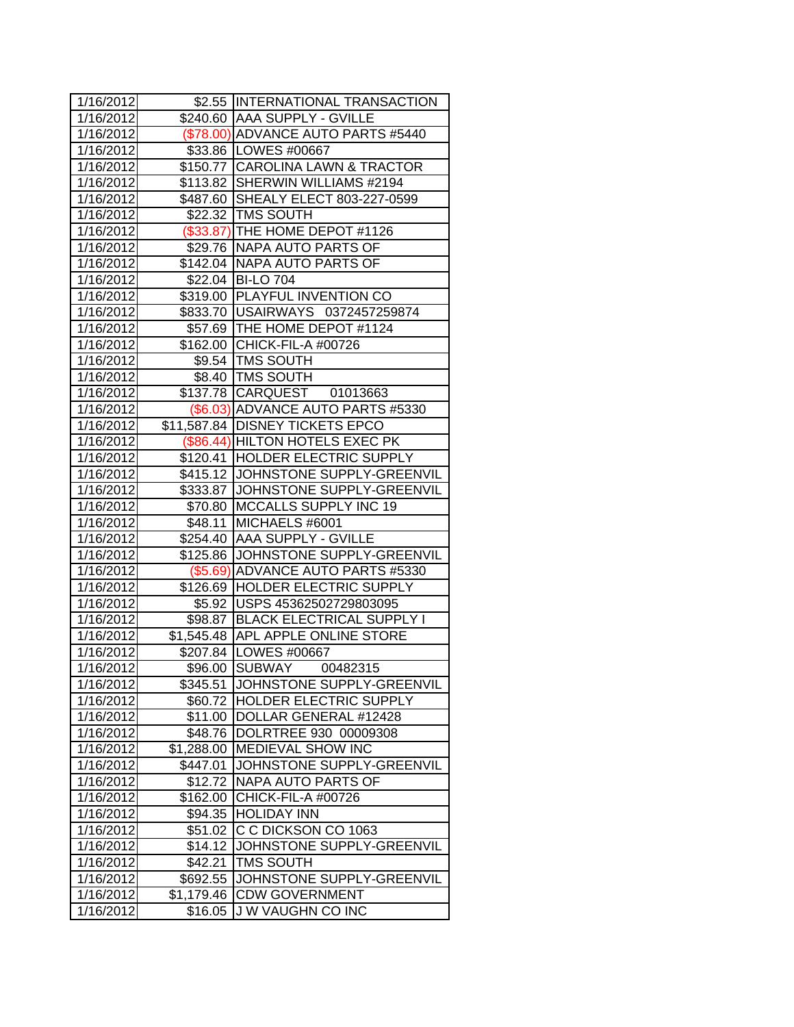| 1/16/2012 |            | \$2.55 INTERNATIONAL TRANSACTION    |
|-----------|------------|-------------------------------------|
| 1/16/2012 |            | \$240.60 AAA SUPPLY - GVILLE        |
| 1/16/2012 |            | (\$78.00) ADVANCE AUTO PARTS #5440  |
| 1/16/2012 |            | \$33.86 LOWES #00667                |
| 1/16/2012 |            | \$150.77 CAROLINA LAWN & TRACTOR    |
| 1/16/2012 |            | \$113.82 SHERWIN WILLIAMS #2194     |
| 1/16/2012 |            | \$487.60 SHEALY ELECT 803-227-0599  |
| 1/16/2012 |            | \$22.32 TMS SOUTH                   |
| 1/16/2012 |            | (\$33.87) THE HOME DEPOT #1126      |
| 1/16/2012 |            | \$29.76 NAPA AUTO PARTS OF          |
| 1/16/2012 |            | \$142.04 NAPA AUTO PARTS OF         |
| 1/16/2012 |            | \$22.04 BI-LO 704                   |
| 1/16/2012 |            | \$319.00 PLAYFUL INVENTION CO       |
| 1/16/2012 |            | \$833.70 USAIRWAYS 0372457259874    |
| 1/16/2012 |            | \$57.69   THE HOME DEPOT #1124      |
| 1/16/2012 |            | \$162.00 CHICK-FIL-A #00726         |
| 1/16/2012 |            | \$9.54   TMS SOUTH                  |
| 1/16/2012 |            | \$8.40   TMS SOUTH                  |
| 1/16/2012 |            | \$137.78 CARQUEST 01013663          |
| 1/16/2012 |            | (\$6.03) ADVANCE AUTO PARTS #5330   |
| 1/16/2012 |            | \$11,587.84 DISNEY TICKETS EPCO     |
| 1/16/2012 |            | (\$86.44) HILTON HOTELS EXEC PK     |
| 1/16/2012 |            | \$120.41 HOLDER ELECTRIC SUPPLY     |
| 1/16/2012 |            | \$415.12 JOHNSTONE SUPPLY-GREENVIL  |
| 1/16/2012 |            | \$333.87 JJOHNSTONE SUPPLY-GREENVIL |
| 1/16/2012 |            | \$70.80 MCCALLS SUPPLY INC 19       |
| 1/16/2012 | \$48.11    | MICHAELS #6001                      |
| 1/16/2012 |            | \$254.40 AAA SUPPLY - GVILLE        |
| 1/16/2012 |            | \$125.86 JOHNSTONE SUPPLY-GREENVIL  |
| 1/16/2012 |            | (\$5.69) ADVANCE AUTO PARTS #5330   |
| 1/16/2012 |            | \$126.69 HOLDER ELECTRIC SUPPLY     |
| 1/16/2012 | \$5.92     | USPS 45362502729803095              |
| 1/16/2012 | \$98.87    | <b>BLACK ELECTRICAL SUPPLY I</b>    |
| 1/16/2012 | \$1,545.48 | <b>APL APPLE ONLINE STORE</b>       |
| 1/16/2012 |            | \$207.84   LOWES #00667             |
| 1/16/2012 |            | \$96.00 SUBWAY<br>00482315          |
| 1/16/2012 | \$345.51   | JOHNSTONE SUPPLY-GREENVIL           |
| 1/16/2012 | \$60.72    | HOLDER ELECTRIC SUPPLY              |
| 1/16/2012 | \$11.00    | DOLLAR GENERAL #12428               |
| 1/16/2012 | \$48.76    | DOLRTREE 930 00009308               |
| 1/16/2012 | \$1,288.00 | <b>MEDIEVAL SHOW INC</b>            |
| 1/16/2012 | \$447.01   | JOHNSTONE SUPPLY-GREENVIL           |
| 1/16/2012 | \$12.72    | <b>NAPA AUTO PARTS OF</b>           |
| 1/16/2012 | \$162.00   | CHICK-FIL-A #00726                  |
| 1/16/2012 | \$94.35    | <b>HOLIDAY INN</b>                  |
| 1/16/2012 | \$51.02    | C C DICKSON CO 1063                 |
| 1/16/2012 | \$14.12    | JOHNSTONE SUPPLY-GREENVIL           |
| 1/16/2012 | \$42.21    | <b>TMS SOUTH</b>                    |
| 1/16/2012 | \$692.55   | JOHNSTONE SUPPLY-GREENVIL           |
| 1/16/2012 | \$1,179.46 | <b>CDW GOVERNMENT</b>               |
| 1/16/2012 | \$16.05    | <b>JW VAUGHN CO INC</b>             |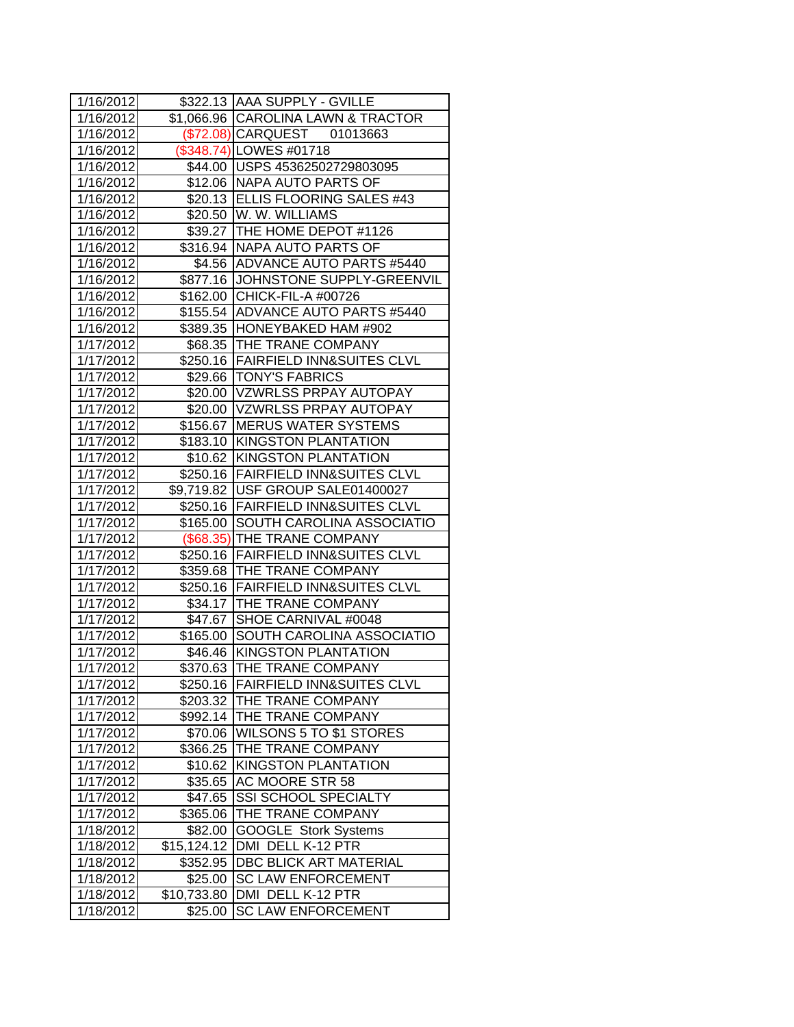| 1/16/2012              |             | \$322.13 AAA SUPPLY - GVILLE         |
|------------------------|-------------|--------------------------------------|
| 1/16/2012              |             | \$1,066.96 CAROLINA LAWN & TRACTOR   |
| 1/16/2012              |             | (\$72.08) CARQUEST 01013663          |
| 1/16/2012              |             | (\$348.74) LOWES #01718              |
| 1/16/2012              |             | \$44.00 USPS 45362502729803095       |
| 1/16/2012              |             | \$12.06 NAPA AUTO PARTS OF           |
| 1/16/2012              |             | \$20.13 ELLIS FLOORING SALES #43     |
| 1/16/2012              |             | \$20.50 W. W. WILLIAMS               |
| 1/16/2012              |             | \$39.27 THE HOME DEPOT #1126         |
| 1/16/2012              |             | \$316.94 NAPA AUTO PARTS OF          |
| 1/16/2012              |             | \$4.56 ADVANCE AUTO PARTS #5440      |
| 1/16/2012              |             | \$877.16 JOHNSTONE SUPPLY-GREENVIL   |
| 1/16/2012              |             | \$162.00 CHICK-FIL-A #00726          |
| 1/16/2012              |             | \$155.54 ADVANCE AUTO PARTS #5440    |
| 1/16/2012              |             | \$389.35 HONEYBAKED HAM #902         |
| 1/17/2012              |             | \$68.35 THE TRANE COMPANY            |
| 1/17/2012              |             | \$250.16 FAIRFIELD INN&SUITES CLVL   |
| 1/17/2012              |             | \$29.66   TONY'S FABRICS             |
| 1/17/2012              |             | \$20.00 VZWRLSS PRPAY AUTOPAY        |
| 1/17/2012              |             | \$20.00 VZWRLSS PRPAY AUTOPAY        |
| 1/17/2012              |             | \$156.67 MERUS WATER SYSTEMS         |
| 1/17/2012              |             | \$183.10 KINGSTON PLANTATION         |
| 1/17/2012              |             | \$10.62 KINGSTON PLANTATION          |
| 1/17/2012              |             | \$250.16 FAIRFIELD INN&SUITES CLVL   |
| 1/17/2012              |             | \$9,719.82   USF GROUP SALE01400027  |
| 1/17/2012              |             | \$250.16   FAIRFIELD INN&SUITES CLVL |
| 1/17/2012              |             | \$165.00 SOUTH CAROLINA ASSOCIATIO   |
| 1/17/2012              |             | (\$68.35) THE TRANE COMPANY          |
| 1/17/2012              |             | \$250.16   FAIRFIELD INN&SUITES CLVL |
| 1/17/2012              |             | \$359.68 THE TRANE COMPANY           |
| 1/17/2012              |             | \$250.16 FAIRFIELD INN&SUITES CLVL   |
| 1/17/2012              |             | \$34.17 THE TRANE COMPANY            |
| 1/17/2012              |             | \$47.67 SHOE CARNIVAL #0048          |
| 1/17/2012              |             | \$165.00 SOUTH CAROLINA ASSOCIATIO   |
| 1/17/2012              |             | \$46.46 KINGSTON PLANTATION          |
| $\overline{1}/17/2012$ |             | \$370.63 THE TRANE COMPANY           |
| 1/17/2012              | \$250.16    | <b>FAIRFIELD INN&amp;SUITES CLVL</b> |
| 1/17/2012              | \$203.32    | THE TRANE COMPANY                    |
| 1/17/2012              | \$992.14    | <b>THE TRANE COMPANY</b>             |
| 1/17/2012              | \$70.06     | <b>WILSONS 5 TO \$1 STORES</b>       |
| 1/17/2012              | \$366.25    | THE TRANE COMPANY                    |
| 1/17/2012              | \$10.62     | KINGSTON PLANTATION                  |
| 1/17/2012              | \$35.65     | AC MOORE STR 58                      |
| 1/17/2012              | \$47.65     | <b>SSI SCHOOL SPECIALTY</b>          |
| 1/17/2012              | \$365.06    | THE TRANE COMPANY                    |
| 1/18/2012              | \$82.00     | <b>GOOGLE Stork Systems</b>          |
| 1/18/2012              | \$15,124.12 | DMI DELL K-12 PTR                    |
| 1/18/2012              | \$352.95    | <b>DBC BLICK ART MATERIAL</b>        |
| 1/18/2012              | \$25.00     | <b>SC LAW ENFORCEMENT</b>            |
| 1/18/2012              | \$10,733.80 | DMI DELL K-12 PTR                    |
| 1/18/2012              | \$25.00     | <b>SC LAW ENFORCEMENT</b>            |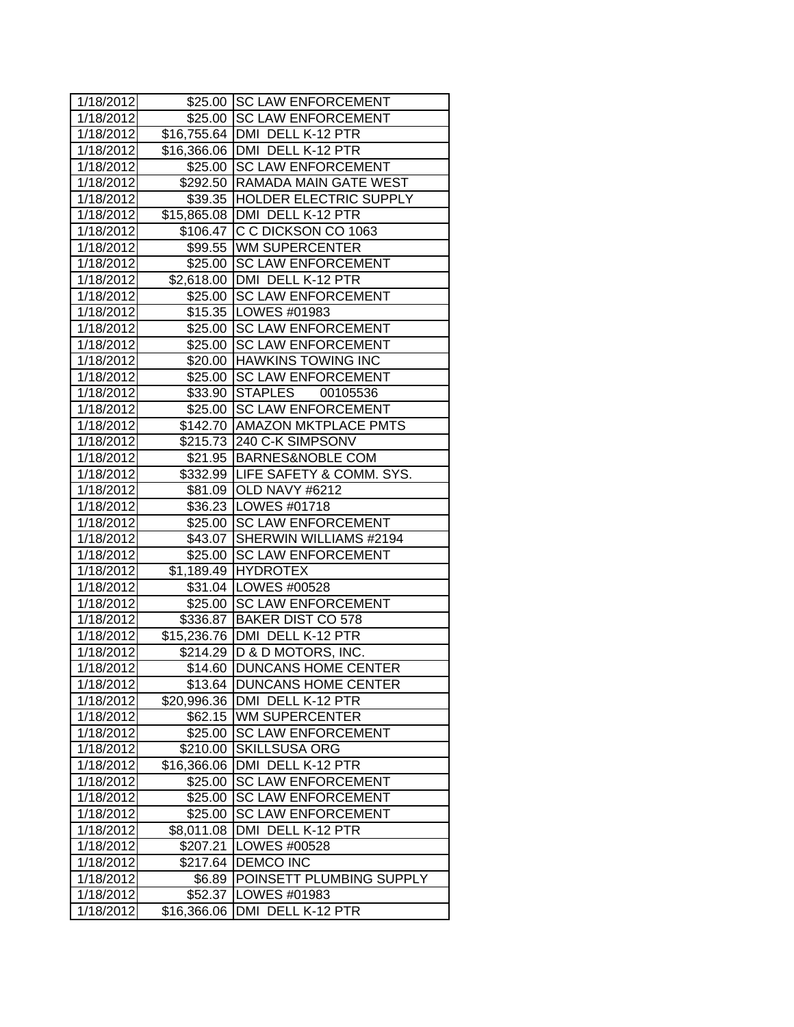| 1/18/2012 |             | \$25.00 SC LAW ENFORCEMENT              |
|-----------|-------------|-----------------------------------------|
| 1/18/2012 |             | \$25.00 SC LAW ENFORCEMENT              |
|           |             | 1/18/2012 \$16,755.64 DMI DELL K-12 PTR |
|           |             | 1/18/2012 \$16,366.06 DMI DELL K-12 PTR |
| 1/18/2012 |             | \$25.00 SC LAW ENFORCEMENT              |
| 1/18/2012 |             | \$292.50 RAMADA MAIN GATE WEST          |
| 1/18/2012 |             | \$39.35 HOLDER ELECTRIC SUPPLY          |
| 1/18/2012 |             | \$15,865.08 DMI DELL K-12 PTR           |
| 1/18/2012 |             | \$106.47 C C DICKSON CO 1063            |
| 1/18/2012 |             | \$99.55  WM SUPERCENTER                 |
| 1/18/2012 |             | \$25.00 SC LAW ENFORCEMENT              |
| 1/18/2012 |             | \$2,618.00 DMI DELL K-12 PTR            |
| 1/18/2012 |             | \$25.00 SC LAW ENFORCEMENT              |
| 1/18/2012 |             | \$15.35   LOWES #01983                  |
| 1/18/2012 |             | \$25.00 SC LAW ENFORCEMENT              |
| 1/18/2012 |             | \$25.00 SC LAW ENFORCEMENT              |
| 1/18/2012 |             | \$20.00 HAWKINS TOWING INC              |
| 1/18/2012 |             | \$25.00 SC LAW ENFORCEMENT              |
| 1/18/2012 |             | \$33.90 STAPLES 00105536                |
| 1/18/2012 |             | \$25.00 SC LAW ENFORCEMENT              |
| 1/18/2012 |             | \$142.70 AMAZON MKTPLACE PMTS           |
| 1/18/2012 |             | \$215.73 240 C-K SIMPSONV               |
| 1/18/2012 |             | \$21.95 BARNES&NOBLE COM                |
| 1/18/2012 |             | \$332.99 LIFE SAFETY & COMM. SYS.       |
| 1/18/2012 |             | \$81.09 OLD NAVY #6212                  |
| 1/18/2012 |             | \$36.23   LOWES #01718                  |
| 1/18/2012 |             | \$25.00 SC LAW ENFORCEMENT              |
| 1/18/2012 |             | \$43.07 SHERWIN WILLIAMS #2194          |
| 1/18/2012 |             | \$25.00 SC LAW ENFORCEMENT              |
| 1/18/2012 |             | \$1,189.49 HYDROTEX                     |
| 1/18/2012 |             | \$31.04 LOWES #00528                    |
| 1/18/2012 |             | \$25.00 SC LAW ENFORCEMENT              |
| 1/18/2012 |             | \$336.87 BAKER DIST CO 578              |
| 1/18/2012 |             | \$15,236.76 DMI DELL K-12 PTR           |
| 1/18/2012 |             | \$214.29 D & D MOTORS, INC.             |
| 1/18/2012 |             | \$14.60 DUNCANS HOME CENTER             |
| 1/18/2012 | \$13.64     | <b>DUNCANS HOME CENTER</b>              |
| 1/18/2012 | \$20,996.36 | DMI DELL K-12 PTR                       |
| 1/18/2012 | \$62.15     | <b>WM SUPERCENTER</b>                   |
| 1/18/2012 | \$25.00     | <b>SC LAW ENFORCEMENT</b>               |
| 1/18/2012 | \$210.00    | <b>SKILLSUSA ORG</b>                    |
| 1/18/2012 | \$16,366.06 | DMI DELL K-12 PTR                       |
| 1/18/2012 | \$25.00     | <b>SC LAW ENFORCEMENT</b>               |
| 1/18/2012 | \$25.00     | <b>SC LAW ENFORCEMENT</b>               |
| 1/18/2012 | \$25.00     | <b>SC LAW ENFORCEMENT</b>               |
| 1/18/2012 | \$8,011.08  | DMI DELL K-12 PTR                       |
| 1/18/2012 | \$207.21    | LOWES #00528                            |
| 1/18/2012 | \$217.64    | <b>DEMCO INC</b>                        |
| 1/18/2012 | \$6.89      | POINSETT PLUMBING SUPPLY                |
| 1/18/2012 | \$52.37     | LOWES #01983                            |
| 1/18/2012 | \$16,366.06 | DELL K-12 PTR<br>DMI                    |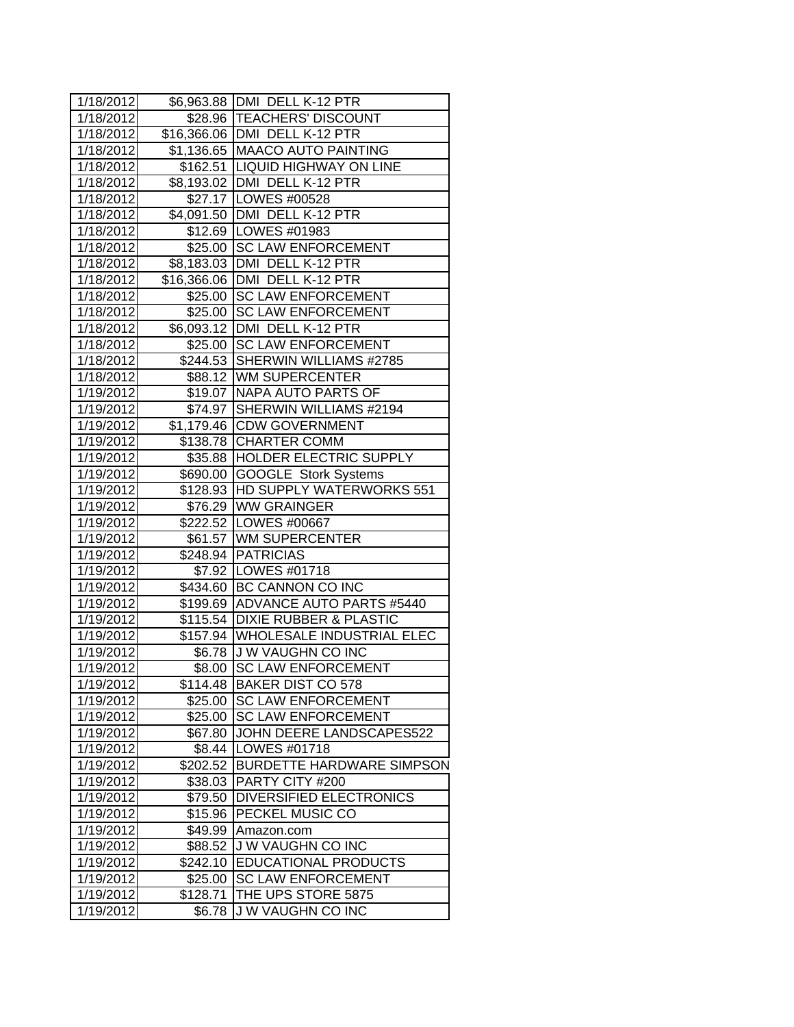| 1/18/2012 |          | \$6,963.88   DMI DELL K-12 PTR     |
|-----------|----------|------------------------------------|
| 1/18/2012 |          | \$28.96  TEACHERS' DISCOUNT        |
| 1/18/2012 |          | \$16,366.06 DMI DELL K-12 PTR      |
| 1/18/2012 |          | \$1,136.65 MAACO AUTO PAINTING     |
| 1/18/2012 |          | \$162.51 LIQUID HIGHWAY ON LINE    |
| 1/18/2012 |          | \$8,193.02   DMI DELL K-12 PTR     |
| 1/18/2012 |          | \$27.17   LOWES #00528             |
| 1/18/2012 |          | \$4,091.50 DMI DELL K-12 PTR       |
| 1/18/2012 |          | \$12.69  LOWES #01983              |
| 1/18/2012 |          | \$25.00 SC LAW ENFORCEMENT         |
| 1/18/2012 |          | \$8,183.03 DMI DELL K-12 PTR       |
| 1/18/2012 |          | \$16,366.06 DMI DELL K-12 PTR      |
| 1/18/2012 |          | \$25.00 SC LAW ENFORCEMENT         |
| 1/18/2012 |          | \$25.00 SC LAW ENFORCEMENT         |
| 1/18/2012 |          | \$6,093.12 DMI DELL K-12 PTR       |
| 1/18/2012 |          | \$25.00 SC LAW ENFORCEMENT         |
| 1/18/2012 |          | \$244.53 SHERWIN WILLIAMS #2785    |
| 1/18/2012 |          | \$88.12 WM SUPERCENTER             |
| 1/19/2012 |          | \$19.07 NAPA AUTO PARTS OF         |
| 1/19/2012 | \$74.97  | SHERWIN WILLIAMS #2194             |
| 1/19/2012 |          | \$1,179.46 CDW GOVERNMENT          |
| 1/19/2012 |          | \$138.78 CHARTER COMM              |
| 1/19/2012 |          | \$35.88 HOLDER ELECTRIC SUPPLY     |
| 1/19/2012 |          | \$690.00 GOOGLE Stork Systems      |
| 1/19/2012 |          | \$128.93 HD SUPPLY WATERWORKS 551  |
| 1/19/2012 |          | \$76.29 WW GRAINGER                |
| 1/19/2012 |          | \$222.52   LOWES #00667            |
| 1/19/2012 |          | \$61.57 WM SUPERCENTER             |
| 1/19/2012 |          | \$248.94 PATRICIAS                 |
| 1/19/2012 |          | \$7.92   LOWES #01718              |
| 1/19/2012 |          | \$434.60 BC CANNON CO INC          |
| 1/19/2012 |          | \$199.69 ADVANCE AUTO PARTS #5440  |
| 1/19/2012 | \$115.54 | <b>DIXIE RUBBER &amp; PLASTIC</b>  |
| 1/19/2012 |          | \$157.94 WHOLESALE INDUSTRIAL ELEC |
| 1/19/2012 |          | \$6.78 J W VAUGHN CO INC           |
| 1/19/2012 | \$8.00   | <b>SC LAW ENFORCEMENT</b>          |
| 1/19/2012 | \$114.48 | <b>BAKER DIST CO 578</b>           |
| 1/19/2012 | \$25.00  | <b>SC LAW ENFORCEMENT</b>          |
| 1/19/2012 | \$25.00  | <b>SC LAW ENFORCEMENT</b>          |
| 1/19/2012 | \$67.80  | JOHN DEERE LANDSCAPES522           |
| 1/19/2012 | \$8.44   | <b>LOWES #01718</b>                |
| 1/19/2012 | \$202.52 | <b>BURDETTE HARDWARE SIMPSON</b>   |
| 1/19/2012 | \$38.03  | PARTY CITY #200                    |
| 1/19/2012 | \$79.50  | <b>DIVERSIFIED ELECTRONICS</b>     |
| 1/19/2012 | \$15.96  | PECKEL MUSIC CO                    |
| 1/19/2012 | \$49.99  | Amazon.com                         |
| 1/19/2012 | \$88.52  | J W VAUGHN CO INC                  |
| 1/19/2012 | \$242.10 | <b>EDUCATIONAL PRODUCTS</b>        |
| 1/19/2012 | \$25.00  | <b>SC LAW ENFORCEMENT</b>          |
| 1/19/2012 | \$128.71 | THE UPS STORE 5875                 |
| 1/19/2012 | \$6.78   | J W VAUGHN CO INC                  |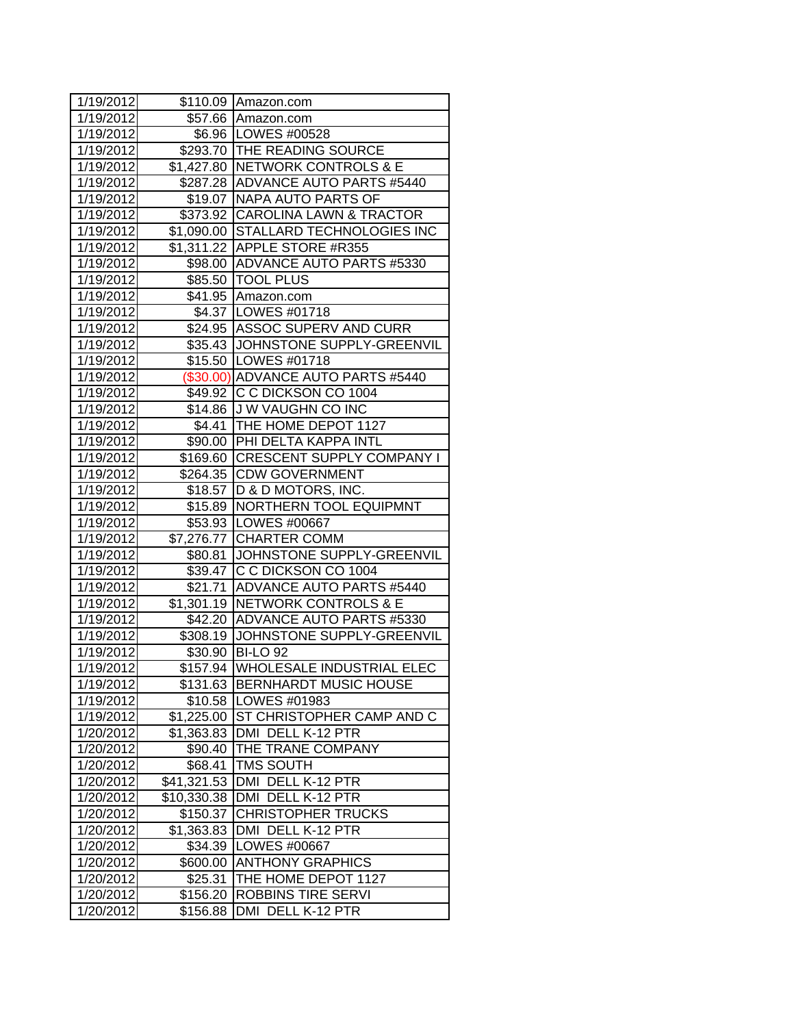| 1/19/2012 |                        | \$110.09 Amazon.com                  |
|-----------|------------------------|--------------------------------------|
| 1/19/2012 |                        | \$57.66 Amazon.com                   |
| 1/19/2012 |                        | \$6.96   LOWES #00528                |
| 1/19/2012 |                        | \$293.70 THE READING SOURCE          |
| 1/19/2012 |                        | \$1,427.80 NETWORK CONTROLS & E      |
| 1/19/2012 |                        | \$287.28 ADVANCE AUTO PARTS #5440    |
| 1/19/2012 |                        | \$19.07 NAPA AUTO PARTS OF           |
| 1/19/2012 | \$373.92               | <b>CAROLINA LAWN &amp; TRACTOR</b>   |
| 1/19/2012 |                        | \$1,090.00 STALLARD TECHNOLOGIES INC |
| 1/19/2012 |                        | \$1,311.22 APPLE STORE #R355         |
| 1/19/2012 |                        | \$98.00 ADVANCE AUTO PARTS #5330     |
| 1/19/2012 |                        | \$85.50   TOOL PLUS                  |
| 1/19/2012 |                        | \$41.95 Amazon.com                   |
| 1/19/2012 |                        | \$4.37   LOWES #01718                |
| 1/19/2012 |                        | \$24.95 ASSOC SUPERV AND CURR        |
| 1/19/2012 |                        | \$35.43 JJOHNSTONE SUPPLY-GREENVIL   |
| 1/19/2012 |                        | \$15.50 LOWES #01718                 |
| 1/19/2012 |                        | (\$30.00) ADVANCE AUTO PARTS #5440   |
| 1/19/2012 | \$49.92                | C C DICKSON CO 1004                  |
| 1/19/2012 |                        | \$14.86 J W VAUGHN CO INC            |
| 1/19/2012 |                        | \$4.41 THE HOME DEPOT 1127           |
| 1/19/2012 |                        | \$90.00 PHI DELTA KAPPA INTL         |
| 1/19/2012 |                        | \$169.60 CRESCENT SUPPLY COMPANY I   |
| 1/19/2012 |                        | \$264.35 CDW GOVERNMENT              |
| 1/19/2012 |                        | \$18.57  D & D MOTORS, INC.          |
| 1/19/2012 |                        | \$15.89   NORTHERN TOOL EQUIPMNT     |
| 1/19/2012 |                        | \$53.93   LOWES #00667               |
| 1/19/2012 |                        | \$7,276.77 CHARTER COMM              |
| 1/19/2012 | \$80.81                | JOHNSTONE SUPPLY-GREENVIL            |
| 1/19/2012 |                        | \$39.47 C C DICKSON CO 1004          |
| 1/19/2012 | \$21.71                | ADVANCE AUTO PARTS #5440             |
| 1/19/2012 |                        | \$1,301.19 NETWORK CONTROLS & E      |
| 1/19/2012 | \$42.20                | ADVANCE AUTO PARTS #5330             |
| 1/19/2012 |                        | \$308.19 JOHNSTONE SUPPLY-GREENVIL   |
| 1/19/2012 |                        | \$30.90 BI-LO 92                     |
| 1/19/2012 |                        | \$157.94 WHOLESALE INDUSTRIAL ELEC   |
| 1/19/2012 | \$131.63               | <b>BERNHARDT MUSIC HOUSE</b>         |
| 1/19/2012 | \$10.58                | LOWES #01983                         |
| 1/19/2012 | \$1,225.00             | ST CHRISTOPHER CAMP AND C            |
| 1/20/2012 | \$1,363.83             | DMI DELL K-12 PTR                    |
| 1/20/2012 | \$90.40                | THE TRANE COMPANY                    |
| 1/20/2012 | \$68.41                | <b>TMS SOUTH</b>                     |
| 1/20/2012 | \$41,321.53            | DMI DELL K-12 PTR                    |
| 1/20/2012 | \$10,330.38            | DMI DELL K-12 PTR                    |
| 1/20/2012 | \$150.37               | <b>CHRISTOPHER TRUCKS</b>            |
| 1/20/2012 | $\overline{$}1,363.83$ | DMI DELL K-12 PTR                    |
| 1/20/2012 | \$34.39                | LOWES #00667                         |
| 1/20/2012 | \$600.00               | <b>ANTHONY GRAPHICS</b>              |
| 1/20/2012 | \$25.31                | THE HOME DEPOT 1127                  |
| 1/20/2012 | \$156.20               | <b>ROBBINS TIRE SERVI</b>            |
| 1/20/2012 | \$156.88               | DMI DELL K-12 PTR                    |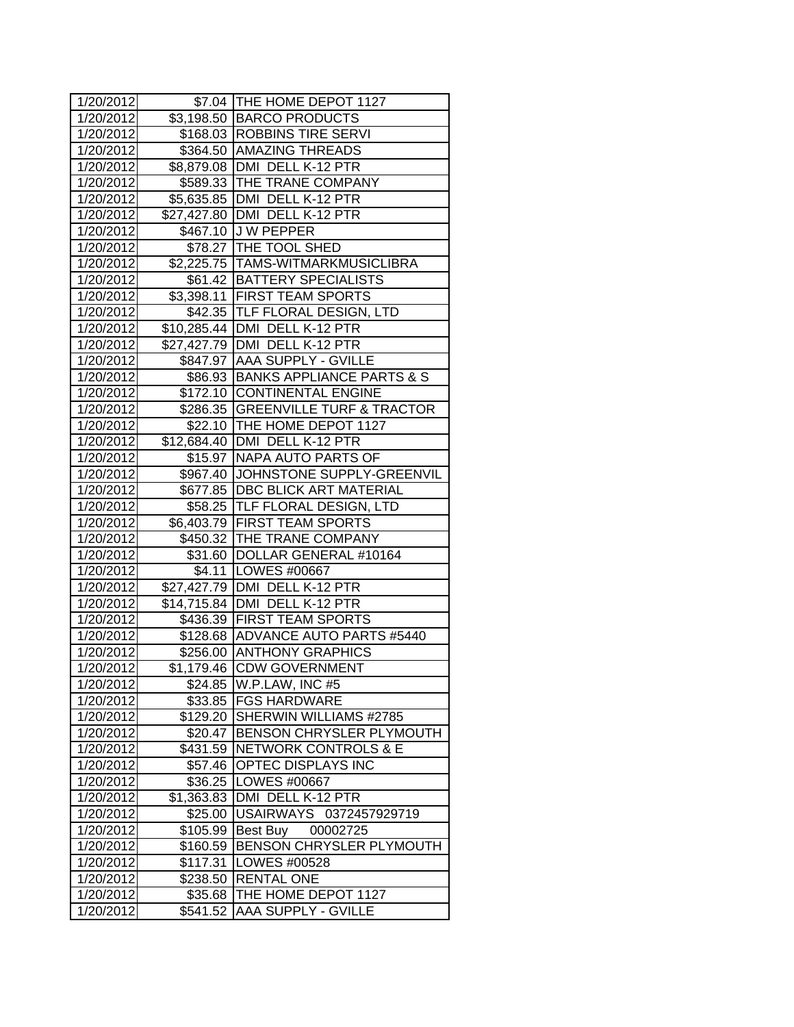| 1/20/2012 |            | \$7.04 THE HOME DEPOT 1127         |
|-----------|------------|------------------------------------|
| 1/20/2012 |            | \$3,198.50 BARCO PRODUCTS          |
| 1/20/2012 |            | \$168.03 ROBBINS TIRE SERVI        |
| 1/20/2012 |            | \$364.50 AMAZING THREADS           |
| 1/20/2012 |            | \$8,879.08 DMI DELL K-12 PTR       |
| 1/20/2012 |            | \$589.33 THE TRANE COMPANY         |
| 1/20/2012 |            | \$5,635.85   DMI DELL K-12 PTR     |
| 1/20/2012 |            | \$27,427.80 DMI DELL K-12 PTR      |
| 1/20/2012 |            | \$467.10 J W PEPPER                |
| 1/20/2012 |            | \$78.27 THE TOOL SHED              |
| 1/20/2012 |            | \$2,225.75  TAMS-WITMARKMUSICLIBRA |
| 1/20/2012 |            | \$61.42   BATTERY SPECIALISTS      |
| 1/20/2012 |            | \$3,398.11 FIRST TEAM SPORTS       |
| 1/20/2012 |            | \$42.35 TLF FLORAL DESIGN, LTD     |
| 1/20/2012 |            | \$10,285.44 DMI DELL K-12 PTR      |
| 1/20/2012 |            | \$27,427.79 DMI DELL K-12 PTR      |
| 1/20/2012 |            | \$847.97 AAA SUPPLY - GVILLE       |
| 1/20/2012 |            | \$86.93 BANKS APPLIANCE PARTS & S  |
| 1/20/2012 |            | \$172.10 CONTINENTAL ENGINE        |
| 1/20/2012 |            | \$286.35 GREENVILLE TURF & TRACTOR |
| 1/20/2012 |            | \$22.10  THE HOME DEPOT 1127       |
| 1/20/2012 |            | \$12,684.40   DMI DELL K-12 PTR    |
| 1/20/2012 |            | \$15.97   NAPA AUTO PARTS OF       |
| 1/20/2012 |            | \$967.40 JOHNSTONE SUPPLY-GREENVIL |
| 1/20/2012 |            | \$677.85   DBC BLICK ART MATERIAL  |
| 1/20/2012 |            | \$58.25  TLF FLORAL DESIGN, LTD    |
| 1/20/2012 |            | \$6,403.79 FIRST TEAM SPORTS       |
| 1/20/2012 |            | \$450.32 THE TRANE COMPANY         |
| 1/20/2012 |            | \$31.60 DOLLAR GENERAL #10164      |
| 1/20/2012 |            | \$4.11   LOWES #00667              |
| 1/20/2012 |            | \$27,427.79 DMI DELL K-12 PTR      |
| 1/20/2012 |            | \$14,715.84 DMI DELL K-12 PTR      |
| 1/20/2012 |            | \$436.39 FIRST TEAM SPORTS         |
| 1/20/2012 |            | \$128.68 ADVANCE AUTO PARTS #5440  |
| 1/20/2012 |            | \$256.00 ANTHONY GRAPHICS          |
| 1/20/2012 |            | \$1,179.46 CDW GOVERNMENT          |
| 1/20/2012 |            | \$24.85 W.P.LAW, INC #5            |
| 1/20/2012 |            | \$33.85   FGS HARDWARE             |
| 1/20/2012 | \$129.20   | SHERWIN WILLIAMS #2785             |
| 1/20/2012 |            | \$20.47 BENSON CHRYSLER PLYMOUTH   |
| 1/20/2012 | \$431.59   | <b>NETWORK CONTROLS &amp; E</b>    |
| 1/20/2012 | \$57.46    | <b>OPTEC DISPLAYS INC</b>          |
| 1/20/2012 | \$36.25    | LOWES #00667                       |
| 1/20/2012 | \$1,363.83 | DMI DELL K-12 PTR                  |
| 1/20/2012 | \$25.00    | USAIRWAYS 0372457929719            |
| 1/20/2012 | \$105.99   | Best Buy<br>00002725               |
| 1/20/2012 | \$160.59   | BENSON CHRYSLER PLYMOUTH           |
| 1/20/2012 | \$117.31   | LOWES #00528                       |
| 1/20/2012 | \$238.50   | <b>RENTAL ONE</b>                  |
| 1/20/2012 | \$35.68    | THE HOME DEPOT 1127                |
| 1/20/2012 | \$541.52   | <b>AAA SUPPLY - GVILLE</b>         |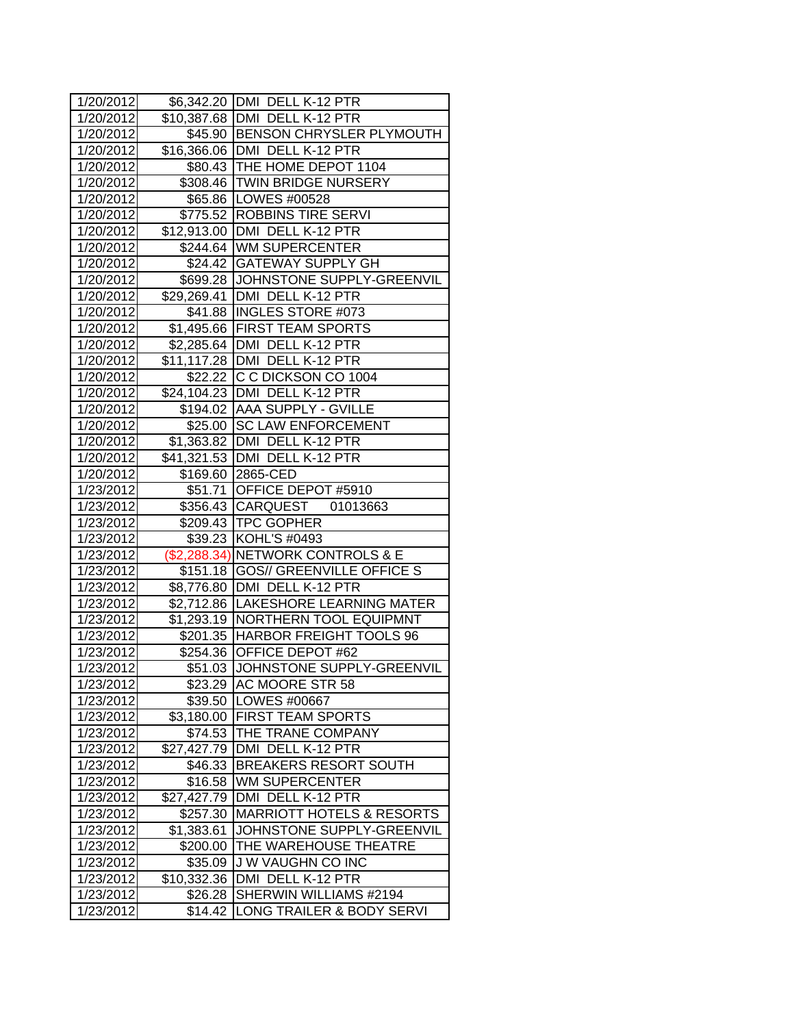| 1/20/2012 |             | \$6,342.20 DMI DELL K-12 PTR          |
|-----------|-------------|---------------------------------------|
| 1/20/2012 |             | \$10,387.68   DMI DELL K-12 PTR       |
| 1/20/2012 |             | \$45.90 BENSON CHRYSLER PLYMOUTH      |
| 1/20/2012 |             | \$16,366.06 DMI DELL K-12 PTR         |
| 1/20/2012 |             | \$80.43 THE HOME DEPOT 1104           |
| 1/20/2012 |             | \$308.46 TWIN BRIDGE NURSERY          |
| 1/20/2012 |             | \$65.86 LOWES #00528                  |
| 1/20/2012 |             | \$775.52 ROBBINS TIRE SERVI           |
| 1/20/2012 |             | \$12,913.00 DMI DELL K-12 PTR         |
| 1/20/2012 |             | \$244.64 WM SUPERCENTER               |
| 1/20/2012 |             | \$24.42 GATEWAY SUPPLY GH             |
| 1/20/2012 |             | \$699.28 JJOHNSTONE SUPPLY-GREENVIL   |
| 1/20/2012 |             | \$29,269.41 DMI DELL K-12 PTR         |
| 1/20/2012 |             | \$41.88  INGLES STORE #073            |
| 1/20/2012 |             | \$1,495.66 FIRST TEAM SPORTS          |
| 1/20/2012 |             | \$2,285.64   DMI DELL K-12 PTR        |
| 1/20/2012 |             | \$11,117.28 DMI DELL K-12 PTR         |
| 1/20/2012 |             | \$22.22 C C DICKSON CO 1004           |
| 1/20/2012 |             | \$24,104.23 DMI DELL K-12 PTR         |
| 1/20/2012 |             | \$194.02 AAA SUPPLY - GVILLE          |
| 1/20/2012 |             | \$25.00 SC LAW ENFORCEMENT            |
| 1/20/2012 |             | \$1,363.82   DMI DELL K-12 PTR        |
| 1/20/2012 |             | \$41,321.53 DMI DELL K-12 PTR         |
| 1/20/2012 |             | \$169.60 2865-CED                     |
| 1/23/2012 |             | \$51.71 OFFICE DEPOT #5910            |
| 1/23/2012 |             | \$356.43 CARQUEST 01013663            |
| 1/23/2012 |             | \$209.43   TPC GOPHER                 |
| 1/23/2012 |             | \$39.23 KOHL'S #0493                  |
| 1/23/2012 |             | (\$2,288.34) NETWORK CONTROLS & E     |
| 1/23/2012 |             | \$151.18 GOS// GREENVILLE OFFICE S    |
| 1/23/2012 |             | \$8,776.80 DMI DELL K-12 PTR          |
| 1/23/2012 |             | \$2,712.86   LAKESHORE LEARNING MATER |
| 1/23/2012 | \$1,293.19  | <b>NORTHERN TOOL EQUIPMNT</b>         |
| 1/23/2012 |             | \$201.35 HARBOR FREIGHT TOOLS 96      |
| 1/23/2012 |             | \$254.36 OFFICE DEPOT #62             |
| 1/23/2012 |             | \$51.03 JJOHNSTONE SUPPLY-GREENVIL    |
| 1/23/2012 |             | \$23.29 AC MOORE STR 58               |
| 1/23/2012 | \$39.50     | <b>LOWES #00667</b>                   |
| 1/23/2012 | \$3,180.00  | <b>FIRST TEAM SPORTS</b>              |
| 1/23/2012 | \$74.53     | THE TRANE COMPANY                     |
| 1/23/2012 | \$27,427.79 | DMI DELL K-12 PTR                     |
| 1/23/2012 | \$46.33     | <b>BREAKERS RESORT SOUTH</b>          |
| 1/23/2012 | \$16.58     | <b>WM SUPERCENTER</b>                 |
| 1/23/2012 | \$27,427.79 | DMI DELL K-12 PTR                     |
| 1/23/2012 | \$257.30    | <b>MARRIOTT HOTELS &amp; RESORTS</b>  |
| 1/23/2012 | \$1,383.61  | JOHNSTONE SUPPLY-GREENVIL             |
| 1/23/2012 | \$200.00    | THE WAREHOUSE THEATRE                 |
| 1/23/2012 | \$35.09     | <b>JW VAUGHN CO INC</b>               |
| 1/23/2012 | \$10,332.36 | DMI DELL K-12 PTR                     |
| 1/23/2012 | \$26.28     | SHERWIN WILLIAMS #2194                |
| 1/23/2012 | \$14.42     | LONG TRAILER & BODY SERVI             |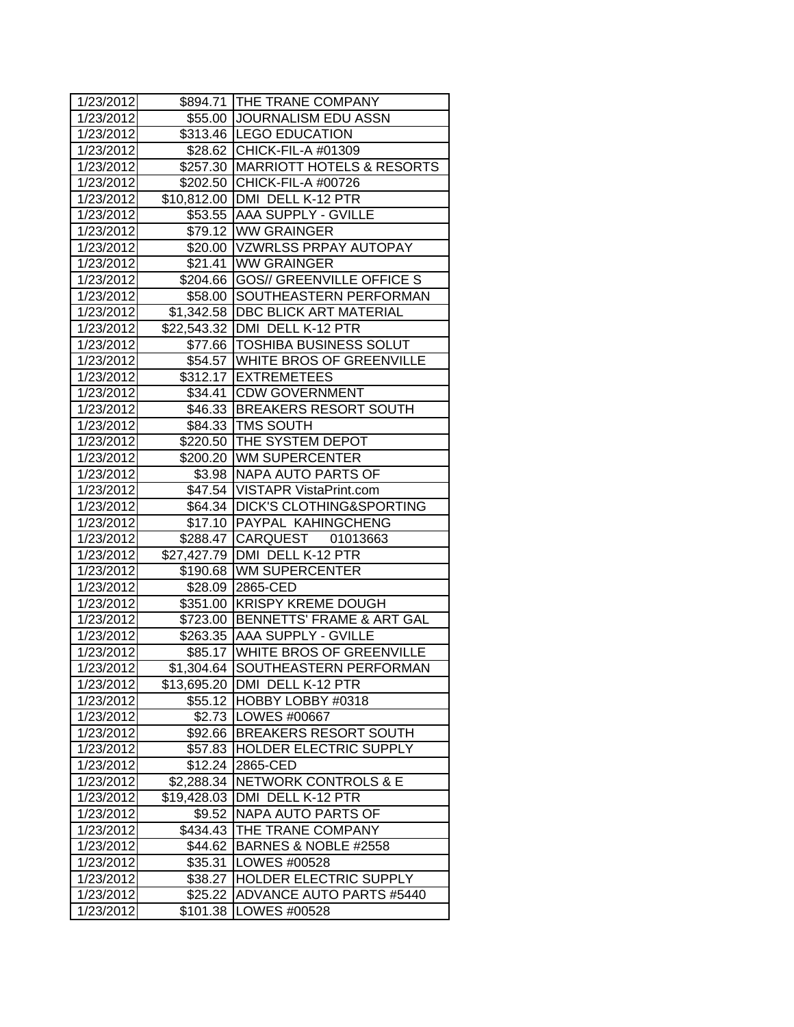| 1/23/2012 |             | \$894.71 THE TRANE COMPANY          |
|-----------|-------------|-------------------------------------|
| 1/23/2012 |             | \$55.00 JOURNALISM EDU ASSN         |
| 1/23/2012 |             | \$313.46  LEGO EDUCATION            |
| 1/23/2012 |             | \$28.62 CHICK-FIL-A #01309          |
| 1/23/2012 |             | \$257.30 MARRIOTT HOTELS & RESORTS  |
| 1/23/2012 |             | \$202.50 CHICK-FIL-A #00726         |
| 1/23/2012 |             | \$10,812.00 DMI DELL K-12 PTR       |
| 1/23/2012 |             | \$53.55 AAA SUPPLY - GVILLE         |
| 1/23/2012 |             | \$79.12 WW GRAINGER                 |
| 1/23/2012 |             | \$20.00 VZWRLSS PRPAY AUTOPAY       |
| 1/23/2012 |             | \$21.41 WW GRAINGER                 |
| 1/23/2012 |             | \$204.66 GOS// GREENVILLE OFFICE S  |
| 1/23/2012 |             | \$58.00 SOUTHEASTERN PERFORMAN      |
| 1/23/2012 |             | \$1,342.58   DBC BLICK ART MATERIAL |
| 1/23/2012 |             | \$22,543.32 DMI DELL K-12 PTR       |
| 1/23/2012 |             | \$77.66 TOSHIBA BUSINESS SOLUT      |
| 1/23/2012 |             | \$54.57 WHITE BROS OF GREENVILLE    |
| 1/23/2012 |             | \$312.17 EXTREMETEES                |
| 1/23/2012 |             | \$34.41 CDW GOVERNMENT              |
| 1/23/2012 |             | \$46.33 BREAKERS RESORT SOUTH       |
| 1/23/2012 |             | \$84.33 TMS SOUTH                   |
| 1/23/2012 |             | \$220.50 THE SYSTEM DEPOT           |
| 1/23/2012 |             | \$200.20 WM SUPERCENTER             |
| 1/23/2012 |             | \$3.98   NAPA AUTO PARTS OF         |
| 1/23/2012 |             | \$47.54 VISTAPR VistaPrint.com      |
| 1/23/2012 |             | \$64.34   DICK'S CLOTHING&SPORTING  |
| 1/23/2012 |             | \$17.10 PAYPAL KAHINGCHENG          |
| 1/23/2012 |             | \$288.47 CARQUEST 01013663          |
| 1/23/2012 |             | \$27,427.79   DMI DELL K-12 PTR     |
| 1/23/2012 |             | \$190.68 WM SUPERCENTER             |
| 1/23/2012 |             | \$28.09 2865-CED                    |
| 1/23/2012 |             | \$351.00 KRISPY KREME DOUGH         |
| 1/23/2012 |             | \$723.00 BENNETTS' FRAME & ART GAL  |
| 1/23/2012 |             | \$263.35 AAA SUPPLY - GVILLE        |
| 1/23/2012 |             | \$85.17 WHITE BROS OF GREENVILLE    |
| 1/23/2012 |             | \$1,304.64 SOUTHEASTERN PERFORMAN   |
| 1/23/2012 |             | \$13,695.20 DMI DELL K-12 PTR       |
| 1/23/2012 |             | \$55.12 HOBBY LOBBY #0318           |
| 1/23/2012 |             | \$2.73   LOWES #00667               |
| 1/23/2012 |             | \$92.66 BREAKERS RESORT SOUTH       |
| 1/23/2012 | \$57.83     | <b>HOLDER ELECTRIC SUPPLY</b>       |
| 1/23/2012 | \$12.24     | 2865-CED                            |
| 1/23/2012 | \$2,288.34  | <b>NETWORK CONTROLS &amp; E</b>     |
| 1/23/2012 | \$19,428.03 | DMI DELL K-12 PTR                   |
| 1/23/2012 | \$9.52      | NAPA AUTO PARTS OF                  |
| 1/23/2012 | \$434.43    | THE TRANE COMPANY                   |
| 1/23/2012 | \$44.62     | BARNES & NOBLE #2558                |
| 1/23/2012 | \$35.31     | LOWES #00528                        |
| 1/23/2012 | \$38.27     | HOLDER ELECTRIC SUPPLY              |
| 1/23/2012 | \$25.22     | <b>ADVANCE AUTO PARTS #5440</b>     |
| 1/23/2012 | \$101.38    | LOWES #00528                        |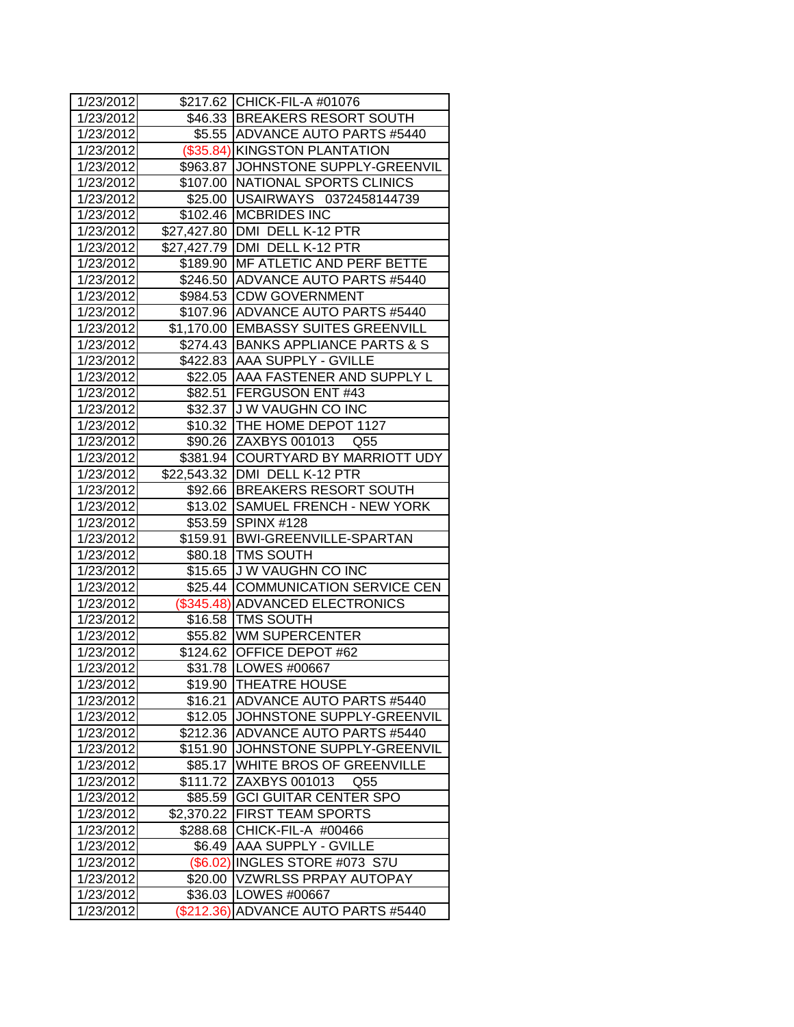| 1/23/2012 |            | \$217.62 CHICK-FIL-A #01076         |
|-----------|------------|-------------------------------------|
| 1/23/2012 |            | \$46.33 BREAKERS RESORT SOUTH       |
| 1/23/2012 |            | \$5.55 ADVANCE AUTO PARTS #5440     |
| 1/23/2012 |            | (\$35.84) KINGSTON PLANTATION       |
| 1/23/2012 |            | \$963.87 JJOHNSTONE SUPPLY-GREENVIL |
| 1/23/2012 |            | \$107.00 NATIONAL SPORTS CLINICS    |
| 1/23/2012 |            | \$25.00 USAIRWAYS 0372458144739     |
| 1/23/2012 |            | \$102.46 MCBRIDES INC               |
| 1/23/2012 |            | \$27,427.80 DMI DELL K-12 PTR       |
| 1/23/2012 |            | \$27,427.79 DMI DELL K-12 PTR       |
| 1/23/2012 |            | \$189.90 MF ATLETIC AND PERF BETTE  |
| 1/23/2012 |            | \$246.50 ADVANCE AUTO PARTS #5440   |
| 1/23/2012 |            | \$984.53 CDW GOVERNMENT             |
| 1/23/2012 |            | \$107.96 ADVANCE AUTO PARTS #5440   |
| 1/23/2012 |            | \$1,170.00 EMBASSY SUITES GREENVILL |
| 1/23/2012 |            | \$274.43 BANKS APPLIANCE PARTS & S  |
| 1/23/2012 |            | \$422.83 AAA SUPPLY - GVILLE        |
| 1/23/2012 |            | \$22.05 AAA FASTENER AND SUPPLY L   |
| 1/23/2012 |            | \$82.51 FERGUSON ENT #43            |
| 1/23/2012 |            | \$32.37 J W VAUGHN CO INC           |
| 1/23/2012 | \$10.32    | THE HOME DEPOT 1127                 |
| 1/23/2012 |            | \$90.26 ZAXBYS 001013 Q55           |
| 1/23/2012 |            | \$381.94 COURTYARD BY MARRIOTT UDY  |
| 1/23/2012 |            | \$22,543.32   DMI DELL K-12 PTR     |
| 1/23/2012 |            | \$92.66 BREAKERS RESORT SOUTH       |
| 1/23/2012 |            | \$13.02 SAMUEL FRENCH - NEW YORK    |
| 1/23/2012 |            | \$53.59 SPINX #128                  |
| 1/23/2012 |            | \$159.91 BWI-GREENVILLE-SPARTAN     |
| 1/23/2012 |            | \$80.18   TMS SOUTH                 |
| 1/23/2012 |            | \$15.65 J W VAUGHN CO INC           |
| 1/23/2012 |            | \$25.44 COMMUNICATION SERVICE CEN   |
| 1/23/2012 |            | (\$345.48) ADVANCED ELECTRONICS     |
| 1/23/2012 |            | \$16.58 TMS SOUTH                   |
| 1/23/2012 |            | \$55.82 WM SUPERCENTER              |
| 1/23/2012 |            | \$124.62 OFFICE DEPOT #62           |
| 1/23/2012 |            | \$31.78   LOWES #00667              |
| 1/23/2012 | \$19.90    | <b>THEATRE HOUSE</b>                |
| 1/23/2012 | \$16.21    | <b>ADVANCE AUTO PARTS #5440</b>     |
| 1/23/2012 | \$12.05    | JOHNSTONE SUPPLY-GREENVIL           |
| 1/23/2012 | \$212.36   | IADVANCE AUTO PARTS #5440           |
| 1/23/2012 | \$151.90   | JOHNSTONE SUPPLY-GREENVIL           |
| 1/23/2012 | \$85.17    | WHITE BROS OF GREENVILLE            |
| 1/23/2012 | \$111.72   | ZAXBYS 001013<br>Q55                |
| 1/23/2012 | \$85.59    | <b>GCI GUITAR CENTER SPO</b>        |
| 1/23/2012 | \$2,370.22 | <b>FIRST TEAM SPORTS</b>            |
| 1/23/2012 | \$288.68   | CHICK-FIL-A #00466                  |
| 1/23/2012 | \$6.49     | <b>AAA SUPPLY - GVILLE</b>          |
| 1/23/2012 |            | (\$6.02) INGLES STORE #073 S7U      |
| 1/23/2012 | \$20.00    | <b>VZWRLSS PRPAY AUTOPAY</b>        |
| 1/23/2012 | \$36.03    | LOWES #00667                        |
| 1/23/2012 | (\$212.36) | <b>ADVANCE AUTO PARTS #5440</b>     |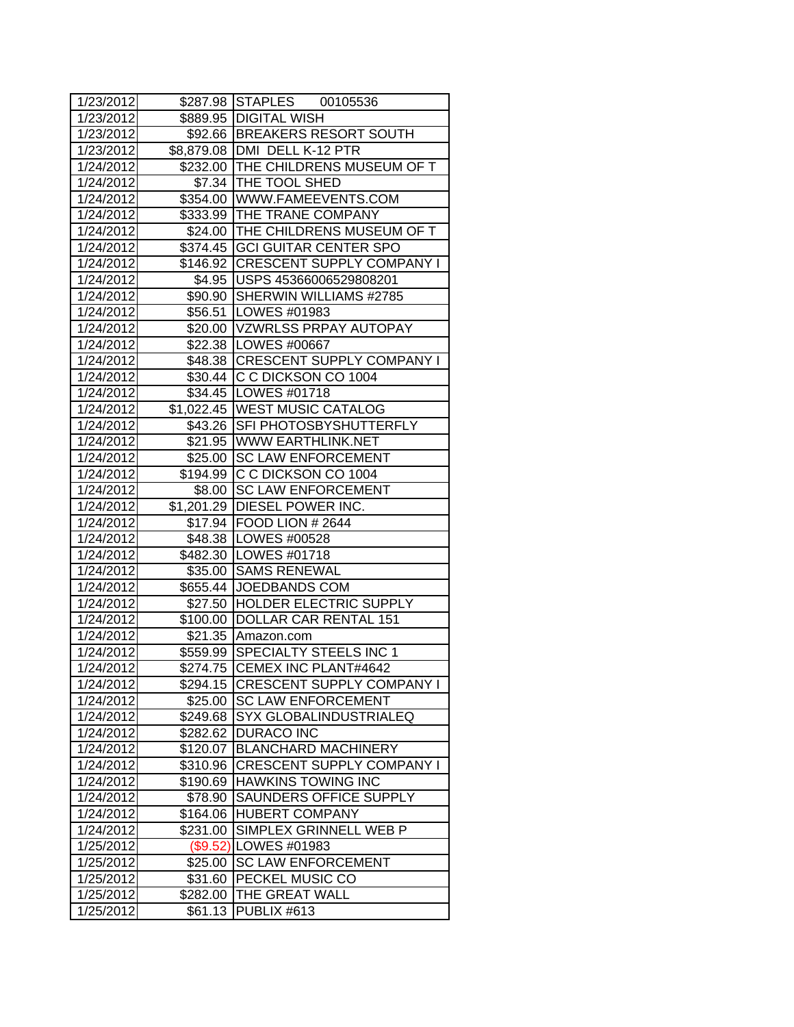| 1/23/2012 |          | \$287.98 STAPLES 00105536          |
|-----------|----------|------------------------------------|
| 1/23/2012 |          | \$889.95   DIGITAL WISH            |
| 1/23/2012 |          | \$92.66 BREAKERS RESORT SOUTH      |
| 1/23/2012 |          | \$8,879.08   DMI DELL K-12 PTR     |
| 1/24/2012 |          | \$232.00 THE CHILDRENS MUSEUM OF T |
| 1/24/2012 |          | \$7.34 THE TOOL SHED               |
| 1/24/2012 |          | \$354.00 WWW.FAMEEVENTS.COM        |
| 1/24/2012 |          | \$333.99 THE TRANE COMPANY         |
| 1/24/2012 |          | \$24.00 THE CHILDRENS MUSEUM OF T  |
| 1/24/2012 |          | \$374.45 GCI GUITAR CENTER SPO     |
| 1/24/2012 |          | \$146.92 CRESCENT SUPPLY COMPANY I |
| 1/24/2012 |          | \$4.95   USPS 45366006529808201    |
| 1/24/2012 |          | \$90.90 SHERWIN WILLIAMS #2785     |
| 1/24/2012 |          | \$56.51   LOWES #01983             |
| 1/24/2012 |          | \$20.00 VZWRLSS PRPAY AUTOPAY      |
| 1/24/2012 |          | \$22.38   LOWES #00667             |
| 1/24/2012 |          | \$48.38 CRESCENT SUPPLY COMPANY I  |
| 1/24/2012 |          | \$30.44 C C DICKSON CO 1004        |
| 1/24/2012 |          | \$34.45   LOWES #01718             |
| 1/24/2012 |          | \$1,022.45 WEST MUSIC CATALOG      |
| 1/24/2012 | \$43.26  | <b>SFI PHOTOSBYSHUTTERFLY</b>      |
| 1/24/2012 |          | \$21.95 WWW EARTHLINK.NET          |
| 1/24/2012 |          | \$25.00 SC LAW ENFORCEMENT         |
| 1/24/2012 |          | \$194.99 C C DICKSON CO 1004       |
| 1/24/2012 | \$8.00   | <b>SC LAW ENFORCEMENT</b>          |
| 1/24/2012 |          | \$1,201.29 DIESEL POWER INC.       |
| 1/24/2012 |          | \$17.94   FOOD LION # 2644         |
| 1/24/2012 |          | \$48.38   LOWES #00528             |
| 1/24/2012 |          | \$482.30 LOWES #01718              |
| 1/24/2012 |          | \$35.00 SAMS RENEWAL               |
| 1/24/2012 |          | \$655.44 JOEDBANDS COM             |
| 1/24/2012 |          | \$27.50 HOLDER ELECTRIC SUPPLY     |
| 1/24/2012 | \$100.00 | DOLLAR CAR RENTAL 151              |
| 1/24/2012 | \$21.35  | Amazon.com                         |
| 1/24/2012 |          | \$559.99 SPECIALTY STEELS INC 1    |
| 1/24/2012 |          | \$274.75 CEMEX INC PLANT#4642      |
| 1/24/2012 | \$294.15 | <b>CRESCENT SUPPLY COMPANY I</b>   |
| 1/24/2012 | \$25.00  | <b>SC LAW ENFORCEMENT</b>          |
| 1/24/2012 | \$249.68 | SYX GLOBALINDUSTRIALEQ             |
| 1/24/2012 | \$282.62 | <b>DURACO INC</b>                  |
| 1/24/2012 | \$120.07 | <b>BLANCHARD MACHINERY</b>         |
| 1/24/2012 | \$310.96 | <b>CRESCENT SUPPLY COMPANY I</b>   |
| 1/24/2012 | \$190.69 | <b>HAWKINS TOWING INC</b>          |
| 1/24/2012 | \$78.90  | SAUNDERS OFFICE SUPPLY             |
| 1/24/2012 | \$164.06 | <b>HUBERT COMPANY</b>              |
| 1/24/2012 | \$231.00 | SIMPLEX GRINNELL WEB P             |
| 1/25/2012 | (\$9.52) | LOWES #01983                       |
| 1/25/2012 | \$25.00  | <b>SC LAW ENFORCEMENT</b>          |
| 1/25/2012 | \$31.60  | PECKEL MUSIC CO                    |
| 1/25/2012 | \$282.00 | THE GREAT WALL                     |
| 1/25/2012 | \$61.13  | PUBLIX #613                        |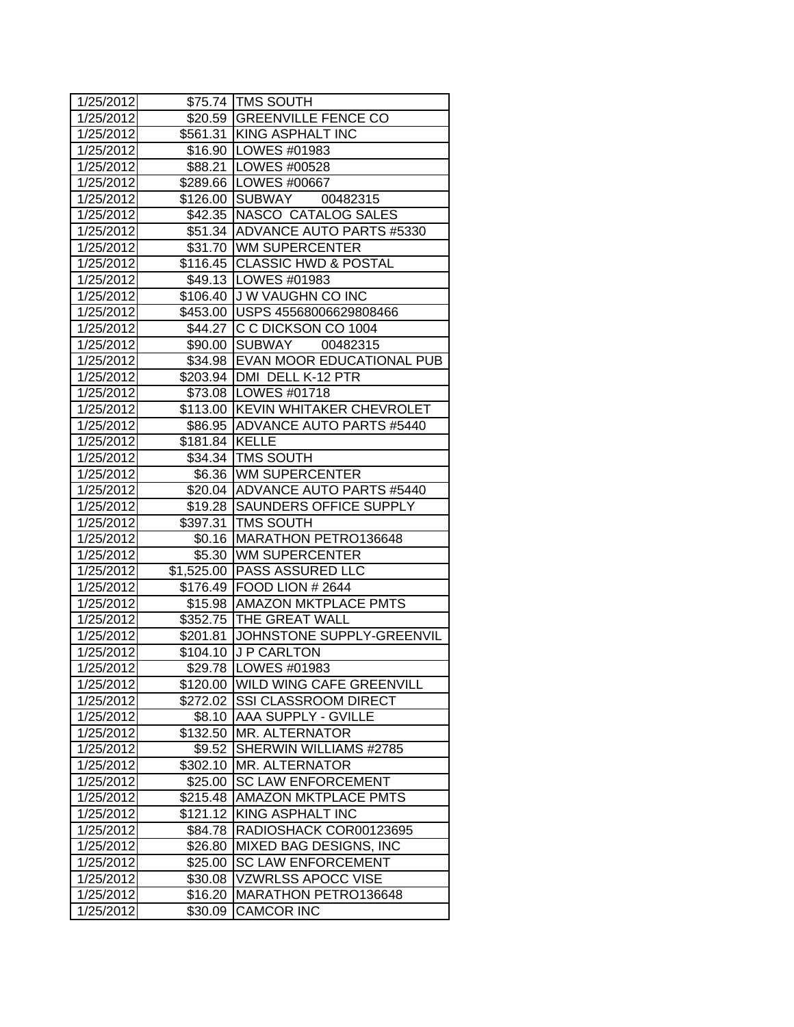| 1/25/2012 |                | \$75.74   TMS SOUTH               |  |
|-----------|----------------|-----------------------------------|--|
| 1/25/2012 |                | \$20.59 GREENVILLE FENCE CO       |  |
| 1/25/2012 |                | \$561.31 KING ASPHALT INC         |  |
| 1/25/2012 |                | \$16.90 LOWES #01983              |  |
| 1/25/2012 |                | \$88.21 LOWES #00528              |  |
| 1/25/2012 |                | \$289.66 LOWES #00667             |  |
| 1/25/2012 |                | \$126.00 SUBWAY 00482315          |  |
| 1/25/2012 |                | \$42.35 NASCO CATALOG SALES       |  |
| 1/25/2012 |                | \$51.34 ADVANCE AUTO PARTS #5330  |  |
| 1/25/2012 |                | \$31.70 WM SUPERCENTER            |  |
| 1/25/2012 |                | \$116.45 CLASSIC HWD & POSTAL     |  |
| 1/25/2012 |                | \$49.13   LOWES #01983            |  |
| 1/25/2012 |                | \$106.40 J W VAUGHN CO INC        |  |
| 1/25/2012 |                | \$453.00 USPS 45568006629808466   |  |
| 1/25/2012 |                | \$44.27 C C DICKSON CO 1004       |  |
| 1/25/2012 |                | \$90.00 SUBWAY 00482315           |  |
| 1/25/2012 |                | \$34.98 EVAN MOOR EDUCATIONAL PUB |  |
| 1/25/2012 |                | \$203.94   DMI DELL K-12 PTR      |  |
| 1/25/2012 |                | \$73.08 LOWES #01718              |  |
| 1/25/2012 |                | \$113.00 KEVIN WHITAKER CHEVROLET |  |
| 1/25/2012 | \$86.95        | ADVANCE AUTO PARTS #5440          |  |
| 1/25/2012 | \$181.84 KELLE |                                   |  |
| 1/25/2012 |                | \$34.34   TMS SOUTH               |  |
| 1/25/2012 |                | \$6.36 WM SUPERCENTER             |  |
| 1/25/2012 |                | \$20.04 ADVANCE AUTO PARTS #5440  |  |
| 1/25/2012 |                | \$19.28 SAUNDERS OFFICE SUPPLY    |  |
| 1/25/2012 |                | \$397.31   TMS SOUTH              |  |
| 1/25/2012 |                | \$0.16   MARATHON PETRO136648     |  |
| 1/25/2012 |                | \$5.30 WM SUPERCENTER             |  |
| 1/25/2012 |                | \$1,525.00 PASS ASSURED LLC       |  |
| 1/25/2012 |                | \$176.49 FOOD LION # 2644         |  |
| 1/25/2012 |                | \$15.98   AMAZON MKTPLACE PMTS    |  |
| 1/25/2012 |                | \$352.75 THE GREAT WALL           |  |
| 1/25/2012 | \$201.81       | JOHNSTONE SUPPLY-GREENVIL         |  |
| 1/25/2012 |                | \$104.10 J P CARLTON              |  |
| 1/25/2012 |                | \$29.78 LOWES #01983              |  |
| 1/25/2012 |                | \$120.00 WILD WING CAFE GREENVILL |  |
| 1/25/2012 |                | \$272.02 SSI CLASSROOM DIRECT     |  |
| 1/25/2012 | \$8.10         | <b>AAA SUPPLY - GVILLE</b>        |  |
| 1/25/2012 | \$132.50       | <b>MR. ALTERNATOR</b>             |  |
| 1/25/2012 | \$9.52         | SHERWIN WILLIAMS #2785            |  |
| 1/25/2012 | \$302.10       | <b>MR. ALTERNATOR</b>             |  |
| 1/25/2012 | \$25.00        | <b>SC LAW ENFORCEMENT</b>         |  |
| 1/25/2012 | \$215.48       | <b>AMAZON MKTPLACE PMTS</b>       |  |
| 1/25/2012 | \$121.12       | <b>KING ASPHALT INC</b>           |  |
| 1/25/2012 | \$84.78        | RADIOSHACK COR00123695            |  |
| 1/25/2012 | \$26.80        | MIXED BAG DESIGNS, INC            |  |
| 1/25/2012 | \$25.00        | <b>SC LAW ENFORCEMENT</b>         |  |
| 1/25/2012 | \$30.08        | <b>VZWRLSS APOCC VISE</b>         |  |
| 1/25/2012 | \$16.20        | MARATHON PETRO136648              |  |
| 1/25/2012 | \$30.09        | <b>CAMCOR INC</b>                 |  |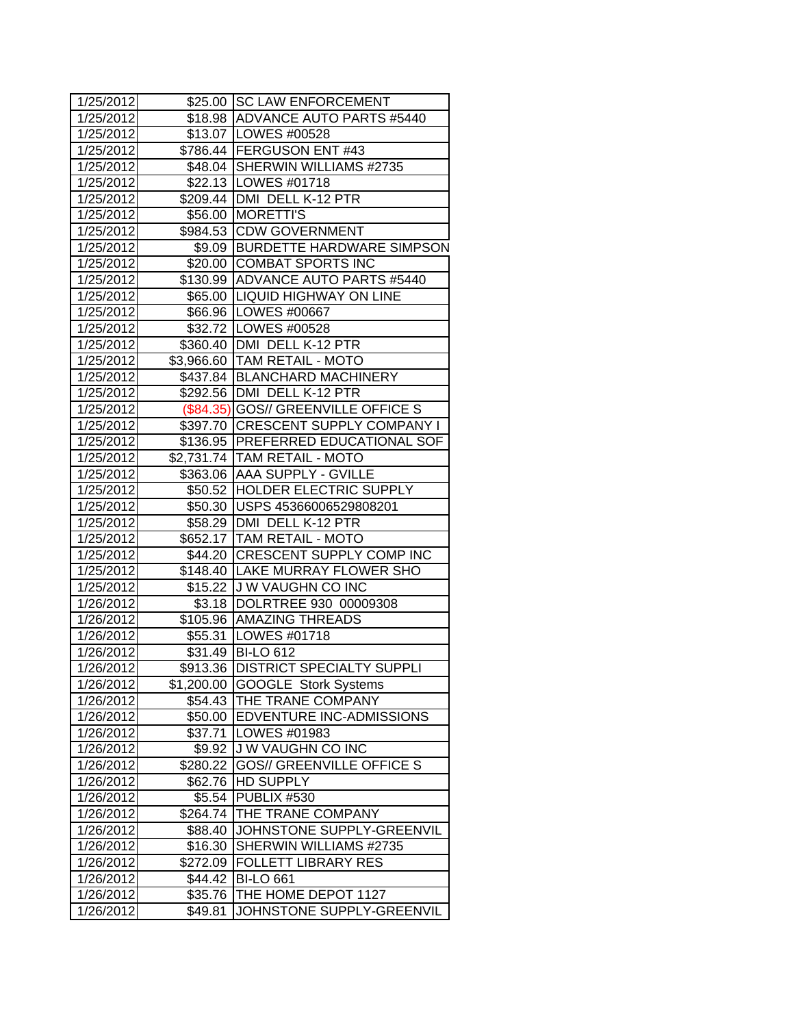| 1/25/2012           |          | \$25.00 SC LAW ENFORCEMENT          |  |
|---------------------|----------|-------------------------------------|--|
| 1/25/2012           |          | \$18.98 ADVANCE AUTO PARTS #5440    |  |
| 1/25/2012           |          | \$13.07   LOWES #00528              |  |
| 1/25/2012           |          | \$786.44 FERGUSON ENT #43           |  |
| 1/25/2012           |          | \$48.04 SHERWIN WILLIAMS #2735      |  |
| 1/25/2012           |          | \$22.13   LOWES #01718              |  |
| 1/25/2012           |          | \$209.44   DMI DELL K-12 PTR        |  |
| 1/25/2012           | \$56.00  | <b>MORETTI'S</b>                    |  |
| 1/25/2012           |          | \$984.53 CDW GOVERNMENT             |  |
| 1/25/2012           |          | \$9.09 BURDETTE HARDWARE SIMPSON    |  |
| 1/25/2012           |          | \$20.00 COMBAT SPORTS INC           |  |
| 1/25/2012           |          | \$130.99 ADVANCE AUTO PARTS #5440   |  |
| 1/25/2012           |          | \$65.00  LIQUID HIGHWAY ON LINE     |  |
| 1/25/2012           |          | \$66.96   LOWES #00667              |  |
| 1/25/2012           |          | \$32.72   LOWES #00528              |  |
| 1/25/2012           |          | \$360.40 DMI DELL K-12 PTR          |  |
| 1/25/2012           |          | \$3,966.60 TAM RETAIL - MOTO        |  |
| 1/25/2012           |          | \$437.84 BLANCHARD MACHINERY        |  |
| 1/25/2012           |          | \$292.56   DMI DELL K-12 PTR        |  |
| 1/25/2012           |          | (\$84.35) GOS// GREENVILLE OFFICE S |  |
| 1/25/2012           |          | \$397.70 CRESCENT SUPPLY COMPANY I  |  |
| 1/25/2012           |          | \$136.95 PREFERRED EDUCATIONAL SOF  |  |
| 1/25/2012           |          | \$2,731.74 TAM RETAIL - MOTO        |  |
| 1/25/2012           |          | \$363.06 AAA SUPPLY - GVILLE        |  |
| 1/25/2012           |          | \$50.52 HOLDER ELECTRIC SUPPLY      |  |
| 1/25/2012           |          | \$50.30 USPS 45366006529808201      |  |
| 1/25/2012           |          | \$58.29   DMI DELL K-12 PTR         |  |
| 1/25/2012           |          | \$652.17   TAM RETAIL - MOTO        |  |
| 1/25/2012           |          | \$44.20 CRESCENT SUPPLY COMP INC    |  |
| 1/25/2012           |          | \$148.40 LAKE MURRAY FLOWER SHO     |  |
| 1/25/2012           |          | \$15.22 J W VAUGHN CO INC           |  |
| 1/26/2012           | \$3.18   | DOLRTREE 930 00009308               |  |
| 1/26/2012           |          | \$105.96 AMAZING THREADS            |  |
| 1/26/2012           |          | \$55.31  LOWES #01718               |  |
| 1/26/2012           |          | \$31.49 BI-LO 612                   |  |
| 1/26/2012           | \$913.36 | <b>DISTRICT SPECIALTY SUPPLI</b>    |  |
| 1/26/2012           |          | \$1,200.00 GOOGLE Stork Systems     |  |
| 1/26/2012           | \$54.43  | THE TRANE COMPANY                   |  |
| 1/26/2012           | \$50.00  | <b>EDVENTURE INC-ADMISSIONS</b>     |  |
| 1/26/2012           | \$37.71  | LOWES #01983                        |  |
| 1/26/2012           | \$9.92   | J W VAUGHN CO INC                   |  |
| 1/26/2012           | \$280.22 | <b>GOS// GREENVILLE OFFICE S</b>    |  |
| 1/26/2012           | \$62.76  | <b>HD SUPPLY</b>                    |  |
| 1/26/2012           | \$5.54   | PUBLIX #530                         |  |
| 1/26/2012           | \$264.74 | <b>THE TRANE COMPANY</b>            |  |
| 1/26/2012           | \$88.40  | JOHNSTONE SUPPLY-GREENVIL           |  |
| 1/26/2012           | \$16.30  | SHERWIN WILLIAMS #2735              |  |
| 1/26/2012           | \$272.09 | <b>FOLLETT LIBRARY RES</b>          |  |
| 1/26/2012           | \$44.42  | <b>BI-LO 661</b>                    |  |
| 1/26/2012           | \$35.76  | THE HOME DEPOT 1127                 |  |
| $\frac{1}{26/2012}$ | \$49.81  | JOHNSTONE SUPPLY-GREENVIL           |  |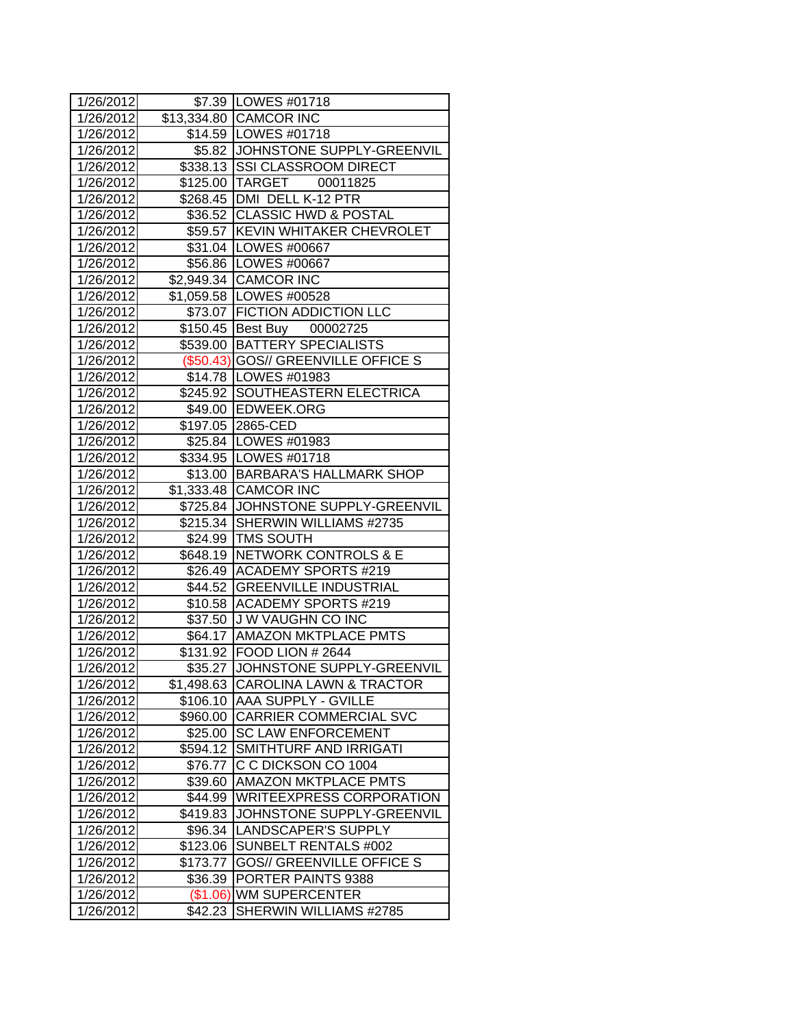| 1/26/2012 |          | \$7.39   LOWES #01718               |  |  |  |
|-----------|----------|-------------------------------------|--|--|--|
| 1/26/2012 |          | \$13,334.80 CAMCOR INC              |  |  |  |
| 1/26/2012 |          | \$14.59   LOWES #01718              |  |  |  |
| 1/26/2012 |          | \$5.82 JOHNSTONE SUPPLY-GREENVIL    |  |  |  |
| 1/26/2012 |          | \$338.13 SSI CLASSROOM DIRECT       |  |  |  |
| 1/26/2012 |          | \$125.00 TARGET<br>00011825         |  |  |  |
| 1/26/2012 |          | \$268.45   DMI DELL K-12 PTR        |  |  |  |
| 1/26/2012 |          | \$36.52 CLASSIC HWD & POSTAL        |  |  |  |
| 1/26/2012 |          | \$59.57 KEVIN WHITAKER CHEVROLET    |  |  |  |
| 1/26/2012 |          | \$31.04   LOWES #00667              |  |  |  |
| 1/26/2012 |          | \$56.86 LOWES #00667                |  |  |  |
| 1/26/2012 |          | \$2,949.34 CAMCOR INC               |  |  |  |
| 1/26/2012 |          | \$1,059.58 LOWES #00528             |  |  |  |
| 1/26/2012 |          | \$73.07 FICTION ADDICTION LLC       |  |  |  |
| 1/26/2012 |          | \$150.45 Best Buy 00002725          |  |  |  |
| 1/26/2012 |          | \$539.00 BATTERY SPECIALISTS        |  |  |  |
| 1/26/2012 |          | (\$50.43) GOS// GREENVILLE OFFICE S |  |  |  |
| 1/26/2012 |          | \$14.78   LOWES #01983              |  |  |  |
| 1/26/2012 |          | \$245.92 SOUTHEASTERN ELECTRICA     |  |  |  |
| 1/26/2012 |          | \$49.00 EDWEEK.ORG                  |  |  |  |
| 1/26/2012 |          | \$197.05 2865-CED                   |  |  |  |
| 1/26/2012 |          | \$25.84   LOWES #01983              |  |  |  |
| 1/26/2012 |          | \$334.95 LOWES #01718               |  |  |  |
| 1/26/2012 |          | \$13.00 BARBARA'S HALLMARK SHOP     |  |  |  |
| 1/26/2012 |          | \$1,333.48 CAMCOR INC               |  |  |  |
| 1/26/2012 |          | \$725.84 JOHNSTONE SUPPLY-GREENVIL  |  |  |  |
| 1/26/2012 |          | \$215.34 SHERWIN WILLIAMS #2735     |  |  |  |
| 1/26/2012 |          | \$24.99 TMS SOUTH                   |  |  |  |
| 1/26/2012 |          | \$648.19 NETWORK CONTROLS & E       |  |  |  |
| 1/26/2012 |          | \$26.49 ACADEMY SPORTS #219         |  |  |  |
| 1/26/2012 |          | \$44.52 GREENVILLE INDUSTRIAL       |  |  |  |
| 1/26/2012 |          | \$10.58 ACADEMY SPORTS #219         |  |  |  |
| 1/26/2012 |          | \$37.50 J W VAUGHN CO INC           |  |  |  |
| 1/26/2012 |          | \$64.17 AMAZON MKTPLACE PMTS        |  |  |  |
| 1/26/2012 |          | \$131.92 FOOD LION #2644            |  |  |  |
| 1/26/2012 |          | \$35.27 JJOHNSTONE SUPPLY-GREENVIL  |  |  |  |
| 1/26/2012 |          | \$1,498.63 CAROLINA LAWN & TRACTOR  |  |  |  |
| 1/26/2012 | \$106.10 | <b>AAA SUPPLY - GVILLE</b>          |  |  |  |
| 1/26/2012 | \$960.00 | <b>CARRIER COMMERCIAL SVC</b>       |  |  |  |
| 1/26/2012 | \$25.00  | <b>SC LAW ENFORCEMENT</b>           |  |  |  |
| 1/26/2012 |          | \$594.12 SMITHTURF AND IRRIGATI     |  |  |  |
| 1/26/2012 | \$76.77  | C C DICKSON CO 1004                 |  |  |  |
| 1/26/2012 | \$39.60  | <b>AMAZON MKTPLACE PMTS</b>         |  |  |  |
| 1/26/2012 | \$44.99  | <b>WRITEEXPRESS CORPORATION</b>     |  |  |  |
| 1/26/2012 | \$419.83 | JOHNSTONE SUPPLY-GREENVIL           |  |  |  |
| 1/26/2012 | \$96.34  | LANDSCAPER'S SUPPLY                 |  |  |  |
| 1/26/2012 | \$123.06 | SUNBELT RENTALS #002                |  |  |  |
| 1/26/2012 | \$173.77 | <b>GOS// GREENVILLE OFFICE S</b>    |  |  |  |
| 1/26/2012 | \$36.39  | PORTER PAINTS 9388                  |  |  |  |
| 1/26/2012 |          | (\$1.06) WM SUPERCENTER             |  |  |  |
| 1/26/2012 | \$42.23  | SHERWIN WILLIAMS #2785              |  |  |  |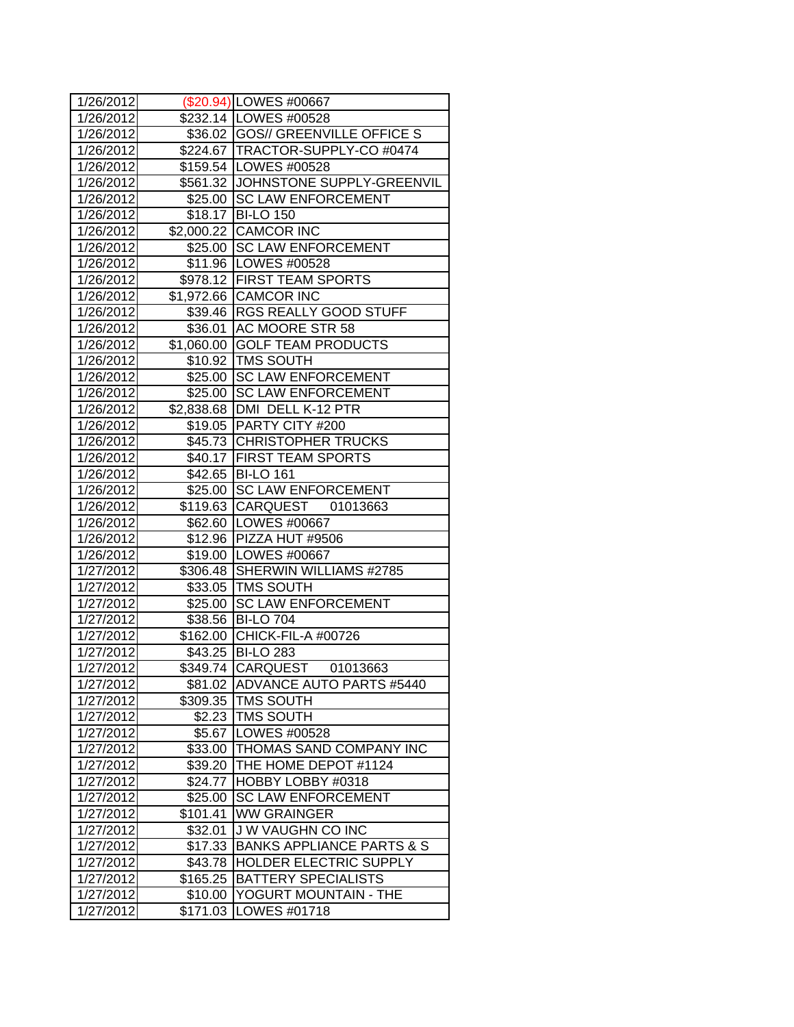| 1/26/2012              |            | (\$20.94) LOWES #00667               |  |
|------------------------|------------|--------------------------------------|--|
| 1/26/2012              |            | \$232.14   LOWES #00528              |  |
| 1/26/2012              |            | \$36.02 GOS// GREENVILLE OFFICE S    |  |
| 1/26/2012              |            | \$224.67 TRACTOR-SUPPLY-CO #0474     |  |
| 1/26/2012              |            | \$159.54 LOWES #00528                |  |
| 1/26/2012              |            | \$561.32 JJOHNSTONE SUPPLY-GREENVIL  |  |
| 1/26/2012              |            | \$25.00 SC LAW ENFORCEMENT           |  |
| 1/26/2012              |            | \$18.17 BI-LO 150                    |  |
| 1/26/2012              |            | \$2,000.22 CAMCOR INC                |  |
| 1/26/2012              |            | \$25.00 SC LAW ENFORCEMENT           |  |
| 1/26/2012              |            | \$11.96 LOWES #00528                 |  |
| 1/26/2012              |            | \$978.12 FIRST TEAM SPORTS           |  |
| 1/26/2012              |            | \$1,972.66 CAMCOR INC                |  |
| 1/26/2012              |            | \$39.46  RGS REALLY GOOD STUFF       |  |
| 1/26/2012              |            | \$36.01 AC MOORE STR 58              |  |
| 1/26/2012              |            | \$1,060.00 GOLF TEAM PRODUCTS        |  |
| 1/26/2012              |            | \$10.92 TMS SOUTH                    |  |
| 1/26/2012              |            | \$25.00 SC LAW ENFORCEMENT           |  |
| 1/26/2012              |            | \$25.00 SC LAW ENFORCEMENT           |  |
| 1/26/2012              | \$2,838.68 | DMI DELL K-12 PTR                    |  |
| 1/26/2012              |            | \$19.05 PARTY CITY #200              |  |
| 1/26/2012              |            | \$45.73 CHRISTOPHER TRUCKS           |  |
| 1/26/2012              |            | \$40.17 FIRST TEAM SPORTS            |  |
| 1/26/2012              |            | \$42.65 BI-LO 161                    |  |
| 1/26/2012              |            | \$25.00 SC LAW ENFORCEMENT           |  |
| 1/26/2012              |            | \$119.63 CARQUEST 01013663           |  |
| 1/26/2012              |            | \$62.60 LOWES #00667                 |  |
| 1/26/2012              |            | \$12.96 PIZZA HUT #9506              |  |
| 1/26/2012              |            | \$19.00 LOWES #00667                 |  |
| 1/27/2012              |            | \$306.48 SHERWIN WILLIAMS #2785      |  |
| 1/27/2012              |            | \$33.05 TMS SOUTH                    |  |
| 1/27/2012              | \$25.00    | <b>SC LAW ENFORCEMENT</b>            |  |
| 1/27/2012              |            | \$38.56 BI-LO 704                    |  |
| 1/27/2012              |            | \$162.00 CHICK-FIL-A #00726          |  |
| 1/27/2012              |            | \$43.25 BI-LO 283                    |  |
| $\overline{1/27}/2012$ |            | \$349.74 CARQUEST 01013663           |  |
| 1/27/2012              |            | \$81.02 ADVANCE AUTO PARTS #5440     |  |
| 1/27/2012              | \$309.35   | <b>TMS SOUTH</b>                     |  |
| 1/27/2012              | \$2.23     | <b>TMS SOUTH</b>                     |  |
| 1/27/2012              | \$5.67     | LOWES #00528                         |  |
| 1/27/2012              | \$33.00    | THOMAS SAND COMPANY INC              |  |
| 1/27/2012              | \$39.20    | THE HOME DEPOT #1124                 |  |
| 1/27/2012              | \$24.77    | HOBBY LOBBY #0318                    |  |
| 1/27/2012              | \$25.00    | <b>SC LAW ENFORCEMENT</b>            |  |
| 1/27/2012              | \$101.41   | <b>WW GRAINGER</b>                   |  |
| 1/27/2012              | \$32.01    | J W VAUGHN CO INC                    |  |
| 1/27/2012              | \$17.33    | <b>BANKS APPLIANCE PARTS &amp; S</b> |  |
| 1/27/2012              | \$43.78    | <b>HOLDER ELECTRIC SUPPLY</b>        |  |
| 1/27/2012              | \$165.25   | <b>BATTERY SPECIALISTS</b>           |  |
| 1/27/2012              | \$10.00    | YOGURT MOUNTAIN - THE                |  |
| 1/27/2012              | \$171.03   | <b>LOWES #01718</b>                  |  |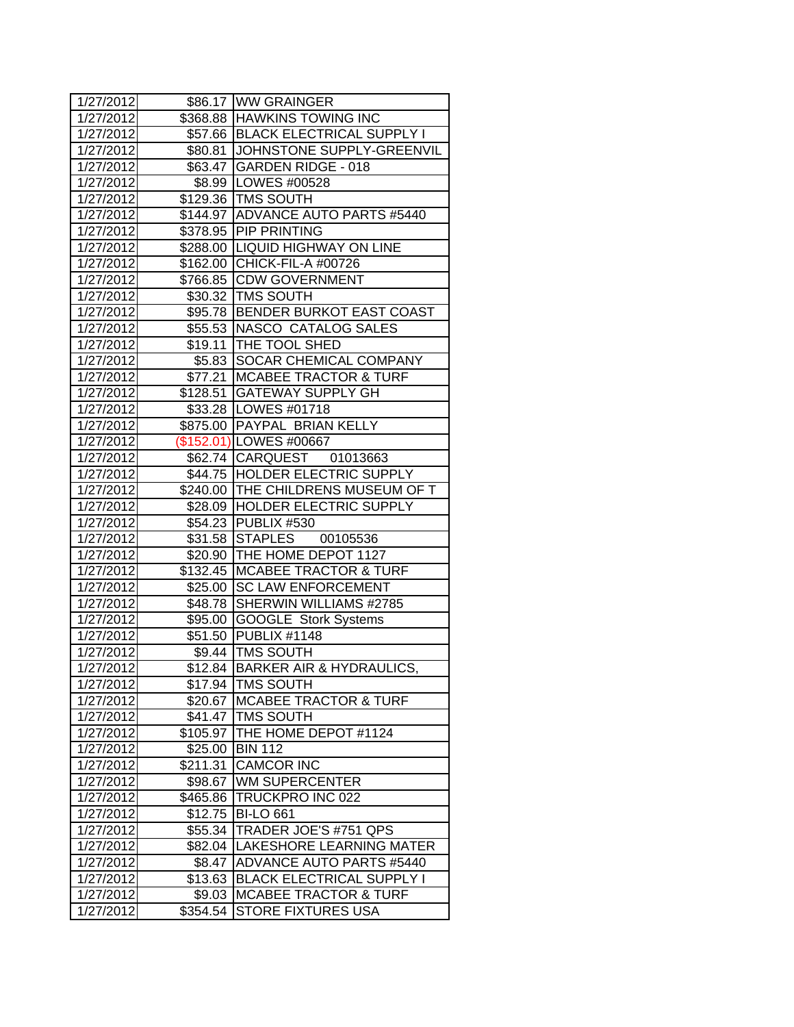| 1/27/2012 |          | \$86.17 WW GRAINGER                 |  |  |  |
|-----------|----------|-------------------------------------|--|--|--|
| 1/27/2012 |          | \$368.88 HAWKINS TOWING INC         |  |  |  |
| 1/27/2012 |          | \$57.66   BLACK ELECTRICAL SUPPLY I |  |  |  |
| 1/27/2012 |          | \$80.81 JJOHNSTONE SUPPLY-GREENVIL  |  |  |  |
| 1/27/2012 |          | \$63.47 GARDEN RIDGE - 018          |  |  |  |
| 1/27/2012 |          | \$8.99  LOWES #00528                |  |  |  |
| 1/27/2012 |          | \$129.36 TMS SOUTH                  |  |  |  |
| 1/27/2012 |          | \$144.97 ADVANCE AUTO PARTS #5440   |  |  |  |
| 1/27/2012 |          | \$378.95 PIP PRINTING               |  |  |  |
| 1/27/2012 |          | \$288.00 LIQUID HIGHWAY ON LINE     |  |  |  |
| 1/27/2012 |          | \$162.00 CHICK-FIL-A #00726         |  |  |  |
| 1/27/2012 |          | \$766.85 CDW GOVERNMENT             |  |  |  |
| 1/27/2012 |          | \$30.32 TMS SOUTH                   |  |  |  |
| 1/27/2012 |          | \$95.78 BENDER BURKOT EAST COAST    |  |  |  |
| 1/27/2012 |          | \$55.53  NASCO CATALOG SALES        |  |  |  |
| 1/27/2012 |          | \$19.11 THE TOOL SHED               |  |  |  |
| 1/27/2012 |          | \$5.83 SOCAR CHEMICAL COMPANY       |  |  |  |
| 1/27/2012 | \$77.21  | <b>MCABEE TRACTOR &amp; TURF</b>    |  |  |  |
| 1/27/2012 | \$128.51 | <b>GATEWAY SUPPLY GH</b>            |  |  |  |
| 1/27/2012 |          | \$33.28   LOWES #01718              |  |  |  |
| 1/27/2012 |          | \$875.00 PAYPAL BRIAN KELLY         |  |  |  |
| 1/27/2012 |          | (\$152.01) LOWES #00667             |  |  |  |
| 1/27/2012 |          | \$62.74 CARQUEST 01013663           |  |  |  |
| 1/27/2012 |          | \$44.75 HOLDER ELECTRIC SUPPLY      |  |  |  |
| 1/27/2012 |          | \$240.00 THE CHILDRENS MUSEUM OF T  |  |  |  |
| 1/27/2012 |          | \$28.09 HOLDER ELECTRIC SUPPLY      |  |  |  |
| 1/27/2012 |          | \$54.23 PUBLIX #530                 |  |  |  |
| 1/27/2012 |          | \$31.58 STAPLES 00105536            |  |  |  |
| 1/27/2012 |          | \$20.90 THE HOME DEPOT 1127         |  |  |  |
| 1/27/2012 | \$132.45 | <b>MCABEE TRACTOR &amp; TURF</b>    |  |  |  |
| 1/27/2012 | \$25.00  | <b>SC LAW ENFORCEMENT</b>           |  |  |  |
| 1/27/2012 | \$48.78  | <b>SHERWIN WILLIAMS #2785</b>       |  |  |  |
| 1/27/2012 | \$95.00  | <b>GOOGLE</b> Stork Systems         |  |  |  |
| 1/27/2012 | \$51.50  | PUBLIX #1148                        |  |  |  |
| 1/27/2012 |          | \$9.44   TMS SOUTH                  |  |  |  |
| 1/27/2012 | \$12.84  | BARKER AIR & HYDRAULICS,            |  |  |  |
| 1/27/2012 |          | \$17.94   TMS SOUTH                 |  |  |  |
| 1/27/2012 | \$20.67  | <b>MCABEE TRACTOR &amp; TURF</b>    |  |  |  |
| 1/27/2012 | \$41.47  | <b>TMS SOUTH</b>                    |  |  |  |
| 1/27/2012 | \$105.97 | THE HOME DEPOT #1124                |  |  |  |
| 1/27/2012 | \$25.00  | <b>BIN 112</b>                      |  |  |  |
| 1/27/2012 | \$211.31 | <b>CAMCOR INC</b>                   |  |  |  |
| 1/27/2012 | \$98.67  | <b>WM SUPERCENTER</b>               |  |  |  |
| 1/27/2012 | \$465.86 | TRUCKPRO INC 022                    |  |  |  |
| 1/27/2012 | \$12.75  | <b>BI-LO 661</b>                    |  |  |  |
| 1/27/2012 | \$55.34  | TRADER JOE'S #751 QPS               |  |  |  |
| 1/27/2012 | \$82.04  | LAKESHORE LEARNING MATER            |  |  |  |
| 1/27/2012 | \$8.47   | <b>ADVANCE AUTO PARTS #5440</b>     |  |  |  |
| 1/27/2012 | \$13.63  | <b>BLACK ELECTRICAL SUPPLY I</b>    |  |  |  |
| 1/27/2012 | \$9.03   | <b>MCABEE TRACTOR &amp; TURF</b>    |  |  |  |
| 1/27/2012 | \$354.54 | <b>STORE FIXTURES USA</b>           |  |  |  |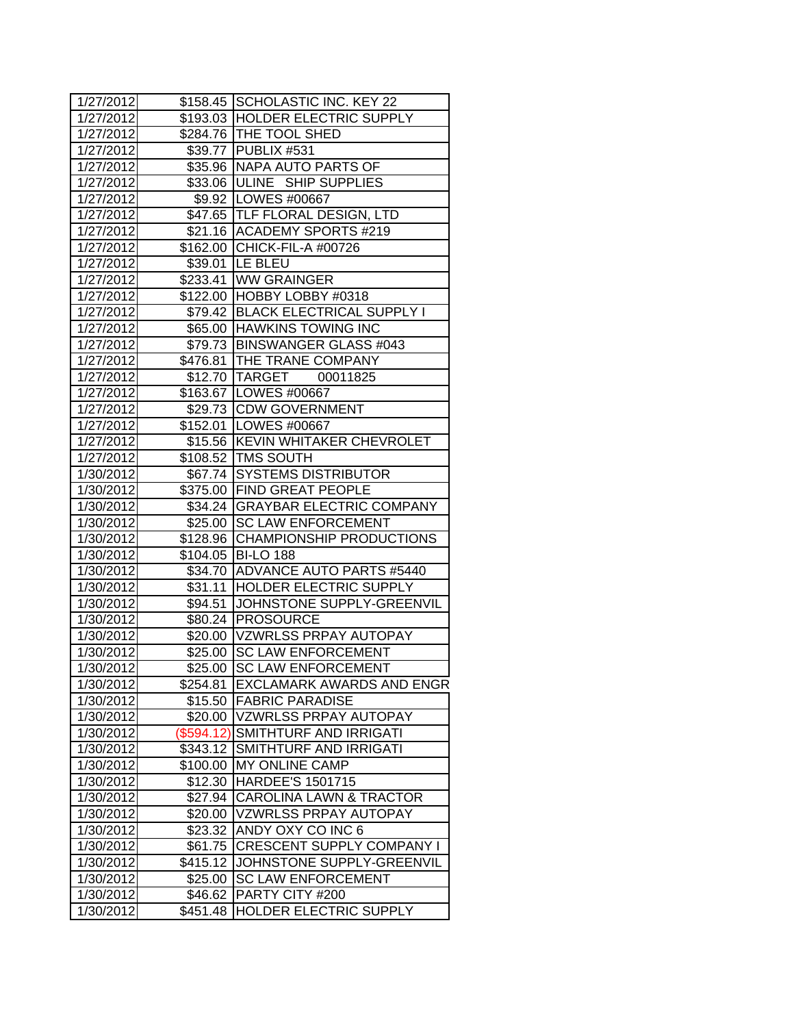| 1/27/2012 |              | \$158.45 SCHOLASTIC INC. KEY 22    |  |  |
|-----------|--------------|------------------------------------|--|--|
| 1/27/2012 |              | \$193.03 HOLDER ELECTRIC SUPPLY    |  |  |
| 1/27/2012 |              | \$284.76   THE TOOL SHED           |  |  |
| 1/27/2012 |              | \$39.77 PUBLIX #531                |  |  |
| 1/27/2012 |              | \$35.96 NAPA AUTO PARTS OF         |  |  |
| 1/27/2012 |              | \$33.06 ULINE SHIP SUPPLIES        |  |  |
| 1/27/2012 |              | \$9.92 LOWES #00667                |  |  |
| 1/27/2012 |              | \$47.65 TLF FLORAL DESIGN, LTD     |  |  |
| 1/27/2012 |              | \$21.16 ACADEMY SPORTS #219        |  |  |
| 1/27/2012 |              | \$162.00 CHICK-FIL-A #00726        |  |  |
| 1/27/2012 |              | \$39.01  LE BLEU                   |  |  |
| 1/27/2012 |              | \$233.41 WW GRAINGER               |  |  |
| 1/27/2012 |              | \$122.00 HOBBY LOBBY #0318         |  |  |
| 1/27/2012 |              | \$79.42 BLACK ELECTRICAL SUPPLY I  |  |  |
| 1/27/2012 |              | \$65.00 HAWKINS TOWING INC         |  |  |
| 1/27/2012 |              | \$79.73 BINSWANGER GLASS #043      |  |  |
| 1/27/2012 |              | \$476.81   THE TRANE COMPANY       |  |  |
| 1/27/2012 |              | \$12.70 TARGET 00011825            |  |  |
| 1/27/2012 |              | \$163.67 LOWES #00667              |  |  |
| 1/27/2012 |              | \$29.73 CDW GOVERNMENT             |  |  |
| 1/27/2012 |              | \$152.01   LOWES #00667            |  |  |
| 1/27/2012 |              | \$15.56 KEVIN WHITAKER CHEVROLET   |  |  |
| 1/27/2012 |              | \$108.52 TMS SOUTH                 |  |  |
| 1/30/2012 |              | \$67.74 SYSTEMS DISTRIBUTOR        |  |  |
| 1/30/2012 |              | \$375.00 FIND GREAT PEOPLE         |  |  |
| 1/30/2012 |              | \$34.24 GRAYBAR ELECTRIC COMPANY   |  |  |
| 1/30/2012 |              | \$25.00 SC LAW ENFORCEMENT         |  |  |
| 1/30/2012 |              | \$128.96 CHAMPIONSHIP PRODUCTIONS  |  |  |
| 1/30/2012 |              | \$104.05 BI-LO 188                 |  |  |
| 1/30/2012 |              | \$34.70 ADVANCE AUTO PARTS #5440   |  |  |
| 1/30/2012 |              | \$31.11 HOLDER ELECTRIC SUPPLY     |  |  |
| 1/30/2012 | \$94.51      | JOHNSTONE SUPPLY-GREENVIL          |  |  |
| 1/30/2012 |              | \$80.24 PROSOURCE                  |  |  |
| 1/30/2012 |              | \$20.00 VZWRLSS PRPAY AUTOPAY      |  |  |
| 1/30/2012 |              | \$25.00 SC LAW ENFORCEMENT         |  |  |
| 1/30/2012 |              | \$25.00 SC LAW ENFORCEMENT         |  |  |
| 1/30/2012 | \$254.81     | <b>EXCLAMARK AWARDS AND ENGR</b>   |  |  |
| 1/30/2012 | \$15.50      | <b>FABRIC PARADISE</b>             |  |  |
| 1/30/2012 | \$20.00      | <b>VZWRLSS PRPAY AUTOPAY</b>       |  |  |
| 1/30/2012 | $(\$594.12)$ | ISMITHTURF AND IRRIGATI            |  |  |
| 1/30/2012 | \$343.12     | SMITHTURF AND IRRIGATI             |  |  |
| 1/30/2012 |              | \$100.00 MY ONLINE CAMP            |  |  |
| 1/30/2012 | \$12.30      | <b>HARDEE'S 1501715</b>            |  |  |
| 1/30/2012 | \$27.94      | <b>CAROLINA LAWN &amp; TRACTOR</b> |  |  |
| 1/30/2012 | \$20.00      | <b>VZWRLSS PRPAY AUTOPAY</b>       |  |  |
| 1/30/2012 | \$23.32      | ANDY OXY CO INC 6                  |  |  |
| 1/30/2012 | \$61.75      | <b>CRESCENT SUPPLY COMPANY I</b>   |  |  |
| 1/30/2012 | \$415.12     | JOHNSTONE SUPPLY-GREENVIL          |  |  |
| 1/30/2012 | \$25.00      | <b>SC LAW ENFORCEMENT</b>          |  |  |
| 1/30/2012 | \$46.62      | PARTY CITY #200                    |  |  |
| 1/30/2012 | \$451.48     | <b>HOLDER ELECTRIC SUPPLY</b>      |  |  |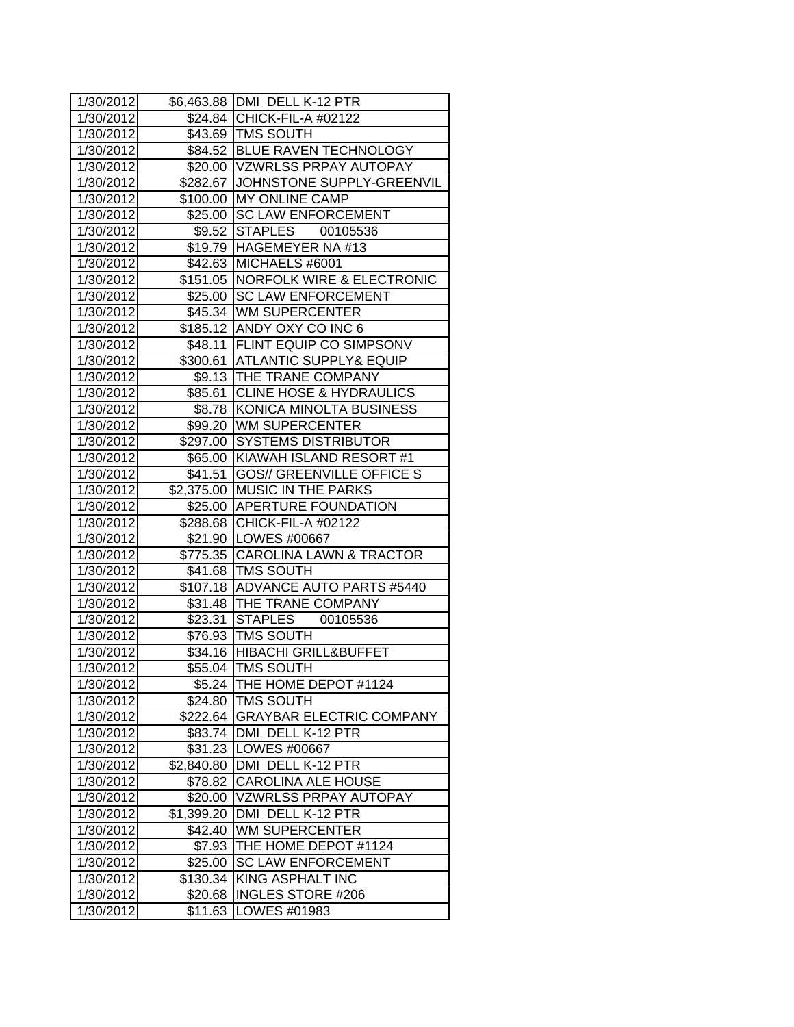| 1/30/2012 |            | \$6,463.88 DMI DELL K-12 PTR        |  |  |  |
|-----------|------------|-------------------------------------|--|--|--|
| 1/30/2012 |            | \$24.84 CHICK-FIL-A #02122          |  |  |  |
| 1/30/2012 |            | \$43.69   TMS SOUTH                 |  |  |  |
| 1/30/2012 |            | \$84.52 BLUE RAVEN TECHNOLOGY       |  |  |  |
| 1/30/2012 |            | \$20.00 VZWRLSS PRPAY AUTOPAY       |  |  |  |
| 1/30/2012 |            | \$282.67 JJOHNSTONE SUPPLY-GREENVIL |  |  |  |
| 1/30/2012 |            | \$100.00 MY ONLINE CAMP             |  |  |  |
| 1/30/2012 | \$25.00    | <b>SC LAW ENFORCEMENT</b>           |  |  |  |
| 1/30/2012 | \$9.52     | STAPLES 00105536                    |  |  |  |
| 1/30/2012 |            | \$19.79 HAGEMEYER NA #13            |  |  |  |
| 1/30/2012 |            | \$42.63 MICHAELS #6001              |  |  |  |
| 1/30/2012 |            | \$151.05 NORFOLK WIRE & ELECTRONIC  |  |  |  |
| 1/30/2012 |            | \$25.00 SC LAW ENFORCEMENT          |  |  |  |
| 1/30/2012 |            | \$45.34 WM SUPERCENTER              |  |  |  |
| 1/30/2012 |            | \$185.12 ANDY OXY CO INC 6          |  |  |  |
| 1/30/2012 |            | \$48.11 FLINT EQUIP CO SIMPSONV     |  |  |  |
| 1/30/2012 |            | \$300.61 ATLANTIC SUPPLY& EQUIP     |  |  |  |
| 1/30/2012 |            | \$9.13 THE TRANE COMPANY            |  |  |  |
| 1/30/2012 |            | \$85.61 CLINE HOSE & HYDRAULICS     |  |  |  |
| 1/30/2012 | \$8.78     | KONICA MINOLTA BUSINESS             |  |  |  |
| 1/30/2012 |            | \$99.20 WM SUPERCENTER              |  |  |  |
| 1/30/2012 | \$297.00   | <b>SYSTEMS DISTRIBUTOR</b>          |  |  |  |
| 1/30/2012 |            | \$65.00 KIAWAH ISLAND RESORT #1     |  |  |  |
| 1/30/2012 |            | \$41.51 GOS// GREENVILLE OFFICE S   |  |  |  |
| 1/30/2012 | \$2,375.00 | <b>MUSIC IN THE PARKS</b>           |  |  |  |
| 1/30/2012 |            | \$25.00 APERTURE FOUNDATION         |  |  |  |
| 1/30/2012 |            | \$288.68 CHICK-FIL-A #02122         |  |  |  |
| 1/30/2012 |            | \$21.90   LOWES #00667              |  |  |  |
| 1/30/2012 |            | \$775.35 CAROLINA LAWN & TRACTOR    |  |  |  |
| 1/30/2012 |            | \$41.68   TMS SOUTH                 |  |  |  |
| 1/30/2012 |            | \$107.18 ADVANCE AUTO PARTS #5440   |  |  |  |
| 1/30/2012 |            | \$31.48 THE TRANE COMPANY           |  |  |  |
| 1/30/2012 |            | \$23.31 STAPLES 00105536            |  |  |  |
| 1/30/2012 |            | \$76.93 TMS SOUTH                   |  |  |  |
| 1/30/2012 |            | \$34.16 HIBACHI GRILL&BUFFET        |  |  |  |
| 1/30/2012 |            | \$55.04 TMS SOUTH                   |  |  |  |
| 1/30/2012 | \$5.24     | THE HOME DEPOT #1124                |  |  |  |
| 1/30/2012 | \$24.80    | <b>TMS SOUTH</b>                    |  |  |  |
| 1/30/2012 | \$222.64   | <b>GRAYBAR ELECTRIC COMPANY</b>     |  |  |  |
| 1/30/2012 | \$83.74    | <b>JDMI DELL K-12 PTR</b>           |  |  |  |
| 1/30/2012 | \$31.23    | LOWES #00667                        |  |  |  |
| 1/30/2012 | \$2,840.80 | DMI DELL K-12 PTR                   |  |  |  |
| 1/30/2012 | \$78.82    | <b>CAROLINA ALE HOUSE</b>           |  |  |  |
| 1/30/2012 | \$20.00    | VZWRLSS PRPAY AUTOPAY               |  |  |  |
| 1/30/2012 | \$1,399.20 | DMI DELL K-12 PTR                   |  |  |  |
| 1/30/2012 | \$42.40    | <b>WM SUPERCENTER</b>               |  |  |  |
| 1/30/2012 | \$7.93     | THE HOME DEPOT #1124                |  |  |  |
| 1/30/2012 | \$25.00    | <b>SC LAW ENFORCEMENT</b>           |  |  |  |
| 1/30/2012 | \$130.34   | KING ASPHALT INC                    |  |  |  |
| 1/30/2012 | \$20.68    | <b>INGLES STORE #206</b>            |  |  |  |
| 1/30/2012 | \$11.63    | LOWES #01983                        |  |  |  |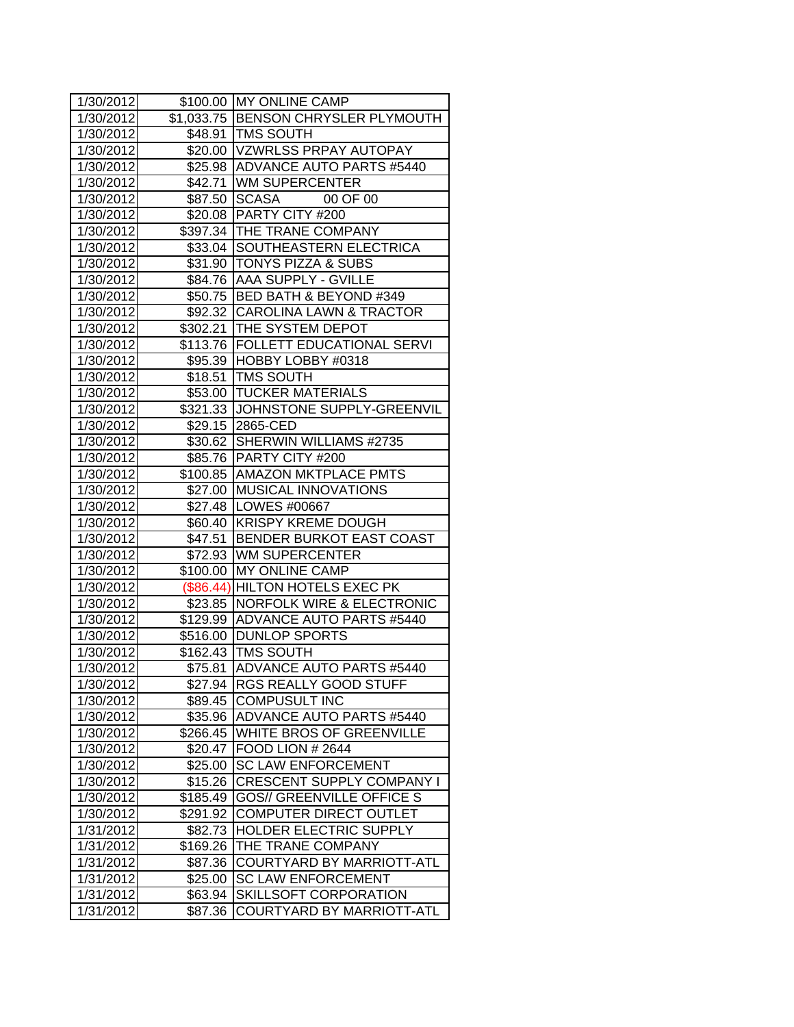| 1/30/2012 |          | \$100.00 MY ONLINE CAMP              |  |  |
|-----------|----------|--------------------------------------|--|--|
| 1/30/2012 |          | \$1,033.75 BENSON CHRYSLER PLYMOUTH  |  |  |
| 1/30/2012 |          | \$48.91   TMS SOUTH                  |  |  |
| 1/30/2012 |          | \$20.00 VZWRLSS PRPAY AUTOPAY        |  |  |
| 1/30/2012 |          | \$25.98 ADVANCE AUTO PARTS #5440     |  |  |
| 1/30/2012 |          | \$42.71 WM SUPERCENTER               |  |  |
| 1/30/2012 |          | \$87.50 SCASA<br>00 OF 00            |  |  |
| 1/30/2012 | \$20.08  | PARTY CITY #200                      |  |  |
| 1/30/2012 |          | \$397.34 THE TRANE COMPANY           |  |  |
| 1/30/2012 |          | \$33.04 SOUTHEASTERN ELECTRICA       |  |  |
| 1/30/2012 |          | \$31.90 TONYS PIZZA & SUBS           |  |  |
| 1/30/2012 |          | \$84.76 AAA SUPPLY - GVILLE          |  |  |
| 1/30/2012 |          | \$50.75 BED BATH & BEYOND #349       |  |  |
| 1/30/2012 |          | \$92.32 CAROLINA LAWN & TRACTOR      |  |  |
| 1/30/2012 |          | \$302.21 THE SYSTEM DEPOT            |  |  |
| 1/30/2012 |          | \$113.76   FOLLETT EDUCATIONAL SERVI |  |  |
| 1/30/2012 |          | \$95.39 HOBBY LOBBY #0318            |  |  |
| 1/30/2012 |          | \$18.51   TMS SOUTH                  |  |  |
| 1/30/2012 |          | \$53.00 TUCKER MATERIALS             |  |  |
| 1/30/2012 | \$321.33 | JOHNSTONE SUPPLY-GREENVIL            |  |  |
| 1/30/2012 | \$29.15  | 2865-CED                             |  |  |
| 1/30/2012 |          | \$30.62 SHERWIN WILLIAMS #2735       |  |  |
| 1/30/2012 |          | \$85.76   PARTY CITY #200            |  |  |
| 1/30/2012 |          | \$100.85 AMAZON MKTPLACE PMTS        |  |  |
| 1/30/2012 |          | \$27.00 MUSICAL INNOVATIONS          |  |  |
| 1/30/2012 |          | \$27.48   LOWES #00667               |  |  |
| 1/30/2012 |          | \$60.40 KRISPY KREME DOUGH           |  |  |
| 1/30/2012 |          | \$47.51 BENDER BURKOT EAST COAST     |  |  |
| 1/30/2012 |          | \$72.93 WM SUPERCENTER               |  |  |
| 1/30/2012 | \$100.00 | <b>MY ONLINE CAMP</b>                |  |  |
| 1/30/2012 |          | (\$86.44) HILTON HOTELS EXEC PK      |  |  |
| 1/30/2012 |          | \$23.85 NORFOLK WIRE & ELECTRONIC    |  |  |
| 1/30/2012 | \$129.99 | ADVANCE AUTO PARTS #5440             |  |  |
| 1/30/2012 | \$516.00 | <b>DUNLOP SPORTS</b>                 |  |  |
| 1/30/2012 |          | \$162.43 TMS SOUTH                   |  |  |
| 1/30/2012 | \$75.81  | ADVANCE AUTO PARTS #5440             |  |  |
| 1/30/2012 |          | \$27.94 RGS REALLY GOOD STUFF        |  |  |
| 1/30/2012 | \$89.45  | <b>COMPUSULT INC</b>                 |  |  |
| 1/30/2012 | \$35.96  | <b>ADVANCE AUTO PARTS #5440</b>      |  |  |
| 1/30/2012 | \$266.45 | <b>WHITE BROS OF GREENVILLE</b>      |  |  |
| 1/30/2012 |          | \$20.47 FOOD LION # 2644             |  |  |
| 1/30/2012 | \$25.00  | <b>SC LAW ENFORCEMENT</b>            |  |  |
| 1/30/2012 | \$15.26  | <b>CRESCENT SUPPLY COMPANY I</b>     |  |  |
| 1/30/2012 | \$185.49 | <b>GOS// GREENVILLE OFFICE S</b>     |  |  |
| 1/30/2012 | \$291.92 | COMPUTER DIRECT OUTLET               |  |  |
| 1/31/2012 | \$82.73  | <b>HOLDER ELECTRIC SUPPLY</b>        |  |  |
| 1/31/2012 | \$169.26 | <b>THE TRANE COMPANY</b>             |  |  |
| 1/31/2012 | \$87.36  | <b>COURTYARD BY MARRIOTT-ATL</b>     |  |  |
| 1/31/2012 | \$25.00  | <b>SC LAW ENFORCEMENT</b>            |  |  |
| 1/31/2012 | \$63.94  | SKILLSOFT CORPORATION                |  |  |
| 1/31/2012 | \$87.36  | <b>COURTYARD BY MARRIOTT-ATL</b>     |  |  |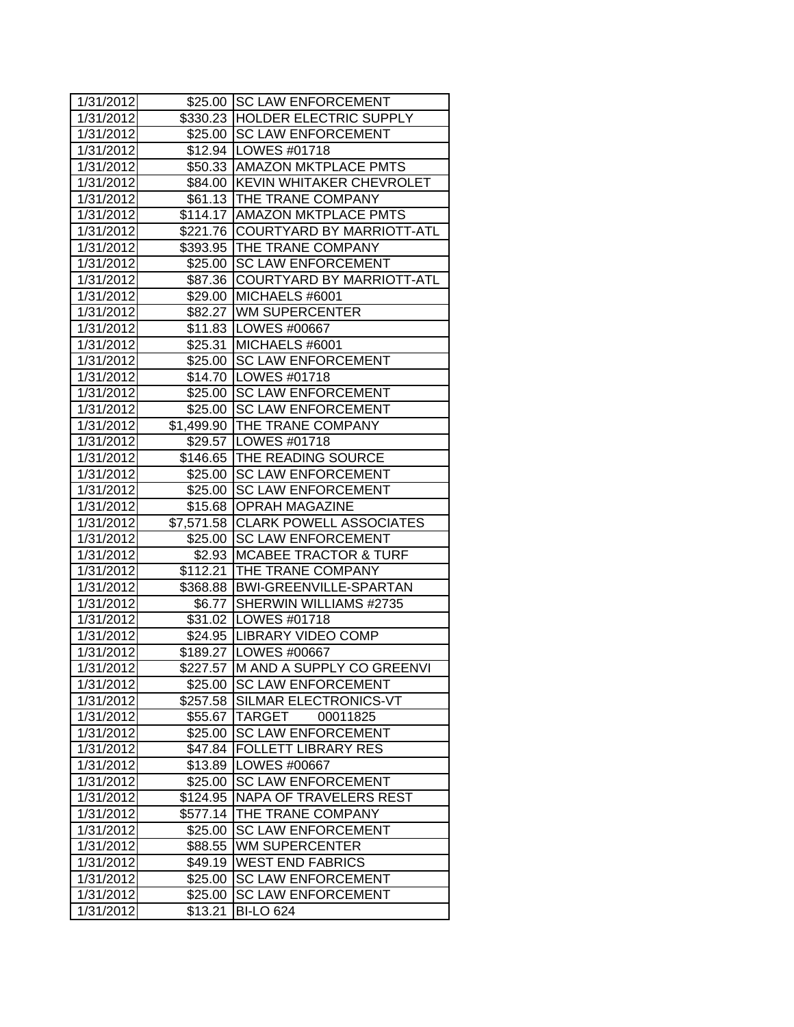| 1/31/2012 |          | \$25.00 SC LAW ENFORCEMENT         |  |  |
|-----------|----------|------------------------------------|--|--|
| 1/31/2012 |          | \$330.23 HOLDER ELECTRIC SUPPLY    |  |  |
| 1/31/2012 |          | \$25.00 SC LAW ENFORCEMENT         |  |  |
| 1/31/2012 |          | \$12.94 LOWES #01718               |  |  |
| 1/31/2012 |          | \$50.33 AMAZON MKTPLACE PMTS       |  |  |
| 1/31/2012 |          | \$84.00 KEVIN WHITAKER CHEVROLET   |  |  |
| 1/31/2012 |          | \$61.13  THE TRANE COMPANY         |  |  |
| 1/31/2012 |          | \$114.17 AMAZON MKTPLACE PMTS      |  |  |
| 1/31/2012 |          | \$221.76 COURTYARD BY MARRIOTT-ATL |  |  |
| 1/31/2012 |          | \$393.95 THE TRANE COMPANY         |  |  |
| 1/31/2012 |          | \$25.00 SC LAW ENFORCEMENT         |  |  |
| 1/31/2012 |          | \$87.36 COURTYARD BY MARRIOTT-ATL  |  |  |
| 1/31/2012 | \$29.00  | MICHAELS #6001                     |  |  |
| 1/31/2012 |          | \$82.27 WM SUPERCENTER             |  |  |
| 1/31/2012 |          | \$11.83   LOWES #00667             |  |  |
| 1/31/2012 |          | \$25.31 MICHAELS #6001             |  |  |
| 1/31/2012 |          | \$25.00 SC LAW ENFORCEMENT         |  |  |
| 1/31/2012 | \$14.70  | LOWES #01718                       |  |  |
| 1/31/2012 | \$25.00  | <b>SC LAW ENFORCEMENT</b>          |  |  |
| 1/31/2012 | \$25.00  | <b>SC LAW ENFORCEMENT</b>          |  |  |
| 1/31/2012 |          | \$1,499.90 THE TRANE COMPANY       |  |  |
| 1/31/2012 |          | \$29.57   LOWES #01718             |  |  |
| 1/31/2012 |          | \$146.65 THE READING SOURCE        |  |  |
| 1/31/2012 |          | \$25.00 SC LAW ENFORCEMENT         |  |  |
| 1/31/2012 |          | \$25.00 SC LAW ENFORCEMENT         |  |  |
| 1/31/2012 |          | \$15.68 OPRAH MAGAZINE             |  |  |
| 1/31/2012 |          | \$7,571.58 CLARK POWELL ASSOCIATES |  |  |
| 1/31/2012 |          | \$25.00 SC LAW ENFORCEMENT         |  |  |
| 1/31/2012 |          | \$2.93 MCABEE TRACTOR & TURF       |  |  |
| 1/31/2012 |          | \$112.21 THE TRANE COMPANY         |  |  |
| 1/31/2012 |          | \$368.88 BWI-GREENVILLE-SPARTAN    |  |  |
| 1/31/2012 |          | \$6.77 SHERWIN WILLIAMS #2735      |  |  |
| 1/31/2012 |          | \$31.02   LOWES #01718             |  |  |
| 1/31/2012 |          | \$24.95 LIBRARY VIDEO COMP         |  |  |
| 1/31/2012 |          | \$189.27 LOWES #00667              |  |  |
| 1/31/2012 |          | \$227.57 M AND A SUPPLY CO GREENVI |  |  |
| 1/31/2012 |          | \$25.00 SC LAW ENFORCEMENT         |  |  |
| 1/31/2012 | \$257.58 | SILMAR ELECTRONICS-VT              |  |  |
| 1/31/2012 |          | \$55.67 TARGET<br>00011825         |  |  |
| 1/31/2012 | \$25.00  | <b>SC LAW ENFORCEMENT</b>          |  |  |
| 1/31/2012 | \$47.84  | <b>FOLLETT LIBRARY RES</b>         |  |  |
| 1/31/2012 | \$13.89  | <b>LOWES #00667</b>                |  |  |
| 1/31/2012 | \$25.00  | <b>SC LAW ENFORCEMENT</b>          |  |  |
| 1/31/2012 | \$124.95 | <b>NAPA OF TRAVELERS REST</b>      |  |  |
| 1/31/2012 | \$577.14 | THE TRANE COMPANY                  |  |  |
| 1/31/2012 | \$25.00  | <b>SC LAW ENFORCEMENT</b>          |  |  |
| 1/31/2012 | \$88.55  | <b>WM SUPERCENTER</b>              |  |  |
| 1/31/2012 | \$49.19  | <b>WEST END FABRICS</b>            |  |  |
| 1/31/2012 | \$25.00  | <b>SC LAW ENFORCEMENT</b>          |  |  |
| 1/31/2012 | \$25.00  | <b>SC LAW ENFORCEMENT</b>          |  |  |
| 1/31/2012 | \$13.21  | <b>BI-LO 624</b>                   |  |  |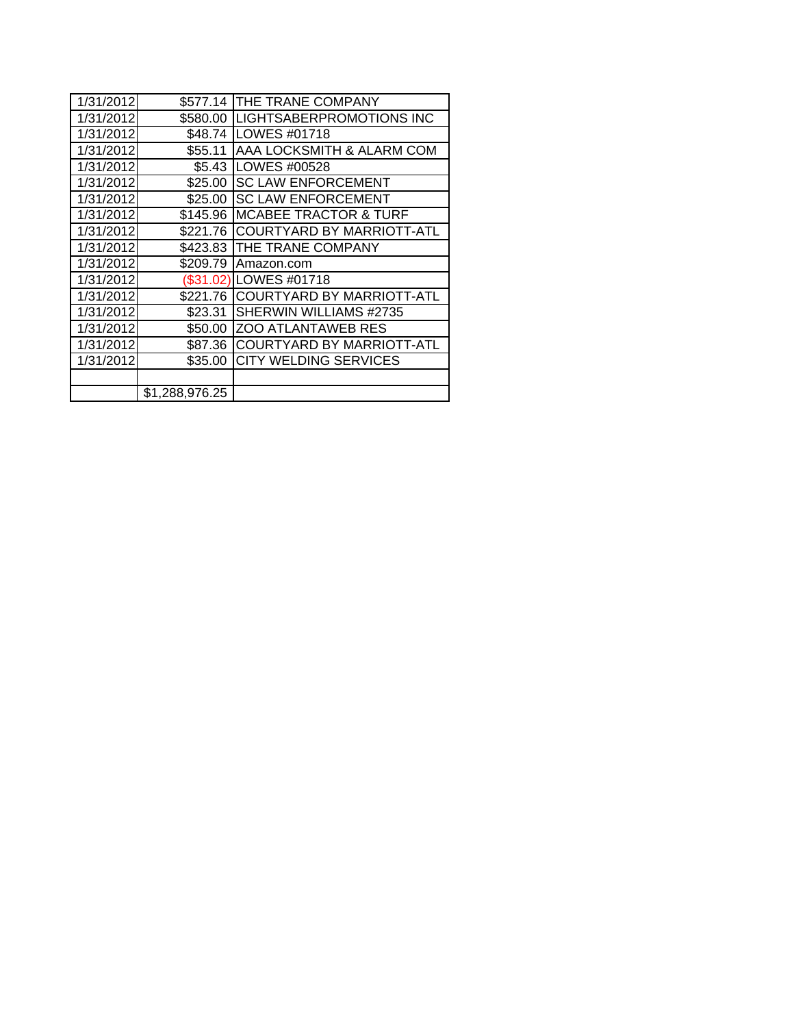| 1/31/2012 | \$577.14       | THE TRANE COMPANY                |  |  |
|-----------|----------------|----------------------------------|--|--|
| 1/31/2012 | \$580.00       | LIGHTSABERPROMOTIONS INC         |  |  |
| 1/31/2012 | \$48.74        | LOWES #01718                     |  |  |
| 1/31/2012 | \$55.11        | AAA LOCKSMITH & ALARM COM        |  |  |
| 1/31/2012 | \$5.43         | LOWES #00528                     |  |  |
| 1/31/2012 | \$25.00        | <b>SC LAW ENFORCEMENT</b>        |  |  |
| 1/31/2012 | \$25.00        | <b>SC LAW ENFORCEMENT</b>        |  |  |
| 1/31/2012 | \$145.96       | <b>MCABEE TRACTOR &amp; TURF</b> |  |  |
| 1/31/2012 | \$221.76       | <b>COURTYARD BY MARRIOTT-ATL</b> |  |  |
| 1/31/2012 | \$423.83       | THE TRANE COMPANY                |  |  |
| 1/31/2012 | \$209.79       | Amazon.com                       |  |  |
| 1/31/2012 |                | (\$31.02)ILOWES #01718           |  |  |
| 1/31/2012 | \$221.76       | COURTYARD BY MARRIOTT-ATL        |  |  |
| 1/31/2012 | \$23.31        | SHERWIN WILLIAMS #2735           |  |  |
| 1/31/2012 | \$50.00        | <b>ZOO ATLANTAWEB RES</b>        |  |  |
| 1/31/2012 | \$87.36        | <b>COURTYARD BY MARRIOTT-ATL</b> |  |  |
| 1/31/2012 | \$35.00        | <b>CITY WELDING SERVICES</b>     |  |  |
|           |                |                                  |  |  |
|           | \$1,288,976.25 |                                  |  |  |